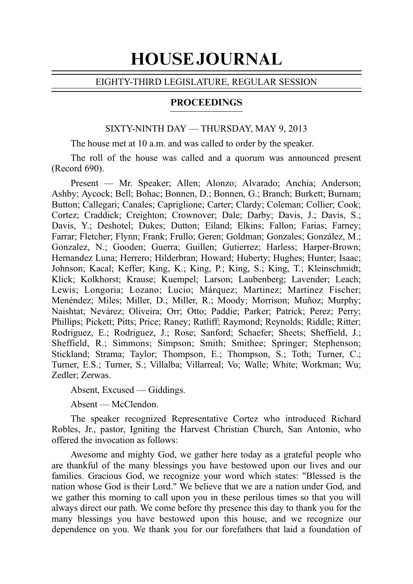# HOUSE JOURNAL

# EIGHTY-THIRD LEGISLATURE, REGULAR SESSION

# PROCEEDINGS

### SIXTY-NINTH DAY — THURSDAY, MAY 9, 2013

The house met at 10 a.m. and was called to order by the speaker.

The roll of the house was called and a quorum was announced present  $(Record 690)$ .

Present — Mr. Speaker; Allen; Alonzo; Alvarado; Anchia; Anderson; Ashby; Aycock; Bell; Bohac; Bonnen, D.; Bonnen, G.; Branch; Burkett; Burnam; Button; Callegari; Canales; Capriglione; Carter; Clardy; Coleman; Collier; Cook; Cortez; Craddick; Creighton; Crownover; Dale; Darby; Davis, J.; Davis, S.; Davis, Y.; Deshotel; Dukes; Dutton; Eiland; Elkins; Fallon; Farias; Farney; Farrar; Fletcher; Flynn; Frank; Frullo; Geren; Goldman; Gonzales; González, M.; Gonzalez, N.; Gooden; Guerra; Guillen; Gutierrez; Harless; Harper-Brown; Hernandez Luna; Herrero; Hilderbran; Howard; Huberty; Hughes; Hunter; Isaac; Johnson; Kacal; Keffer; King, K.; King, P.; King, S.; King, T.; Kleinschmidt; Klick; Kolkhorst; Krause; Kuempel; Larson; Laubenberg; Lavender; Leach; Lewis; Longoria; Lozano; Lucio; Márquez; Martinez; Martinez Fischer; Menéndez; Miles; Miller, D.; Miller, R.; Moody; Morrison; Muñoz; Murphy; Naishtat; Nevárez; Oliveira; Orr; Otto; Paddie; Parker; Patrick; Perez; Perry; Phillips; Pickett; Pitts; Price; Raney; Ratliff; Raymond; Reynolds; Riddle; Ritter; Rodriguez, E.; Rodriguez, J.; Rose; Sanford; Schaefer; Sheets; Sheffield, J.; Sheffield, R.; Simmons; Simpson; Smith; Smithee; Springer; Stephenson; Stickland; Strama; Taylor; Thompson, E.; Thompson, S.; Toth; Turner, C.; Turner, E.S.; Turner, S.; Villalba; Villarreal; Vo; Walle; White; Workman; Wu; Zedler; Zerwas.

Absent, Excused — Giddings.

Absent — McClendon.

The speaker recognized Representative Cortez who introduced Richard Robles, Jr., pastor, Igniting the Harvest Christian Church, San Antonio, who offered the invocation as follows:

Awesome and mighty God, we gather here today as a grateful people who are thankful of the many blessings you have bestowed upon our lives and our families. Gracious God, we recognize your word which states: "Blessed is the nation whose God is their Lord." We believe that we are a nation under God, and we gather this morning to call upon you in these perilous times so that you will always direct our path. We come before thy presence this day to thank you for the many blessings you have bestowed upon this house, and we recognize our dependence on you. We thank you for our forefathers that laid a foundation of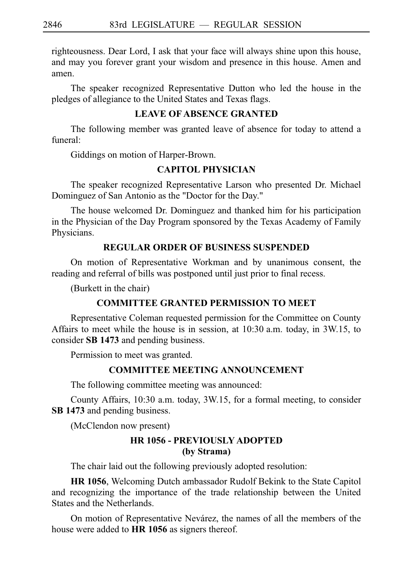righteousness. Dear Lord, I ask that your face will always shine upon this house, and may you forever grant your wisdom and presence in this house. Amen and amen.

The speaker recognized Representative Dutton who led the house in the pledges of allegiance to the United States and Texas flags.

# **LEAVE OF ABSENCE GRANTED**

The following member was granted leave of absence for today to attend a funeral:

Giddings on motion of Harper-Brown.

# **CAPITOL PHYSICIAN**

The speaker recognized Representative Larson who presented Dr. Michael Dominguez of San Antonio as the "Doctor for the Day."

The house welcomed Dr. Dominguez and thanked him for his participation in the Physician of the Day Program sponsored by the Texas Academy of Family Physicians.

# **REGULAR ORDER OF BUSINESS SUSPENDED**

On motion of Representative Workman and by unanimous consent, the reading and referral of bills was postponed until just prior to final recess.

(Burkett in the chair)

# **COMMITTEE GRANTED PERMISSION TO MEET**

Representative Coleman requested permission for the Committee on County Affairs to meet while the house is in session, at  $10:30$  a.m. today, in 3W.15, to consider **SBi1473** and pending business.

Permission to meet was granted.

# **COMMITTEE MEETING ANNOUNCEMENT**

The following committee meeting was announced:

County Affairs, 10:30 a.m. today, 3W.15, for a formal meeting, to consider **SBi1473** and pending business.

(McClendon now present)

# **HR 1056 - PREVIOUSLY ADOPTED (by Strama)**

The chair laid out the following previously adopted resolution:

HR 1056, Welcoming Dutch ambassador Rudolf Bekink to the State Capitol and recognizing the importance of the trade relationship between the United States and the Netherlands.

On motion of Representative Nevárez, the names of all the members of the house were added to **HR 1056** as signers thereof.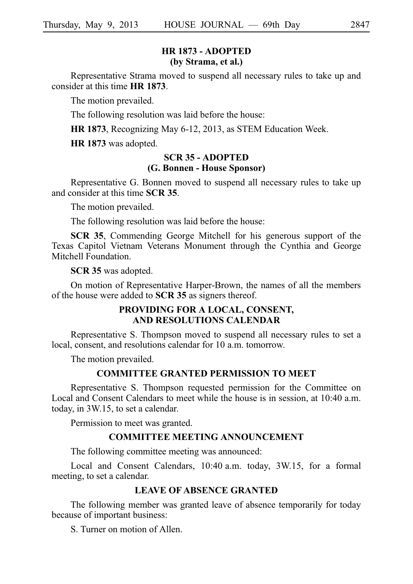# **HR 1873 - ADOPTED (by Strama, et al.)**

Representative Strama moved to suspend all necessary rules to take up and consider at this time **HR 1873**.

The motion prevailed.

The following resolution was laid before the house:

**HR 1873**, Recognizing May 6-12, 2013, as STEM Education Week.

**HR 1873** was adopted.

### **SCR 35 - ADOPTED (G. Bonnen - House Sponsor)**

Representative G. Bonnen moved to suspend all necessary rules to take up and consider at this time **SCR 35**.

The motion prevailed.

The following resolution was laid before the house:

**SCR 35**, Commending George Mitchell for his generous support of the Texas Capitol Vietnam Veterans Monument through the Cynthia and George Mitchell Foundation.

**SCR 35** was adopted.

On motion of Representative Harper-Brown, the names of all the members of the house were added to **SCR 35** as signers thereof.

# **PROVIDING FOR A LOCAL, CONSENT, AND RESOLUTIONS CALENDAR**

Representative S. Thompson moved to suspend all necessary rules to set a local, consent, and resolutions calendar for 10 a.m. tomorrow.

The motion prevailed.

### **COMMITTEE GRANTED PERMISSION TO MEET**

Representative S. Thompson requested permission for the Committee on Local and Consent Calendars to meet while the house is in session, at 10:40 a.m. today, in 3W.15, to set a calendar.

Permission to meet was granted.

# **COMMITTEE MEETING ANNOUNCEMENT**

The following committee meeting was announced:

Local and Consent Calendars, 10:40 a.m. today, 3W.15, for a formal meeting, to set a calendar.

### **LEAVE OF ABSENCE GRANTED**

The following member was granted leave of absence temporarily for today because of important business:

S. Turner on motion of Allen.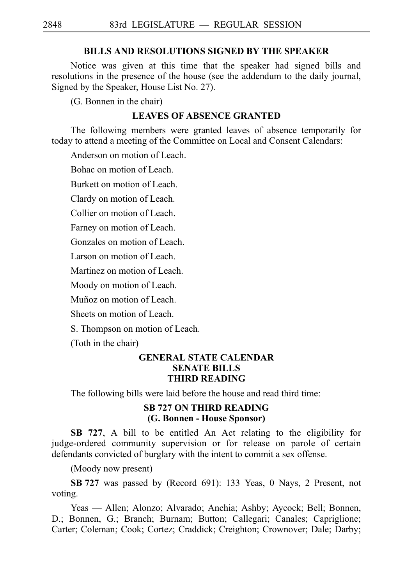### **BILLS AND RESOLUTIONS SIGNED BY THE SPEAKER**

Notice was given at this time that the speaker had signed bills and resolutions in the presence of the house (see the addendum to the daily journal, Signed by the Speaker, House List No. 27).

(G. Bonnen in the chair)

### **LEAVES OF ABSENCE GRANTED**

The following members were granted leaves of absence temporarily for today to attend a meeting of the Committee on Local and Consent Calendars:

Anderson on motion of Leach.

Bohac on motion of Leach.

Burkett on motion of Leach.

Clardy on motion of Leach.

Collier on motion of Leach.

Farney on motion of Leach.

Gonzales on motion of Leach.

Larson on motion of Leach.

Martinez on motion of Leach.

Moody on motion of Leach.

Muñoz on motion of Leach.

Sheets on motion of Leach.

S. Thompson on motion of Leach.

(Toth in the chair)

# **GENERAL STATE CALENDAR SENATE BILLS THIRD READING**

The following bills were laid before the house and read third time:

# **SB 727 ON THIRD READING (G. Bonnen - House Sponsor)**

**SB 727**, A bill to be entitled An Act relating to the eligibility for judge-ordered community supervision or for release on parole of certain defendants convicted of burglary with the intent to commit a sex offense.

(Moody now present)

**SBi727** was passed by (Record 691): 133 Yeas, 0 Nays, 2 Present, not voting.

Yeas — Allen; Alonzo; Alvarado; Anchia; Ashby; Aycock; Bell; Bonnen, D.; Bonnen, G.; Branch; Burnam; Button; Callegari; Canales; Capriglione; Carter; Coleman; Cook; Cortez; Craddick; Creighton; Crownover; Dale; Darby;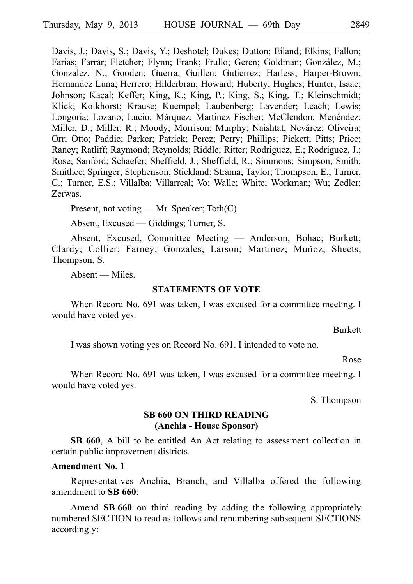Davis, J.; Davis, S.; Davis, Y.; Deshotel; Dukes; Dutton; Eiland; Elkins; Fallon; Farias; Farrar; Fletcher; Flynn; Frank; Frullo; Geren; Goldman; González, M.; Gonzalez, N.; Gooden; Guerra; Guillen; Gutierrez; Harless; Harper-Brown; Hernandez Luna; Herrero; Hilderbran; Howard; Huberty; Hughes; Hunter; Isaac; Johnson; Kacal; Keffer; King, K.; King, P.; King, S.; King, T.; Kleinschmidt; Klick; Kolkhorst; Krause; Kuempel; Laubenberg; Lavender; Leach; Lewis; Longoria; Lozano; Lucio; Márquez; Martinez Fischer; McClendon; Menéndez; Miller, D.; Miller, R.; Moody; Morrison; Murphy; Naishtat; Nevárez; Oliveira; Orr; Otto; Paddie; Parker; Patrick; Perez; Perry; Phillips; Pickett; Pitts; Price; Raney; Ratliff; Raymond; Reynolds; Riddle; Ritter; Rodriguez, E.; Rodriguez, J.; Rose; Sanford; Schaefer; Sheffield, J.; Sheffield, R.; Simmons; Simpson; Smith; Smithee; Springer; Stephenson; Stickland; Strama; Taylor; Thompson, E.; Turner, C.; Turner, E.S.; Villalba; Villarreal; Vo; Walle; White; Workman; Wu; Zedler; Zerwas.

Present, not voting — Mr. Speaker; Toth(C).

Absent, Excused — Giddings; Turner, S.

Absent, Excused, Committee Meeting — Anderson; Bohac; Burkett; Clardy; Collier; Farney; Gonzales; Larson; Martinez; Muñoz; Sheets; Thompson, S.

Absent — Miles.

### **STATEMENTS OF VOTE**

When Record No. 691 was taken, I was excused for a committee meeting. I would have voted yes.

Burkett

I was shown voting yes on Record No. 691. I intended to vote no.

Rose

When Record No. 691 was taken, I was excused for a committee meeting. I would have voted yes.

S. Thompson

# **SB 660 ON THIRD READING (Anchia - House Sponsor)**

**SB 660**, A bill to be entitled An Act relating to assessment collection in certain public improvement districts.

# **Amendment No. 1**

Representatives Anchia, Branch, and Villalba offered the following amendment to **SB** 660:

Amend **SB 660** on third reading by adding the following appropriately numbered SECTION to read as follows and renumbering subsequent SECTIONS accordingly: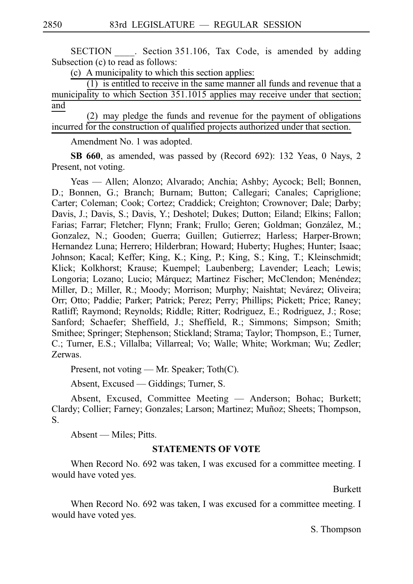SECTION Section 351.106, Tax Code, is amended by adding Subsection (c) to read as follows:

(c) A municipality to which this section applies:

 $(1)$  is entitled to receive in the same manner all funds and revenue that a municipality to which Section 351.1015 applies may receive under that section; and

 $(2)$  may pledge the funds and revenue for the payment of obligations incurred for the construction of qualified projects authorized under that section.

Amendment No. 1 was adopted.

**SB 660**, as amended, was passed by (Record 692): 132 Yeas, 0 Nays, 2 Present, not voting.

Yeas — Allen; Alonzo; Alvarado; Anchia; Ashby; Aycock; Bell; Bonnen, D.; Bonnen, G.; Branch; Burnam; Button; Callegari; Canales; Capriglione; Carter; Coleman; Cook; Cortez; Craddick; Creighton; Crownover; Dale; Darby; Davis, J.; Davis, S.; Davis, Y.; Deshotel; Dukes; Dutton; Eiland; Elkins; Fallon; Farias; Farrar; Fletcher; Flynn; Frank; Frullo; Geren; Goldman; González, M.; Gonzalez, N.; Gooden; Guerra; Guillen; Gutierrez; Harless; Harper-Brown; Hernandez Luna; Herrero; Hilderbran; Howard; Huberty; Hughes; Hunter; Isaac; Johnson; Kacal; Keffer; King, K.; King, P.; King, S.; King, T.; Kleinschmidt; Klick; Kolkhorst; Krause; Kuempel; Laubenberg; Lavender; Leach; Lewis; Longoria; Lozano; Lucio; Márquez; Martinez Fischer; McClendon; Menéndez; Miller, D.; Miller, R.; Moody; Morrison; Murphy; Naishtat; Nevárez; Oliveira; Orr; Otto; Paddie; Parker; Patrick; Perez; Perry; Phillips; Pickett; Price; Raney; Ratliff; Raymond; Reynolds; Riddle; Ritter; Rodriguez, E.; Rodriguez, J.; Rose; Sanford; Schaefer; Sheffield, J.; Sheffield, R.; Simmons; Simpson; Smith; Smithee; Springer; Stephenson; Stickland; Strama; Taylor; Thompson, E.; Turner, C.; Turner, E.S.; Villalba; Villarreal; Vo; Walle; White; Workman; Wu; Zedler; Zerwas.

Present, not voting — Mr. Speaker; Toth(C).

Absent, Excused — Giddings; Turner, S.

Absent, Excused, Committee Meeting — Anderson; Bohac; Burkett; Clardy; Collier; Farney; Gonzales; Larson; Martinez; Muñoz; Sheets; Thompson, S.

Absent — Miles; Pitts.

# **STATEMENTS OF VOTE**

When Record No. 692 was taken, I was excused for a committee meeting. I would have voted yes.

Burkett

When Record No. 692 was taken, I was excused for a committee meeting. I would have voted yes.

S. Thompson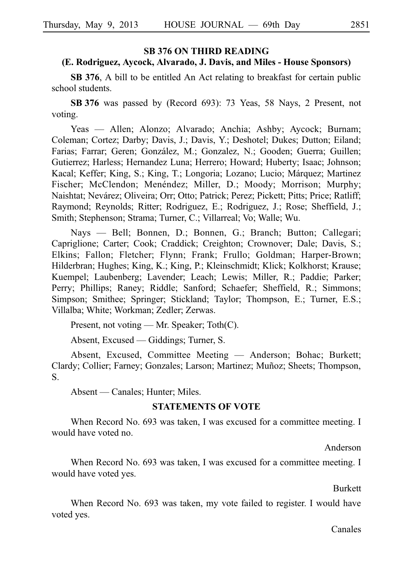### **SB 376 ON THIRD READING**

# **(E. Rodriguez, Aycock, Alvarado, J. Davis, and Miles - House Sponsors)**

**SB 376**, A bill to be entitled An Act relating to breakfast for certain public school students.

**SBi376** was passed by (Record 693): 73 Yeas, 58 Nays, 2 Present, not voting.

Yeas — Allen; Alonzo; Alvarado; Anchia; Ashby; Aycock; Burnam; Coleman; Cortez; Darby; Davis, J.; Davis, Y.; Deshotel; Dukes; Dutton; Eiland; Farias; Farrar; Geren; González, M.; Gonzalez, N.; Gooden; Guerra; Guillen; Gutierrez; Harless; Hernandez Luna; Herrero; Howard; Huberty; Isaac; Johnson; Kacal; Keffer; King, S.; King, T.; Longoria; Lozano; Lucio; Márquez; Martinez Fischer; McClendon; Menéndez; Miller, D.; Moody; Morrison; Murphy; Naishtat; Nevárez; Oliveira; Orr; Otto; Patrick; Perez; Pickett; Pitts; Price; Ratliff; Raymond; Reynolds; Ritter; Rodriguez, E.; Rodriguez, J.; Rose; Sheffield, J.; Smith; Stephenson; Strama; Turner, C.; Villarreal; Vo; Walle; Wu.

Nays — Bell; Bonnen, D.; Bonnen, G.; Branch; Button; Callegari; Capriglione; Carter; Cook; Craddick; Creighton; Crownover; Dale; Davis, S.; Elkins; Fallon; Fletcher; Flynn; Frank; Frullo; Goldman; Harper-Brown; Hilderbran; Hughes; King, K.; King, P.; Kleinschmidt; Klick; Kolkhorst; Krause; Kuempel; Laubenberg; Lavender; Leach; Lewis; Miller, R.; Paddie; Parker; Perry; Phillips; Raney; Riddle; Sanford; Schaefer; Sheffield, R.; Simmons; Simpson; Smithee; Springer; Stickland; Taylor; Thompson, E.; Turner, E.S.; Villalba; White; Workman; Zedler; Zerwas.

Present, not voting — Mr. Speaker; Toth(C).

Absent, Excused — Giddings; Turner, S.

Absent, Excused, Committee Meeting — Anderson; Bohac; Burkett; Clardy; Collier; Farney; Gonzales; Larson; Martinez; Mun˜oz; Sheets; Thompson, S.

Absent — Canales; Hunter; Miles.

#### **STATEMENTS OF VOTE**

When Record No. 693 was taken, I was excused for a committee meeting. I would have voted no.

Anderson

When Record No. 693 was taken, I was excused for a committee meeting. I would have voted yes.

Burkett

When Record No. 693 was taken, my vote failed to register. I would have voted yes.

Canales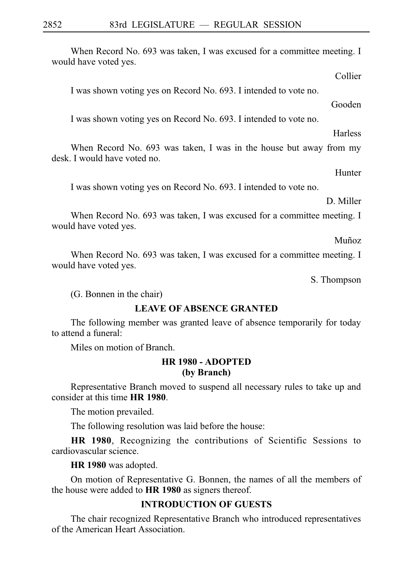When Record No. 693 was taken, I was excused for a committee meeting. I would have voted yes.

Collier

I was shown voting yes on Record No. 693. I intended to vote no.

Gooden

I was shown voting yes on Record No. 693. I intended to vote no.

**Harless** 

When Record No. 693 was taken, I was in the house but away from my desk. I would have voted no.

Hunter

I was shown voting yes on Record No. 693. I intended to vote no.

D. Miller

When Record No. 693 was taken, I was excused for a committee meeting. I would have voted yes.

Muñoz

When Record No. 693 was taken, I was excused for a committee meeting. I would have voted yes.

S. Thompson

(G. Bonnen in the chair)

# **LEAVE OF ABSENCE GRANTED**

The following member was granted leave of absence temporarily for today to attend a funeral:

Miles on motion of Branch.

# **HR 1980 - ADOPTED (by Branch)**

Representative Branch moved to suspend all necessary rules to take up and consider at this time HR 1980.

The motion prevailed.

The following resolution was laid before the house:

**HR 1980**, Recognizing the contributions of Scientific Sessions to cardiovascular science.

**HR 1980** was adopted.

On motion of Representative G. Bonnen, the names of all the members of the house were added to **HR 1980** as signers thereof.

# **INTRODUCTION OF GUESTS**

The chair recognized Representative Branch who introduced representatives of the American Heart Association.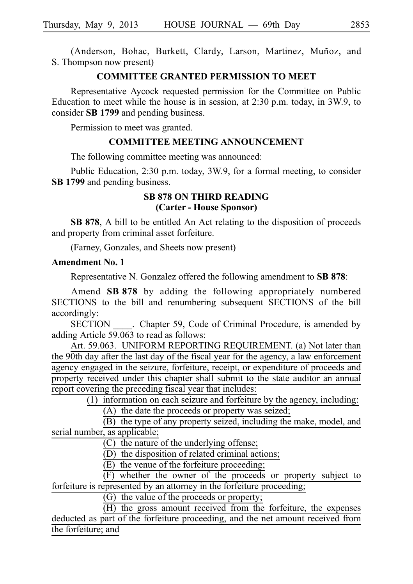(Anderson, Bohac, Burkett, Clardy, Larson, Martinez, Muñoz, and S. Thompson now present)

# **COMMITTEE GRANTED PERMISSION TO MEET**

Representative Aycock requested permission for the Committee on Public Education to meet while the house is in session, at  $2:30$  p.m. today, in 3W.9, to consider **SBi1799** and pending business.

Permission to meet was granted.

### **COMMITTEE MEETING ANNOUNCEMENT**

The following committee meeting was announced:

Public Education, 2:30 p.m. today, 3W.9, for a formal meeting, to consider **SBi1799** and pending business.

# **SB 878 ON THIRD READING (Carter - House Sponsor)**

**SB 878**, A bill to be entitled An Act relating to the disposition of proceeds and property from criminal asset forfeiture.

(Farney, Gonzales, and Sheets now present)

### **Amendment No. 1**

Representative N. Gonzalez offered the following amendment to **SB 878**:

Amend **SB 878** by adding the following appropriately numbered SECTIONS to the bill and renumbering subsequent SECTIONS of the bill accordingly:

SECTION Chapter 59, Code of Criminal Procedure, is amended by adding Article 59.063 to read as follows:

Art. 59.063. UNIFORM REPORTING REQUIREMENT. (a) Not later than the 90th day after the last day of the fiscal year for the agency, a law enforcement agency engaged in the seizure, forfeiture, receipt, or expenditure of proceeds and property received under this chapter shall submit to the state auditor an annual report covering the preceding fiscal year that includes:

 $(1)$  information on each seizure and forfeiture by the agency, including:

 $(A)$  the date the proceeds or property was seized;

 $(B)$  the type of any property seized, including the make, model, and serial number, as applicable;

 $(C)$  the nature of the underlying offense;

(D) the disposition of related criminal actions;

 $(E)$  the venue of the forfeiture proceeding;

(F) whether the owner of the proceeds or property subject to forfeiture is represented by an attorney in the forfeiture proceeding;

(G) the value of the proceeds or property;

 $(H)$  the gross amount received from the forfeiture, the expenses deducted as part of the forfeiture proceeding, and the net amount received from the forfeiture; and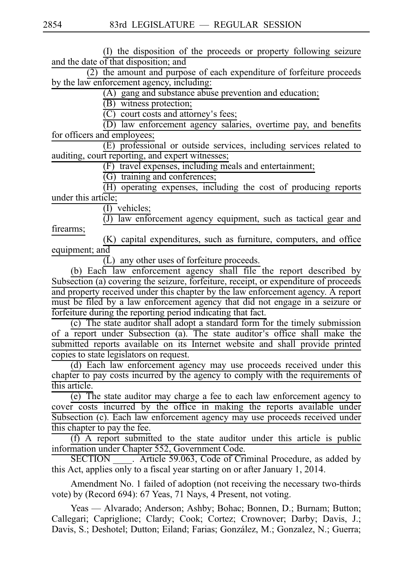(I) the disposition of the proceeds or property following seizure and the date of that disposition; and

 $\overline{(2)}$  the amount and purpose of each expenditure of forfeiture proceeds by the law enforcement agency, including:

 $(A)$  gang and substance abuse prevention and education;

(B) witness protection;

 $(C)$  court costs and attorney's fees;

(D) law enforcement agency salaries, overtime pay, and benefits for officers and employees;

 $(E)$  professional or outside services, including services related to auditing, court reporting, and expert witnesses;

(F) travel expenses, including meals and entertainment;

 $(G)$  training and conferences;

(H) operating expenses, including the cost of producing reports under this article;

 $(I)$  vehicles;

 $\overline{(J)}$  law enforcement agency equipment, such as tactical gear and firearms;

(K) capital expenditures, such as furniture, computers, and office equipment; and

 $\overline{L}$ ) any other uses of forfeiture proceeds.

(b) Each law enforcement agency shall file the report described by Subsection (a) covering the seizure, forfeiture, receipt, or expenditure of proceeds and property received under this chapter by the law enforcement agency. A report must be filed by a law enforcement agency that did not engage in a seizure or forfeiture during the reporting period indicating that fact.

(c) The state auditor shall adopt a standard form for the timely submission of a report under Subsection (a). The state auditor's office shall make the submitted reports available on its Internet website and shall provide printed copies to state legislators on request.

(d) Each law enforcement agency may use proceeds received under this chapter to pay costs incurred by the agency to comply with the requirements of this article.

 $(e)$  The state auditor may charge a fee to each law enforcement agency to cover costs incurred by the office in making the reports available under Subsection (c). Each law enforcement agency may use proceeds received under this chapter to pay the fee.

 $(f)$  A report submitted to the state auditor under this article is public information under Chapter 552, Government Code.

SECTION \_\_\_\_. Article 59.063, Code of Criminal Procedure, as added by this Act, applies only to a fiscal year starting on or after January 1, 2014.

Amendment No. 1 failed of adoption (not receiving the necessary two-thirds vote) by (Record 694): 67 Yeas, 71 Nays, 4 Present, not voting.

Yeas — Alvarado; Anderson; Ashby; Bohac; Bonnen, D.; Burnam; Button; Callegari; Capriglione; Clardy; Cook; Cortez; Crownover; Darby; Davis, J.; Davis, S.; Deshotel; Dutton; Eiland; Farias; González, M.; Gonzalez, N.; Guerra;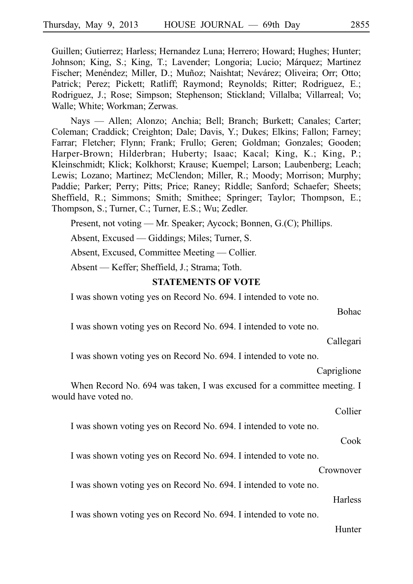Guillen; Gutierrez; Harless; Hernandez Luna; Herrero; Howard; Hughes; Hunter; Johnson; King, S.; King, T.; Lavender; Longoria; Lucio; Márquez; Martinez Fischer; Menéndez; Miller, D.; Muñoz; Naishtat; Nevárez; Oliveira; Orr; Otto; Patrick; Perez; Pickett; Ratliff; Raymond; Reynolds; Ritter; Rodriguez, E.; Rodriguez, J.; Rose; Simpson; Stephenson; Stickland; Villalba; Villarreal; Vo; Walle; White; Workman; Zerwas.

Nays — Allen; Alonzo; Anchia; Bell; Branch; Burkett; Canales; Carter; Coleman; Craddick; Creighton; Dale; Davis, Y.; Dukes; Elkins; Fallon; Farney; Farrar; Fletcher; Flynn; Frank; Frullo; Geren; Goldman; Gonzales; Gooden; Harper-Brown; Hilderbran; Huberty; Isaac; Kacal; King, K.; King, P.; Kleinschmidt; Klick; Kolkhorst; Krause; Kuempel; Larson; Laubenberg; Leach; Lewis; Lozano; Martinez; McClendon; Miller, R.; Moody; Morrison; Murphy; Paddie; Parker; Perry; Pitts; Price; Raney; Riddle; Sanford; Schaefer; Sheets; Sheffield, R.; Simmons; Smith; Smithee; Springer; Taylor; Thompson, E.; Thompson, S.; Turner, C.; Turner, E.S.; Wu; Zedler.

Present, not voting — Mr. Speaker; Aycock; Bonnen, G.(C); Phillips.

Absent, Excused — Giddings; Miles; Turner, S.

Absent, Excused, Committee Meeting — Collier.

Absent — Keffer; Sheffield, J.; Strama; Toth.

#### **STATEMENTS OF VOTE**

I was shown voting yes on Record No. 694. I intended to vote no.

I was shown voting yes on Record No. 694. I intended to vote no.

Callegari

Bohac

I was shown voting yes on Record No. 694. I intended to vote no.

Capriglione

When Record No. 694 was taken, I was excused for a committee meeting. I would have voted no.

Collier

I was shown voting yes on Record No. 694. I intended to vote no.

### Cook

I was shown voting yes on Record No. 694. I intended to vote no.

#### Crownover

I was shown voting yes on Record No. 694. I intended to vote no.

#### Harless

I was shown voting yes on Record No. 694. I intended to vote no.

### Hunter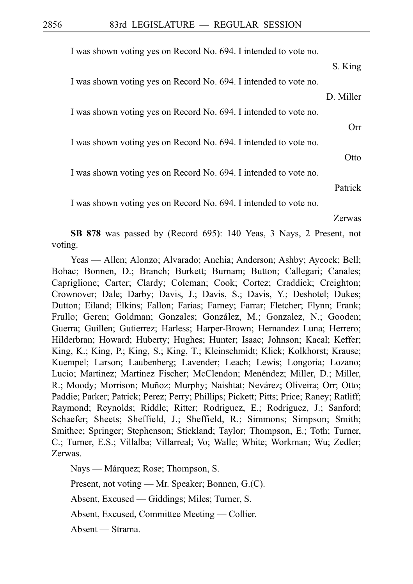I was shown voting yes on Record No. 694. I intended to vote no.

S. King I was shown voting yes on Record No. 694. I intended to vote no. D. Miller I was shown voting yes on Record No. 694. I intended to vote no. Orr I was shown voting yes on Record No. 694. I intended to vote no. **Otto** I was shown voting yes on Record No. 694. I intended to vote no. Patrick I was shown voting yes on Record No. 694. I intended to vote no. Zerwas

**SB 878** was passed by (Record 695): 140 Yeas, 3 Nays, 2 Present, not voting.

Yeas — Allen; Alonzo; Alvarado; Anchia; Anderson; Ashby; Aycock; Bell; Bohac; Bonnen, D.; Branch; Burkett; Burnam; Button; Callegari; Canales; Capriglione; Carter; Clardy; Coleman; Cook; Cortez; Craddick; Creighton; Crownover; Dale; Darby; Davis, J.; Davis, S.; Davis, Y.; Deshotel; Dukes; Dutton; Eiland; Elkins; Fallon; Farias; Farney; Farrar; Fletcher; Flynn; Frank; Frullo; Geren; Goldman; Gonzales; González, M.; Gonzalez, N.; Gooden; Guerra; Guillen; Gutierrez; Harless; Harper-Brown; Hernandez Luna; Herrero; Hilderbran; Howard; Huberty; Hughes; Hunter; Isaac; Johnson; Kacal; Keffer; King, K.; King, P.; King, S.; King, T.; Kleinschmidt; Klick; Kolkhorst; Krause; Kuempel; Larson; Laubenberg; Lavender; Leach; Lewis; Longoria; Lozano; Lucio; Martinez; Martinez Fischer; McClendon; Menéndez; Miller, D.; Miller, R.; Moody; Morrison; Muñoz; Murphy; Naishtat; Nevárez; Oliveira; Orr; Otto; Paddie; Parker; Patrick; Perez; Perry; Phillips; Pickett; Pitts; Price; Raney; Ratliff; Raymond; Reynolds; Riddle; Ritter; Rodriguez, E.; Rodriguez, J.; Sanford; Schaefer; Sheets; Sheffield, J.; Sheffield, R.; Simmons; Simpson; Smith; Smithee; Springer; Stephenson; Stickland; Taylor; Thompson, E.; Toth; Turner, C.; Turner, E.S.; Villalba; Villarreal; Vo; Walle; White; Workman; Wu; Zedler; Zerwas.

Nays — Márquez; Rose; Thompson, S.

Present, not voting — Mr. Speaker; Bonnen, G.(C).

Absent, Excused — Giddings; Miles; Turner, S.

Absent, Excused, Committee Meeting — Collier.

Absent — Strama.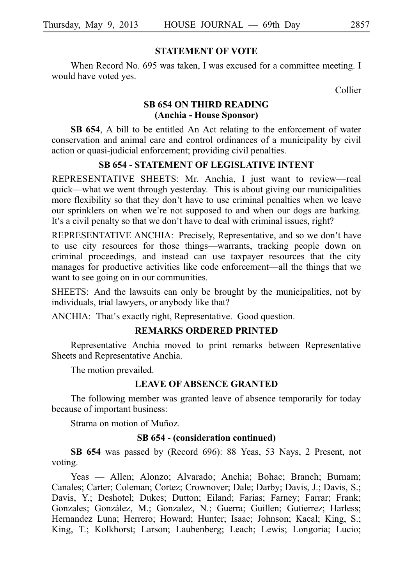### **STATEMENT OF VOTE**

When Record No. 695 was taken, I was excused for a committee meeting. I would have voted yes.

Collier

# **SB 654 ON THIRD READING (Anchia - House Sponsor)**

**SB 654**, A bill to be entitled An Act relating to the enforcement of water conservation and animal care and control ordinances of a municipality by civil action or quasi-judicial enforcement; providing civil penalties.

# **SB 654 - STATEMENT OF LEGISLATIVE INTENT**

REPRESENTATIVE SHEETS: Mr. Anchia, I just want to review--real quick––what we went through yesterday. This is about giving our municipalities more flexibility so that they don't have to use criminal penalties when we leave our sprinklers on when we're not supposed to and when our dogs are barking. It's a civil penalty so that we don't have to deal with criminal issues, right?

REPRESENTATIVE ANCHIA: Precisely, Representative, and so we don't have to use city resources for those things––warrants, tracking people down on criminal proceedings, and instead can use taxpayer resources that the city manages for productive activities like code enforcement––all the things that we want to see going on in our communities.

SHEETS: And the lawsuits can only be brought by the municipalities, not by individuals, trial lawyers, or anybody like that?

ANCHIA: That's exactly right, Representative. Good question.

# **REMARKS ORDERED PRINTED**

Representative Anchia moved to print remarks between Representative Sheets and Representative Anchia.

The motion prevailed.

# **LEAVE OF ABSENCE GRANTED**

The following member was granted leave of absence temporarily for today because of important business:

Strama on motion of Muñoz.

### **SB 654 - (consideration continued)**

**SB 654** was passed by (Record 696): 88 Yeas, 53 Nays, 2 Present, not voting.

Yeas — Allen; Alonzo; Alvarado; Anchia; Bohac; Branch; Burnam; Canales; Carter; Coleman; Cortez; Crownover; Dale; Darby; Davis, J.; Davis, S.; Davis, Y.; Deshotel; Dukes; Dutton; Eiland; Farias; Farney; Farrar; Frank; Gonzales; González, M.; Gonzalez, N.; Guerra; Guillen; Gutierrez; Harless; Hernandez Luna; Herrero; Howard; Hunter; Isaac; Johnson; Kacal; King, S.; King, T.; Kolkhorst; Larson; Laubenberg; Leach; Lewis; Longoria; Lucio;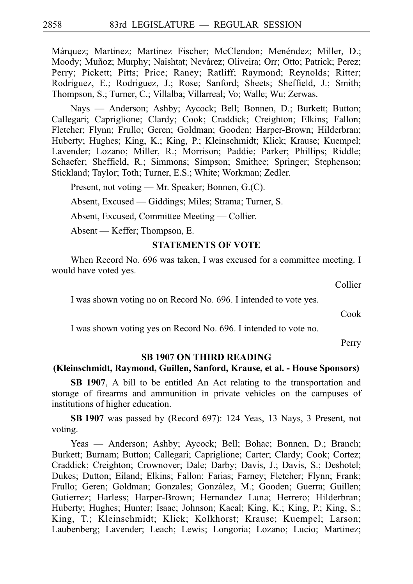Márquez; Martinez; Martinez Fischer; McClendon; Menéndez; Miller, D.; Moody; Muñoz; Murphy; Naishtat; Nevárez; Oliveira; Orr; Otto; Patrick; Perez; Perry; Pickett; Pitts; Price; Raney; Ratliff; Raymond; Reynolds; Ritter; Rodriguez, E.; Rodriguez, J.; Rose; Sanford; Sheets; Sheffield, J.; Smith; Thompson, S.; Turner, C.; Villalba; Villarreal; Vo; Walle; Wu; Zerwas.

Nays — Anderson; Ashby; Aycock; Bell; Bonnen, D.; Burkett; Button; Callegari; Capriglione; Clardy; Cook; Craddick; Creighton; Elkins; Fallon; Fletcher; Flynn; Frullo; Geren; Goldman; Gooden; Harper-Brown; Hilderbran; Huberty; Hughes; King, K.; King, P.; Kleinschmidt; Klick; Krause; Kuempel; Lavender; Lozano; Miller, R.; Morrison; Paddie; Parker; Phillips; Riddle; Schaefer; Sheffield, R.; Simmons; Simpson; Smithee; Springer; Stephenson; Stickland; Taylor; Toth; Turner, E.S.; White; Workman; Zedler.

Present, not voting — Mr. Speaker; Bonnen, G.(C).

Absent, Excused — Giddings; Miles; Strama; Turner, S.

Absent, Excused, Committee Meeting — Collier.

Absent — Keffer; Thompson, E.

### **STATEMENTS OF VOTE**

When Record No. 696 was taken, I was excused for a committee meeting. I would have voted yes.

Collier

I was shown voting no on Record No. 696. I intended to vote yes.

Cook

I was shown voting yes on Record No. 696. I intended to vote no.

Perry

# **SB 1907 ON THIRD READING**

#### **(Kleinschmidt, Raymond, Guillen, Sanford, Krause, et al. - House Sponsors)**

**SB 1907**, A bill to be entitled An Act relating to the transportation and storage of firearms and ammunition in private vehicles on the campuses of institutions of higher education.

**SBi1907** was passed by (Record 697): 124 Yeas, 13 Nays, 3 Present, not voting.

Yeas — Anderson; Ashby; Aycock; Bell; Bohac; Bonnen, D.; Branch; Burkett; Burnam; Button; Callegari; Capriglione; Carter; Clardy; Cook; Cortez; Craddick; Creighton; Crownover; Dale; Darby; Davis, J.; Davis, S.; Deshotel; Dukes; Dutton; Eiland; Elkins; Fallon; Farias; Farney; Fletcher; Flynn; Frank; Frullo; Geren; Goldman; Gonzales; González, M.; Gooden; Guerra; Guillen; Gutierrez; Harless; Harper-Brown; Hernandez Luna; Herrero; Hilderbran; Huberty; Hughes; Hunter; Isaac; Johnson; Kacal; King, K.; King, P.; King, S.; King, T.; Kleinschmidt; Klick; Kolkhorst; Krause; Kuempel; Larson; Laubenberg; Lavender; Leach; Lewis; Longoria; Lozano; Lucio; Martinez;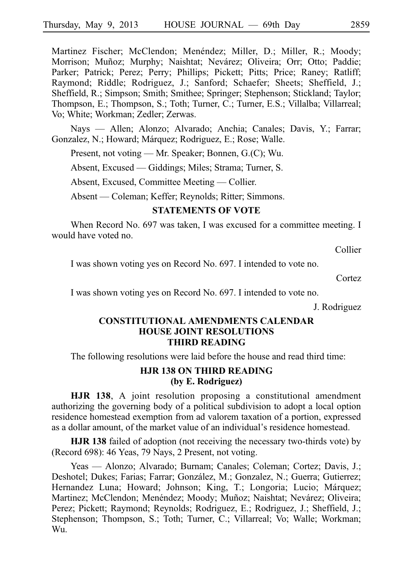Martinez Fischer; McClendon; Menéndez; Miller, D.; Miller, R.; Moody; Morrison; Muñoz; Murphy; Naishtat; Nevárez; Oliveira; Orr; Otto; Paddie; Parker; Patrick; Perez; Perry; Phillips; Pickett; Pitts; Price; Raney; Ratliff; Raymond; Riddle; Rodriguez, J.; Sanford; Schaefer; Sheets; Sheffield, J.; Sheffield, R.; Simpson; Smith; Smithee; Springer; Stephenson; Stickland; Taylor; Thompson, E.; Thompson, S.; Toth; Turner, C.; Turner, E.S.; Villalba; Villarreal; Vo; White; Workman; Zedler; Zerwas.

Nays — Allen; Alonzo; Alvarado; Anchia; Canales; Davis, Y.; Farrar; Gonzalez, N.; Howard; Márquez; Rodriguez, E.; Rose; Walle.

Present, not voting — Mr. Speaker; Bonnen, G.(C); Wu.

Absent, Excused — Giddings; Miles; Strama; Turner, S.

Absent, Excused, Committee Meeting — Collier.

Absent — Coleman; Keffer; Reynolds; Ritter; Simmons.

# **STATEMENTS OF VOTE**

When Record No. 697 was taken, I was excused for a committee meeting. I would have voted no.

Collier

I was shown voting yes on Record No. 697. I intended to vote no.

Cortez

I was shown voting yes on Record No. 697. I intended to vote no.

J. Rodriguez

# **CONSTITUTIONAL AMENDMENTS CALENDAR HOUSE JOINT RESOLUTIONS THIRD READING**

The following resolutions were laid before the house and read third time:

# **HJR 138 ON THIRD READING (by E. Rodriguez)**

**HJR 138**, A joint resolution proposing a constitutional amendment authorizing the governing body of a political subdivision to adopt a local option residence homestead exemption from ad valorem taxation of a portion, expressed as a dollar amount, of the market value of an individual's residence homestead.

**HJR 138** failed of adoption (not receiving the necessary two-thirds vote) by (Record 698): 46 Yeas, 79 Nays, 2 Present, not voting.

Yeas — Alonzo; Alvarado; Burnam; Canales; Coleman; Cortez; Davis, J.; Deshotel; Dukes; Farias; Farrar; González, M.; Gonzalez, N.; Guerra; Gutierrez; Hernandez Luna; Howard; Johnson; King, T.; Longoria; Lucio; Márquez; Martinez; McClendon; Menéndez; Moody; Muñoz; Naishtat; Nevárez; Oliveira; Perez; Pickett; Raymond; Reynolds; Rodriguez, E.; Rodriguez, J.; Sheffield, J.; Stephenson; Thompson, S.; Toth; Turner, C.; Villarreal; Vo; Walle; Workman; Wu.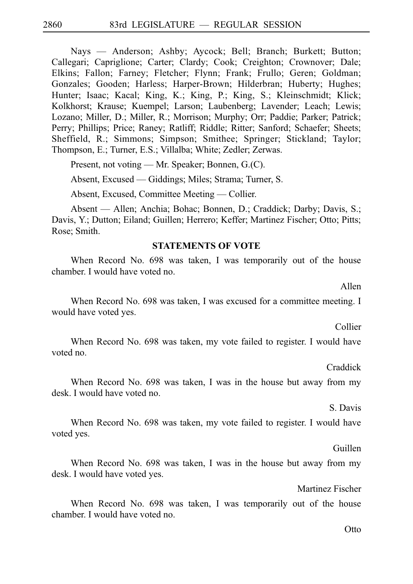Nays — Anderson; Ashby; Aycock; Bell; Branch; Burkett; Button; Callegari; Capriglione; Carter; Clardy; Cook; Creighton; Crownover; Dale; Elkins; Fallon; Farney; Fletcher; Flynn; Frank; Frullo; Geren; Goldman; Gonzales; Gooden; Harless; Harper-Brown; Hilderbran; Huberty; Hughes; Hunter; Isaac; Kacal; King, K.; King, P.; King, S.; Kleinschmidt; Klick; Kolkhorst; Krause; Kuempel; Larson; Laubenberg; Lavender; Leach; Lewis; Lozano; Miller, D.; Miller, R.; Morrison; Murphy; Orr; Paddie; Parker; Patrick; Perry; Phillips; Price; Raney; Ratliff; Riddle; Ritter; Sanford; Schaefer; Sheets; Sheffield, R.; Simmons; Simpson; Smithee; Springer; Stickland; Taylor; Thompson, E.; Turner, E.S.; Villalba; White; Zedler; Zerwas.

Present, not voting — Mr. Speaker; Bonnen, G.(C).

Absent, Excused — Giddings; Miles; Strama; Turner, S.

Absent, Excused, Committee Meeting — Collier.

Absent — Allen; Anchia; Bohac; Bonnen, D.; Craddick; Darby; Davis, S.; Davis, Y.; Dutton; Eiland; Guillen; Herrero; Keffer; Martinez Fischer; Otto; Pitts; Rose; Smith.

# **STATEMENTS OF VOTE**

When Record No. 698 was taken, I was temporarily out of the house chamber. I would have voted no.

Allen

When Record No. 698 was taken, I was excused for a committee meeting. I would have voted yes.

Collier

When Record No. 698 was taken, my vote failed to register. I would have voted no.

Craddick

When Record No. 698 was taken, I was in the house but away from my desk. I would have voted no.

S. Davis

When Record No. 698 was taken, my vote failed to register. I would have voted yes.

Guillen

When Record No. 698 was taken, I was in the house but away from my desk. I would have voted yes.

Martinez Fischer

When Record No. 698 was taken, I was temporarily out of the house chamber. I would have voted no.

Otto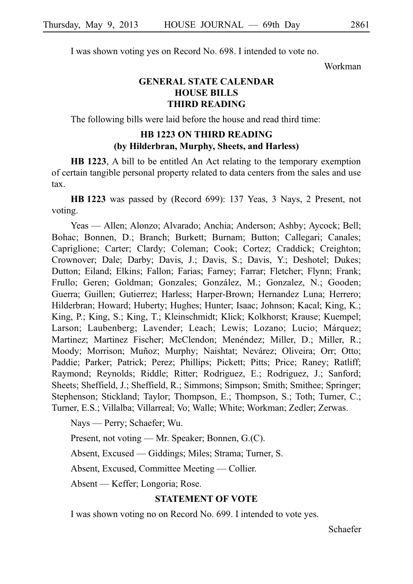I was shown voting yes on Record No. 698. I intended to vote no.

Workman

# **GENERAL STATE CALENDAR HOUSE BILLS THIRD READING**

The following bills were laid before the house and read third time:

# **HB 1223 ON THIRD READING (by Hilderbran, Murphy, Sheets, and Harless)**

**HB 1223**, A bill to be entitled An Act relating to the temporary exemption of certain tangible personal property related to data centers from the sales and use tax.

**HBi1223** was passed by (Record 699): 137 Yeas, 3 Nays, 2 Present, not voting.

Yeas — Allen; Alonzo; Alvarado; Anchia; Anderson; Ashby; Aycock; Bell; Bohac; Bonnen, D.; Branch; Burkett; Burnam; Button; Callegari; Canales; Capriglione; Carter; Clardy; Coleman; Cook; Cortez; Craddick; Creighton; Crownover; Dale; Darby; Davis, J.; Davis, S.; Davis, Y.; Deshotel; Dukes; Dutton; Eiland; Elkins; Fallon; Farias; Farney; Farrar; Fletcher; Flynn; Frank; Frullo; Geren; Goldman; Gonzales; González, M.; Gonzalez, N.; Gooden; Guerra; Guillen; Gutierrez; Harless; Harper-Brown; Hernandez Luna; Herrero; Hilderbran; Howard; Huberty; Hughes; Hunter; Isaac; Johnson; Kacal; King, K.; King, P.; King, S.; King, T.; Kleinschmidt; Klick; Kolkhorst; Krause; Kuempel; Larson; Laubenberg; Lavender; Leach; Lewis; Lozano; Lucio; Márquez; Martinez; Martinez Fischer; McClendon; Menéndez; Miller, D.; Miller, R.; Moody; Morrison; Muñoz; Murphy; Naishtat; Nevárez; Oliveira; Orr; Otto; Paddie; Parker; Patrick; Perez; Phillips; Pickett; Pitts; Price; Raney; Ratliff; Raymond; Reynolds; Riddle; Ritter; Rodriguez, E.; Rodriguez, J.; Sanford; Sheets; Sheffield, J.; Sheffield, R.; Simmons; Simpson; Smith; Smithee; Springer; Stephenson; Stickland; Taylor; Thompson, E.; Thompson, S.; Toth; Turner, C.; Turner, E.S.; Villalba; Villarreal; Vo; Walle; White; Workman; Zedler; Zerwas.

Nays — Perry; Schaefer; Wu.

Present, not voting — Mr. Speaker; Bonnen, G.(C).

Absent, Excused — Giddings; Miles; Strama; Turner, S.

Absent, Excused, Committee Meeting — Collier.

Absent — Keffer; Longoria; Rose.

# **STATEMENT OF VOTE**

I was shown voting no on Record No. 699. I intended to vote yes.

Schaefer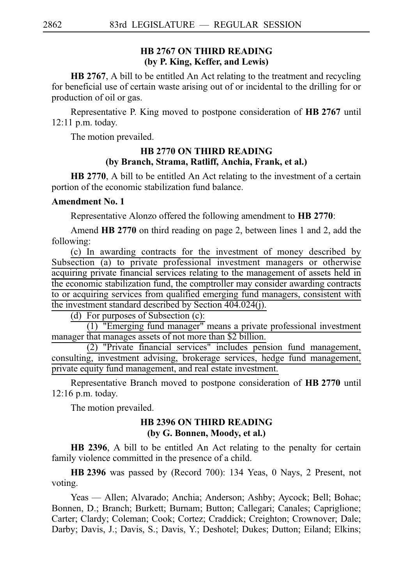# **HB 2767 ON THIRD READING (by P. King, Keffer, and Lewis)**

**HB 2767**, A bill to be entitled An Act relating to the treatment and recycling for beneficial use of certain waste arising out of or incidental to the drilling for or production of oil or gas.

Representative P. King moved to postpone consideration of **HB 2767** until  $12:11$  p.m. today.

The motion prevailed.

# **HB 2770 ON THIRD READING (by Branch, Strama, Ratliff, Anchia, Frank, et al.)**

**HB 2770**, A bill to be entitled An Act relating to the investment of a certain portion of the economic stabilization fund balance.

### **Amendment No. 1**

Representative Alonzo offered the following amendment to **HBi2770**:

Amend **HB 2770** on third reading on page 2, between lines 1 and 2, add the following:

(c) In awarding contracts for the investment of money described by Subsection (a) to private professional investment managers or otherwise acquiring private financial services relating to the management of assets held in the economic stabilization fund, the comptroller may consider awarding contracts to or acquiring services from qualified emerging fund managers, consistent with the investment standard described by Section 404.024(j).

(d) For purposes of Subsection (c):

 $(1)$  "Emerging fund manager" means a private professional investment manager that manages assets of not more than \$2 billion.

 $(2)$  "Private financial services" includes pension fund management, consulting, investment advising, brokerage services, hedge fund management, private equity fund management, and real estate investment.

Representative Branch moved to postpone consideration of **HB 2770** until 12:16 p.m. today.

The motion prevailed.

### **HB 2396 ON THIRD READING (by G. Bonnen, Moody, et al.)**

**HB 2396**, A bill to be entitled An Act relating to the penalty for certain family violence committed in the presence of a child.

**HB** 2396 was passed by (Record 700): 134 Yeas, 0 Nays, 2 Present, not voting.

Yeas — Allen; Alvarado; Anchia; Anderson; Ashby; Aycock; Bell; Bohac; Bonnen, D.; Branch; Burkett; Burnam; Button; Callegari; Canales; Capriglione; Carter; Clardy; Coleman; Cook; Cortez; Craddick; Creighton; Crownover; Dale; Darby; Davis, J.; Davis, S.; Davis, Y.; Deshotel; Dukes; Dutton; Eiland; Elkins;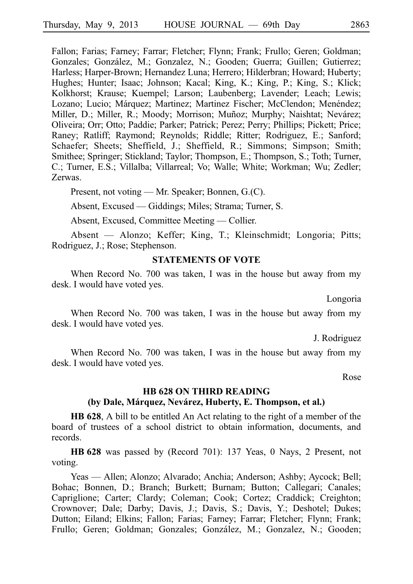Fallon; Farias; Farney; Farrar; Fletcher; Flynn; Frank; Frullo; Geren; Goldman; Gonzales; González, M.; Gonzalez, N.; Gooden; Guerra; Guillen; Gutierrez; Harless; Harper-Brown; Hernandez Luna; Herrero; Hilderbran; Howard; Huberty; Hughes; Hunter; Isaac; Johnson; Kacal; King, K.; King, P.; King, S.; Klick; Kolkhorst; Krause; Kuempel; Larson; Laubenberg; Lavender; Leach; Lewis; Lozano; Lucio; Márquez; Martinez; Martinez Fischer; McClendon; Menéndez; Miller, D.; Miller, R.; Moody; Morrison; Muñoz; Murphy; Naishtat; Nevárez; Oliveira; Orr; Otto; Paddie; Parker; Patrick; Perez; Perry; Phillips; Pickett; Price; Raney; Ratliff; Raymond; Reynolds; Riddle; Ritter; Rodriguez, E.; Sanford; Schaefer; Sheets; Sheffield, J.; Sheffield, R.; Simmons; Simpson; Smith; Smithee; Springer; Stickland; Taylor; Thompson, E.; Thompson, S.; Toth; Turner, C.; Turner, E.S.; Villalba; Villarreal; Vo; Walle; White; Workman; Wu; Zedler; Zerwas.

Present, not voting — Mr. Speaker; Bonnen, G.(C).

Absent, Excused — Giddings; Miles; Strama; Turner, S.

Absent, Excused, Committee Meeting — Collier.

Absent — Alonzo; Keffer; King, T.; Kleinschmidt; Longoria; Pitts; Rodriguez, J.; Rose; Stephenson.

### **STATEMENTS OF VOTE**

When Record No. 700 was taken, I was in the house but away from my desk. I would have voted yes.

Longoria

When Record No. 700 was taken, I was in the house but away from my desk. I would have voted yes.

J. Rodriguez

When Record No. 700 was taken, I was in the house but away from my desk. I would have voted yes.

Rose

# **HB 628 ON THIRD READING (by Dale, Ma´rquez, Neva´rez, Huberty, E. Thompson, et al.)**

**HB 628**, A bill to be entitled An Act relating to the right of a member of the board of trustees of a school district to obtain information, documents, and records.

**HB** 628 was passed by (Record 701): 137 Yeas, 0 Nays, 2 Present, not voting.

Yeas — Allen; Alonzo; Alvarado; Anchia; Anderson; Ashby; Aycock; Bell; Bohac; Bonnen, D.; Branch; Burkett; Burnam; Button; Callegari; Canales; Capriglione; Carter; Clardy; Coleman; Cook; Cortez; Craddick; Creighton; Crownover; Dale; Darby; Davis, J.; Davis, S.; Davis, Y.; Deshotel; Dukes; Dutton; Eiland; Elkins; Fallon; Farias; Farney; Farrar; Fletcher; Flynn; Frank; Frullo; Geren; Goldman; Gonzales; González, M.; Gonzalez, N.; Gooden;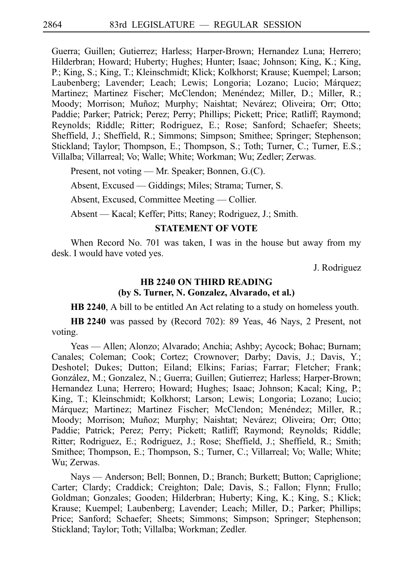Guerra; Guillen; Gutierrez; Harless; Harper-Brown; Hernandez Luna; Herrero; Hilderbran; Howard; Huberty; Hughes; Hunter; Isaac; Johnson; King, K.; King, P.; King, S.; King, T.; Kleinschmidt; Klick; Kolkhorst; Krause; Kuempel; Larson; Laubenberg; Lavender; Leach; Lewis; Longoria; Lozano; Lucio; Márquez; Martinez; Martinez Fischer; McClendon; Menéndez; Miller, D.; Miller, R.; Moody; Morrison; Muñoz; Murphy; Naishtat; Nevárez; Oliveira; Orr; Otto; Paddie; Parker; Patrick; Perez; Perry; Phillips; Pickett; Price; Ratliff; Raymond; Reynolds; Riddle; Ritter; Rodriguez, E.; Rose; Sanford; Schaefer; Sheets; Sheffield, J.; Sheffield, R.; Simmons; Simpson; Smithee; Springer; Stephenson; Stickland; Taylor; Thompson, E.; Thompson, S.; Toth; Turner, C.; Turner, E.S.; Villalba; Villarreal; Vo; Walle; White; Workman; Wu; Zedler; Zerwas.

Present, not voting — Mr. Speaker; Bonnen, G.(C).

Absent, Excused — Giddings; Miles; Strama; Turner, S.

Absent, Excused, Committee Meeting — Collier.

Absent — Kacal; Keffer; Pitts; Raney; Rodriguez, J.; Smith.

### **STATEMENT OF VOTE**

When Record No. 701 was taken, I was in the house but away from my desk. I would have voted yes.

J. Rodriguez

# **HB 2240 ON THIRD READING (by S. Turner, N. Gonzalez, Alvarado, et al.)**

**HB 2240**, A bill to be entitled An Act relating to a study on homeless youth.

**HBi2240** was passed by (Record 702): 89 Yeas, 46 Nays, 2 Present, not voting.

Yeas — Allen; Alonzo; Alvarado; Anchia; Ashby; Aycock; Bohac; Burnam; Canales; Coleman; Cook; Cortez; Crownover; Darby; Davis, J.; Davis, Y.; Deshotel; Dukes; Dutton; Eiland; Elkins; Farias; Farrar; Fletcher; Frank; González, M.; Gonzalez, N.; Guerra; Guillen; Gutierrez; Harless; Harper-Brown; Hernandez Luna; Herrero; Howard; Hughes; Isaac; Johnson; Kacal; King, P.; King, T.; Kleinschmidt; Kolkhorst; Larson; Lewis; Longoria; Lozano; Lucio; Márquez; Martinez; Martinez Fischer; McClendon; Menéndez; Miller, R.; Moody; Morrison; Muñoz; Murphy; Naishtat; Nevárez; Oliveira; Orr; Otto; Paddie; Patrick; Perez; Perry; Pickett; Ratliff; Raymond; Reynolds; Riddle; Ritter; Rodriguez, E.; Rodriguez, J.; Rose; Sheffield, J.; Sheffield, R.; Smith; Smithee; Thompson, E.; Thompson, S.; Turner, C.; Villarreal; Vo; Walle; White; Wu; Zerwas.

Nays — Anderson; Bell; Bonnen, D.; Branch; Burkett; Button; Capriglione; Carter; Clardy; Craddick; Creighton; Dale; Davis, S.; Fallon; Flynn; Frullo; Goldman; Gonzales; Gooden; Hilderbran; Huberty; King, K.; King, S.; Klick; Krause; Kuempel; Laubenberg; Lavender; Leach; Miller, D.; Parker; Phillips; Price; Sanford; Schaefer; Sheets; Simmons; Simpson; Springer; Stephenson; Stickland; Taylor; Toth; Villalba; Workman; Zedler.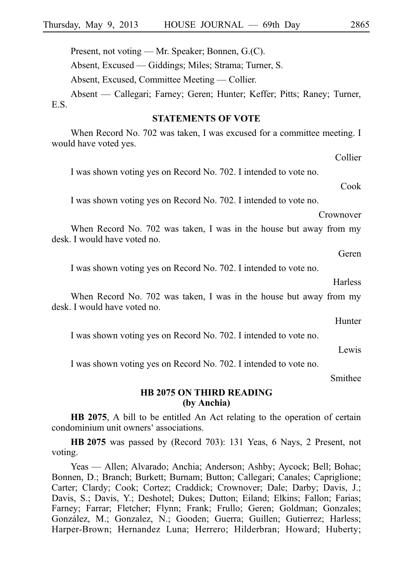Present, not voting — Mr. Speaker; Bonnen, G.(C).

Absent, Excused — Giddings; Miles; Strama; Turner, S.

Absent, Excused, Committee Meeting — Collier.

Absent — Callegari; Farney; Geren; Hunter; Keffer; Pitts; Raney; Turner, E.S.

### **STATEMENTS OF VOTE**

When Record No. 702 was taken, I was excused for a committee meeting. I would have voted yes.

I was shown voting yes on Record No. 702. I intended to vote no.

I was shown voting yes on Record No. 702. I intended to vote no.

Crownover

When Record No. 702 was taken, I was in the house but away from my desk. I would have voted no.

Geren

I was shown voting yes on Record No. 702. I intended to vote no.

**Harless** 

When Record No. 702 was taken, I was in the house but away from my desk. I would have voted no.

Hunter

I was shown voting yes on Record No. 702. I intended to vote no.

Lewis

I was shown voting yes on Record No. 702. I intended to vote no.

Smithee

### **HB 2075 ON THIRD READING (by Anchia)**

**HB 2075**, A bill to be entitled An Act relating to the operation of certain condominium unit owners' associations.

**HB** 2075 was passed by (Record 703): 131 Yeas, 6 Nays, 2 Present, not voting.

Yeas — Allen; Alvarado; Anchia; Anderson; Ashby; Aycock; Bell; Bohac; Bonnen, D.; Branch; Burkett; Burnam; Button; Callegari; Canales; Capriglione; Carter; Clardy; Cook; Cortez; Craddick; Crownover; Dale; Darby; Davis, J.; Davis, S.; Davis, Y.; Deshotel; Dukes; Dutton; Eiland; Elkins; Fallon; Farias; Farney; Farrar; Fletcher; Flynn; Frank; Frullo; Geren; Goldman; Gonzales; González, M.; Gonzalez, N.; Gooden; Guerra; Guillen; Gutierrez; Harless; Harper-Brown; Hernandez Luna; Herrero; Hilderbran; Howard; Huberty;

Collier

Cook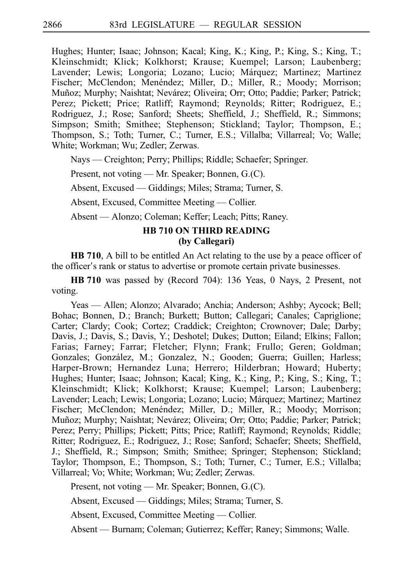Hughes; Hunter; Isaac; Johnson; Kacal; King, K.; King, P.; King, S.; King, T.; Kleinschmidt; Klick; Kolkhorst; Krause; Kuempel; Larson; Laubenberg; Lavender; Lewis; Longoria; Lozano; Lucio; Márquez; Martinez; Martinez Fischer; McClendon; Menéndez; Miller, D.; Miller, R.; Moody; Morrison; Muñoz; Murphy; Naishtat; Nevárez; Oliveira; Orr; Otto; Paddie; Parker; Patrick; Perez; Pickett; Price; Ratliff; Raymond; Reynolds; Ritter; Rodriguez, E.; Rodriguez, J.; Rose; Sanford; Sheets; Sheffield, J.; Sheffield, R.; Simmons; Simpson; Smith; Smithee; Stephenson; Stickland; Taylor; Thompson, E.; Thompson, S.; Toth; Turner, C.; Turner, E.S.; Villalba; Villarreal; Vo; Walle; White; Workman; Wu; Zedler; Zerwas.

Nays — Creighton; Perry; Phillips; Riddle; Schaefer; Springer.

Present, not voting — Mr. Speaker; Bonnen, G.(C).

Absent, Excused — Giddings; Miles; Strama; Turner, S.

Absent, Excused, Committee Meeting — Collier.

Absent — Alonzo; Coleman; Keffer; Leach; Pitts; Raney.

# **HB 710 ON THIRD READING (by Callegari)**

**HB 710**, A bill to be entitled An Act relating to the use by a peace officer of the officer's rank or status to advertise or promote certain private businesses.

**HB** 710 was passed by (Record 704): 136 Yeas, 0 Nays, 2 Present, not voting.

Yeas — Allen; Alonzo; Alvarado; Anchia; Anderson; Ashby; Aycock; Bell; Bohac; Bonnen, D.; Branch; Burkett; Button; Callegari; Canales; Capriglione; Carter; Clardy; Cook; Cortez; Craddick; Creighton; Crownover; Dale; Darby; Davis, J.; Davis, S.; Davis, Y.; Deshotel; Dukes; Dutton; Eiland; Elkins; Fallon; Farias; Farney; Farrar; Fletcher; Flynn; Frank; Frullo; Geren; Goldman; Gonzales; González, M.; Gonzalez, N.; Gooden; Guerra; Guillen; Harless; Harper-Brown; Hernandez Luna; Herrero; Hilderbran; Howard; Huberty; Hughes; Hunter; Isaac; Johnson; Kacal; King, K.; King, P.; King, S.; King, T.; Kleinschmidt; Klick; Kolkhorst; Krause; Kuempel; Larson; Laubenberg; Lavender; Leach; Lewis; Longoria; Lozano; Lucio; Márquez; Martinez; Martinez Fischer; McClendon; Menéndez; Miller, D.; Miller, R.; Moody; Morrison; Muñoz; Murphy; Naishtat; Nevárez; Oliveira; Orr; Otto; Paddie; Parker; Patrick; Perez; Perry; Phillips; Pickett; Pitts; Price; Ratliff; Raymond; Reynolds; Riddle; Ritter; Rodriguez, E.; Rodriguez, J.; Rose; Sanford; Schaefer; Sheets; Sheffield, J.; Sheffield, R.; Simpson; Smith; Smithee; Springer; Stephenson; Stickland; Taylor; Thompson, E.; Thompson, S.; Toth; Turner, C.; Turner, E.S.; Villalba; Villarreal; Vo; White; Workman; Wu; Zedler; Zerwas.

Present, not voting — Mr. Speaker; Bonnen, G.(C).

Absent, Excused — Giddings; Miles; Strama; Turner, S.

Absent, Excused, Committee Meeting — Collier.

Absent — Burnam; Coleman; Gutierrez; Keffer; Raney; Simmons; Walle.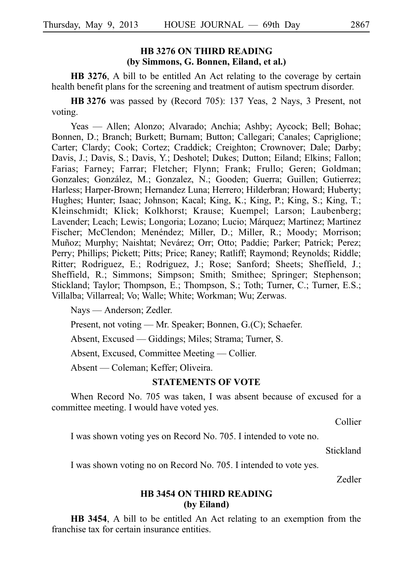# **HB 3276 ON THIRD READING (by Simmons, G. Bonnen, Eiland, et al.)**

**HB 3276**, A bill to be entitled An Act relating to the coverage by certain health benefit plans for the screening and treatment of autism spectrum disorder.

**HB** 3276 was passed by (Record 705): 137 Yeas, 2 Nays, 3 Present, not voting.

Yeas — Allen; Alonzo; Alvarado; Anchia; Ashby; Aycock; Bell; Bohac; Bonnen, D.; Branch; Burkett; Burnam; Button; Callegari; Canales; Capriglione; Carter; Clardy; Cook; Cortez; Craddick; Creighton; Crownover; Dale; Darby; Davis, J.; Davis, S.; Davis, Y.; Deshotel; Dukes; Dutton; Eiland; Elkins; Fallon; Farias; Farney; Farrar; Fletcher; Flynn; Frank; Frullo; Geren; Goldman; Gonzales; González, M.; Gonzalez, N.; Gooden; Guerra; Guillen; Gutierrez; Harless; Harper-Brown; Hernandez Luna; Herrero; Hilderbran; Howard; Huberty; Hughes; Hunter; Isaac; Johnson; Kacal; King, K.; King, P.; King, S.; King, T.; Kleinschmidt; Klick; Kolkhorst; Krause; Kuempel; Larson; Laubenberg; Lavender; Leach; Lewis; Longoria; Lozano; Lucio; Márquez; Martinez; Martinez Fischer; McClendon; Menéndez; Miller, D.; Miller, R.; Moody; Morrison; Muñoz; Murphy; Naishtat; Nevárez; Orr; Otto; Paddie; Parker; Patrick; Perez; Perry; Phillips; Pickett; Pitts; Price; Raney; Ratliff; Raymond; Reynolds; Riddle; Ritter; Rodriguez, E.; Rodriguez, J.; Rose; Sanford; Sheets; Sheffield, J.; Sheffield, R.; Simmons; Simpson; Smith; Smithee; Springer; Stephenson; Stickland; Taylor; Thompson, E.; Thompson, S.; Toth; Turner, C.; Turner, E.S.; Villalba; Villarreal; Vo; Walle; White; Workman; Wu; Zerwas.

Nays — Anderson; Zedler.

Present, not voting — Mr. Speaker; Bonnen, G.(C); Schaefer.

Absent, Excused — Giddings; Miles; Strama; Turner, S.

Absent, Excused, Committee Meeting — Collier.

Absent — Coleman; Keffer; Oliveira.

### **STATEMENTS OF VOTE**

When Record No. 705 was taken, I was absent because of excused for a committee meeting. I would have voted yes.

Collier

I was shown voting yes on Record No. 705. I intended to vote no.

Stickland

I was shown voting no on Record No. 705. I intended to vote yes.

Zedler

# **HB 3454 ON THIRD READING (by Eiland)**

**HB 3454**, A bill to be entitled An Act relating to an exemption from the franchise tax for certain insurance entities.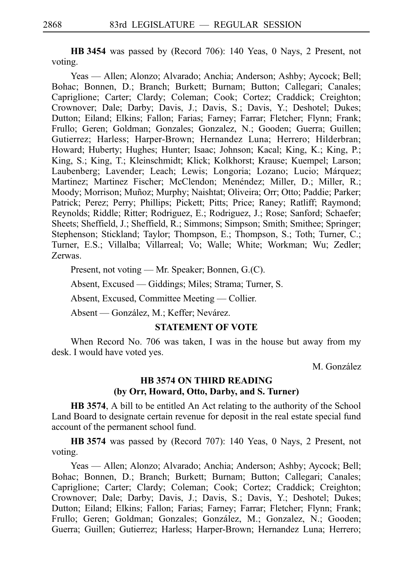**HBi3454** was passed by (Record 706): 140 Yeas, 0 Nays, 2 Present, not voting.

Yeas — Allen; Alonzo; Alvarado; Anchia; Anderson; Ashby; Aycock; Bell; Bohac; Bonnen, D.; Branch; Burkett; Burnam; Button; Callegari; Canales; Capriglione; Carter; Clardy; Coleman; Cook; Cortez; Craddick; Creighton; Crownover; Dale; Darby; Davis, J.; Davis, S.; Davis, Y.; Deshotel; Dukes; Dutton; Eiland; Elkins; Fallon; Farias; Farney; Farrar; Fletcher; Flynn; Frank; Frullo; Geren; Goldman; Gonzales; Gonzalez, N.; Gooden; Guerra; Guillen; Gutierrez; Harless; Harper-Brown; Hernandez Luna; Herrero; Hilderbran; Howard; Huberty; Hughes; Hunter; Isaac; Johnson; Kacal; King, K.; King, P.; King, S.; King, T.; Kleinschmidt; Klick; Kolkhorst; Krause; Kuempel; Larson; Laubenberg; Lavender; Leach; Lewis; Longoria; Lozano; Lucio; Márquez; Martinez; Martinez Fischer; McClendon; Menéndez; Miller, D.; Miller, R.; Moody; Morrison; Muñoz; Murphy; Naishtat; Oliveira; Orr; Otto; Paddie; Parker; Patrick; Perez; Perry; Phillips; Pickett; Pitts; Price; Raney; Ratliff; Raymond; Reynolds; Riddle; Ritter; Rodriguez, E.; Rodriguez, J.; Rose; Sanford; Schaefer; Sheets; Sheffield, J.; Sheffield, R.; Simmons; Simpson; Smith; Smithee; Springer; Stephenson; Stickland; Taylor; Thompson, E.; Thompson, S.; Toth; Turner, C.; Turner, E.S.; Villalba; Villarreal; Vo; Walle; White; Workman; Wu; Zedler; Zerwas.

Present, not voting — Mr. Speaker; Bonnen, G.(C).

Absent, Excused — Giddings; Miles; Strama; Turner, S.

Absent, Excused, Committee Meeting — Collier.

Absent — González, M.; Keffer; Nevárez.

### **STATEMENT OF VOTE**

When Record No. 706 was taken, I was in the house but away from my desk. I would have voted yes.

M. González

# **HB 3574 ON THIRD READING (by Orr, Howard, Otto, Darby, and S. Turner)**

**HB 3574**, A bill to be entitled An Act relating to the authority of the School Land Board to designate certain revenue for deposit in the real estate special fund account of the permanent school fund.

**HB** 3574 was passed by (Record 707): 140 Yeas, 0 Nays, 2 Present, not voting.

Yeas — Allen; Alonzo; Alvarado; Anchia; Anderson; Ashby; Aycock; Bell; Bohac; Bonnen, D.; Branch; Burkett; Burnam; Button; Callegari; Canales; Capriglione; Carter; Clardy; Coleman; Cook; Cortez; Craddick; Creighton; Crownover; Dale; Darby; Davis, J.; Davis, S.; Davis, Y.; Deshotel; Dukes; Dutton; Eiland; Elkins; Fallon; Farias; Farney; Farrar; Fletcher; Flynn; Frank; Frullo; Geren; Goldman; Gonzales; González, M.; Gonzalez, N.; Gooden; Guerra; Guillen; Gutierrez; Harless; Harper-Brown; Hernandez Luna; Herrero;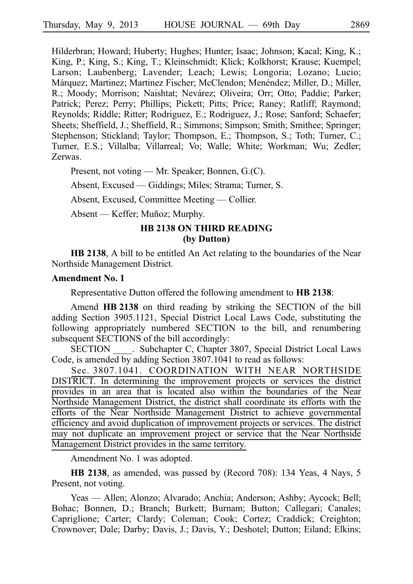Hilderbran; Howard; Huberty; Hughes; Hunter; Isaac; Johnson; Kacal; King, K.; King, P.; King, S.; King, T.; Kleinschmidt; Klick; Kolkhorst; Krause; Kuempel; Larson; Laubenberg; Lavender; Leach; Lewis; Longoria; Lozano; Lucio; Márquez; Martinez; Martinez Fischer; McClendon; Menéndez; Miller, D.; Miller, R.; Moody; Morrison; Naishtat; Nevárez; Oliveira; Orr; Otto; Paddie; Parker; Patrick; Perez; Perry; Phillips; Pickett; Pitts; Price; Raney; Ratliff; Raymond; Reynolds; Riddle; Ritter; Rodriguez, E.; Rodriguez, J.; Rose; Sanford; Schaefer; Sheets; Sheffield, J.; Sheffield, R.; Simmons; Simpson; Smith; Smithee; Springer; Stephenson; Stickland; Taylor; Thompson, E.; Thompson, S.; Toth; Turner, C.; Turner, E.S.; Villalba; Villarreal; Vo; Walle; White; Workman; Wu; Zedler; Zerwas.

Present, not voting — Mr. Speaker; Bonnen, G.(C).

Absent, Excused — Giddings; Miles; Strama; Turner, S.

Absent, Excused, Committee Meeting — Collier.

Absent — Keffer; Muñoz; Murphy.

# **HB 2138 ON THIRD READING (by Dutton)**

**HB 2138**, A bill to be entitled An Act relating to the boundaries of the Near Northside Management District.

#### **Amendment No. 1**

Representative Dutton offered the following amendment to **HB 2138**:

Amend HB 2138 on third reading by striking the SECTION of the bill adding Section 3905.1121, Special District Local Laws Code, substituting the following appropriately numbered SECTION to the bill, and renumbering subsequent SECTIONS of the bill accordingly:

SECTION . Subchapter C, Chapter 3807, Special District Local Laws Code, is amended by adding Section 3807.1041 to read as follows:

Sec. 3807.1041. COORDINATION WITH NEAR NORTHSIDE DISTRICT. In determining the improvement projects or services the district provides in an area that is located also within the boundaries of the Near Northside Management District, the district shall coordinate its efforts with the efforts of the Near Northside Management District to achieve governmental efficiency and avoid duplication of improvement projects or services. The district may not duplicate an improvement project or service that the Near Northside Management District provides in the same territory.

Amendment No. 1 was adopted.

**HB 2138**, as amended, was passed by (Record 708): 134 Yeas, 4 Nays, 5 Present, not voting.

Yeas — Allen; Alonzo; Alvarado; Anchia; Anderson; Ashby; Aycock; Bell; Bohac; Bonnen, D.; Branch; Burkett; Burnam; Button; Callegari; Canales; Capriglione; Carter; Clardy; Coleman; Cook; Cortez; Craddick; Creighton; Crownover; Dale; Darby; Davis, J.; Davis, Y.; Deshotel; Dutton; Eiland; Elkins;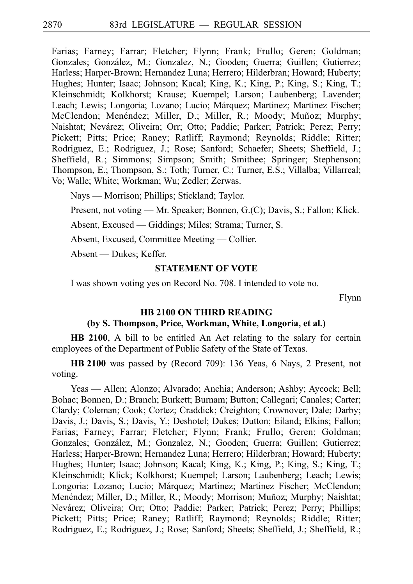Farias; Farney; Farrar; Fletcher; Flynn; Frank; Frullo; Geren; Goldman; Gonzales; González, M.; Gonzalez, N.; Gooden; Guerra; Guillen; Gutierrez; Harless; Harper-Brown; Hernandez Luna; Herrero; Hilderbran; Howard; Huberty; Hughes; Hunter; Isaac; Johnson; Kacal; King, K.; King, P.; King, S.; King, T.; Kleinschmidt; Kolkhorst; Krause; Kuempel; Larson; Laubenberg; Lavender; Leach; Lewis; Longoria; Lozano; Lucio; Márquez; Martinez; Martinez Fischer; McClendon; Menéndez; Miller, D.; Miller, R.; Moody; Muñoz; Murphy; Naishtat; Nevárez; Oliveira; Orr; Otto; Paddie; Parker; Patrick; Perez; Perry; Pickett; Pitts; Price; Raney; Ratliff; Raymond; Reynolds; Riddle; Ritter; Rodriguez, E.; Rodriguez, J.; Rose; Sanford; Schaefer; Sheets; Sheffield, J.; Sheffield, R.; Simmons; Simpson; Smith; Smithee; Springer; Stephenson; Thompson, E.; Thompson, S.; Toth; Turner, C.; Turner, E.S.; Villalba; Villarreal; Vo; Walle; White; Workman; Wu; Zedler; Zerwas.

Nays — Morrison; Phillips; Stickland; Taylor.

Present, not voting — Mr. Speaker; Bonnen, G.(C); Davis, S.; Fallon; Klick.

Absent, Excused — Giddings; Miles; Strama; Turner, S.

Absent, Excused, Committee Meeting — Collier.

Absent — Dukes; Keffer.

# **STATEMENT OF VOTE**

I was shown voting yes on Record No. 708. I intended to vote no.

Flynn

### **HB 2100 ON THIRD READING**

### **(by S. Thompson, Price, Workman, White, Longoria, et al.)**

**HB 2100**, A bill to be entitled An Act relating to the salary for certain employees of the Department of Public Safety of the State of Texas.

**HB** 2100 was passed by (Record 709): 136 Yeas, 6 Nays, 2 Present, not voting.

Yeas — Allen; Alonzo; Alvarado; Anchia; Anderson; Ashby; Aycock; Bell; Bohac; Bonnen, D.; Branch; Burkett; Burnam; Button; Callegari; Canales; Carter; Clardy; Coleman; Cook; Cortez; Craddick; Creighton; Crownover; Dale; Darby; Davis, J.; Davis, S.; Davis, Y.; Deshotel; Dukes; Dutton; Eiland; Elkins; Fallon; Farias; Farney; Farrar; Fletcher; Flynn; Frank; Frullo; Geren; Goldman; Gonzales; González, M.; Gonzalez, N.; Gooden; Guerra; Guillen; Gutierrez; Harless; Harper-Brown; Hernandez Luna; Herrero; Hilderbran; Howard; Huberty; Hughes; Hunter; Isaac; Johnson; Kacal; King, K.; King, P.; King, S.; King, T.; Kleinschmidt; Klick; Kolkhorst; Kuempel; Larson; Laubenberg; Leach; Lewis; Longoria; Lozano; Lucio; Márquez; Martinez; Martinez Fischer; McClendon; Menéndez; Miller, D.; Miller, R.; Moody; Morrison; Muñoz; Murphy; Naishtat; Nevárez; Oliveira; Orr; Otto; Paddie; Parker; Patrick; Perez; Perry; Phillips; Pickett; Pitts; Price; Raney; Ratliff; Raymond; Reynolds; Riddle; Ritter; Rodriguez, E.; Rodriguez, J.; Rose; Sanford; Sheets; Sheffield, J.; Sheffield, R.;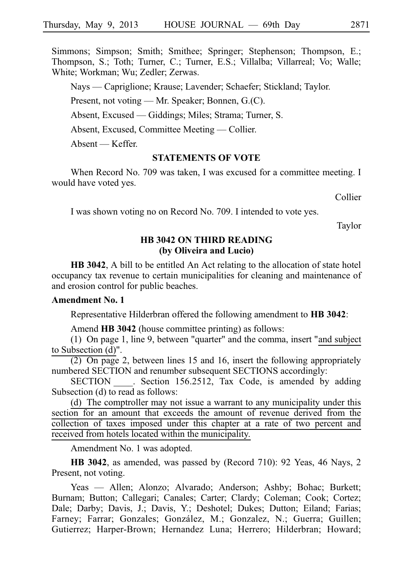Simmons; Simpson; Smith; Smithee; Springer; Stephenson; Thompson, E.; Thompson, S.; Toth; Turner, C.; Turner, E.S.; Villalba; Villarreal; Vo; Walle; White; Workman; Wu; Zedler; Zerwas.

Nays — Capriglione; Krause; Lavender; Schaefer; Stickland; Taylor.

Present, not voting — Mr. Speaker; Bonnen, G.(C).

Absent, Excused — Giddings; Miles; Strama; Turner, S.

Absent, Excused, Committee Meeting — Collier.

Absent — Keffer.

### **STATEMENTS OF VOTE**

When Record No. 709 was taken, I was excused for a committee meeting. I would have voted yes.

Collier

I was shown voting no on Record No. 709. I intended to vote yes.

Taylor

# **HB 3042 ON THIRD READING (by Oliveira and Lucio)**

**HB 3042**, A bill to be entitled An Act relating to the allocation of state hotel occupancy tax revenue to certain municipalities for cleaning and maintenance of and erosion control for public beaches.

# **Amendment No. 1**

Representative Hilderbran offered the following amendment to **HB** 3042:

Amend **HB 3042** (house committee printing) as follows:

(1) On page 1, line 9, between "quarter" and the comma, insert "and subject to Subsection (d)".

 $(2)$  On page 2, between lines 15 and 16, insert the following appropriately numbered SECTION and renumber subsequent SECTIONS accordingly:

SECTION . Section 156.2512, Tax Code, is amended by adding Subsection (d) to read as follows:

(d) The comptroller may not issue a warrant to any municipality under this section for an amount that exceeds the amount of revenue derived from the collection of taxes imposed under this chapter at a rate of two percent and received from hotels located within the municipality.

Amendment No. 1 was adopted.

**HB 3042**, as amended, was passed by (Record 710): 92 Yeas, 46 Nays, 2 Present, not voting.

Yeas — Allen; Alonzo; Alvarado; Anderson; Ashby; Bohac; Burkett; Burnam; Button; Callegari; Canales; Carter; Clardy; Coleman; Cook; Cortez; Dale; Darby; Davis, J.; Davis, Y.; Deshotel; Dukes; Dutton; Eiland; Farias; Farney; Farrar; Gonzales; González, M.; Gonzalez, N.; Guerra; Guillen; Gutierrez; Harper-Brown; Hernandez Luna; Herrero; Hilderbran; Howard;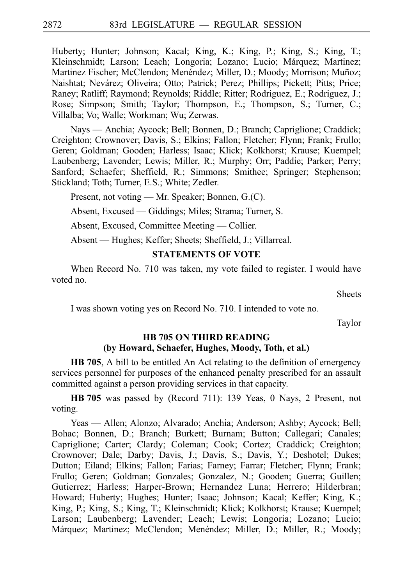Huberty; Hunter; Johnson; Kacal; King, K.; King, P.; King, S.; King, T.; Kleinschmidt; Larson; Leach; Longoria; Lozano; Lucio; Márquez; Martinez; Martinez Fischer; McClendon; Menéndez; Miller, D.; Moody; Morrison; Muñoz; Naishtat; Nevárez; Oliveira; Otto; Patrick; Perez; Phillips; Pickett; Pitts; Price; Raney; Ratliff; Raymond; Reynolds; Riddle; Ritter; Rodriguez, E.; Rodriguez, J.; Rose; Simpson; Smith; Taylor; Thompson, E.; Thompson, S.; Turner, C.; Villalba; Vo; Walle; Workman; Wu; Zerwas.

Nays — Anchia; Aycock; Bell; Bonnen, D.; Branch; Capriglione; Craddick; Creighton; Crownover; Davis, S.; Elkins; Fallon; Fletcher; Flynn; Frank; Frullo; Geren; Goldman; Gooden; Harless; Isaac; Klick; Kolkhorst; Krause; Kuempel; Laubenberg; Lavender; Lewis; Miller, R.; Murphy; Orr; Paddie; Parker; Perry; Sanford; Schaefer; Sheffield, R.; Simmons; Smithee; Springer; Stephenson; Stickland; Toth; Turner, E.S.; White; Zedler.

Present, not voting — Mr. Speaker; Bonnen, G.(C).

Absent, Excused — Giddings; Miles; Strama; Turner, S.

Absent, Excused, Committee Meeting — Collier.

Absent — Hughes; Keffer; Sheets; Sheffield, J.; Villarreal.

# **STATEMENTS OF VOTE**

When Record No. 710 was taken, my vote failed to register. I would have voted no.

**Sheets** 

I was shown voting yes on Record No. 710. I intended to vote no.

Taylor

# **HB 705 ON THIRD READING (by Howard, Schaefer, Hughes, Moody, Toth, et al.)**

**HB 705**, A bill to be entitled An Act relating to the definition of emergency services personnel for purposes of the enhanced penalty prescribed for an assault committed against a person providing services in that capacity.

**HB** 705 was passed by (Record 711): 139 Yeas, 0 Nays, 2 Present, not voting.

Yeas — Allen; Alonzo; Alvarado; Anchia; Anderson; Ashby; Aycock; Bell; Bohac; Bonnen, D.; Branch; Burkett; Burnam; Button; Callegari; Canales; Capriglione; Carter; Clardy; Coleman; Cook; Cortez; Craddick; Creighton; Crownover; Dale; Darby; Davis, J.; Davis, S.; Davis, Y.; Deshotel; Dukes; Dutton; Eiland; Elkins; Fallon; Farias; Farney; Farrar; Fletcher; Flynn; Frank; Frullo; Geren; Goldman; Gonzales; Gonzalez, N.; Gooden; Guerra; Guillen; Gutierrez; Harless; Harper-Brown; Hernandez Luna; Herrero; Hilderbran; Howard; Huberty; Hughes; Hunter; Isaac; Johnson; Kacal; Keffer; King, K.; King, P.; King, S.; King, T.; Kleinschmidt; Klick; Kolkhorst; Krause; Kuempel; Larson; Laubenberg; Lavender; Leach; Lewis; Longoria; Lozano; Lucio; Márquez; Martinez; McClendon; Menéndez; Miller, D.; Miller, R.; Moody;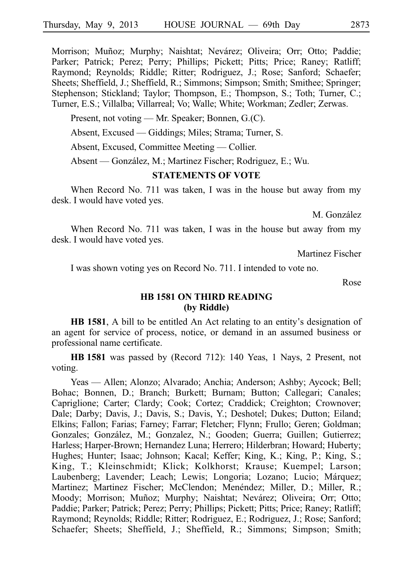Morrison; Muñoz; Murphy; Naishtat; Nevárez; Oliveira; Orr; Otto; Paddie; Parker; Patrick; Perez; Perry; Phillips; Pickett; Pitts; Price; Raney; Ratliff; Raymond; Reynolds; Riddle; Ritter; Rodriguez, J.; Rose; Sanford; Schaefer; Sheets; Sheffield, J.; Sheffield, R.; Simmons; Simpson; Smith; Smithee; Springer; Stephenson; Stickland; Taylor; Thompson, E.; Thompson, S.; Toth; Turner, C.; Turner, E.S.; Villalba; Villarreal; Vo; Walle; White; Workman; Zedler; Zerwas.

Present, not voting — Mr. Speaker; Bonnen, G.(C).

Absent, Excused — Giddings; Miles; Strama; Turner, S.

Absent, Excused, Committee Meeting — Collier.

Absent — González, M.; Martinez Fischer; Rodriguez, E.; Wu.

### **STATEMENTS OF VOTE**

When Record No. 711 was taken, I was in the house but away from my desk. I would have voted yes.

M. González

When Record No. 711 was taken, I was in the house but away from my desk. I would have voted yes.

Martinez Fischer

I was shown voting yes on Record No. 711. I intended to vote no.

Rose

# **HB 1581 ON THIRD READING (by Riddle)**

**HB 1581**, A bill to be entitled An Act relating to an entity's designation of an agent for service of process, notice, or demand in an assumed business or professional name certificate.

**HBi1581** was passed by (Record 712): 140 Yeas, 1 Nays, 2 Present, not voting.

Yeas — Allen; Alonzo; Alvarado; Anchia; Anderson; Ashby; Aycock; Bell; Bohac; Bonnen, D.; Branch; Burkett; Burnam; Button; Callegari; Canales; Capriglione; Carter; Clardy; Cook; Cortez; Craddick; Creighton; Crownover; Dale; Darby; Davis, J.; Davis, S.; Davis, Y.; Deshotel; Dukes; Dutton; Eiland; Elkins; Fallon; Farias; Farney; Farrar; Fletcher; Flynn; Frullo; Geren; Goldman; Gonzales; González, M.; Gonzalez, N.; Gooden; Guerra; Guillen; Gutierrez; Harless; Harper-Brown; Hernandez Luna; Herrero; Hilderbran; Howard; Huberty; Hughes; Hunter; Isaac; Johnson; Kacal; Keffer; King, K.; King, P.; King, S.; King, T.; Kleinschmidt; Klick; Kolkhorst; Krause; Kuempel; Larson; Laubenberg; Lavender; Leach; Lewis; Longoria; Lozano; Lucio; Márquez; Martinez; Martinez Fischer; McClendon; Menéndez; Miller, D.; Miller, R.; Moody; Morrison; Muñoz; Murphy; Naishtat; Nevárez; Oliveira; Orr; Otto; Paddie; Parker; Patrick; Perez; Perry; Phillips; Pickett; Pitts; Price; Raney; Ratliff; Raymond; Reynolds; Riddle; Ritter; Rodriguez, E.; Rodriguez, J.; Rose; Sanford; Schaefer; Sheets; Sheffield, J.; Sheffield, R.; Simmons; Simpson; Smith;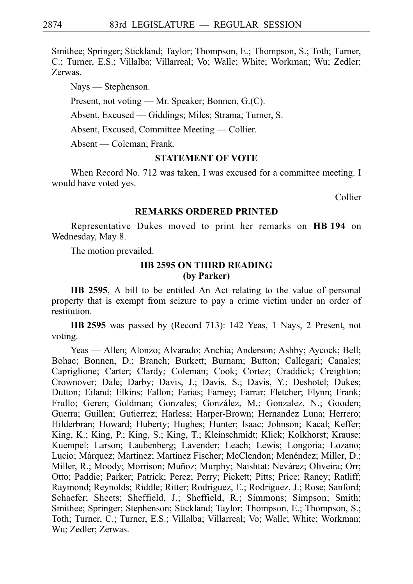Smithee; Springer; Stickland; Taylor; Thompson, E.; Thompson, S.; Toth; Turner, C.; Turner, E.S.; Villalba; Villarreal; Vo; Walle; White; Workman; Wu; Zedler; Zerwas.

Nays — Stephenson.

Present, not voting — Mr. Speaker; Bonnen, G.(C).

Absent, Excused — Giddings; Miles; Strama; Turner, S.

Absent, Excused, Committee Meeting — Collier.

Absent — Coleman; Frank.

# **STATEMENT OF VOTE**

When Record No. 712 was taken, I was excused for a committee meeting. I would have voted yes.

Collier

### **REMARKS ORDERED PRINTED**

Representative Dukes moved to print her remarks on **HBi194** on Wednesday, May 8.

The motion prevailed.

# **HB 2595 ON THIRD READING (by Parker)**

**HB 2595**, A bill to be entitled An Act relating to the value of personal property that is exempt from seizure to pay a crime victim under an order of restitution.

**HBi2595** was passed by (Record 713): 142 Yeas, 1 Nays, 2 Present, not voting.

Yeas — Allen; Alonzo; Alvarado; Anchia; Anderson; Ashby; Aycock; Bell; Bohac; Bonnen, D.; Branch; Burkett; Burnam; Button; Callegari; Canales; Capriglione; Carter; Clardy; Coleman; Cook; Cortez; Craddick; Creighton; Crownover; Dale; Darby; Davis, J.; Davis, S.; Davis, Y.; Deshotel; Dukes; Dutton; Eiland; Elkins; Fallon; Farias; Farney; Farrar; Fletcher; Flynn; Frank; Frullo; Geren; Goldman; Gonzales; González, M.; Gonzalez, N.; Gooden; Guerra; Guillen; Gutierrez; Harless; Harper-Brown; Hernandez Luna; Herrero; Hilderbran; Howard; Huberty; Hughes; Hunter; Isaac; Johnson; Kacal; Keffer; King, K.; King, P.; King, S.; King, T.; Kleinschmidt; Klick; Kolkhorst; Krause; Kuempel; Larson; Laubenberg; Lavender; Leach; Lewis; Longoria; Lozano; Lucio; Márquez; Martinez; Martinez Fischer; McClendon; Menéndez; Miller, D.; Miller, R.; Moody; Morrison; Muñoz; Murphy; Naishtat; Nevárez; Oliveira; Orr; Otto; Paddie; Parker; Patrick; Perez; Perry; Pickett; Pitts; Price; Raney; Ratliff; Raymond; Reynolds; Riddle; Ritter; Rodriguez, E.; Rodriguez, J.; Rose; Sanford; Schaefer; Sheets; Sheffield, J.; Sheffield, R.; Simmons; Simpson; Smith; Smithee; Springer; Stephenson; Stickland; Taylor; Thompson, E.; Thompson, S.; Toth; Turner, C.; Turner, E.S.; Villalba; Villarreal; Vo; Walle; White; Workman; Wu; Zedler; Zerwas.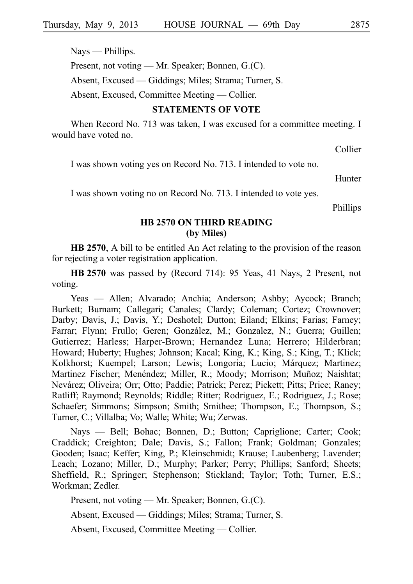Nays — Phillips.

Present, not voting — Mr. Speaker; Bonnen, G.(C).

Absent, Excused — Giddings; Miles; Strama; Turner, S.

Absent, Excused, Committee Meeting — Collier.

### **STATEMENTS OF VOTE**

When Record No. 713 was taken, I was excused for a committee meeting. I would have voted no.

Collier

I was shown voting yes on Record No. 713. I intended to vote no.

Hunter

I was shown voting no on Record No. 713. I intended to vote yes.

Phillips

### **HB 2570 ON THIRD READING (by Miles)**

**HB 2570**, A bill to be entitled An Act relating to the provision of the reason for rejecting a voter registration application.

**HB** 2570 was passed by (Record 714): 95 Yeas, 41 Nays, 2 Present, not voting.

Yeas — Allen; Alvarado; Anchia; Anderson; Ashby; Aycock; Branch; Burkett; Burnam; Callegari; Canales; Clardy; Coleman; Cortez; Crownover; Darby; Davis, J.; Davis, Y.; Deshotel; Dutton; Eiland; Elkins; Farias; Farney; Farrar; Flynn; Frullo; Geren; González, M.; Gonzalez, N.; Guerra; Guillen; Gutierrez; Harless; Harper-Brown; Hernandez Luna; Herrero; Hilderbran; Howard; Huberty; Hughes; Johnson; Kacal; King, K.; King, S.; King, T.; Klick; Kolkhorst; Kuempel; Larson; Lewis; Longoria; Lucio; Márquez; Martinez; Martinez Fischer; Menéndez; Miller, R.; Moody; Morrison; Muñoz; Naishtat; Nevárez; Oliveira; Orr; Otto; Paddie; Patrick; Perez; Pickett; Pitts; Price; Raney; Ratliff; Raymond; Reynolds; Riddle; Ritter; Rodriguez, E.; Rodriguez, J.; Rose; Schaefer; Simmons; Simpson; Smith; Smithee; Thompson, E.; Thompson, S.; Turner, C.; Villalba; Vo; Walle; White; Wu; Zerwas.

Nays — Bell; Bohac; Bonnen, D.; Button; Capriglione; Carter; Cook; Craddick; Creighton; Dale; Davis, S.; Fallon; Frank; Goldman; Gonzales; Gooden; Isaac; Keffer; King, P.; Kleinschmidt; Krause; Laubenberg; Lavender; Leach; Lozano; Miller, D.; Murphy; Parker; Perry; Phillips; Sanford; Sheets; Sheffield, R.; Springer; Stephenson; Stickland; Taylor; Toth; Turner, E.S.; Workman; Zedler.

Present, not voting — Mr. Speaker; Bonnen, G.(C).

Absent, Excused — Giddings; Miles; Strama; Turner, S.

Absent, Excused, Committee Meeting — Collier.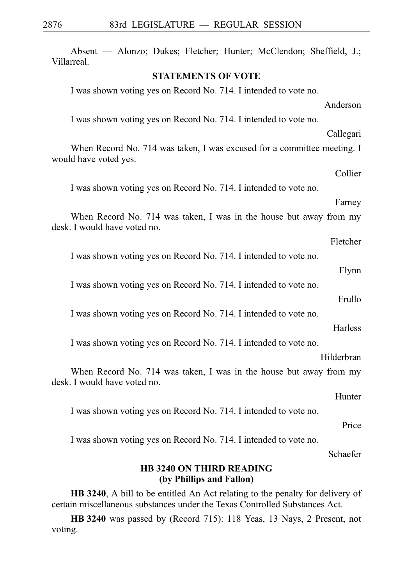| Absent — Alonzo; Dukes; Fletcher; Hunter; McClendon; Sheffield, J.;<br>Villarreal.                 |
|----------------------------------------------------------------------------------------------------|
| <b>STATEMENTS OF VOTE</b>                                                                          |
| I was shown voting yes on Record No. 714. I intended to vote no.                                   |
| Anderson                                                                                           |
| I was shown voting yes on Record No. 714. I intended to vote no.                                   |
| Callegari                                                                                          |
| When Record No. 714 was taken, I was excused for a committee meeting. I<br>would have voted yes.   |
| Collier                                                                                            |
| I was shown voting yes on Record No. 714. I intended to vote no.                                   |
| Farney                                                                                             |
| When Record No. 714 was taken, I was in the house but away from my<br>desk. I would have voted no. |
| Fletcher                                                                                           |
| I was shown voting yes on Record No. 714. I intended to vote no.                                   |
| Flynn                                                                                              |
| I was shown voting yes on Record No. 714. I intended to vote no.                                   |
| Frullo                                                                                             |
| I was shown voting yes on Record No. 714. I intended to vote no.                                   |
| <b>Harless</b>                                                                                     |
| I was shown voting yes on Record No. 714. I intended to vote no.                                   |
| Hilderbran                                                                                         |
| When Record No. 714 was taken, I was in the house but away from my<br>desk. I would have voted no. |
| Hunter                                                                                             |
| I was shown voting yes on Record No. 714. I intended to vote no.                                   |
| Price                                                                                              |
| I was shown voting yes on Record No. 714. I intended to vote no.                                   |
| Schaefer                                                                                           |
| <b>HB 3240 ON THIRD READING</b><br>(by Phillips and Fallon)                                        |

**HB 3240**, A bill to be entitled An Act relating to the penalty for delivery of certain miscellaneous substances under the Texas Controlled Substances Act.

**HBi3240** was passed by (Record 715): 118 Yeas, 13 Nays, 2 Present, not voting.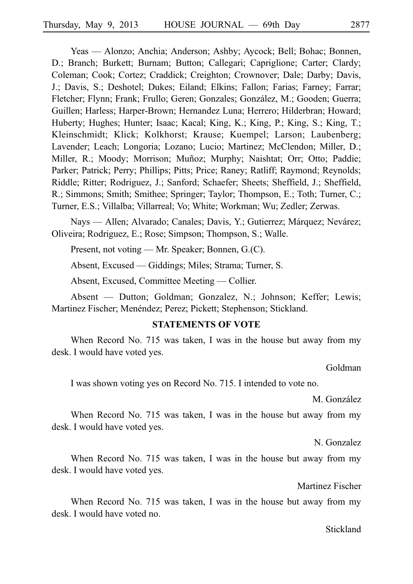Yeas — Alonzo; Anchia; Anderson; Ashby; Aycock; Bell; Bohac; Bonnen, D.; Branch; Burkett; Burnam; Button; Callegari; Capriglione; Carter; Clardy; Coleman; Cook; Cortez; Craddick; Creighton; Crownover; Dale; Darby; Davis, J.; Davis, S.; Deshotel; Dukes; Eiland; Elkins; Fallon; Farias; Farney; Farrar; Fletcher; Flynn; Frank; Frullo; Geren; Gonzales; González, M.; Gooden; Guerra; Guillen; Harless; Harper-Brown; Hernandez Luna; Herrero; Hilderbran; Howard; Huberty; Hughes; Hunter; Isaac; Kacal; King, K.; King, P.; King, S.; King, T.; Kleinschmidt; Klick; Kolkhorst; Krause; Kuempel; Larson; Laubenberg; Lavender; Leach; Longoria; Lozano; Lucio; Martinez; McClendon; Miller, D.; Miller, R.; Moody; Morrison; Muñoz; Murphy; Naishtat; Orr; Otto; Paddie; Parker; Patrick; Perry; Phillips; Pitts; Price; Raney; Ratliff; Raymond; Reynolds; Riddle; Ritter; Rodriguez, J.; Sanford; Schaefer; Sheets; Sheffield, J.; Sheffield, R.; Simmons; Smith; Smithee; Springer; Taylor; Thompson, E.; Toth; Turner, C.; Turner, E.S.; Villalba; Villarreal; Vo; White; Workman; Wu; Zedler; Zerwas.

Nays — Allen; Alvarado; Canales; Davis, Y.; Gutierrez; Márquez; Nevárez; Oliveira; Rodriguez, E.; Rose; Simpson; Thompson, S.; Walle.

Present, not voting — Mr. Speaker; Bonnen, G.(C).

Absent, Excused — Giddings; Miles; Strama; Turner, S.

Absent, Excused, Committee Meeting — Collier.

Absent — Dutton; Goldman; Gonzalez, N.; Johnson; Keffer; Lewis; Martinez Fischer; Menéndez; Perez; Pickett; Stephenson; Stickland.

### **STATEMENTS OF VOTE**

When Record No. 715 was taken, I was in the house but away from my desk. I would have voted yes.

Goldman

I was shown voting yes on Record No. 715. I intended to vote no.

M. González

When Record No. 715 was taken, I was in the house but away from my desk. I would have voted yes.

N. Gonzalez

When Record No. 715 was taken, I was in the house but away from my desk. I would have voted yes.

Martinez Fischer

When Record No. 715 was taken, I was in the house but away from my desk. I would have voted no.

Stickland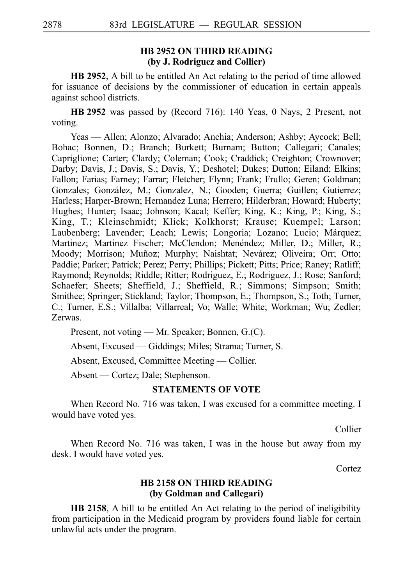# **HB 2952 ON THIRD READING (by J. Rodriguez and Collier)**

**HB 2952**, A bill to be entitled An Act relating to the period of time allowed for issuance of decisions by the commissioner of education in certain appeals against school districts.

**HB** 2952 was passed by (Record 716): 140 Yeas, 0 Nays, 2 Present, not voting.

Yeas — Allen; Alonzo; Alvarado; Anchia; Anderson; Ashby; Aycock; Bell; Bohac; Bonnen, D.; Branch; Burkett; Burnam; Button; Callegari; Canales; Capriglione; Carter; Clardy; Coleman; Cook; Craddick; Creighton; Crownover; Darby; Davis, J.; Davis, S.; Davis, Y.; Deshotel; Dukes; Dutton; Eiland; Elkins; Fallon; Farias; Farney; Farrar; Fletcher; Flynn; Frank; Frullo; Geren; Goldman; Gonzales; González, M.; Gonzalez, N.; Gooden; Guerra; Guillen; Gutierrez; Harless; Harper-Brown; Hernandez Luna; Herrero; Hilderbran; Howard; Huberty; Hughes; Hunter; Isaac; Johnson; Kacal; Keffer; King, K.; King, P.; King, S.; King, T.; Kleinschmidt; Klick; Kolkhorst; Krause; Kuempel; Larson; Laubenberg; Lavender; Leach; Lewis; Longoria; Lozano; Lucio; Márquez; Martinez; Martinez Fischer; McClendon; Menéndez; Miller, D.; Miller, R.; Moody; Morrison; Muñoz; Murphy; Naishtat; Nevárez; Oliveira; Orr; Otto; Paddie; Parker; Patrick; Perez; Perry; Phillips; Pickett; Pitts; Price; Raney; Ratliff; Raymond; Reynolds; Riddle; Ritter; Rodriguez, E.; Rodriguez, J.; Rose; Sanford; Schaefer; Sheets; Sheffield, J.; Sheffield, R.; Simmons; Simpson; Smith; Smithee; Springer; Stickland; Taylor; Thompson, E.; Thompson, S.; Toth; Turner, C.; Turner, E.S.; Villalba; Villarreal; Vo; Walle; White; Workman; Wu; Zedler; Zerwas.

Present, not voting — Mr. Speaker; Bonnen, G.(C).

Absent, Excused — Giddings; Miles; Strama; Turner, S.

Absent, Excused, Committee Meeting — Collier.

Absent — Cortez; Dale; Stephenson.

# **STATEMENTS OF VOTE**

When Record No. 716 was taken, I was excused for a committee meeting. I would have voted yes.

Collier

When Record No. 716 was taken, I was in the house but away from my desk. I would have voted yes.

Cortez

# **HB 2158 ON THIRD READING (by Goldman and Callegari)**

**HB 2158**, A bill to be entitled An Act relating to the period of ineligibility from participation in the Medicaid program by providers found liable for certain unlawful acts under the program.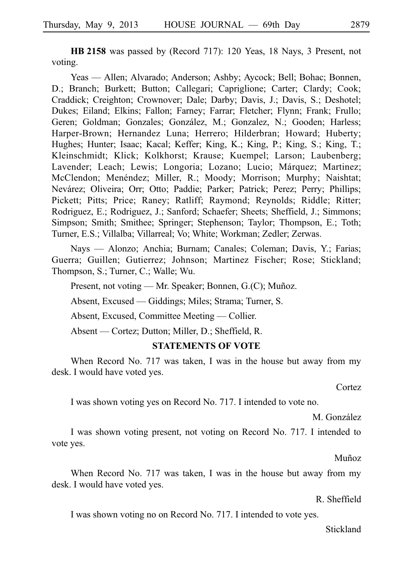**HB 2158** was passed by (Record 717): 120 Yeas, 18 Nays, 3 Present, not voting.

Yeas — Allen; Alvarado; Anderson; Ashby; Aycock; Bell; Bohac; Bonnen, D.; Branch; Burkett; Button; Callegari; Capriglione; Carter; Clardy; Cook; Craddick; Creighton; Crownover; Dale; Darby; Davis, J.; Davis, S.; Deshotel; Dukes; Eiland; Elkins; Fallon; Farney; Farrar; Fletcher; Flynn; Frank; Frullo; Geren; Goldman; Gonzales; González, M.; Gonzalez, N.; Gooden; Harless; Harper-Brown; Hernandez Luna; Herrero; Hilderbran; Howard; Huberty; Hughes; Hunter; Isaac; Kacal; Keffer; King, K.; King, P.; King, S.; King, T.; Kleinschmidt; Klick; Kolkhorst; Krause; Kuempel; Larson; Laubenberg; Lavender; Leach; Lewis; Longoria; Lozano; Lucio; Márquez; Martinez; McClendon; Menéndez; Miller, R.; Moody; Morrison; Murphy; Naishtat; Nevárez; Oliveira; Orr; Otto; Paddie; Parker; Patrick; Perez; Perry; Phillips; Pickett; Pitts; Price; Raney; Ratliff; Raymond; Reynolds; Riddle; Ritter; Rodriguez, E.; Rodriguez, J.; Sanford; Schaefer; Sheets; Sheffield, J.; Simmons; Simpson; Smith; Smithee; Springer; Stephenson; Taylor; Thompson, E.; Toth; Turner, E.S.; Villalba; Villarreal; Vo; White; Workman; Zedler; Zerwas.

Nays — Alonzo; Anchia; Burnam; Canales; Coleman; Davis, Y.; Farias; Guerra; Guillen; Gutierrez; Johnson; Martinez Fischer; Rose; Stickland; Thompson, S.; Turner, C.; Walle; Wu.

Present, not voting — Mr. Speaker; Bonnen, G.(C); Muñoz.

Absent, Excused — Giddings; Miles; Strama; Turner, S.

Absent, Excused, Committee Meeting — Collier.

Absent — Cortez; Dutton; Miller, D.; Sheffield, R.

### **STATEMENTS OF VOTE**

When Record No. 717 was taken, I was in the house but away from my desk. I would have voted yes.

Cortez

I was shown voting yes on Record No. 717. I intended to vote no.

M. González

I was shown voting present, not voting on Record No. 717. I intended to vote yes.

Muñoz

When Record No. 717 was taken, I was in the house but away from my desk. I would have voted yes.

R. Sheffield

I was shown voting no on Record No. 717. I intended to vote yes.

Stickland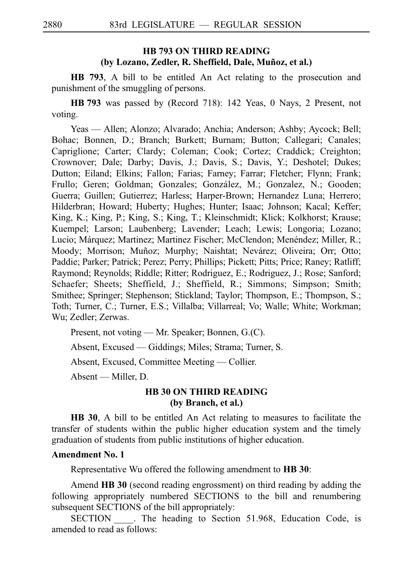# **HB 793 ON THIRD READING** (by Lozano, Zedler, R. Sheffield, Dale, Muñoz, et al.)

**HB 793**, A bill to be entitled An Act relating to the prosecution and punishment of the smuggling of persons.

**HBi793** was passed by (Record 718): 142 Yeas, 0 Nays, 2 Present, not voting.

Yeas — Allen; Alonzo; Alvarado; Anchia; Anderson; Ashby; Aycock; Bell; Bohac; Bonnen, D.; Branch; Burkett; Burnam; Button; Callegari; Canales; Capriglione; Carter; Clardy; Coleman; Cook; Cortez; Craddick; Creighton; Crownover; Dale; Darby; Davis, J.; Davis, S.; Davis, Y.; Deshotel; Dukes; Dutton; Eiland; Elkins; Fallon; Farias; Farney; Farrar; Fletcher; Flynn; Frank; Frullo; Geren; Goldman; Gonzales; González, M.; Gonzalez, N.; Gooden; Guerra; Guillen; Gutierrez; Harless; Harper-Brown; Hernandez Luna; Herrero; Hilderbran; Howard; Huberty; Hughes; Hunter; Isaac; Johnson; Kacal; Keffer; King, K.; King, P.; King, S.; King, T.; Kleinschmidt; Klick; Kolkhorst; Krause; Kuempel; Larson; Laubenberg; Lavender; Leach; Lewis; Longoria; Lozano; Lucio; Márquez; Martinez; Martinez Fischer; McClendon; Menéndez; Miller, R.; Moody; Morrison; Muñoz; Murphy; Naishtat; Nevárez; Oliveira; Orr; Otto; Paddie; Parker; Patrick; Perez; Perry; Phillips; Pickett; Pitts; Price; Raney; Ratliff; Raymond; Reynolds; Riddle; Ritter; Rodriguez, E.; Rodriguez, J.; Rose; Sanford; Schaefer; Sheets; Sheffield, J.; Sheffield, R.; Simmons; Simpson; Smith; Smithee; Springer; Stephenson; Stickland; Taylor; Thompson, E.; Thompson, S.; Toth; Turner, C.; Turner, E.S.; Villalba; Villarreal; Vo; Walle; White; Workman; Wu; Zedler; Zerwas.

Present, not voting — Mr. Speaker; Bonnen, G.(C).

Absent, Excused — Giddings; Miles; Strama; Turner, S.

Absent, Excused, Committee Meeting — Collier.

Absent — Miller, D.

# **HB 30 ON THIRD READING (by Branch, et al.)**

**HB 30**, A bill to be entitled An Act relating to measures to facilitate the transfer of students within the public higher education system and the timely graduation of students from public institutions of higher education.

### **Amendment No. 1**

Representative Wu offered the following amendment to **HB 30**:

Amend **HB 30** (second reading engrossment) on third reading by adding the following appropriately numbered SECTIONS to the bill and renumbering subsequent SECTIONS of the bill appropriately:

SECTION \_\_\_\_. The heading to Section 51.968, Education Code, is amended to read as follows: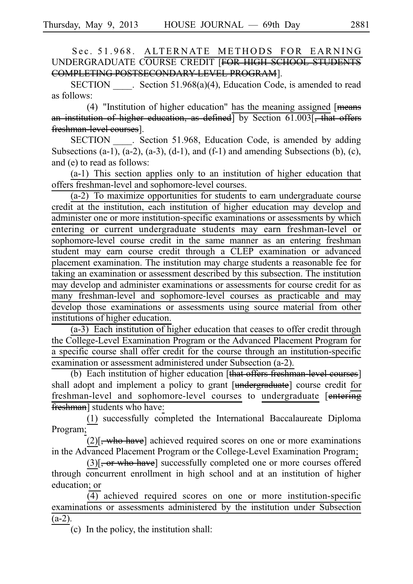Sec. 51.968. ALTERNATE METHODS FOR EARNING UNDERGRADUATE COURSE CREDIT [FOR HIGH SCHOOL STUDENTS COMPLETING POSTSECONDARY LEVEL PROGRAM].

SECTION Section 51.968(a)(4), Education Code, is amended to read as follows:

(4) "Institution of higher education" has the meaning assigned  $[$  means an institution of higher education, as defined<sup>1</sup> by Section 61.003<sup>[</sup>, that offers freshman-level courses].

SECTION Section 51.968, Education Code, is amended by adding Subsections  $(a-1)$ ,  $(a-2)$ ,  $(a-3)$ ,  $(d-1)$ , and  $(f-1)$  and amending Subsections  $(b)$ ,  $(c)$ , and (e) to read as follows:

 $(a-1)$  This section applies only to an institution of higher education that offers freshman-level and sophomore-level courses.

 $(a-2)$  To maximize opportunities for students to earn undergraduate course credit at the institution, each institution of higher education may develop and administer one or more institution-specific examinations or assessments by which entering or current undergraduate students may earn freshman-level or sophomore-level course credit in the same manner as an entering freshman student may earn course credit through a CLEP examination or advanced placement examination. The institution may charge students a reasonable fee for taking an examination or assessment described by this subsection. The institution may develop and administer examinations or assessments for course credit for as many freshman-level and sophomore-level courses as practicable and may develop those examinations or assessments using source material from other institutions of higher education.

 $(a-3)$  Each institution of higher education that ceases to offer credit through the College-Level Examination Program or the Advanced Placement Program for a specific course shall offer credit for the course through an institution-specific examination or assessment administered under Subsection (a-2).

(b) Each institution of higher education [that offers freshman-level courses] shall adopt and implement a policy to grant [undergraduate] course credit for freshman-level and sophomore-level courses to undergraduate [entering] freshman] students who have:

(1) successfully completed the International Baccalaureate Diploma Program;

 $(2)$ [, who have] achieved required scores on one or more examinations in the Advanced Placement Program or the College-Level Examination Program;

 $(3)$ [, or who have] successfully completed one or more courses offered through concurrent enrollment in high school and at an institution of higher education; or

 $\overline{(4)}$  achieved required scores on one or more institution-specific examinations or assessments administered by the institution under Subsection  $(a-2)$ .

 $(c)$  In the policy, the institution shall: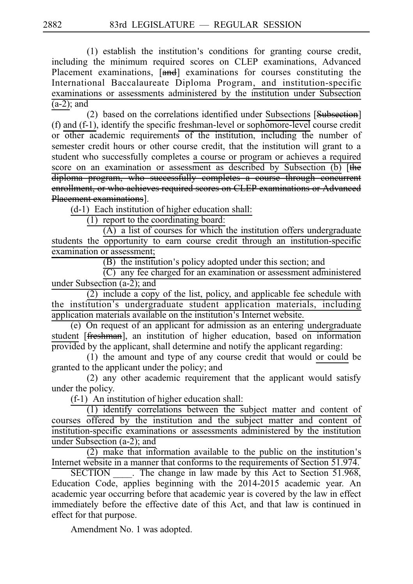$(1)$  establish the institution's conditions for granting course credit, including the minimum required scores on CLEP examinations, Advanced Placement examinations,  $[\overline{and}]$  examinations for courses constituting the International Baccalaureate Diploma Program, and institution-specific examinations or assessments administered by the institution under Subsection  $(a-2)$ ; and

(2) based on the correlations identified under Subsections  $[\text{Subsection}]$ (f) and (f-1), identify the specific freshman-level or sophomore-level course credit or other academic requirements of the institution, including the number of semester credit hours or other course credit, that the institution will grant to a student who successfully completes a course or program or achieves a required score on an examination or assessment as described by Subsection (b) [the diploma program, who successfully completes a course through concurrent enrollment, or who achieves required scores on CLEP examinations or Advanced Placement examinations].

 $(d-1)$  Each institution of higher education shall:

 $(1)$  report to the coordinating board:

 $\overline{(A)}$  a list of courses for which the institution offers undergraduate students the opportunity to earn course credit through an institution-specific examination or assessment;

 $(B)$  the institution's policy adopted under this section; and

 $(C)$  any fee charged for an examination or assessment administered under Subsection (a-2); and

 $(2)$  include a copy of the list, policy, and applicable fee schedule with the institution's undergraduate student application materials, including application materials available on the institution's Internet website.

 $(e)$  On request of an applicant for admission as an entering undergraduate student [freshman], an institution of higher education, based on information provided by the applicant, shall determine and notify the applicant regarding:

 $(1)$  the amount and type of any course credit that would or could be granted to the applicant under the policy; and

 $(2)$  any other academic requirement that the applicant would satisfy under the policy.

 $(f-1)$  An institution of higher education shall:

 $(1)$  identify correlations between the subject matter and content of courses offered by the institution and the subject matter and content of institution-specific examinations or assessments administered by the institution under Subsection (a-2); and

 $(2)$  make that information available to the public on the institution's Internet website in a manner that conforms to the requirements of Section 51.974.

SECTION The change in law made by this Act to Section 51.968, Education Code, applies beginning with the 2014-2015 academic year. An academic year occurring before that academic year is covered by the law in effect immediately before the effective date of this Act, and that law is continued in effect for that purpose.

Amendment No. 1 was adopted.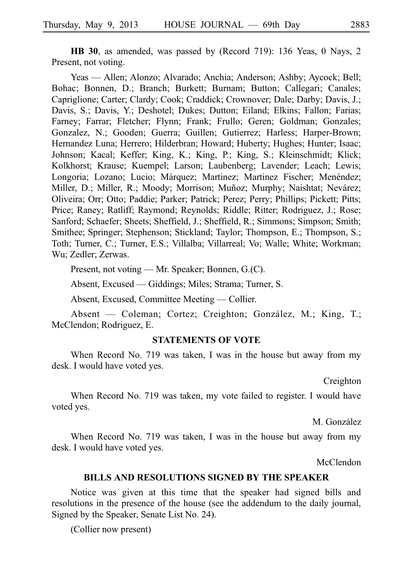**HB 30**, as amended, was passed by (Record 719): 136 Yeas, 0 Nays, 2 Present, not voting.

Yeas — Allen; Alonzo; Alvarado; Anchia; Anderson; Ashby; Aycock; Bell; Bohac; Bonnen, D.; Branch; Burkett; Burnam; Button; Callegari; Canales; Capriglione; Carter; Clardy; Cook; Craddick; Crownover; Dale; Darby; Davis, J.; Davis, S.; Davis, Y.; Deshotel; Dukes; Dutton; Eiland; Elkins; Fallon; Farias; Farney; Farrar; Fletcher; Flynn; Frank; Frullo; Geren; Goldman; Gonzales; Gonzalez, N.; Gooden; Guerra; Guillen; Gutierrez; Harless; Harper-Brown; Hernandez Luna; Herrero; Hilderbran; Howard; Huberty; Hughes; Hunter; Isaac; Johnson; Kacal; Keffer; King, K.; King, P.; King, S.; Kleinschmidt; Klick; Kolkhorst; Krause; Kuempel; Larson; Laubenberg; Lavender; Leach; Lewis; Longoria; Lozano; Lucio; Márquez; Martinez; Martinez Fischer; Menéndez; Miller, D.; Miller, R.; Moody; Morrison; Muñoz; Murphy; Naishtat; Nevárez; Oliveira; Orr; Otto; Paddie; Parker; Patrick; Perez; Perry; Phillips; Pickett; Pitts; Price; Raney; Ratliff; Raymond; Reynolds; Riddle; Ritter; Rodriguez, J.; Rose; Sanford; Schaefer; Sheets; Sheffield, J.; Sheffield, R.; Simmons; Simpson; Smith; Smithee; Springer; Stephenson; Stickland; Taylor; Thompson, E.; Thompson, S.; Toth; Turner, C.; Turner, E.S.; Villalba; Villarreal; Vo; Walle; White; Workman; Wu; Zedler; Zerwas.

Present, not voting — Mr. Speaker; Bonnen, G.(C).

Absent, Excused — Giddings; Miles; Strama; Turner, S.

Absent, Excused, Committee Meeting — Collier.

Absent — Coleman; Cortez; Creighton; González, M.; King, T.; McClendon; Rodriguez, E.

## **STATEMENTS OF VOTE**

When Record No. 719 was taken, I was in the house but away from my desk. I would have voted yes.

Creighton

When Record No. 719 was taken, my vote failed to register. I would have voted yes.

M. González

When Record No. 719 was taken, I was in the house but away from my desk. I would have voted yes.

McClendon

#### **BILLS AND RESOLUTIONS SIGNED BY THE SPEAKER**

Notice was given at this time that the speaker had signed bills and resolutions in the presence of the house (see the addendum to the daily journal, Signed by the Speaker, Senate List No. 24).

(Collier now present)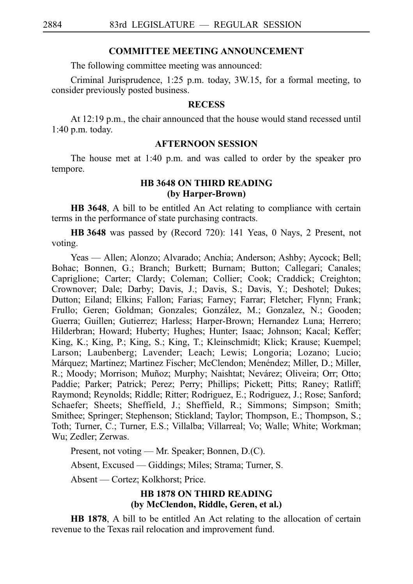#### **COMMITTEE MEETING ANNOUNCEMENT**

The following committee meeting was announced:

Criminal Jurisprudence, 1:25 p.m. today, 3W.15, for a formal meeting, to consider previously posted business.

#### **RECESS**

At 12:19 p.m., the chair announced that the house would stand recessed until 1:40 p.m. today.

#### **AFTERNOON SESSION**

The house met at 1:40 p.m. and was called to order by the speaker pro tempore.

## **HB 3648 ON THIRD READING (by Harper-Brown)**

**HB 3648**, A bill to be entitled An Act relating to compliance with certain terms in the performance of state purchasing contracts.

**HB** 3648 was passed by (Record 720): 141 Yeas, 0 Nays, 2 Present, not voting.

Yeas — Allen; Alonzo; Alvarado; Anchia; Anderson; Ashby; Aycock; Bell; Bohac; Bonnen, G.; Branch; Burkett; Burnam; Button; Callegari; Canales; Capriglione; Carter; Clardy; Coleman; Collier; Cook; Craddick; Creighton; Crownover; Dale; Darby; Davis, J.; Davis, S.; Davis, Y.; Deshotel; Dukes; Dutton; Eiland; Elkins; Fallon; Farias; Farney; Farrar; Fletcher; Flynn; Frank; Frullo; Geren; Goldman; Gonzales; González, M.; Gonzalez, N.; Gooden; Guerra; Guillen; Gutierrez; Harless; Harper-Brown; Hernandez Luna; Herrero; Hilderbran; Howard; Huberty; Hughes; Hunter; Isaac; Johnson; Kacal; Keffer; King, K.; King, P.; King, S.; King, T.; Kleinschmidt; Klick; Krause; Kuempel; Larson; Laubenberg; Lavender; Leach; Lewis; Longoria; Lozano; Lucio; Márquez; Martinez; Martinez Fischer; McClendon; Menéndez; Miller, D.; Miller, R.; Moody; Morrison; Muñoz; Murphy; Naishtat; Nevárez; Oliveira; Orr; Otto; Paddie; Parker; Patrick; Perez; Perry; Phillips; Pickett; Pitts; Raney; Ratliff; Raymond; Reynolds; Riddle; Ritter; Rodriguez, E.; Rodriguez, J.; Rose; Sanford; Schaefer; Sheets; Sheffield, J.; Sheffield, R.; Simmons; Simpson; Smith; Smithee; Springer; Stephenson; Stickland; Taylor; Thompson, E.; Thompson, S.; Toth; Turner, C.; Turner, E.S.; Villalba; Villarreal; Vo; Walle; White; Workman; Wu; Zedler; Zerwas.

Present, not voting — Mr. Speaker; Bonnen, D.(C).

Absent, Excused — Giddings; Miles; Strama; Turner, S.

Absent — Cortez; Kolkhorst; Price.

# **HB 1878 ON THIRD READING (by McClendon, Riddle, Geren, et al.)**

**HB 1878**, A bill to be entitled An Act relating to the allocation of certain revenue to the Texas rail relocation and improvement fund.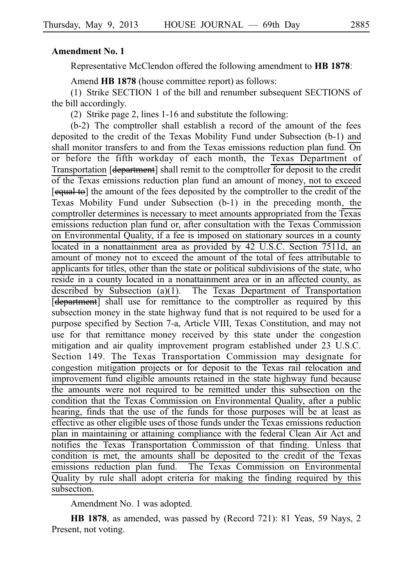## **Amendment No. 1**

Representative McClendon offered the following amendment to **HBi1878**:

Amend **HB 1878** (house committee report) as follows:

(1) Strike SECTION 1 of the bill and renumber subsequent SECTIONS of the bill accordingly.

(2) Strike page 2, lines  $1-16$  and substitute the following:

 $(b-2)$  The comptroller shall establish a record of the amount of the fees deposited to the credit of the Texas Mobility Fund under Subsection (b-1) and shall monitor transfers to and from the Texas emissions reduction plan fund.  $\overline{On}$ or before the fifth workday of each month, the Texas Department of Transportation [department] shall remit to the comptroller for deposit to the credit of the Texas emissions reduction plan fund an amount of money, not to exceed [equal to] the amount of the fees deposited by the comptroller to the credit of the Texas Mobility Fund under Subsection (b-1) in the preceding month, the comptroller determines is necessary to meet amounts appropriated from the Texas emissions reduction plan fund or, after consultation with the Texas Commission on Environmental Quality, if a fee is imposed on stationary sources in a county located in a nonattainment area as provided by 42 U.S.C. Section 7511d, an amount of money not to exceed the amount of the total of fees attributable to applicants for titles, other than the state or political subdivisions of the state, who reside in a county located in a nonattainment area or in an affected county, as described by Subsection (a)(1). The Texas Department of Transportation [department] shall use for remittance to the comptroller as required by this subsection money in the state highway fund that is not required to be used for a purpose specified by Section 7-a, Article VIII, Texas Constitution, and may not use for that remittance money received by this state under the congestion mitigation and air quality improvement program established under 23 U.S.C. Section 149. The Texas Transportation Commission may designate for congestion mitigation projects or for deposit to the Texas rail relocation and improvement fund eligible amounts retained in the state highway fund because the amounts were not required to be remitted under this subsection on the condition that the Texas Commission on Environmental Quality, after a public hearing, finds that the use of the funds for those purposes will be at least as effective as other eligible uses of those funds under the Texas emissions reduction plan in maintaining or attaining compliance with the federal Clean Air Act and notifies the Texas Transportation Commission of that finding. Unless that condition is met, the amounts shall be deposited to the credit of the Texas emissions reduction plan fund. The Texas Commission on Environmental Quality by rule shall adopt criteria for making the finding required by this subsection.

Amendment No. 1 was adopted.

**HB 1878**, as amended, was passed by (Record 721): 81 Yeas, 59 Nays, 2 Present, not voting.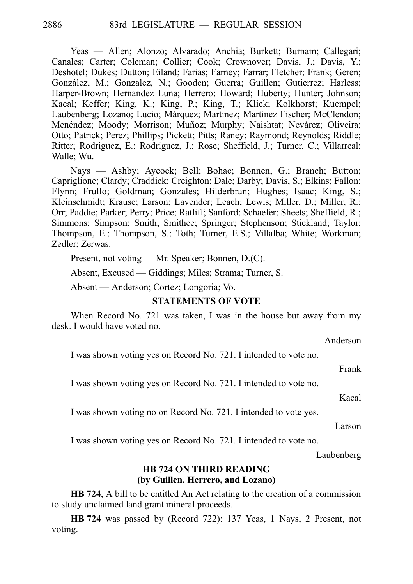Yeas — Allen; Alonzo; Alvarado; Anchia; Burkett; Burnam; Callegari; Canales; Carter; Coleman; Collier; Cook; Crownover; Davis, J.; Davis, Y.; Deshotel; Dukes; Dutton; Eiland; Farias; Farney; Farrar; Fletcher; Frank; Geren; González, M.; Gonzalez, N.; Gooden; Guerra; Guillen; Gutierrez; Harless; Harper-Brown; Hernandez Luna; Herrero; Howard; Huberty; Hunter; Johnson; Kacal; Keffer; King, K.; King, P.; King, T.; Klick; Kolkhorst; Kuempel; Laubenberg; Lozano; Lucio; Márquez; Martinez; Martinez Fischer; McClendon; Menéndez; Moody; Morrison; Muñoz; Murphy; Naishtat; Nevárez; Oliveira; Otto; Patrick; Perez; Phillips; Pickett; Pitts; Raney; Raymond; Reynolds; Riddle; Ritter; Rodriguez, E.; Rodriguez, J.; Rose; Sheffield, J.; Turner, C.; Villarreal; Walle; Wu.

Nays — Ashby; Aycock; Bell; Bohac; Bonnen, G.; Branch; Button; Capriglione; Clardy; Craddick; Creighton; Dale; Darby; Davis, S.; Elkins; Fallon; Flynn; Frullo; Goldman; Gonzales; Hilderbran; Hughes; Isaac; King, S.; Kleinschmidt; Krause; Larson; Lavender; Leach; Lewis; Miller, D.; Miller, R.; Orr; Paddie; Parker; Perry; Price; Ratliff; Sanford; Schaefer; Sheets; Sheffield, R.; Simmons; Simpson; Smith; Smithee; Springer; Stephenson; Stickland; Taylor; Thompson, E.; Thompson, S.; Toth; Turner, E.S.; Villalba; White; Workman; Zedler; Zerwas.

Present, not voting — Mr. Speaker; Bonnen, D.(C).

Absent, Excused — Giddings; Miles; Strama; Turner, S.

Absent — Anderson; Cortez; Longoria; Vo.

#### **STATEMENTS OF VOTE**

When Record No. 721 was taken, I was in the house but away from my desk. I would have voted no.

Anderson

I was shown voting yes on Record No. 721. I intended to vote no.

Frank

I was shown voting yes on Record No. 721. I intended to vote no.

Kacal

I was shown voting no on Record No. 721. I intended to vote yes.

Larson

I was shown voting yes on Record No. 721. I intended to vote no.

Laubenberg

## **HB 724 ON THIRD READING (by Guillen, Herrero, and Lozano)**

**HB 724**, A bill to be entitled An Act relating to the creation of a commission to study unclaimed land grant mineral proceeds.

**HBi724** was passed by (Record 722): 137 Yeas, 1 Nays, 2 Present, not voting.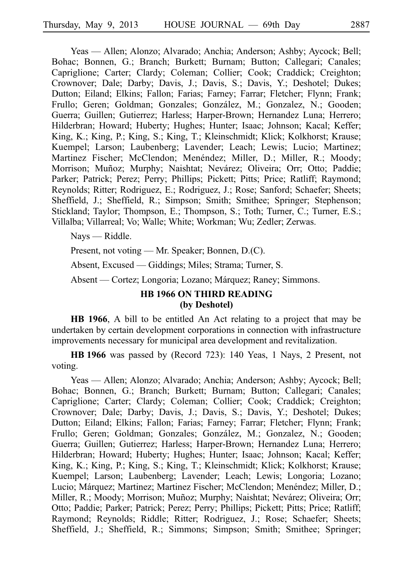Yeas — Allen; Alonzo; Alvarado; Anchia; Anderson; Ashby; Aycock; Bell; Bohac; Bonnen, G.; Branch; Burkett; Burnam; Button; Callegari; Canales; Capriglione; Carter; Clardy; Coleman; Collier; Cook; Craddick; Creighton; Crownover; Dale; Darby; Davis, J.; Davis, S.; Davis, Y.; Deshotel; Dukes; Dutton; Eiland; Elkins; Fallon; Farias; Farney; Farrar; Fletcher; Flynn; Frank; Frullo; Geren; Goldman; Gonzales; González, M.; Gonzalez, N.; Gooden; Guerra; Guillen; Gutierrez; Harless; Harper-Brown; Hernandez Luna; Herrero; Hilderbran; Howard; Huberty; Hughes; Hunter; Isaac; Johnson; Kacal; Keffer; King, K.; King, P.; King, S.; King, T.; Kleinschmidt; Klick; Kolkhorst; Krause; Kuempel; Larson; Laubenberg; Lavender; Leach; Lewis; Lucio; Martinez; Martinez Fischer; McClendon; Menéndez; Miller, D.; Miller, R.; Moody; Morrison; Muñoz; Murphy; Naishtat; Nevárez; Oliveira; Orr; Otto; Paddie; Parker; Patrick; Perez; Perry; Phillips; Pickett; Pitts; Price; Ratliff; Raymond; Reynolds; Ritter; Rodriguez, E.; Rodriguez, J.; Rose; Sanford; Schaefer; Sheets; Sheffield, J.; Sheffield, R.; Simpson; Smith; Smithee; Springer; Stephenson; Stickland; Taylor; Thompson, E.; Thompson, S.; Toth; Turner, C.; Turner, E.S.; Villalba; Villarreal; Vo; Walle; White; Workman; Wu; Zedler; Zerwas.

Nays — Riddle.

Present, not voting — Mr. Speaker; Bonnen, D.(C).

Absent, Excused — Giddings; Miles; Strama; Turner, S.

Absent — Cortez; Longoria; Lozano; Márquez; Raney; Simmons.

# **HB 1966 ON THIRD READING (by Deshotel)**

**HB 1966**, A bill to be entitled An Act relating to a project that may be undertaken by certain development corporations in connection with infrastructure improvements necessary for municipal area development and revitalization.

**HBi1966** was passed by (Record 723): 140 Yeas, 1 Nays, 2 Present, not voting.

Yeas — Allen; Alonzo; Alvarado; Anchia; Anderson; Ashby; Aycock; Bell; Bohac; Bonnen, G.; Branch; Burkett; Burnam; Button; Callegari; Canales; Capriglione; Carter; Clardy; Coleman; Collier; Cook; Craddick; Creighton; Crownover; Dale; Darby; Davis, J.; Davis, S.; Davis, Y.; Deshotel; Dukes; Dutton; Eiland; Elkins; Fallon; Farias; Farney; Farrar; Fletcher; Flynn; Frank; Frullo; Geren; Goldman; Gonzales; González, M.; Gonzalez, N.; Gooden; Guerra; Guillen; Gutierrez; Harless; Harper-Brown; Hernandez Luna; Herrero; Hilderbran; Howard; Huberty; Hughes; Hunter; Isaac; Johnson; Kacal; Keffer; King, K.; King, P.; King, S.; King, T.; Kleinschmidt; Klick; Kolkhorst; Krause; Kuempel; Larson; Laubenberg; Lavender; Leach; Lewis; Longoria; Lozano; Lucio; Márquez; Martinez; Martinez Fischer; McClendon; Menéndez; Miller, D.; Miller, R.; Moody; Morrison; Muñoz; Murphy; Naishtat; Nevárez; Oliveira; Orr; Otto; Paddie; Parker; Patrick; Perez; Perry; Phillips; Pickett; Pitts; Price; Ratliff; Raymond; Reynolds; Riddle; Ritter; Rodriguez, J.; Rose; Schaefer; Sheets; Sheffield, J.; Sheffield, R.; Simmons; Simpson; Smith; Smithee; Springer;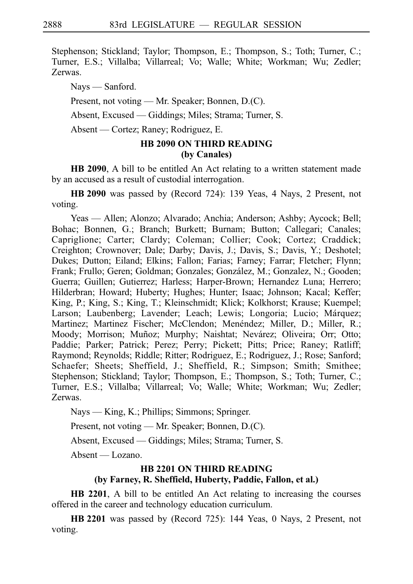Stephenson; Stickland; Taylor; Thompson, E.; Thompson, S.; Toth; Turner, C.; Turner, E.S.; Villalba; Villarreal; Vo; Walle; White; Workman; Wu; Zedler; Zerwas.

Nays — Sanford.

Present, not voting — Mr. Speaker; Bonnen, D.(C).

Absent, Excused — Giddings; Miles; Strama; Turner, S.

Absent — Cortez; Raney; Rodriguez, E.

# **HB 2090 ON THIRD READING (by Canales)**

**HB 2090**, A bill to be entitled An Act relating to a written statement made by an accused as a result of custodial interrogation.

**HB** 2090 was passed by (Record 724): 139 Yeas, 4 Nays, 2 Present, not voting.

Yeas — Allen; Alonzo; Alvarado; Anchia; Anderson; Ashby; Aycock; Bell; Bohac; Bonnen, G.; Branch; Burkett; Burnam; Button; Callegari; Canales; Capriglione; Carter; Clardy; Coleman; Collier; Cook; Cortez; Craddick; Creighton; Crownover; Dale; Darby; Davis, J.; Davis, S.; Davis, Y.; Deshotel; Dukes; Dutton; Eiland; Elkins; Fallon; Farias; Farney; Farrar; Fletcher; Flynn; Frank; Frullo; Geren; Goldman; Gonzales; González, M.; Gonzalez, N.; Gooden; Guerra; Guillen; Gutierrez; Harless; Harper-Brown; Hernandez Luna; Herrero; Hilderbran; Howard; Huberty; Hughes; Hunter; Isaac; Johnson; Kacal; Keffer; King, P.; King, S.; King, T.; Kleinschmidt; Klick; Kolkhorst; Krause; Kuempel; Larson; Laubenberg; Lavender; Leach; Lewis; Longoria; Lucio; Márquez; Martinez; Martinez Fischer; McClendon; Menéndez; Miller, D.; Miller, R.; Moody; Morrison; Muñoz; Murphy; Naishtat; Nevárez; Oliveira; Orr; Otto; Paddie; Parker; Patrick; Perez; Perry; Pickett; Pitts; Price; Raney; Ratliff; Raymond; Reynolds; Riddle; Ritter; Rodriguez, E.; Rodriguez, J.; Rose; Sanford; Schaefer; Sheets; Sheffield, J.; Sheffield, R.; Simpson; Smith; Smithee; Stephenson; Stickland; Taylor; Thompson, E.; Thompson, S.; Toth; Turner, C.; Turner, E.S.; Villalba; Villarreal; Vo; Walle; White; Workman; Wu; Zedler; Zerwas.

Nays — King, K.; Phillips; Simmons; Springer.

Present, not voting — Mr. Speaker; Bonnen, D.(C).

Absent, Excused — Giddings; Miles; Strama; Turner, S.

Absent — Lozano.

# **HB 2201 ON THIRD READING (by Farney, R. Sheffield, Huberty, Paddie, Fallon, et al.)**

**HB 2201**, A bill to be entitled An Act relating to increasing the courses offered in the career and technology education curriculum.

**HB** 2201 was passed by (Record 725): 144 Yeas, 0 Nays, 2 Present, not voting.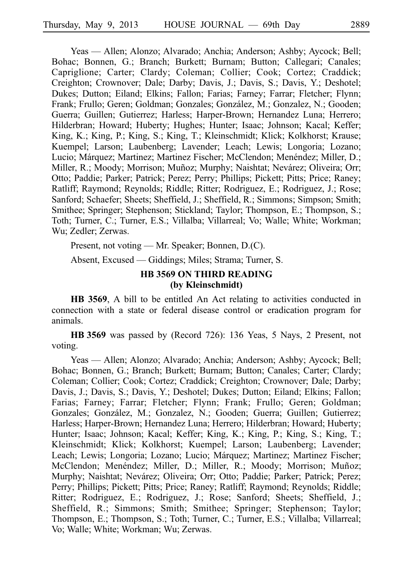Yeas — Allen; Alonzo; Alvarado; Anchia; Anderson; Ashby; Aycock; Bell; Bohac; Bonnen, G.; Branch; Burkett; Burnam; Button; Callegari; Canales; Capriglione; Carter; Clardy; Coleman; Collier; Cook; Cortez; Craddick; Creighton; Crownover; Dale; Darby; Davis, J.; Davis, S.; Davis, Y.; Deshotel; Dukes; Dutton; Eiland; Elkins; Fallon; Farias; Farney; Farrar; Fletcher; Flynn; Frank: Frullo: Geren; Goldman; Gonzales; González, M.; Gonzalez, N.; Gooden; Guerra; Guillen; Gutierrez; Harless; Harper-Brown; Hernandez Luna; Herrero; Hilderbran; Howard; Huberty; Hughes; Hunter; Isaac; Johnson; Kacal; Keffer; King, K.; King, P.; King, S.; King, T.; Kleinschmidt; Klick; Kolkhorst; Krause; Kuempel; Larson; Laubenberg; Lavender; Leach; Lewis; Longoria; Lozano; Lucio; Márquez; Martinez; Martinez Fischer; McClendon; Menéndez; Miller, D.; Miller, R.; Moody; Morrison; Muñoz; Murphy; Naishtat; Nevárez; Oliveira; Orr; Otto; Paddie; Parker; Patrick; Perez; Perry; Phillips; Pickett; Pitts; Price; Raney; Ratliff; Raymond; Reynolds; Riddle; Ritter; Rodriguez, E.; Rodriguez, J.; Rose; Sanford; Schaefer; Sheets; Sheffield, J.; Sheffield, R.; Simmons; Simpson; Smith; Smithee; Springer; Stephenson; Stickland; Taylor; Thompson, E.; Thompson, S.; Toth; Turner, C.; Turner, E.S.; Villalba; Villarreal; Vo; Walle; White; Workman; Wu; Zedler; Zerwas.

Present, not voting — Mr. Speaker; Bonnen, D.(C).

Absent, Excused — Giddings; Miles; Strama; Turner, S.

## **HB 3569 ON THIRD READING (by Kleinschmidt)**

**HB 3569**, A bill to be entitled An Act relating to activities conducted in connection with a state or federal disease control or eradication program for animals.

**HBi3569** was passed by (Record 726): 136 Yeas, 5 Nays, 2 Present, not voting.

Yeas — Allen; Alonzo; Alvarado; Anchia; Anderson; Ashby; Aycock; Bell; Bohac; Bonnen, G.; Branch; Burkett; Burnam; Button; Canales; Carter; Clardy; Coleman; Collier; Cook; Cortez; Craddick; Creighton; Crownover; Dale; Darby; Davis, J.; Davis, S.; Davis, Y.; Deshotel; Dukes; Dutton; Eiland; Elkins; Fallon; Farias; Farney; Farrar; Fletcher; Flynn; Frank; Frullo; Geren; Goldman; Gonzales; González, M.; Gonzalez, N.; Gooden; Guerra; Guillen; Gutierrez; Harless; Harper-Brown; Hernandez Luna; Herrero; Hilderbran; Howard; Huberty; Hunter; Isaac; Johnson; Kacal; Keffer; King, K.; King, P.; King, S.; King, T.; Kleinschmidt; Klick; Kolkhorst; Kuempel; Larson; Laubenberg; Lavender; Leach; Lewis; Longoria; Lozano; Lucio; Márquez; Martinez; Martinez Fischer; McClendon; Menéndez; Miller, D.; Miller, R.; Moody; Morrison; Muñoz; Murphy; Naishtat; Nevárez; Oliveira; Orr; Otto; Paddie; Parker; Patrick; Perez; Perry; Phillips; Pickett; Pitts; Price; Raney; Ratliff; Raymond; Reynolds; Riddle; Ritter; Rodriguez, E.; Rodriguez, J.; Rose; Sanford; Sheets; Sheffield, J.; Sheffield, R.; Simmons; Smith; Smithee; Springer; Stephenson; Taylor; Thompson, E.; Thompson, S.; Toth; Turner, C.; Turner, E.S.; Villalba; Villarreal; Vo; Walle; White; Workman; Wu; Zerwas.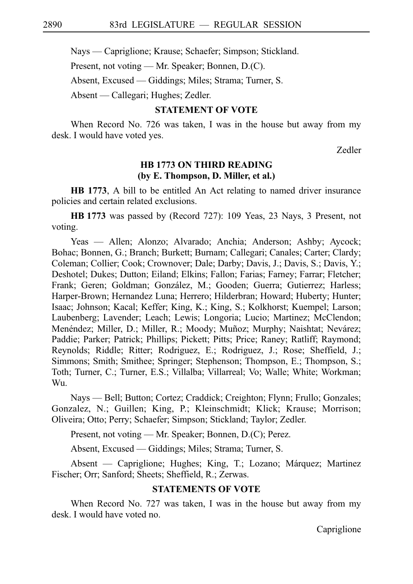Nays — Capriglione; Krause; Schaefer; Simpson; Stickland.

Present, not voting — Mr. Speaker; Bonnen, D.(C).

Absent, Excused — Giddings; Miles; Strama; Turner, S.

Absent — Callegari; Hughes; Zedler.

# **STATEMENT OF VOTE**

When Record No. 726 was taken, I was in the house but away from my desk. I would have voted yes.

Zedler

## **HB 1773 ON THIRD READING (by E. Thompson, D. Miller, et al.)**

**HB 1773**, A bill to be entitled An Act relating to named driver insurance policies and certain related exclusions.

**HBi1773** was passed by (Record 727): 109 Yeas, 23 Nays, 3 Present, not voting.

Yeas — Allen; Alonzo; Alvarado; Anchia; Anderson; Ashby; Aycock; Bohac; Bonnen, G.; Branch; Burkett; Burnam; Callegari; Canales; Carter; Clardy; Coleman; Collier; Cook; Crownover; Dale; Darby; Davis, J.; Davis, S.; Davis, Y.; Deshotel; Dukes; Dutton; Eiland; Elkins; Fallon; Farias; Farney; Farrar; Fletcher; Frank; Geren; Goldman; González, M.; Gooden; Guerra; Gutierrez; Harless; Harper-Brown; Hernandez Luna; Herrero; Hilderbran; Howard; Huberty; Hunter; Isaac; Johnson; Kacal; Keffer; King, K.; King, S.; Kolkhorst; Kuempel; Larson; Laubenberg; Lavender; Leach; Lewis; Longoria; Lucio; Martinez; McClendon; Menéndez; Miller, D.; Miller, R.; Moody; Muñoz; Murphy; Naishtat; Nevárez; Paddie; Parker; Patrick; Phillips; Pickett; Pitts; Price; Raney; Ratliff; Raymond; Reynolds; Riddle; Ritter; Rodriguez, E.; Rodriguez, J.; Rose; Sheffield, J.; Simmons; Smith; Smithee; Springer; Stephenson; Thompson, E.; Thompson, S.; Toth; Turner, C.; Turner, E.S.; Villalba; Villarreal; Vo; Walle; White; Workman; Wu.

Nays — Bell; Button; Cortez; Craddick; Creighton; Flynn; Frullo; Gonzales; Gonzalez, N.; Guillen; King, P.; Kleinschmidt; Klick; Krause; Morrison; Oliveira; Otto; Perry; Schaefer; Simpson; Stickland; Taylor; Zedler.

Present, not voting — Mr. Speaker; Bonnen, D.(C); Perez.

Absent, Excused — Giddings; Miles; Strama; Turner, S.

Absent — Capriglione; Hughes; King, T.; Lozano; Márquez; Martinez Fischer; Orr; Sanford; Sheets; Sheffield, R.; Zerwas.

# **STATEMENTS OF VOTE**

When Record No. 727 was taken, I was in the house but away from my desk. I would have voted no.

Capriglione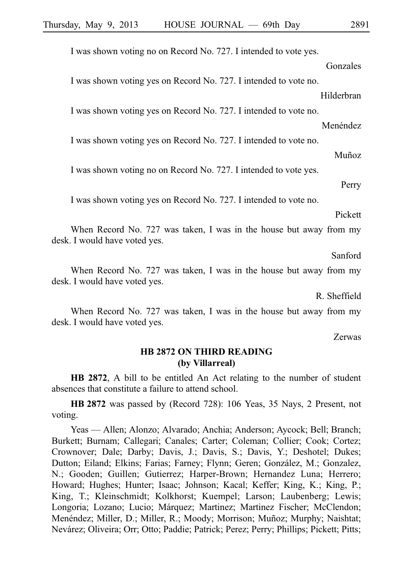I was shown voting no on Record No. 727. I intended to vote yes.

Gonzales I was shown voting yes on Record No. 727. I intended to vote no. Hilderbran

I was shown voting yes on Record No. 727. I intended to vote no.

I was shown voting yes on Record No. 727. I intended to vote no.

I was shown voting no on Record No. 727. I intended to vote yes.

I was shown voting yes on Record No. 727. I intended to vote no.

Pickett

Menéndez

Muñoz

Perry

When Record No. 727 was taken, I was in the house but away from my desk. I would have voted yes.

Sanford

When Record No. 727 was taken, I was in the house but away from my desk. I would have voted yes.

R. Sheffield

When Record No. 727 was taken, I was in the house but away from my desk. I would have voted yes.

Zerwas

# **HB 2872 ON THIRD READING (by Villarreal)**

**HB 2872**, A bill to be entitled An Act relating to the number of student absences that constitute a failure to attend school.

**HBi2872** was passed by (Record 728): 106 Yeas, 35 Nays, 2 Present, not voting.

Yeas — Allen; Alonzo; Alvarado; Anchia; Anderson; Aycock; Bell; Branch; Burkett; Burnam; Callegari; Canales; Carter; Coleman; Collier; Cook; Cortez; Crownover; Dale; Darby; Davis, J.; Davis, S.; Davis, Y.; Deshotel; Dukes; Dutton; Eiland; Elkins; Farias; Farney; Flynn; Geren; González, M.; Gonzalez, N.; Gooden; Guillen; Gutierrez; Harper-Brown; Hernandez Luna; Herrero; Howard; Hughes; Hunter; Isaac; Johnson; Kacal; Keffer; King, K.; King, P.; King, T.; Kleinschmidt; Kolkhorst; Kuempel; Larson; Laubenberg; Lewis; Longoria; Lozano; Lucio; Márquez; Martinez; Martinez Fischer; McClendon; Menéndez; Miller, D.; Miller, R.; Moody; Morrison; Muñoz; Murphy; Naishtat; Nevárez; Oliveira; Orr; Otto; Paddie; Patrick; Perez; Perry; Phillips; Pickett; Pitts;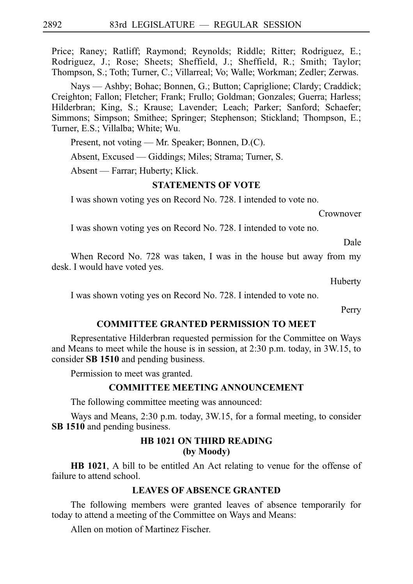Price; Raney; Ratliff; Raymond; Reynolds; Riddle; Ritter; Rodriguez, E.; Rodriguez, J.; Rose; Sheets; Sheffield, J.; Sheffield, R.; Smith; Taylor; Thompson, S.; Toth; Turner, C.; Villarreal; Vo; Walle; Workman; Zedler; Zerwas.

Nays — Ashby; Bohac; Bonnen, G.; Button; Capriglione; Clardy; Craddick; Creighton; Fallon; Fletcher; Frank; Frullo; Goldman; Gonzales; Guerra; Harless; Hilderbran; King, S.; Krause; Lavender; Leach; Parker; Sanford; Schaefer; Simmons; Simpson; Smithee; Springer; Stephenson; Stickland; Thompson, E.; Turner, E.S.; Villalba; White; Wu.

Present, not voting — Mr. Speaker; Bonnen, D.(C).

Absent, Excused — Giddings; Miles; Strama; Turner, S.

Absent — Farrar; Huberty; Klick.

## **STATEMENTS OF VOTE**

I was shown voting yes on Record No. 728. I intended to vote no.

Crownover

I was shown voting yes on Record No. 728. I intended to vote no.

Dale

When Record No. 728 was taken, I was in the house but away from my desk. I would have voted yes.

Huberty

I was shown voting yes on Record No. 728. I intended to vote no.

Perry

#### **COMMITTEE GRANTED PERMISSION TO MEET**

Representative Hilderbran requested permission for the Committee on Ways and Means to meet while the house is in session, at 2:30 p.m. today, in 3W.15, to consider **SBi1510** and pending business.

Permission to meet was granted.

## **COMMITTEE MEETING ANNOUNCEMENT**

The following committee meeting was announced:

Ways and Means, 2:30 p.m. today, 3W.15, for a formal meeting, to consider **SB 1510** and pending business.

# **HB 1021 ON THIRD READING (by Moody)**

**HB 1021**, A bill to be entitled An Act relating to venue for the offense of failure to attend school.

#### **LEAVES OF ABSENCE GRANTED**

The following members were granted leaves of absence temporarily for today to attend a meeting of the Committee on Ways and Means:

Allen on motion of Martinez Fischer.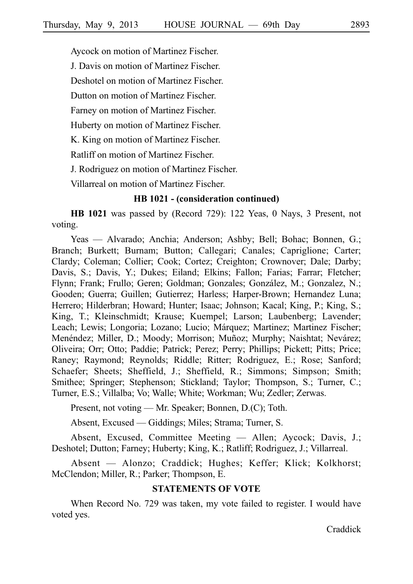Aycock on motion of Martinez Fischer.

J. Davis on motion of Martinez Fischer.

Deshotel on motion of Martinez Fischer.

Dutton on motion of Martinez Fischer.

Farney on motion of Martinez Fischer.

Huberty on motion of Martinez Fischer.

K. King on motion of Martinez Fischer.

Ratliff on motion of Martinez Fischer.

J. Rodriguez on motion of Martinez Fischer.

Villarreal on motion of Martinez Fischer.

## **HB 1021 - (consideration continued)**

**HB 1021** was passed by (Record 729): 122 Yeas, 0 Nays, 3 Present, not voting.

Yeas — Alvarado; Anchia; Anderson; Ashby; Bell; Bohac; Bonnen, G.; Branch; Burkett; Burnam; Button; Callegari; Canales; Capriglione; Carter; Clardy; Coleman; Collier; Cook; Cortez; Creighton; Crownover; Dale; Darby; Davis, S.; Davis, Y.; Dukes; Eiland; Elkins; Fallon; Farias; Farrar; Fletcher; Flynn; Frank; Frullo; Geren; Goldman; Gonzales; González, M.; Gonzalez, N.; Gooden; Guerra; Guillen; Gutierrez; Harless; Harper-Brown; Hernandez Luna; Herrero; Hilderbran; Howard; Hunter; Isaac; Johnson; Kacal; King, P.; King, S.; King, T.; Kleinschmidt; Krause; Kuempel; Larson; Laubenberg; Lavender; Leach; Lewis; Longoria; Lozano; Lucio; Márquez; Martinez; Martinez Fischer; Menéndez; Miller, D.; Moody; Morrison; Muñoz; Murphy; Naishtat; Nevárez; Oliveira; Orr; Otto; Paddie; Patrick; Perez; Perry; Phillips; Pickett; Pitts; Price; Raney; Raymond; Reynolds; Riddle; Ritter; Rodriguez, E.; Rose; Sanford; Schaefer; Sheets; Sheffield, J.; Sheffield, R.; Simmons; Simpson; Smith; Smithee; Springer; Stephenson; Stickland; Taylor; Thompson, S.; Turner, C.; Turner, E.S.; Villalba; Vo; Walle; White; Workman; Wu; Zedler; Zerwas.

Present, not voting — Mr. Speaker; Bonnen, D.(C); Toth.

Absent, Excused — Giddings; Miles; Strama; Turner, S.

Absent, Excused, Committee Meeting — Allen; Aycock; Davis, J.; Deshotel; Dutton; Farney; Huberty; King, K.; Ratliff; Rodriguez, J.; Villarreal.

Absent — Alonzo; Craddick; Hughes; Keffer; Klick; Kolkhorst; McClendon; Miller, R.; Parker; Thompson, E.

# **STATEMENTS OF VOTE**

When Record No. 729 was taken, my vote failed to register. I would have voted yes.

Craddick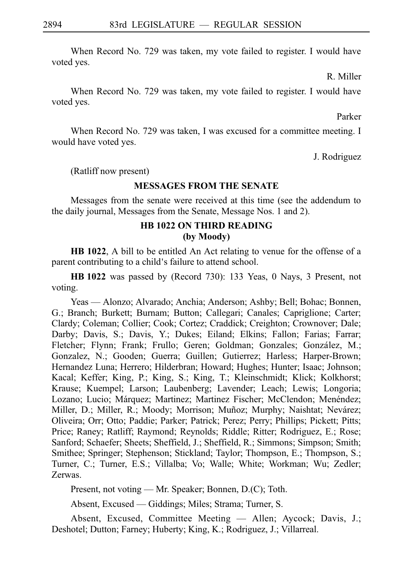When Record No. 729 was taken, my vote failed to register. I would have voted yes.

R. Miller

When Record No. 729 was taken, my vote failed to register. I would have voted yes.

Parker

When Record No. 729 was taken, I was excused for a committee meeting. I would have voted yes.

J. Rodriguez

(Ratliff now present)

#### **MESSAGES FROM THE SENATE**

Messages from the senate were received at this time (see the addendum to the daily journal, Messages from the Senate, Message Nos. 1 and 2).

## **HB 1022 ON THIRD READING (by Moody)**

**HB 1022**, A bill to be entitled An Act relating to venue for the offense of a parent contributing to a child's failure to attend school.

**HB 1022** was passed by (Record 730): 133 Yeas, 0 Nays, 3 Present, not voting.

Yeas — Alonzo; Alvarado; Anchia; Anderson; Ashby; Bell; Bohac; Bonnen, G.; Branch; Burkett; Burnam; Button; Callegari; Canales; Capriglione; Carter; Clardy; Coleman; Collier; Cook; Cortez; Craddick; Creighton; Crownover; Dale; Darby; Davis, S.; Davis, Y.; Dukes; Eiland; Elkins; Fallon; Farias; Farrar; Fletcher; Flynn; Frank; Frullo; Geren; Goldman; Gonzales; González, M.; Gonzalez, N.; Gooden; Guerra; Guillen; Gutierrez; Harless; Harper-Brown; Hernandez Luna; Herrero; Hilderbran; Howard; Hughes; Hunter; Isaac; Johnson; Kacal; Keffer; King, P.; King, S.; King, T.; Kleinschmidt; Klick; Kolkhorst; Krause; Kuempel; Larson; Laubenberg; Lavender; Leach; Lewis; Longoria; Lozano; Lucio; Márquez; Martinez; Martinez Fischer; McClendon; Menéndez; Miller, D.; Miller, R.; Moody; Morrison; Muñoz; Murphy; Naishtat; Nevárez; Oliveira; Orr; Otto; Paddie; Parker; Patrick; Perez; Perry; Phillips; Pickett; Pitts; Price; Raney; Ratliff; Raymond; Reynolds; Riddle; Ritter; Rodriguez, E.; Rose; Sanford; Schaefer; Sheets; Sheffield, J.; Sheffield, R.; Simmons; Simpson; Smith; Smithee; Springer; Stephenson; Stickland; Taylor; Thompson, E.; Thompson, S.; Turner, C.; Turner, E.S.; Villalba; Vo; Walle; White; Workman; Wu; Zedler; Zerwas.

Present, not voting — Mr. Speaker; Bonnen, D.(C); Toth.

Absent, Excused — Giddings; Miles; Strama; Turner, S.

Absent, Excused, Committee Meeting — Allen; Aycock; Davis, J.; Deshotel; Dutton; Farney; Huberty; King, K.; Rodriguez, J.; Villarreal.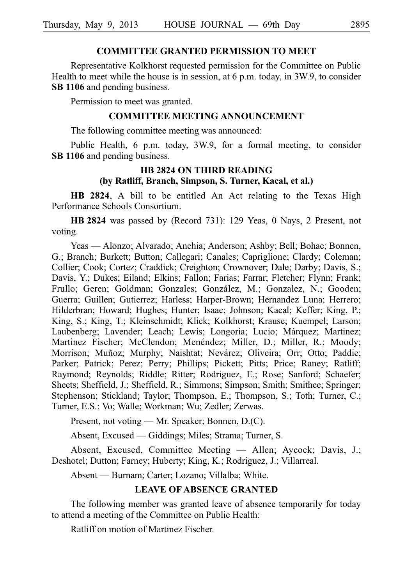## **COMMITTEE GRANTED PERMISSION TO MEET**

Representative Kolkhorst requested permission for the Committee on Public Health to meet while the house is in session, at 6 p.m. today, in 3W.9, to consider **SB 1106** and pending business.

Permission to meet was granted.

#### **COMMITTEE MEETING ANNOUNCEMENT**

The following committee meeting was announced:

Public Health, 6 p.m. today, 3W.9, for a formal meeting, to consider **SB 1106** and pending business.

# **HB 2824 ON THIRD READING (by Ratliff, Branch, Simpson, S. Turner, Kacal, et al.)**

**HB 2824**, A bill to be entitled An Act relating to the Texas High Performance Schools Consortium.

**HB 2824** was passed by (Record 731): 129 Yeas, 0 Nays, 2 Present, not voting.

Yeas — Alonzo; Alvarado; Anchia; Anderson; Ashby; Bell; Bohac; Bonnen, G.; Branch; Burkett; Button; Callegari; Canales; Capriglione; Clardy; Coleman; Collier; Cook; Cortez; Craddick; Creighton; Crownover; Dale; Darby; Davis, S.; Davis, Y.; Dukes; Eiland; Elkins; Fallon; Farias; Farrar; Fletcher; Flynn; Frank; Frullo; Geren; Goldman; Gonzales; González, M.; Gonzalez, N.; Gooden; Guerra; Guillen; Gutierrez; Harless; Harper-Brown; Hernandez Luna; Herrero; Hilderbran; Howard; Hughes; Hunter; Isaac; Johnson; Kacal; Keffer; King, P.; King, S.; King, T.; Kleinschmidt; Klick; Kolkhorst; Krause; Kuempel; Larson; Laubenberg; Lavender; Leach; Lewis; Longoria; Lucio; Márquez; Martinez; Martinez Fischer; McClendon; Menéndez; Miller, D.; Miller, R.; Moody; Morrison; Muñoz; Murphy; Naishtat; Nevárez; Oliveira; Orr; Otto; Paddie; Parker; Patrick; Perez; Perry; Phillips; Pickett; Pitts; Price; Raney; Ratliff; Raymond; Reynolds; Riddle; Ritter; Rodriguez, E.; Rose; Sanford; Schaefer; Sheets; Sheffield, J.; Sheffield, R.; Simmons; Simpson; Smith; Smithee; Springer; Stephenson; Stickland; Taylor; Thompson, E.; Thompson, S.; Toth; Turner, C.; Turner, E.S.; Vo; Walle; Workman; Wu; Zedler; Zerwas.

Present, not voting — Mr. Speaker; Bonnen, D.(C).

Absent, Excused — Giddings; Miles; Strama; Turner, S.

Absent, Excused, Committee Meeting — Allen; Aycock; Davis, J.; Deshotel; Dutton; Farney; Huberty; King, K.; Rodriguez, J.; Villarreal.

Absent — Burnam; Carter; Lozano; Villalba; White.

# **LEAVE OF ABSENCE GRANTED**

The following member was granted leave of absence temporarily for today to attend a meeting of the Committee on Public Health:

Ratliff on motion of Martinez Fischer.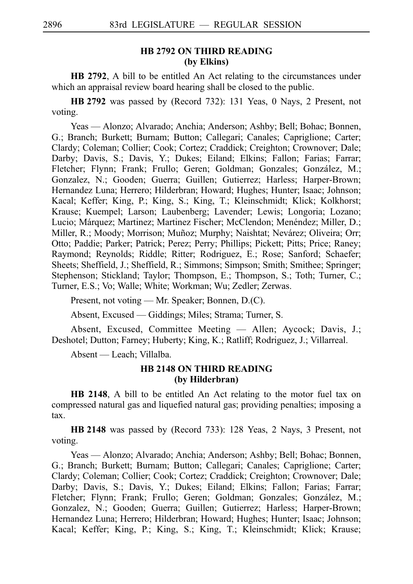# **HB 2792 ON THIRD READING (by Elkins)**

**HB 2792**, A bill to be entitled An Act relating to the circumstances under which an appraisal review board hearing shall be closed to the public.

**HB** 2792 was passed by (Record 732): 131 Yeas, 0 Nays, 2 Present, not voting.

Yeas — Alonzo; Alvarado; Anchia; Anderson; Ashby; Bell; Bohac; Bonnen, G.; Branch; Burkett; Burnam; Button; Callegari; Canales; Capriglione; Carter; Clardy; Coleman; Collier; Cook; Cortez; Craddick; Creighton; Crownover; Dale; Darby; Davis, S.; Davis, Y.; Dukes; Eiland; Elkins; Fallon; Farias; Farrar; Fletcher; Flynn; Frank; Frullo; Geren; Goldman; Gonzales; González, M.; Gonzalez, N.; Gooden; Guerra; Guillen; Gutierrez; Harless; Harper-Brown; Hernandez Luna; Herrero; Hilderbran; Howard; Hughes; Hunter; Isaac; Johnson; Kacal; Keffer; King, P.; King, S.; King, T.; Kleinschmidt; Klick; Kolkhorst; Krause; Kuempel; Larson; Laubenberg; Lavender; Lewis; Longoria; Lozano; Lucio; Márquez; Martinez; Martinez Fischer; McClendon; Menéndez; Miller, D.; Miller, R.; Moody; Morrison; Muñoz; Murphy; Naishtat; Nevárez; Oliveira; Orr; Otto; Paddie; Parker; Patrick; Perez; Perry; Phillips; Pickett; Pitts; Price; Raney; Raymond; Reynolds; Riddle; Ritter; Rodriguez, E.; Rose; Sanford; Schaefer; Sheets; Sheffield, J.; Sheffield, R.; Simmons; Simpson; Smith; Smithee; Springer; Stephenson; Stickland; Taylor; Thompson, E.; Thompson, S.; Toth; Turner, C.; Turner, E.S.; Vo; Walle; White; Workman; Wu; Zedler; Zerwas.

Present, not voting — Mr. Speaker; Bonnen, D.(C).

Absent, Excused — Giddings; Miles; Strama; Turner, S.

Absent, Excused, Committee Meeting — Allen; Aycock; Davis, J.; Deshotel; Dutton; Farney; Huberty; King, K.; Ratliff; Rodriguez, J.; Villarreal.

Absent — Leach; Villalba.

## **HB 2148 ON THIRD READING (by Hilderbran)**

**HB 2148**, A bill to be entitled An Act relating to the motor fuel tax on compressed natural gas and liquefied natural gas; providing penalties; imposing a tax.

**HB 2148** was passed by (Record 733): 128 Yeas, 2 Nays, 3 Present, not voting.

Yeas — Alonzo; Alvarado; Anchia; Anderson; Ashby; Bell; Bohac; Bonnen, G.; Branch; Burkett; Burnam; Button; Callegari; Canales; Capriglione; Carter; Clardy; Coleman; Collier; Cook; Cortez; Craddick; Creighton; Crownover; Dale; Darby; Davis, S.; Davis, Y.; Dukes; Eiland; Elkins; Fallon; Farias; Farrar; Fletcher; Flynn; Frank; Frullo; Geren; Goldman; Gonzales; González, M.; Gonzalez, N.; Gooden; Guerra; Guillen; Gutierrez; Harless; Harper-Brown; Hernandez Luna; Herrero; Hilderbran; Howard; Hughes; Hunter; Isaac; Johnson; Kacal; Keffer; King, P.; King, S.; King, T.; Kleinschmidt; Klick; Krause;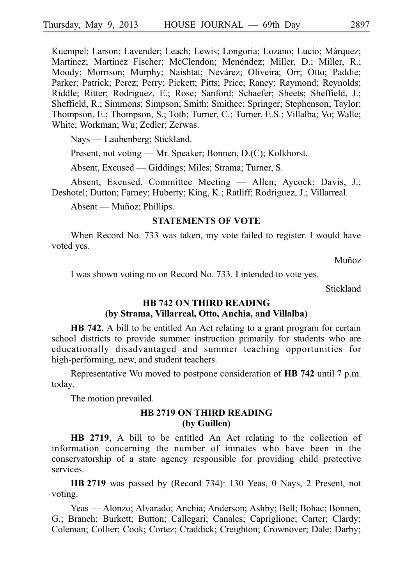Kuempel; Larson; Lavender; Leach; Lewis; Longoria; Lozano; Lucio; Márquez; Martinez; Martinez Fischer; McClendon; Menéndez; Miller, D.; Miller, R.; Moody; Morrison; Murphy; Naishtat; Nevárez; Oliveira; Orr; Otto; Paddie; Parker; Patrick; Perez; Perry; Pickett; Pitts; Price; Raney; Raymond; Reynolds; Riddle; Ritter; Rodriguez, E.; Rose; Sanford; Schaefer; Sheets; Sheffield, J.; Sheffield, R.; Simmons; Simpson; Smith; Smithee; Springer; Stephenson; Taylor; Thompson, E.; Thompson, S.; Toth; Turner, C.; Turner, E.S.; Villalba; Vo; Walle; White; Workman; Wu; Zedler; Zerwas.

Nays — Laubenberg; Stickland.

Present, not voting — Mr. Speaker; Bonnen, D.(C); Kolkhorst.

Absent, Excused — Giddings; Miles; Strama; Turner, S.

Absent, Excused, Committee Meeting — Allen; Aycock; Davis, J.; Deshotel; Dutton; Farney; Huberty; King, K.; Ratliff; Rodriguez, J.; Villarreal.

Absent — Muñoz; Phillips.

#### **STATEMENTS OF VOTE**

When Record No. 733 was taken, my vote failed to register. I would have voted yes.

Muñoz

I was shown voting no on Record No. 733. I intended to vote yes.

Stickland

# **HB 742 ON THIRD READING**

# **(by Strama, Villarreal, Otto, Anchia, and Villalba)**

**HB 742**, A bill to be entitled An Act relating to a grant program for certain school districts to provide summer instruction primarily for students who are educationally disadvantaged and summer teaching opportunities for high-performing, new, and student teachers.

Representative Wu moved to postpone consideration of **HB** 742 until 7 p.m. today.

The motion prevailed.

### **HB 2719 ON THIRD READING (by Guillen)**

**HB 2719**, A bill to be entitled An Act relating to the collection of information concerning the number of inmates who have been in the conservatorship of a state agency responsible for providing child protective services.

**HB** 2719 was passed by (Record 734): 130 Yeas, 0 Nays, 2 Present, not voting.

Yeas — Alonzo; Alvarado; Anchia; Anderson; Ashby; Bell; Bohac; Bonnen, G.; Branch; Burkett; Button; Callegari; Canales; Capriglione; Carter; Clardy; Coleman; Collier; Cook; Cortez; Craddick; Creighton; Crownover; Dale; Darby;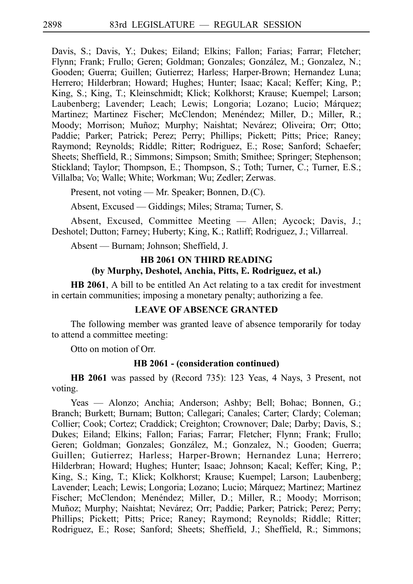Davis, S.; Davis, Y.; Dukes; Eiland; Elkins; Fallon; Farias; Farrar; Fletcher; Flynn; Frank; Frullo; Geren; Goldman; Gonzales; González, M.; Gonzalez, N.; Gooden; Guerra; Guillen; Gutierrez; Harless; Harper-Brown; Hernandez Luna; Herrero; Hilderbran; Howard; Hughes; Hunter; Isaac; Kacal; Keffer; King, P.; King, S.; King, T.; Kleinschmidt; Klick; Kolkhorst; Krause; Kuempel; Larson; Laubenberg; Lavender; Leach; Lewis; Longoria; Lozano; Lucio; Márquez; Martinez; Martinez Fischer; McClendon; Menéndez; Miller, D.; Miller, R.; Moody; Morrison; Muñoz; Murphy; Naishtat; Nevárez; Oliveira; Orr; Otto; Paddie; Parker; Patrick; Perez; Perry; Phillips; Pickett; Pitts; Price; Raney; Raymond; Reynolds; Riddle; Ritter; Rodriguez, E.; Rose; Sanford; Schaefer; Sheets; Sheffield, R.; Simmons; Simpson; Smith; Smithee; Springer; Stephenson; Stickland; Taylor; Thompson, E.; Thompson, S.; Toth; Turner, C.; Turner, E.S.; Villalba; Vo; Walle; White; Workman; Wu; Zedler; Zerwas.

Present, not voting — Mr. Speaker; Bonnen, D.(C).

Absent, Excused — Giddings; Miles; Strama; Turner, S.

Absent, Excused, Committee Meeting — Allen; Aycock; Davis, J.; Deshotel; Dutton; Farney; Huberty; King, K.; Ratliff; Rodriguez, J.; Villarreal.

Absent — Burnam; Johnson; Sheffield, J.

# **HB 2061 ON THIRD READING (by Murphy, Deshotel, Anchia, Pitts, E. Rodriguez, et al.)**

**HB 2061**, A bill to be entitled An Act relating to a tax credit for investment in certain communities; imposing a monetary penalty; authorizing a fee.

# **LEAVE OF ABSENCE GRANTED**

The following member was granted leave of absence temporarily for today to attend a committee meeting:

Otto on motion of Orr.

#### **HB 2061 - (consideration continued)**

**HB 2061** was passed by (Record 735): 123 Yeas, 4 Nays, 3 Present, not voting.

Yeas — Alonzo; Anchia; Anderson; Ashby; Bell; Bohac; Bonnen, G.; Branch; Burkett; Burnam; Button; Callegari; Canales; Carter; Clardy; Coleman; Collier; Cook; Cortez; Craddick; Creighton; Crownover; Dale; Darby; Davis, S.; Dukes; Eiland; Elkins; Fallon; Farias; Farrar; Fletcher; Flynn; Frank; Frullo; Geren: Goldman; Gonzales; González, M.; Gonzalez, N.; Gooden; Guerra; Guillen; Gutierrez; Harless; Harper-Brown; Hernandez Luna; Herrero; Hilderbran; Howard; Hughes; Hunter; Isaac; Johnson; Kacal; Keffer; King, P.; King, S.; King, T.; Klick; Kolkhorst; Krause; Kuempel; Larson; Laubenberg; Lavender; Leach; Lewis; Longoria; Lozano; Lucio; Márquez; Martinez; Martinez Fischer; McClendon; Menéndez; Miller, D.; Miller, R.; Moody; Morrison; Muñoz; Murphy; Naishtat; Nevárez; Orr; Paddie; Parker; Patrick; Perez; Perry; Phillips; Pickett; Pitts; Price; Raney; Raymond; Reynolds; Riddle; Ritter; Rodriguez, E.; Rose; Sanford; Sheets; Sheffield, J.; Sheffield, R.; Simmons;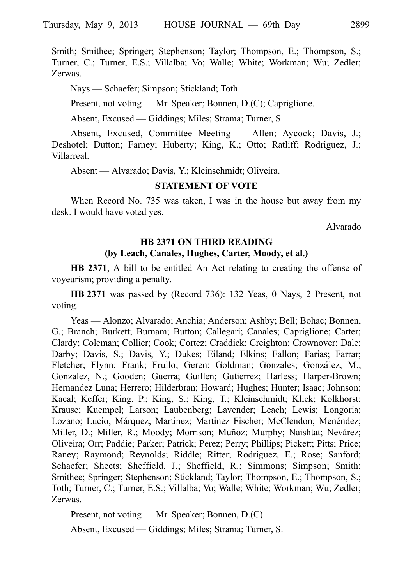Smith; Smithee; Springer; Stephenson; Taylor; Thompson, E.; Thompson, S.; Turner, C.; Turner, E.S.; Villalba; Vo; Walle; White; Workman; Wu; Zedler; Zerwas.

Nays — Schaefer; Simpson; Stickland; Toth.

Present, not voting — Mr. Speaker; Bonnen, D.(C); Capriglione.

Absent, Excused — Giddings; Miles; Strama; Turner, S.

Absent, Excused, Committee Meeting — Allen; Aycock; Davis, J.; Deshotel; Dutton; Farney; Huberty; King, K.; Otto; Ratliff; Rodriguez, J.; Villarreal.

Absent — Alvarado; Davis, Y.; Kleinschmidt; Oliveira.

#### **STATEMENT OF VOTE**

When Record No. 735 was taken, I was in the house but away from my desk. I would have voted yes.

Alvarado

# **HB 2371 ON THIRD READING (by Leach, Canales, Hughes, Carter, Moody, et al.)**

**HB 2371**, A bill to be entitled An Act relating to creating the offense of voyeurism; providing a penalty.

**HB** 2371 was passed by (Record 736): 132 Yeas, 0 Nays, 2 Present, not voting.

Yeas — Alonzo; Alvarado; Anchia; Anderson; Ashby; Bell; Bohac; Bonnen, G.; Branch; Burkett; Burnam; Button; Callegari; Canales; Capriglione; Carter; Clardy; Coleman; Collier; Cook; Cortez; Craddick; Creighton; Crownover; Dale; Darby; Davis, S.; Davis, Y.; Dukes; Eiland; Elkins; Fallon; Farias; Farrar; Fletcher; Flynn; Frank; Frullo; Geren; Goldman; Gonzales; González, M.; Gonzalez, N.; Gooden; Guerra; Guillen; Gutierrez; Harless; Harper-Brown; Hernandez Luna; Herrero; Hilderbran; Howard; Hughes; Hunter; Isaac; Johnson; Kacal; Keffer; King, P.; King, S.; King, T.; Kleinschmidt; Klick; Kolkhorst; Krause; Kuempel; Larson; Laubenberg; Lavender; Leach; Lewis; Longoria; Lozano; Lucio; Márquez; Martinez; Martinez Fischer; McClendon; Menéndez; Miller, D.; Miller, R.; Moody; Morrison; Muñoz; Murphy; Naishtat; Nevárez; Oliveira; Orr; Paddie; Parker; Patrick; Perez; Perry; Phillips; Pickett; Pitts; Price; Raney; Raymond; Reynolds; Riddle; Ritter; Rodriguez, E.; Rose; Sanford; Schaefer; Sheets; Sheffield, J.; Sheffield, R.; Simmons; Simpson; Smith; Smithee; Springer; Stephenson; Stickland; Taylor; Thompson, E.; Thompson, S.; Toth; Turner, C.; Turner, E.S.; Villalba; Vo; Walle; White; Workman; Wu; Zedler; Zerwas.

Present, not voting — Mr. Speaker; Bonnen, D.(C).

Absent, Excused — Giddings; Miles; Strama; Turner, S.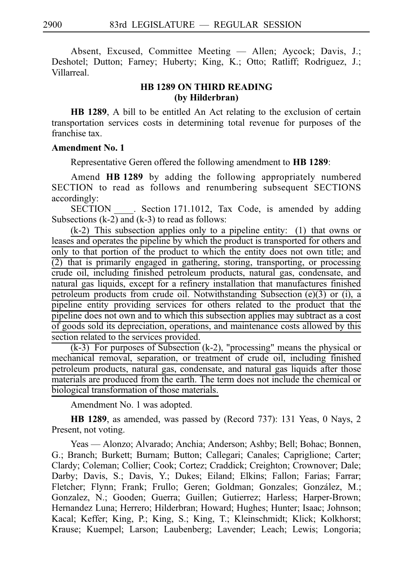Absent, Excused, Committee Meeting — Allen; Aycock; Davis, J.; Deshotel; Dutton; Farney; Huberty; King, K.; Otto; Ratliff; Rodriguez, J.; Villarreal.

# **HB 1289 ON THIRD READING (by Hilderbran)**

**HB 1289**, A bill to be entitled An Act relating to the exclusion of certain transportation services costs in determining total revenue for purposes of the franchise tax.

## **Amendment No. 1**

Representative Geren offered the following amendment to **HB 1289**:

Amend **HB 1289** by adding the following appropriately numbered SECTION to read as follows and renumbering subsequent SECTIONS accordingly:

SECTION Section 171.1012, Tax Code, is amended by adding Subsections (k-2) and (k-3) to read as follows:

 $(k-2)$  This subsection applies only to a pipeline entity: (1) that owns or leases and operates the pipeline by which the product is transported for others and only to that portion of the product to which the entity does not own title; and  $(2)$  that is primarily engaged in gathering, storing, transporting, or processing crude oil, including finished petroleum products, natural gas, condensate, and natural gas liquids, except for a refinery installation that manufactures finished petroleum products from crude oil. Notwithstanding Subsection (e)(3) or (i), a pipeline entity providing services for others related to the product that the pipeline does not own and to which this subsection applies may subtract as a cost of goods sold its depreciation, operations, and maintenance costs allowed by this section related to the services provided.

 $(k-3)$  For purposes of Subsection  $(k-2)$ , "processing" means the physical or mechanical removal, separation, or treatment of crude oil, including finished petroleum products, natural gas, condensate, and natural gas liquids after those materials are produced from the earth. The term does not include the chemical or biological transformation of those materials.

Amendment No. 1 was adopted.

**HB 1289**, as amended, was passed by (Record 737): 131 Yeas, 0 Nays, 2 Present, not voting.

Yeas — Alonzo; Alvarado; Anchia; Anderson; Ashby; Bell; Bohac; Bonnen, G.; Branch; Burkett; Burnam; Button; Callegari; Canales; Capriglione; Carter; Clardy; Coleman; Collier; Cook; Cortez; Craddick; Creighton; Crownover; Dale; Darby; Davis, S.; Davis, Y.; Dukes; Eiland; Elkins; Fallon; Farias; Farrar; Fletcher; Flynn; Frank; Frullo; Geren; Goldman; Gonzales; González, M.; Gonzalez, N.; Gooden; Guerra; Guillen; Gutierrez; Harless; Harper-Brown; Hernandez Luna; Herrero; Hilderbran; Howard; Hughes; Hunter; Isaac; Johnson; Kacal; Keffer; King, P.; King, S.; King, T.; Kleinschmidt; Klick; Kolkhorst; Krause; Kuempel; Larson; Laubenberg; Lavender; Leach; Lewis; Longoria;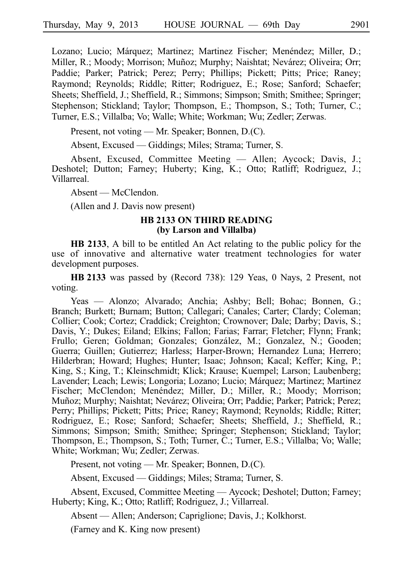Lozano; Lucio; Márquez; Martinez; Martinez Fischer; Menéndez; Miller, D.; Miller, R.; Moody; Morrison; Muñoz; Murphy; Naishtat; Nevárez; Oliveira; Orr; Paddie; Parker; Patrick; Perez; Perry; Phillips; Pickett; Pitts; Price; Raney; Raymond; Reynolds; Riddle; Ritter; Rodriguez, E.; Rose; Sanford; Schaefer; Sheets; Sheffield, J.; Sheffield, R.; Simmons; Simpson; Smith; Smithee; Springer; Stephenson; Stickland; Taylor; Thompson, E.; Thompson, S.; Toth; Turner, C.; Turner, E.S.; Villalba; Vo; Walle; White; Workman; Wu; Zedler; Zerwas.

Present, not voting — Mr. Speaker; Bonnen, D.(C).

Absent, Excused — Giddings; Miles; Strama; Turner, S.

Absent, Excused, Committee Meeting — Allen; Aycock; Davis, J.; Deshotel; Dutton; Farney; Huberty; King, K.; Otto; Ratliff; Rodriguez, J.; Villarreal.

Absent — McClendon.

(Allen and J. Davis now present)

#### **HB 2133 ON THIRD READING (by Larson and Villalba)**

**HB 2133**, A bill to be entitled An Act relating to the public policy for the use of innovative and alternative water treatment technologies for water development purposes.

HB 2133 was passed by (Record 738): 129 Yeas, 0 Nays, 2 Present, not voting.

Yeas — Alonzo; Alvarado; Anchia; Ashby; Bell; Bohac; Bonnen, G.; Branch; Burkett; Burnam; Button; Callegari; Canales; Carter; Clardy; Coleman; Collier; Cook; Cortez; Craddick; Creighton; Crownover; Dale; Darby; Davis, S.; Davis, Y.; Dukes; Eiland; Elkins; Fallon; Farias; Farrar; Fletcher; Flynn; Frank; Frullo; Geren; Goldman; Gonzales; González, M.; Gonzalez, N.; Gooden; Guerra; Guillen; Gutierrez; Harless; Harper-Brown; Hernandez Luna; Herrero; Hilderbran; Howard; Hughes; Hunter; Isaac; Johnson; Kacal; Keffer; King, P.; King, S.; King, T.; Kleinschmidt; Klick; Krause; Kuempel; Larson; Laubenberg; Lavender; Leach; Lewis; Longoria; Lozano; Lucio; Márquez; Martinez; Martinez Fischer; McClendon; Menéndez; Miller, D.; Miller, R.; Moody; Morrison; Muñoz; Murphy; Naishtat; Nevárez; Oliveira; Orr; Paddie; Parker; Patrick; Perez; Perry; Phillips; Pickett; Pitts; Price; Raney; Raymond; Reynolds; Riddle; Ritter; Rodriguez, E.; Rose; Sanford; Schaefer; Sheets; Sheffield, J.; Sheffield, R.; Simmons; Simpson; Smith; Smithee; Springer; Stephenson; Stickland; Taylor; Thompson, E.; Thompson, S.; Toth; Turner, C.; Turner, E.S.; Villalba; Vo; Walle; White; Workman; Wu; Zedler; Zerwas.

Present, not voting — Mr. Speaker; Bonnen, D.(C).

Absent, Excused — Giddings; Miles; Strama; Turner, S.

Absent, Excused, Committee Meeting — Aycock; Deshotel; Dutton; Farney; Huberty; King, K.; Otto; Ratliff; Rodriguez, J.; Villarreal.

Absent — Allen; Anderson; Capriglione; Davis, J.; Kolkhorst.

(Farney and K. King now present)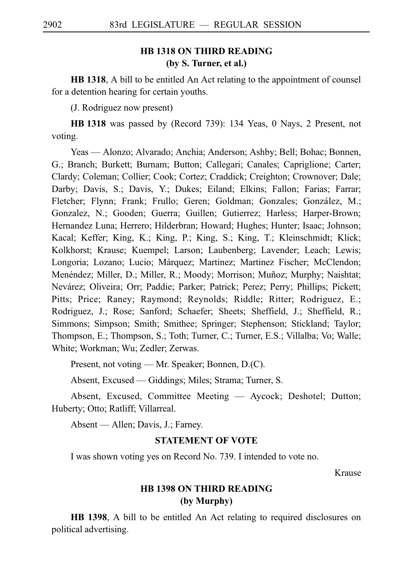# **HB 1318 ON THIRD READING (by S. Turner, et al.)**

**HB 1318**, A bill to be entitled An Act relating to the appointment of counsel for a detention hearing for certain youths.

(J. Rodriguez now present)

**HBi1318** was passed by (Record 739): 134 Yeas, 0 Nays, 2 Present, not voting.

Yeas — Alonzo; Alvarado; Anchia; Anderson; Ashby; Bell; Bohac; Bonnen, G.; Branch; Burkett; Burnam; Button; Callegari; Canales; Capriglione; Carter; Clardy; Coleman; Collier; Cook; Cortez; Craddick; Creighton; Crownover; Dale; Darby; Davis, S.; Davis, Y.; Dukes; Eiland; Elkins; Fallon; Farias; Farrar; Fletcher; Flynn; Frank; Frullo; Geren; Goldman; Gonzales; González, M.; Gonzalez, N.; Gooden; Guerra; Guillen; Gutierrez; Harless; Harper-Brown; Hernandez Luna; Herrero; Hilderbran; Howard; Hughes; Hunter; Isaac; Johnson; Kacal; Keffer; King, K.; King, P.; King, S.; King, T.; Kleinschmidt; Klick; Kolkhorst; Krause; Kuempel; Larson; Laubenberg; Lavender; Leach; Lewis; Longoria; Lozano; Lucio; Márquez; Martinez; Martinez Fischer; McClendon; Menéndez; Miller, D.; Miller, R.; Moody; Morrison; Muñoz; Murphy; Naishtat; Nevárez; Oliveira; Orr; Paddie; Parker; Patrick; Perez; Perry; Phillips; Pickett; Pitts; Price; Raney; Raymond; Reynolds; Riddle; Ritter; Rodriguez, E.; Rodriguez, J.; Rose; Sanford; Schaefer; Sheets; Sheffield, J.; Sheffield, R.; Simmons; Simpson; Smith; Smithee; Springer; Stephenson; Stickland; Taylor; Thompson, E.; Thompson, S.; Toth; Turner, C.; Turner, E.S.; Villalba; Vo; Walle; White; Workman; Wu; Zedler; Zerwas.

Present, not voting — Mr. Speaker; Bonnen, D.(C).

Absent, Excused — Giddings; Miles; Strama; Turner, S.

Absent, Excused, Committee Meeting — Aycock; Deshotel; Dutton; Huberty; Otto; Ratliff; Villarreal.

Absent — Allen; Davis, J.; Farney.

# **STATEMENT OF VOTE**

I was shown voting yes on Record No. 739. I intended to vote no.

Krause

# **HB 1398 ON THIRD READING (by Murphy)**

**HB 1398**, A bill to be entitled An Act relating to required disclosures on political advertising.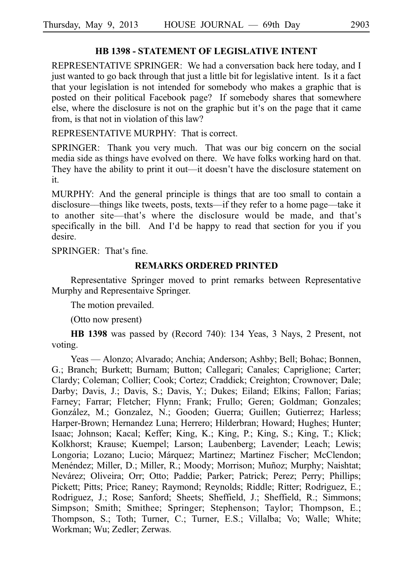# **HB 1398 - STATEMENT OF LEGISLATIVE INTENT**

REPRESENTATIVE SPRINGER: We had a conversation back here today, and I just wanted to go back through that just a little bit for legislative intent. Is it a fact that your legislation is not intended for somebody who makes a graphic that is posted on their political Facebook page? If somebody shares that somewhere else, where the disclosure is not on the graphic but it's on the page that it came from, is that not in violation of this law?

REPRESENTATIVE MURPHY: That is correct.

SPRINGER: Thank you very much. That was our big concern on the social media side as things have evolved on there. We have folks working hard on that. They have the ability to print it out—it doesn't have the disclosure statement on it.

MURPHY: And the general principle is things that are too small to contain a disclosure––things like tweets, posts, texts––if they refer to a home page––take it to another site—that's where the disclosure would be made, and that's specifically in the bill. And I'd be happy to read that section for you if you desire.

 $SPRINGER: That's fine.$ 

#### **REMARKS ORDERED PRINTED**

Representative Springer moved to print remarks between Representative Murphy and Representaive Springer.

The motion prevailed.

(Otto now present)

**HB 1398** was passed by (Record 740): 134 Yeas, 3 Nays, 2 Present, not voting.

Yeas — Alonzo; Alvarado; Anchia; Anderson; Ashby; Bell; Bohac; Bonnen, G.; Branch; Burkett; Burnam; Button; Callegari; Canales; Capriglione; Carter; Clardy; Coleman; Collier; Cook; Cortez; Craddick; Creighton; Crownover; Dale; Darby; Davis, J.; Davis, S.; Davis, Y.; Dukes; Eiland; Elkins; Fallon; Farias; Farney; Farrar; Fletcher; Flynn; Frank; Frullo; Geren; Goldman; Gonzales; González, M.; Gonzalez, N.; Gooden; Guerra; Guillen; Gutierrez; Harless; Harper-Brown; Hernandez Luna; Herrero; Hilderbran; Howard; Hughes; Hunter; Isaac; Johnson; Kacal; Keffer; King, K.; King, P.; King, S.; King, T.; Klick; Kolkhorst; Krause; Kuempel; Larson; Laubenberg; Lavender; Leach; Lewis; Longoria; Lozano; Lucio; Márquez; Martinez; Martinez Fischer; McClendon; Menéndez; Miller, D.; Miller, R.; Moody; Morrison; Muñoz; Murphy; Naishtat; Nevárez; Oliveira; Orr; Otto; Paddie; Parker; Patrick; Perez; Perry; Phillips; Pickett; Pitts; Price; Raney; Raymond; Reynolds; Riddle; Ritter; Rodriguez, E.; Rodriguez, J.; Rose; Sanford; Sheets; Sheffield, J.; Sheffield, R.; Simmons; Simpson; Smith; Smithee; Springer; Stephenson; Taylor; Thompson, E.; Thompson, S.; Toth; Turner, C.; Turner, E.S.; Villalba; Vo; Walle; White; Workman; Wu; Zedler; Zerwas.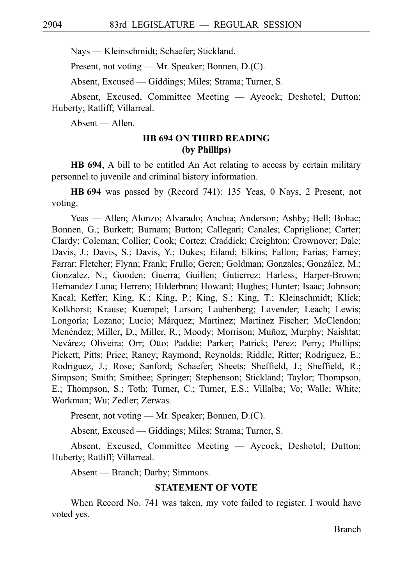Nays — Kleinschmidt; Schaefer; Stickland.

Present, not voting — Mr. Speaker; Bonnen, D.(C).

Absent, Excused — Giddings; Miles; Strama; Turner, S.

Absent, Excused, Committee Meeting — Aycock; Deshotel; Dutton; Huberty; Ratliff; Villarreal.

Absent — Allen.

# **HB 694 ON THIRD READING (by Phillips)**

**HB 694**, A bill to be entitled An Act relating to access by certain military personnel to juvenile and criminal history information.

**HB** 694 was passed by (Record 741): 135 Yeas, 0 Nays, 2 Present, not voting.

Yeas — Allen; Alonzo; Alvarado; Anchia; Anderson; Ashby; Bell; Bohac; Bonnen, G.; Burkett; Burnam; Button; Callegari; Canales; Capriglione; Carter; Clardy; Coleman; Collier; Cook; Cortez; Craddick; Creighton; Crownover; Dale; Davis, J.; Davis, S.; Davis, Y.; Dukes; Eiland; Elkins; Fallon; Farias; Farney; Farrar; Fletcher; Flynn; Frank; Frullo; Geren; Goldman; Gonzales; González, M.; Gonzalez, N.; Gooden; Guerra; Guillen; Gutierrez; Harless; Harper-Brown; Hernandez Luna; Herrero; Hilderbran; Howard; Hughes; Hunter; Isaac; Johnson; Kacal; Keffer; King, K.; King, P.; King, S.; King, T.; Kleinschmidt; Klick; Kolkhorst; Krause; Kuempel; Larson; Laubenberg; Lavender; Leach; Lewis; Longoria; Lozano; Lucio; Márquez; Martinez; Martinez Fischer; McClendon; Menéndez; Miller, D.; Miller, R.; Moody; Morrison; Muñoz; Murphy; Naishtat; Nevárez; Oliveira; Orr; Otto; Paddie; Parker; Patrick; Perez; Perry; Phillips; Pickett; Pitts; Price; Raney; Raymond; Reynolds; Riddle; Ritter; Rodriguez, E.; Rodriguez, J.; Rose; Sanford; Schaefer; Sheets; Sheffield, J.; Sheffield, R.; Simpson; Smith; Smithee; Springer; Stephenson; Stickland; Taylor; Thompson, E.; Thompson, S.; Toth; Turner, C.; Turner, E.S.; Villalba; Vo; Walle; White; Workman; Wu; Zedler; Zerwas.

Present, not voting — Mr. Speaker; Bonnen, D.(C).

Absent, Excused — Giddings; Miles; Strama; Turner, S.

Absent, Excused, Committee Meeting — Aycock; Deshotel; Dutton; Huberty; Ratliff; Villarreal.

Absent — Branch; Darby; Simmons.

# **STATEMENT OF VOTE**

When Record No. 741 was taken, my vote failed to register. I would have voted yes.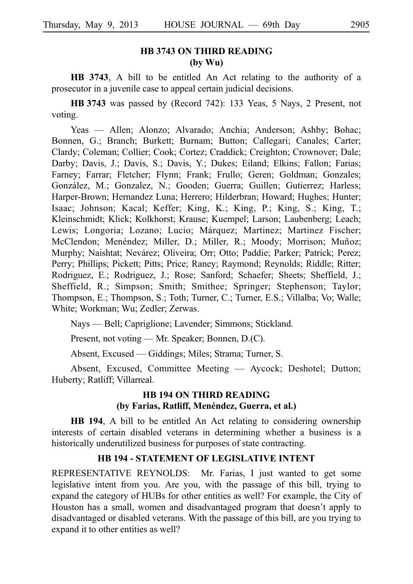# **HB 3743 ON THIRD READING (by Wu)**

**HB 3743**, A bill to be entitled An Act relating to the authority of a prosecutor in a juvenile case to appeal certain judicial decisions.

**HBi3743** was passed by (Record 742): 133 Yeas, 5 Nays, 2 Present, not voting.

Yeas — Allen; Alonzo; Alvarado; Anchia; Anderson; Ashby; Bohac; Bonnen, G.; Branch; Burkett; Burnam; Button; Callegari; Canales; Carter; Clardy; Coleman; Collier; Cook; Cortez; Craddick; Creighton; Crownover; Dale; Darby; Davis, J.; Davis, S.; Davis, Y.; Dukes; Eiland; Elkins; Fallon; Farias; Farney; Farrar; Fletcher; Flynn; Frank; Frullo; Geren; Goldman; Gonzales; González, M.; Gonzalez, N.; Gooden; Guerra; Guillen; Gutierrez; Harless; Harper-Brown; Hernandez Luna; Herrero; Hilderbran; Howard; Hughes; Hunter; Isaac; Johnson; Kacal; Keffer; King, K.; King, P.; King, S.; King, T.; Kleinschmidt; Klick; Kolkhorst; Krause; Kuempel; Larson; Laubenberg; Leach; Lewis; Longoria; Lozano; Lucio; Márquez; Martinez; Martinez Fischer; McClendon; Menéndez; Miller, D.; Miller, R.; Moody; Morrison; Muñoz; Murphy; Naishtat; Nevárez; Oliveira; Orr; Otto; Paddie; Parker; Patrick; Perez; Perry; Phillips; Pickett; Pitts; Price; Raney; Raymond; Reynolds; Riddle; Ritter; Rodriguez, E.; Rodriguez, J.; Rose; Sanford; Schaefer; Sheets; Sheffield, J.; Sheffield, R.; Simpson; Smith; Smithee; Springer; Stephenson; Taylor; Thompson, E.; Thompson, S.; Toth; Turner, C.; Turner, E.S.; Villalba; Vo; Walle; White; Workman; Wu; Zedler; Zerwas.

Nays — Bell; Capriglione; Lavender; Simmons; Stickland.

Present, not voting — Mr. Speaker; Bonnen, D.(C).

Absent, Excused — Giddings; Miles; Strama; Turner, S.

Absent, Excused, Committee Meeting — Aycock; Deshotel; Dutton; Huberty; Ratliff; Villarreal.

# **HB 194 ON THIRD READING** (by Farias, Ratliff, Menéndez, Guerra, et al.)

**HB 194**, A bill to be entitled An Act relating to considering ownership interests of certain disabled veterans in determining whether a business is a historically underutilized business for purposes of state contracting.

## **HB 194 - STATEMENT OF LEGISLATIVE INTENT**

REPRESENTATIVE REYNOLDS: Mr. Farias, I just wanted to get some legislative intent from you. Are you, with the passage of this bill, trying to expand the category of HUBs for other entities as well? For example, the City of Houston has a small, women and disadvantaged program that doesn't apply to disadvantaged or disabled veterans. With the passage of this bill, are you trying to expand it to other entities as well?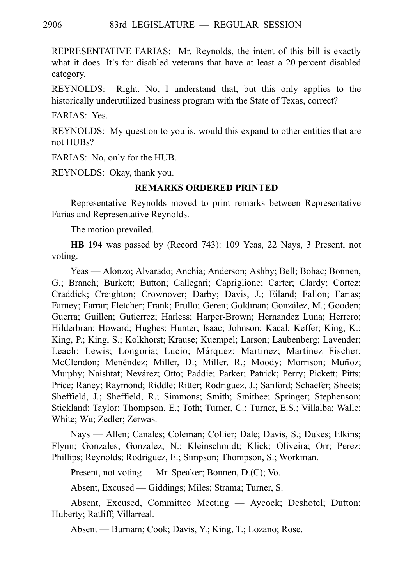REPRESENTATIVE FARIAS: Mr. Reynolds, the intent of this bill is exactly what it does. It's for disabled veterans that have at least a 20 percent disabled category.

REYNOLDS: Right. No, I understand that, but this only applies to the historically underutilized business program with the State of Texas, correct?

FARIAS: Yes.

REYNOLDS: My question to you is, would this expand to other entities that are not HUBs?

FARIAS: No, only for the HUB.

REYNOLDS: Okay, thank you.

# **REMARKS ORDERED PRINTED**

Representative Reynolds moved to print remarks between Representative Farias and Representative Reynolds.

The motion prevailed.

**HB 194** was passed by (Record 743): 109 Yeas, 22 Nays, 3 Present, not voting.

Yeas — Alonzo; Alvarado; Anchia; Anderson; Ashby; Bell; Bohac; Bonnen, G.; Branch; Burkett; Button; Callegari; Capriglione; Carter; Clardy; Cortez; Craddick; Creighton; Crownover; Darby; Davis, J.; Eiland; Fallon; Farias; Farney; Farrar; Fletcher; Frank; Frullo; Geren; Goldman; González, M.; Gooden; Guerra; Guillen; Gutierrez; Harless; Harper-Brown; Hernandez Luna; Herrero; Hilderbran; Howard; Hughes; Hunter; Isaac; Johnson; Kacal; Keffer; King, K.; King, P.; King, S.; Kolkhorst; Krause; Kuempel; Larson; Laubenberg; Lavender; Leach; Lewis; Longoria; Lucio; Márquez; Martinez; Martinez Fischer; McClendon; Menéndez; Miller, D.; Miller, R.; Moody; Morrison; Muñoz; Murphy; Naishtat; Nevárez; Otto; Paddie; Parker; Patrick; Perry; Pickett; Pitts; Price; Raney; Raymond; Riddle; Ritter; Rodriguez, J.; Sanford; Schaefer; Sheets; Sheffield, J.; Sheffield, R.; Simmons; Smith; Smithee; Springer; Stephenson; Stickland; Taylor; Thompson, E.; Toth; Turner, C.; Turner, E.S.; Villalba; Walle; White; Wu; Zedler; Zerwas.

Nays — Allen; Canales; Coleman; Collier; Dale; Davis, S.; Dukes; Elkins; Flynn; Gonzales; Gonzalez, N.; Kleinschmidt; Klick; Oliveira; Orr; Perez; Phillips; Reynolds; Rodriguez, E.; Simpson; Thompson, S.; Workman.

Present, not voting — Mr. Speaker; Bonnen, D.(C); Vo.

Absent, Excused — Giddings; Miles; Strama; Turner, S.

Absent, Excused, Committee Meeting — Aycock; Deshotel; Dutton; Huberty; Ratliff; Villarreal.

Absent — Burnam; Cook; Davis, Y.; King, T.; Lozano; Rose.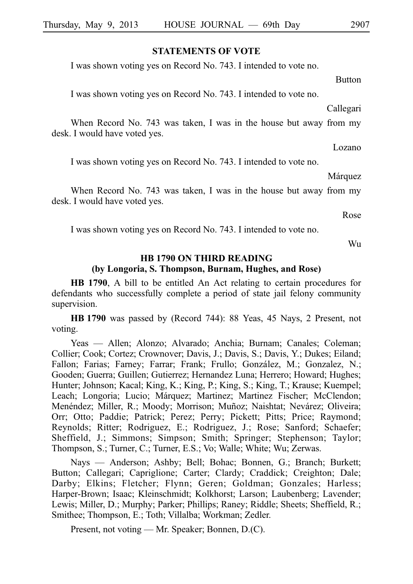#### **STATEMENTS OF VOTE**

I was shown voting yes on Record No. 743. I intended to vote no.

I was shown voting yes on Record No. 743. I intended to vote no.

Callegari

**Button** 

When Record No. 743 was taken, I was in the house but away from my desk. I would have voted yes.

Lozano

I was shown voting yes on Record No. 743. I intended to vote no.

Márquez

When Record No. 743 was taken, I was in the house but away from my desk. I would have voted yes.

Rose

I was shown voting yes on Record No. 743. I intended to vote no.

Wu

# **HB 1790 ON THIRD READING (by Longoria, S. Thompson, Burnam, Hughes, and Rose)**

**HB 1790**, A bill to be entitled An Act relating to certain procedures for defendants who successfully complete a period of state jail felony community supervision.

**HBi1790** was passed by (Record 744): 88 Yeas, 45 Nays, 2 Present, not voting.

Yeas — Allen; Alonzo; Alvarado; Anchia; Burnam; Canales; Coleman; Collier; Cook; Cortez; Crownover; Davis, J.; Davis, S.; Davis, Y.; Dukes; Eiland; Fallon; Farias; Farney; Farrar; Frank; Frullo; González, M.; Gonzalez, N.; Gooden; Guerra; Guillen; Gutierrez; Hernandez Luna; Herrero; Howard; Hughes; Hunter; Johnson; Kacal; King, K.; King, P.; King, S.; King, T.; Krause; Kuempel; Leach; Longoria; Lucio; Márquez; Martinez; Martinez Fischer; McClendon; Menéndez; Miller, R.; Moody; Morrison; Muñoz; Naishtat; Nevárez; Oliveira; Orr; Otto; Paddie; Patrick; Perez; Perry; Pickett; Pitts; Price; Raymond; Reynolds; Ritter; Rodriguez, E.; Rodriguez, J.; Rose; Sanford; Schaefer; Sheffield, J.; Simmons; Simpson; Smith; Springer; Stephenson; Taylor; Thompson, S.; Turner, C.; Turner, E.S.; Vo; Walle; White; Wu; Zerwas.

Nays — Anderson; Ashby; Bell; Bohac; Bonnen, G.; Branch; Burkett; Button; Callegari; Capriglione; Carter; Clardy; Craddick; Creighton; Dale; Darby; Elkins; Fletcher; Flynn; Geren; Goldman; Gonzales; Harless; Harper-Brown; Isaac; Kleinschmidt; Kolkhorst; Larson; Laubenberg; Lavender; Lewis; Miller, D.; Murphy; Parker; Phillips; Raney; Riddle; Sheets; Sheffield, R.; Smithee; Thompson, E.; Toth; Villalba; Workman; Zedler.

Present, not voting — Mr. Speaker; Bonnen, D.(C).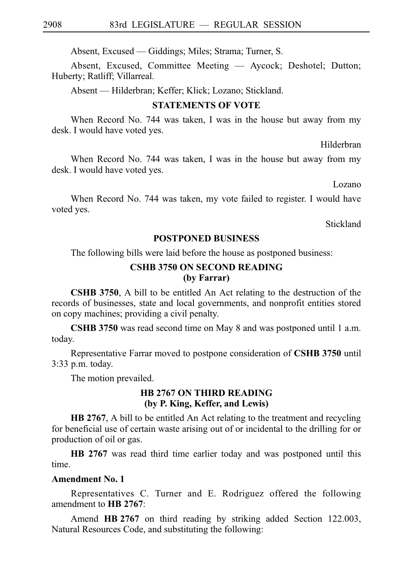Absent, Excused — Giddings; Miles; Strama; Turner, S.

Absent, Excused, Committee Meeting — Aycock; Deshotel; Dutton; Huberty; Ratliff; Villarreal.

Absent — Hilderbran; Keffer; Klick; Lozano; Stickland.

#### **STATEMENTS OF VOTE**

When Record No. 744 was taken, I was in the house but away from my desk. I would have voted yes.

Hilderbran

When Record No. 744 was taken, I was in the house but away from my desk. I would have voted yes.

Lozano

When Record No. 744 was taken, my vote failed to register. I would have voted yes.

**Stickland** 

#### **POSTPONED BUSINESS**

The following bills were laid before the house as postponed business:

## **CSHB 3750 ON SECOND READING (by Farrar)**

**CSHB 3750**, A bill to be entitled An Act relating to the destruction of the records of businesses, state and local governments, and nonprofit entities stored on copy machines; providing a civil penalty.

**CSHB 3750** was read second time on May 8 and was postponed until 1 a.m. today.

Representative Farrar moved to postpone consideration of **CSHB** 3750 until  $3:33$  p.m. today.

The motion prevailed.

## **HB 2767 ON THIRD READING (by P. King, Keffer, and Lewis)**

**HB 2767**, A bill to be entitled An Act relating to the treatment and recycling for beneficial use of certain waste arising out of or incidental to the drilling for or production of oil or gas.

**HB 2767** was read third time earlier today and was postponed until this time.

## **Amendment No. 1**

Representatives C. Turner and E. Rodriguez offered the following amendment to **HB** 2767:

Amend HB 2767 on third reading by striking added Section 122.003, Natural Resources Code, and substituting the following: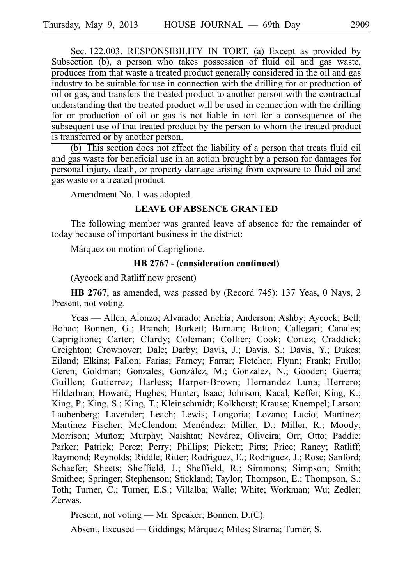Sec. 122.003. RESPONSIBILITY IN TORT. (a) Except as provided by Subsection (b), a person who takes possession of fluid oil and gas waste, produces from that waste a treated product generally considered in the oil and gas industry to be suitable for use in connection with the drilling for or production of oil or gas, and transfers the treated product to another person with the contractual understanding that the treated product will be used in connection with the drilling for or production of oil or gas is not liable in tort for a consequence of the subsequent use of that treated product by the person to whom the treated product is transferred or by another person.

(b) This section does not affect the liability of a person that treats fluid oil and gas waste for beneficial use in an action brought by a person for damages for personal injury, death, or property damage arising from exposure to fluid oil and gas waste or a treated product.

Amendment No. 1 was adopted.

### **LEAVE OF ABSENCE GRANTED**

The following member was granted leave of absence for the remainder of today because of important business in the district:

Márquez on motion of Capriglione.

#### **HB** 2767 - (consideration continued)

(Aycock and Ratliff now present)

**HB 2767**, as amended, was passed by (Record 745): 137 Yeas, 0 Nays, 2 Present, not voting.

Yeas — Allen; Alonzo; Alvarado; Anchia; Anderson; Ashby; Aycock; Bell; Bohac; Bonnen, G.; Branch; Burkett; Burnam; Button; Callegari; Canales; Capriglione; Carter; Clardy; Coleman; Collier; Cook; Cortez; Craddick; Creighton; Crownover; Dale; Darby; Davis, J.; Davis, S.; Davis, Y.; Dukes; Eiland; Elkins; Fallon; Farias; Farney; Farrar; Fletcher; Flynn; Frank; Frullo; Geren; Goldman; Gonzales; González, M.; Gonzalez, N.; Gooden; Guerra; Guillen; Gutierrez; Harless; Harper-Brown; Hernandez Luna; Herrero; Hilderbran; Howard; Hughes; Hunter; Isaac; Johnson; Kacal; Keffer; King, K.; King, P.; King, S.; King, T.; Kleinschmidt; Kolkhorst; Krause; Kuempel; Larson; Laubenberg; Lavender; Leach; Lewis; Longoria; Lozano; Lucio; Martinez; Martinez Fischer; McClendon; Menéndez; Miller, D.; Miller, R.; Moody; Morrison; Muñoz; Murphy; Naishtat; Nevárez; Oliveira; Orr; Otto; Paddie; Parker; Patrick; Perez; Perry; Phillips; Pickett; Pitts; Price; Raney; Ratliff; Raymond; Reynolds; Riddle; Ritter; Rodriguez, E.; Rodriguez, J.; Rose; Sanford; Schaefer; Sheets; Sheffield, J.; Sheffield, R.; Simmons; Simpson; Smith; Smithee; Springer; Stephenson; Stickland; Taylor; Thompson, E.; Thompson, S.; Toth; Turner, C.; Turner, E.S.; Villalba; Walle; White; Workman; Wu; Zedler; Zerwas.

Present, not voting — Mr. Speaker; Bonnen, D.(C).

Absent, Excused — Giddings; Márquez; Miles; Strama; Turner, S.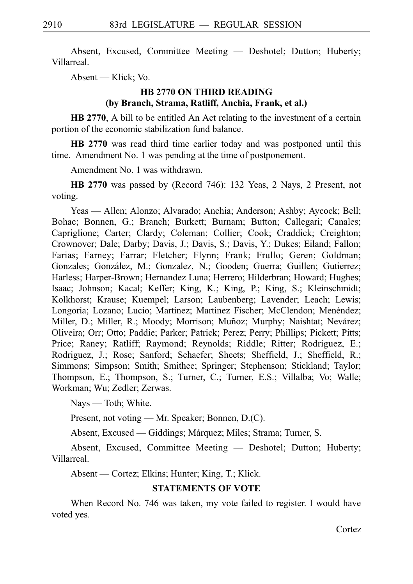Absent, Excused, Committee Meeting — Deshotel; Dutton; Huberty; Villarreal.

Absent — Klick; Vo.

# **HB 2770 ON THIRD READING (by Branch, Strama, Ratliff, Anchia, Frank, et al.)**

**HB 2770**, A bill to be entitled An Act relating to the investment of a certain portion of the economic stabilization fund balance.

**HB 2770** was read third time earlier today and was postponed until this time. Amendment No. 1 was pending at the time of postponement.

Amendment No. 1 was withdrawn.

**HB 2770** was passed by (Record 746): 132 Yeas, 2 Nays, 2 Present, not voting.

Yeas — Allen; Alonzo; Alvarado; Anchia; Anderson; Ashby; Aycock; Bell; Bohac; Bonnen, G.; Branch; Burkett; Burnam; Button; Callegari; Canales; Capriglione; Carter; Clardy; Coleman; Collier; Cook; Craddick; Creighton; Crownover; Dale; Darby; Davis, J.; Davis, S.; Davis, Y.; Dukes; Eiland; Fallon; Farias; Farney; Farrar; Fletcher; Flynn; Frank; Frullo; Geren; Goldman; Gonzales; González, M.; Gonzalez, N.; Gooden; Guerra; Guillen; Gutierrez; Harless; Harper-Brown; Hernandez Luna; Herrero; Hilderbran; Howard; Hughes; Isaac; Johnson; Kacal; Keffer; King, K.; King, P.; King, S.; Kleinschmidt; Kolkhorst; Krause; Kuempel; Larson; Laubenberg; Lavender; Leach; Lewis; Longoria; Lozano; Lucio; Martinez; Martinez Fischer; McClendon; Menéndez; Miller, D.; Miller, R.; Moody; Morrison; Muñoz; Murphy; Naishtat; Nevárez; Oliveira; Orr; Otto; Paddie; Parker; Patrick; Perez; Perry; Phillips; Pickett; Pitts; Price; Raney; Ratliff; Raymond; Reynolds; Riddle; Ritter; Rodriguez, E.; Rodriguez, J.; Rose; Sanford; Schaefer; Sheets; Sheffield, J.; Sheffield, R.; Simmons; Simpson; Smith; Smithee; Springer; Stephenson; Stickland; Taylor; Thompson, E.; Thompson, S.; Turner, C.; Turner, E.S.; Villalba; Vo; Walle; Workman; Wu; Zedler; Zerwas.

Nays — Toth; White.

Present, not voting — Mr. Speaker; Bonnen, D.(C).

Absent, Excused — Giddings; Márquez; Miles; Strama; Turner, S.

Absent, Excused, Committee Meeting — Deshotel; Dutton; Huberty; Villarreal.

Absent — Cortez; Elkins; Hunter; King, T.; Klick.

# **STATEMENTS OF VOTE**

When Record No. 746 was taken, my vote failed to register. I would have voted yes.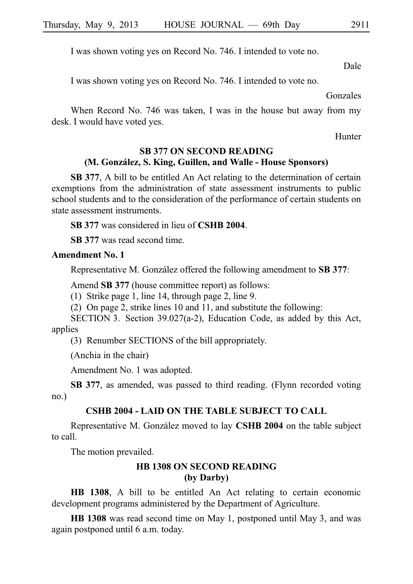I was shown voting yes on Record No. 746. I intended to vote no.

Dale

I was shown voting yes on Record No. 746. I intended to vote no.

Gonzales

When Record No. 746 was taken, I was in the house but away from my desk. I would have voted yes.

Hunter

# **SB 377 ON SECOND READING (M. Gonza´lez, S. King, Guillen, and Walle - House Sponsors)**

**SB 377**, A bill to be entitled An Act relating to the determination of certain exemptions from the administration of state assessment instruments to public school students and to the consideration of the performance of certain students on state assessment instruments.

**SB 377** was considered in lieu of **CSHB 2004**.

**SB** 377 was read second time.

## **Amendment No. 1**

Representative M. González offered the following amendment to **SB 377**:

Amend **SB 377** (house committee report) as follows:

(1) Strike page 1, line 14, through page 2, line 9.

(2) On page 2, strike lines 10 and 11, and substitute the following:

SECTION 3. Section 39.027(a-2), Education Code, as added by this Act, applies

(3) Renumber SECTIONS of the bill appropriately.

(Anchia in the chair)

Amendment No. 1 was adopted.

**SB 377**, as amended, was passed to third reading. (Flynn recorded voting no.)

## **CSHB 2004 - LAID ON THE TABLE SUBJECT TO CALL**

Representative M. González moved to lay **CSHB 2004** on the table subject to call.

The motion prevailed.

# **HB 1308 ON SECOND READING (by Darby)**

**HB 1308**, A bill to be entitled An Act relating to certain economic development programs administered by the Department of Agriculture.

**HB 1308** was read second time on May 1, postponed until May 3, and was again postponed until 6 a.m. today.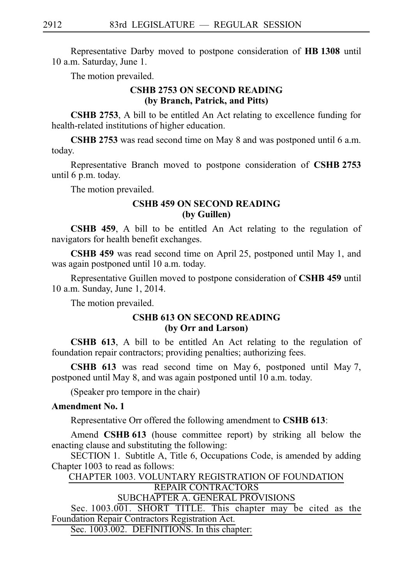Representative Darby moved to postpone consideration of HB 1308 until 10 a.m. Saturday, June 1.

The motion prevailed.

# **CSHB 2753 ON SECOND READING (by Branch, Patrick, and Pitts)**

**CSHB 2753**, A bill to be entitled An Act relating to excellence funding for health-related institutions of higher education.

**CSHB 2753** was read second time on May 8 and was postponed until 6 a.m. today.

Representative Branch moved to postpone consideration of **CSHB 2753** until 6 p.m. today.

The motion prevailed.

# **CSHB 459 ON SECOND READING (by Guillen)**

**CSHB 459**, A bill to be entitled An Act relating to the regulation of navigators for health benefit exchanges.

**CSHB 459** was read second time on April 25, postponed until May 1, and was again postponed until 10 a.m. today.

Representative Guillen moved to postpone consideration of CSHB 459 until 10 a.m. Sunday, June 1, 2014.

The motion prevailed.

# **CSHB 613 ON SECOND READING (by Orr and Larson)**

**CSHB 613**, A bill to be entitled An Act relating to the regulation of foundation repair contractors; providing penalties; authorizing fees.

**CSHB 613** was read second time on May 6, postponed until May 7, postponed until May 8, and was again postponed until  $10$  a.m. today.

(Speaker pro tempore in the chair)

# **Amendment No. 1**

Representative Orr offered the following amendment to **CSHB 613**:

Amend **CSHB 613** (house committee report) by striking all below the enacting clause and substituting the following:

SECTION 1. Subtitle A, Title 6, Occupations Code, is amended by adding Chapter 1003 to read as follows:

CHAPTER 1003. VOLUNTARY REGISTRATION OF FOUNDATION REPAIR CONTRACTORS SUBCHAPTER A. GENERAL PROVISIONS Sec. 1003.001. SHORT TITLE. This chapter may be cited as the Foundation Repair Contractors Registration Act.

Sec. 1003.002. DEFINITIONS. In this chapter: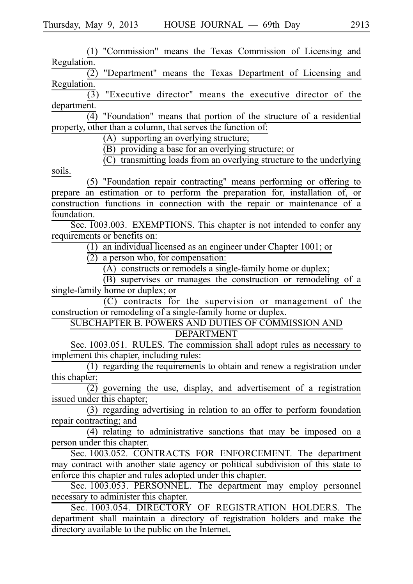(1) "Commission" means the Texas Commission of Licensing and Regulation.  $\overline{(2)}$  "Department" means the Texas Department of Licensing and Regulation.  $\overline{(3)}$  "Executive director" means the executive director of the department.  $\overline{(4)}$  "Foundation" means that portion of the structure of a residential property, other than a column, that serves the function of: (A) supporting an overlying structure;  $\overline{(B)}$  providing a base for an overlying structure; or  $(C)$  transmitting loads from an overlying structure to the underlying soils. (5) "Foundation repair contracting" means performing or offering to prepare an estimation or to perform the preparation for, installation of, or construction functions in connection with the repair or maintenance of a foundation. Sec. 1003.003. EXEMPTIONS. This chapter is not intended to confer any requirements or benefits on:  $(1)$  an individual licensed as an engineer under Chapter 1001; or  $\overline{(2)}$  a person who, for compensation:  $(A)$  constructs or remodels a single-family home or duplex; (B) supervises or manages the construction or remodeling of a single-family home or duplex; or  $(C)$  contracts for the supervision or management of the construction or remodeling of a single-family home or duplex. SUBCHAPTER B. POWERS AND DUTIES OF COMMISSION AND DEPARTMENT Sec. 1003.051. RULES. The commission shall adopt rules as necessary to implement this chapter, including rules:  $(1)$  regarding the requirements to obtain and renew a registration under this chapter;  $\overline{(2)}$  governing the use, display, and advertisement of a registration issued under this chapter;  $(3)$  regarding advertising in relation to an offer to perform foundation repair contracting; and  $(4)$  relating to administrative sanctions that may be imposed on a person under this chapter. Sec. 1003.052. CONTRACTS FOR ENFORCEMENT. The department may contract with another state agency or political subdivision of this state to enforce this chapter and rules adopted under this chapter. Sec. 1003.053. PERSONNEL. The department may employ personnel necessary to administer this chapter. Sec. 1003.054. DIRECTORY OF REGISTRATION HOLDERS. The department shall maintain a directory of registration holders and make the directory available to the public on the Internet.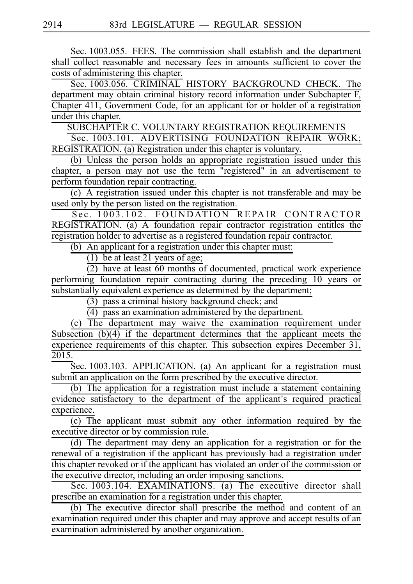Sec. 1003.055. FEES. The commission shall establish and the department shall collect reasonable and necessary fees in amounts sufficient to cover the costs of administering this chapter.

Sec. 1003.056. CRIMINAL HISTORY BACKGROUND CHECK. The department may obtain criminal history record information under Subchapter F, Chapter 411, Government Code, for an applicant for or holder of a registration under this chapter.

SUBCHAPTER C. VOLUNTARY REGISTRATION REQUIREMENTS

Sec. 1003.101. ADVERTISING FOUNDATION REPAIR WORK; REGISTRATION. (a) Registration under this chapter is voluntary.

(b) Unless the person holds an appropriate registration issued under this chapter, a person may not use the term "registered" in an advertisement to perform foundation repair contracting.

(c) A registration issued under this chapter is not transferable and may be used only by the person listed on the registration.

Sec. 1003.102. FOUNDATION REPAIR CONTRACTOR REGISTRATION. (a) A foundation repair contractor registration entitles the registration holder to advertise as a registered foundation repair contractor.

(b) An applicant for a registration under this chapter must:

(1) be at least 21 years of age;

 $\overline{(2)}$  have at least 60 months of documented, practical work experience performing foundation repair contracting during the preceding 10 years or substantially equivalent experience as determined by the department;

(3) pass a criminal history background check; and

(4) pass an examination administered by the department.

(c) The department may waive the examination requirement under Subsection (b)(4) if the department determines that the applicant meets the experience requirements of this chapter. This subsection expires December 31, 2015.

Sec. 1003.103. APPLICATION. (a) An applicant for a registration must submit an application on the form prescribed by the executive director.

(b) The application for a registration must include a statement containing evidence satisfactory to the department of the applicant's required practical experience.

 $\overline{(c)}$  The applicant must submit any other information required by the executive director or by commission rule.

(d) The department may deny an application for a registration or for the renewal of a registration if the applicant has previously had a registration under this chapter revoked or if the applicant has violated an order of the commission or the executive director, including an order imposing sanctions.

Sec. 1003.104. EXAMINATIONS. (a) The executive director shall prescribe an examination for a registration under this chapter.

(b) The executive director shall prescribe the method and content of an examination required under this chapter and may approve and accept results of an examination administered by another organization.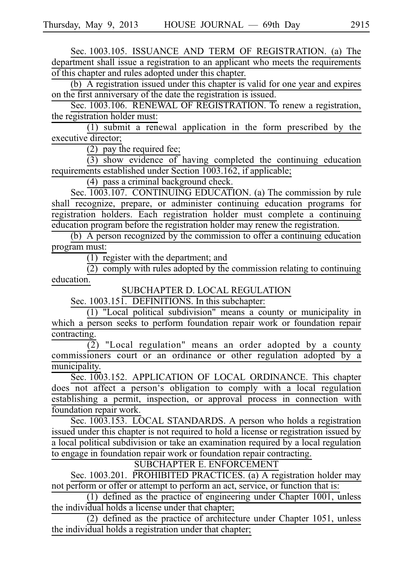Sec. 1003.105. ISSUANCE AND TERM OF REGISTRATION. (a) The department shall issue a registration to an applicant who meets the requirements of this chapter and rules adopted under this chapter.

 $\overline{16}$  is registration issued under this chapter is valid for one year and expires on the first anniversary of the date the registration is issued.

Sec. 1003.106. RENEWAL OF REGISTRATION. To renew a registration, the registration holder must:

 $(1)$  submit a renewal application in the form prescribed by the executive director;

 $(2)$  pay the required fee;

 $(3)$  show evidence of having completed the continuing education requirements established under Section 1003.162, if applicable;

 $(4)$  pass a criminal background check.

Sec. 1003.107. CONTINUING EDUCATION. (a) The commission by rule shall recognize, prepare, or administer continuing education programs for registration holders. Each registration holder must complete a continuing education program before the registration holder may renew the registration.

(b) A person recognized by the commission to offer a continuing education program must:

 $\overline{(1)}$  register with the department; and

 $\overline{(2)}$  comply with rules adopted by the commission relating to continuing education.

SUBCHAPTER D. LOCAL REGULATION

Sec.  $1003.151$ . DEFINITIONS. In this subchapter:

 $(1)$  "Local political subdivision" means a county or municipality in which a person seeks to perform foundation repair work or foundation repair contracting.

(2) "Local regulation" means an order adopted by a county commissioners court or an ordinance or other regulation adopted by a municipality.

Sec. 1003.152. APPLICATION OF LOCAL ORDINANCE. This chapter does not affect a person ' s obligation to comply with a local regulation establishing a permit, inspection, or approval process in connection with foundation repair work.

Sec. 1003.153. LOCAL STANDARDS. A person who holds a registration issued under this chapter is not required to hold a license or registration issued by a local political subdivision or take an examination required by a local regulation to engage in foundation repair work or foundation repair contracting.

SUBCHAPTER E. ENFORCEMENT

Sec. 1003.201. PROHIBITED PRACTICES. (a) A registration holder may not perform or offer or attempt to perform an act, service, or function that is:

(1) defined as the practice of engineering under Chapter 1001, unless the individual holds a license under that chapter;

 $(2)$  defined as the practice of architecture under Chapter 1051, unless the individual holds a registration under that chapter;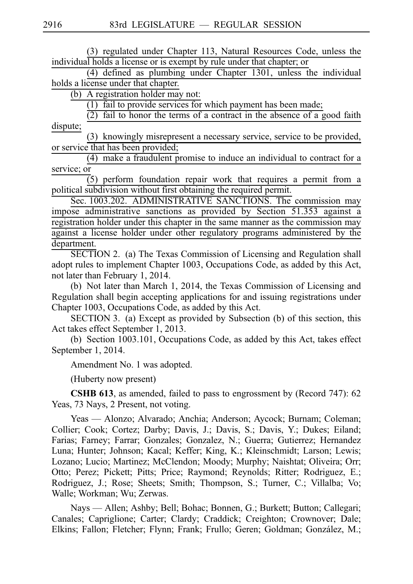(3) regulated under Chapter 113, Natural Resources Code, unless the individual holds a license or is exempt by rule under that chapter; or

 $(4)$  defined as plumbing under Chapter 1301, unless the individual holds a license under that chapter.

(b) A registration holder may not:

 $(1)$  fail to provide services for which payment has been made;

 $(2)$  fail to honor the terms of a contract in the absence of a good faith dispute;

(3) knowingly misrepresent a necessary service, service to be provided, or service that has been provided;

 $(4)$  make a fraudulent promise to induce an individual to contract for a service; or

 $(5)$  perform foundation repair work that requires a permit from a political subdivision without first obtaining the required permit.

Sec. 1003.202. ADMINISTRATIVE SANCTIONS. The commission may impose administrative sanctions as provided by Section 51.353 against a registration holder under this chapter in the same manner as the commission may against a license holder under other regulatory programs administered by the department.

SECTION 2. (a) The Texas Commission of Licensing and Regulation shall adopt rules to implement Chapter 1003, Occupations Code, as added by this Act, not later than February 1, 2014.

(b) Not later than March 1, 2014, the Texas Commission of Licensing and Regulation shall begin accepting applications for and issuing registrations under Chapter 1003, Occupations Code, as added by this Act.

SECTION 3. (a) Except as provided by Subsection (b) of this section, this Act takes effect September 1, 2013.

(b) Section 1003.101, Occupations Code, as added by this Act, takes effect September 1, 2014.

Amendment No. 1 was adopted.

(Huberty now present)

**CSHB 613**, as amended, failed to pass to engrossment by (Record 747): 62 Yeas, 73 Nays, 2 Present, not voting.

Yeas — Alonzo; Alvarado; Anchia; Anderson; Aycock; Burnam; Coleman; Collier; Cook; Cortez; Darby; Davis, J.; Davis, S.; Davis, Y.; Dukes; Eiland; Farias; Farney; Farrar; Gonzales; Gonzalez, N.; Guerra; Gutierrez; Hernandez Luna; Hunter; Johnson; Kacal; Keffer; King, K.; Kleinschmidt; Larson; Lewis; Lozano; Lucio; Martinez; McClendon; Moody; Murphy; Naishtat; Oliveira; Orr; Otto; Perez; Pickett; Pitts; Price; Raymond; Reynolds; Ritter; Rodriguez, E.; Rodriguez, J.; Rose; Sheets; Smith; Thompson, S.; Turner, C.; Villalba; Vo; Walle; Workman; Wu; Zerwas.

Nays — Allen; Ashby; Bell; Bohac; Bonnen, G.; Burkett; Button; Callegari; Canales; Capriglione; Carter; Clardy; Craddick; Creighton; Crownover; Dale; Elkins; Fallon; Fletcher; Flynn; Frank; Frullo; Geren; Goldman; González, M.;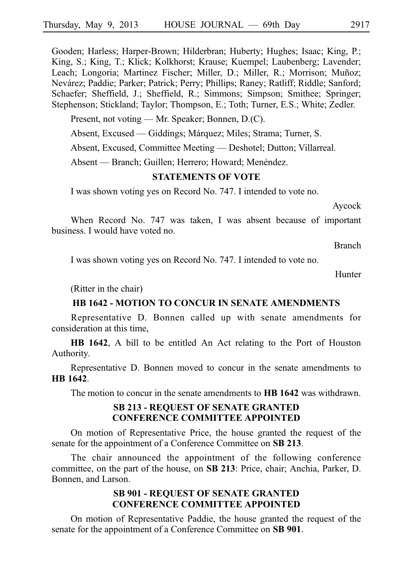Gooden; Harless; Harper-Brown; Hilderbran; Huberty; Hughes; Isaac; King, P.; King, S.; King, T.; Klick; Kolkhorst; Krause; Kuempel; Laubenberg; Lavender; Leach; Longoria; Martinez Fischer; Miller, D.; Miller, R.; Morrison; Muñoz; Neva´rez; Paddie; Parker; Patrick; Perry; Phillips; Raney; Ratliff; Riddle; Sanford; Schaefer; Sheffield, J.; Sheffield, R.; Simmons; Simpson; Smithee; Springer; Stephenson; Stickland; Taylor; Thompson, E.; Toth; Turner, E.S.; White; Zedler.

Present, not voting — Mr. Speaker; Bonnen, D.(C).

Absent, Excused — Giddings; Márquez; Miles; Strama; Turner, S.

Absent, Excused, Committee Meeting — Deshotel; Dutton; Villarreal.

Absent — Branch; Guillen; Herrero; Howard; Menéndez.

#### **STATEMENTS OF VOTE**

I was shown voting yes on Record No. 747. I intended to vote no.

Aycock

When Record No. 747 was taken, I was absent because of important business. I would have voted no.

Branch

I was shown voting yes on Record No. 747. I intended to vote no.

**Hunter** 

(Ritter in the chair)

### **HB 1642 - MOTION TO CONCUR IN SENATE AMENDMENTS**

Representative D. Bonnen called up with senate amendments for consideration at this time,

**HB 1642**, A bill to be entitled An Act relating to the Port of Houston Authority.

Representative D. Bonnen moved to concur in the senate amendments to **HBi1642**.

The motion to concur in the senate amendments to **HB 1642** was withdrawn.

### **SB 213 - REQUEST OF SENATE GRANTED CONFERENCE COMMITTEE APPOINTED**

On motion of Representative Price, the house granted the request of the senate for the appointment of a Conference Committee on **SB 213**.

The chair announced the appointment of the following conference committee, on the part of the house, on **SB 213**: Price, chair; Anchia, Parker, D. Bonnen, and Larson.

### **SB 901 - REQUEST OF SENATE GRANTED CONFERENCE COMMITTEE APPOINTED**

On motion of Representative Paddie, the house granted the request of the senate for the appointment of a Conference Committee on **SB 901**.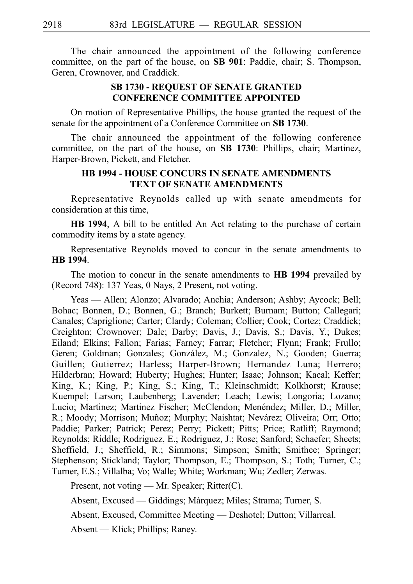The chair announced the appointment of the following conference committee, on the part of the house, on **SB 901**: Paddie, chair; S. Thompson, Geren, Crownover, and Craddick.

### **SB 1730 - REQUEST OF SENATE GRANTED CONFERENCE COMMITTEE APPOINTED**

On motion of Representative Phillips, the house granted the request of the senate for the appointment of a Conference Committee on **SB 1730**.

The chair announced the appointment of the following conference committee, on the part of the house, on **SB 1730**: Phillips, chair; Martinez, Harper-Brown, Pickett, and Fletcher.

### **HB 1994 - HOUSE CONCURS IN SENATE AMENDMENTS TEXT OF SENATE AMENDMENTS**

Representative Reynolds called up with senate amendments for consideration at this time,

**HB 1994**, A bill to be entitled An Act relating to the purchase of certain commodity items by a state agency.

Representative Reynolds moved to concur in the senate amendments to **HB** 1994.

The motion to concur in the senate amendments to **HB 1994** prevailed by (Record 748): 137 Yeas, 0 Nays, 2 Present, not voting.

Yeas — Allen; Alonzo; Alvarado; Anchia; Anderson; Ashby; Aycock; Bell; Bohac; Bonnen, D.; Bonnen, G.; Branch; Burkett; Burnam; Button; Callegari; Canales; Capriglione; Carter; Clardy; Coleman; Collier; Cook; Cortez; Craddick; Creighton; Crownover; Dale; Darby; Davis, J.; Davis, S.; Davis, Y.; Dukes; Eiland; Elkins; Fallon; Farias; Farney; Farrar; Fletcher; Flynn; Frank; Frullo; Geren; Goldman; Gonzales; González, M.; Gonzalez, N.; Gooden; Guerra; Guillen; Gutierrez; Harless; Harper-Brown; Hernandez Luna; Herrero; Hilderbran; Howard; Huberty; Hughes; Hunter; Isaac; Johnson; Kacal; Keffer; King, K.; King, P.; King, S.; King, T.; Kleinschmidt; Kolkhorst; Krause; Kuempel; Larson; Laubenberg; Lavender; Leach; Lewis; Longoria; Lozano; Lucio; Martinez; Martinez Fischer; McClendon; Menéndez; Miller, D.; Miller, R.; Moody; Morrison; Muñoz; Murphy; Naishtat; Nevárez; Oliveira; Orr; Otto; Paddie; Parker; Patrick; Perez; Perry; Pickett; Pitts; Price; Ratliff; Raymond; Reynolds; Riddle; Rodriguez, E.; Rodriguez, J.; Rose; Sanford; Schaefer; Sheets; Sheffield, J.; Sheffield, R.; Simmons; Simpson; Smith; Smithee; Springer; Stephenson; Stickland; Taylor; Thompson, E.; Thompson, S.; Toth; Turner, C.; Turner, E.S.; Villalba; Vo; Walle; White; Workman; Wu; Zedler; Zerwas.

Present, not voting — Mr. Speaker; Ritter(C).

Absent, Excused — Giddings; Márquez; Miles; Strama; Turner, S.

Absent, Excused, Committee Meeting — Deshotel; Dutton; Villarreal.

Absent — Klick; Phillips; Raney.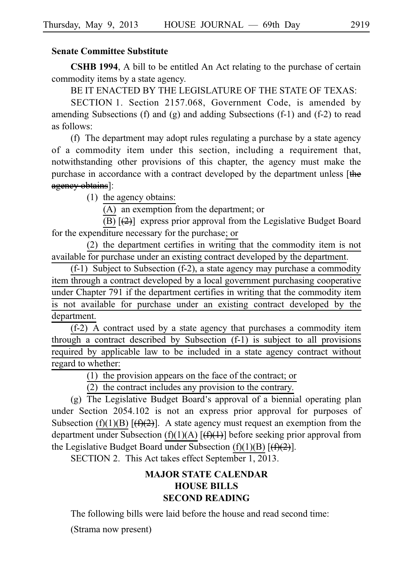### **Senate Committee Substitute**

**CSHB 1994**, A bill to be entitled An Act relating to the purchase of certain commodity items by a state agency.

BE IT ENACTED BY THE LEGISLATURE OF THE STATE OF TEXAS:

SECTION 1. Section 2157.068, Government Code, is amended by amending Subsections (f) and  $(g)$  and adding Subsections  $(f-1)$  and  $(f-2)$  to read as follows:

(f) The department may adopt rules regulating a purchase by a state agency of a commodity item under this section, including a requirement that, notwithstanding other provisions of this chapter, the agency must make the purchase in accordance with a contract developed by the department unless [the agency obtains]:

 $(1)$  the agency obtains:

 $(A)$  an exemption from the department; or

 $\overline{(\text{B})}$   $\overline{(\text{C})}$  express prior approval from the Legislative Budget Board for the expenditure necessary for the purchase; or

(2) the department certifies in writing that the commodity item is not available for purchase under an existing contract developed by the department.

 $(f-1)$  Subject to Subsection  $(f-2)$ , a state agency may purchase a commodity item through a contract developed by a local government purchasing cooperative under Chapter 791 if the department certifies in writing that the commodity item is not available for purchase under an existing contract developed by the department.

 $(f-2)$  A contract used by a state agency that purchases a commodity item through a contract described by Subsection (f-1) is subject to all provisions required by applicable law to be included in a state agency contract without regard to whether:

 $(1)$  the provision appears on the face of the contract; or

(2) the contract includes any provision to the contrary.

(g) The Legislative Budget Board's approval of a biennial operating plan under Section 2054.102 is not an express prior approval for purposes of Subsection (f)(1)(B)  $[\frac{f(x)}{2}]$ . A state agency must request an exemption from the department under Subsection (f)(1)(A)  $[\frac{f(1)}{1}]$  before seeking prior approval from the Legislative Budget Board under Subsection (f)(1)(B)  $[\frac{f(\mathbf{r})}{2}]$ .

SECTION 2. This Act takes effect September 1, 2013.

# **MAJOR STATE CALENDAR HOUSE BILLS SECOND READING**

The following bills were laid before the house and read second time:

(Strama now present)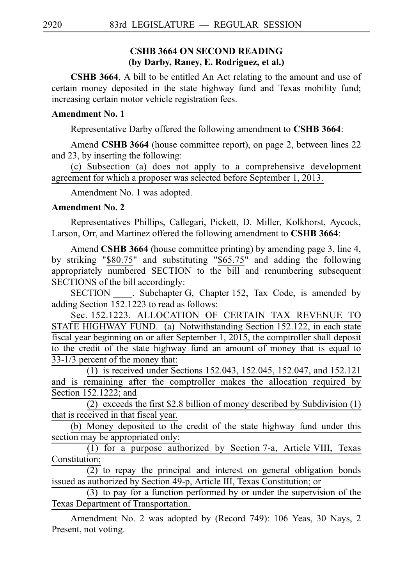### **CSHB 3664 ON SECOND READING (by Darby, Raney, E. Rodriguez, et al.)**

**CSHB 3664**, A bill to be entitled An Act relating to the amount and use of certain money deposited in the state highway fund and Texas mobility fund; increasing certain motor vehicle registration fees.

### **Amendment No. 1**

Representative Darby offered the following amendment to **CSHB 3664**:

Amend **CSHB 3664** (house committee report), on page 2, between lines 22 and 23, by inserting the following:

(c) Subsection (a) does not apply to a comprehensive development agreement for which a proposer was selected before September 1, 2013.

Amendment No. 1 was adopted.

#### **Amendment No. 2**

Representatives Phillips, Callegari, Pickett, D. Miller, Kolkhorst, Aycock, Larson, Orr, and Martinez offered the following amendment to **CSHB 3664**:

Amend **CSHB 3664** (house committee printing) by amending page 3, line 4, by striking "\$80.75" and substituting "\$65.75" and adding the following appropriately numbered SECTION to the bill and renumbering subsequent SECTIONS of the bill accordingly:

SECTION Subchapter G, Chapter 152, Tax Code, is amended by adding Section  $15\overline{2.1}223$  to read as follows:

Sec. 152.1223. ALLOCATION OF CERTAIN TAX REVENUE TO STATE HIGHWAY FUND. (a) Notwithstanding Section 152.122, in each state fiscal year beginning on or after September 1, 2015, the comptroller shall deposit to the credit of the state highway fund an amount of money that is equal to  $33-1/3$  percent of the money that:

(1) is received under Sections 152.043, 152.045, 152.047, and 152.121 and is remaining after the comptroller makes the allocation required by Section 152.1222; and

(2) exceeds the first \$2.8 billion of money described by Subdivision  $(1)$ that is received in that fiscal year.

(b) Money deposited to the credit of the state highway fund under this section may be appropriated only:

 $(1)$  for a purpose authorized by Section 7-a, Article VIII, Texas Constitution;

 $(2)$  to repay the principal and interest on general obligation bonds issued as authorized by Section 49-p, Article III, Texas Constitution; or

 $(3)$  to pay for a function performed by or under the supervision of the Texas Department of Transportation.

Amendment No. 2 was adopted by (Record 749): 106 Yeas, 30 Nays, 2 Present, not voting.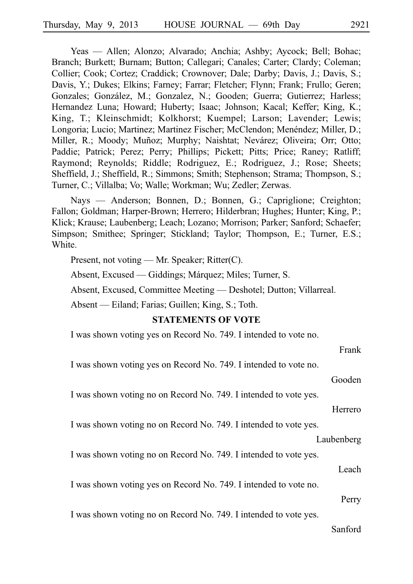Yeas — Allen; Alonzo; Alvarado; Anchia; Ashby; Aycock; Bell; Bohac; Branch; Burkett; Burnam; Button; Callegari; Canales; Carter; Clardy; Coleman; Collier; Cook; Cortez; Craddick; Crownover; Dale; Darby; Davis, J.; Davis, S.; Davis, Y.; Dukes; Elkins; Farney; Farrar; Fletcher; Flynn; Frank; Frullo; Geren; Gonzales; González, M.; Gonzalez, N.; Gooden; Guerra; Gutierrez; Harless; Hernandez Luna; Howard; Huberty; Isaac; Johnson; Kacal; Keffer; King, K.; King, T.; Kleinschmidt; Kolkhorst; Kuempel; Larson; Lavender; Lewis; Longoria; Lucio; Martinez; Martinez Fischer; McClendon; Menéndez; Miller, D.; Miller, R.; Moody; Muñoz; Murphy; Naishtat; Nevárez; Oliveira; Orr; Otto; Paddie; Patrick; Perez; Perry; Phillips; Pickett; Pitts; Price; Raney; Ratliff; Raymond; Reynolds; Riddle; Rodriguez, E.; Rodriguez, J.; Rose; Sheets; Sheffield, J.; Sheffield, R.; Simmons; Smith; Stephenson; Strama; Thompson, S.; Turner, C.; Villalba; Vo; Walle; Workman; Wu; Zedler; Zerwas.

Nays — Anderson; Bonnen, D.; Bonnen, G.; Capriglione; Creighton; Fallon; Goldman; Harper-Brown; Herrero; Hilderbran; Hughes; Hunter; King, P.; Klick; Krause; Laubenberg; Leach; Lozano; Morrison; Parker; Sanford; Schaefer; Simpson; Smithee; Springer; Stickland; Taylor; Thompson, E.; Turner, E.S.; White.

Present, not voting — Mr. Speaker; Ritter(C).

Absent, Excused — Giddings; Márquez; Miles; Turner, S.

Absent, Excused, Committee Meeting — Deshotel; Dutton; Villarreal.

Absent — Eiland; Farias; Guillen; King, S.; Toth.

#### **STATEMENTS OF VOTE**

I was shown voting yes on Record No. 749. I intended to vote no.

Gooden

Frank

I was shown voting no on Record No. 749. I intended to vote yes.

Herrero

I was shown voting no on Record No. 749. I intended to vote yes.

#### Laubenberg

I was shown voting no on Record No. 749. I intended to vote yes.

Leach

I was shown voting yes on Record No. 749. I intended to vote no.

Perry

I was shown voting no on Record No. 749. I intended to vote yes.

#### Sanford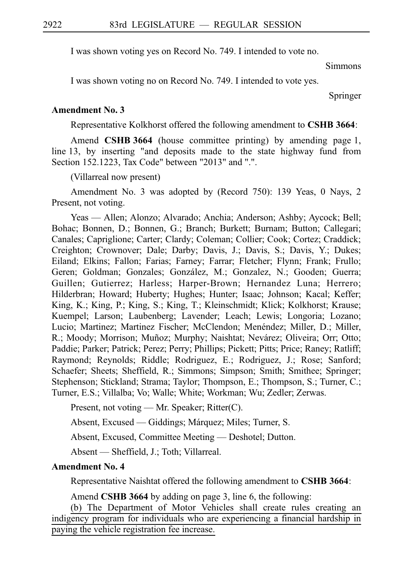I was shown voting yes on Record No. 749. I intended to vote no.

Simmons

I was shown voting no on Record No. 749. I intended to vote yes.

Springer

#### **Amendment No. 3**

Representative Kolkhorst offered the following amendment to **CSHBi3664**:

Amend **CSHB 3664** (house committee printing) by amending page 1, line 13, by inserting "and deposits made to the state highway fund from Section 152.1223, Tax Code" between "2013" and ".".

(Villarreal now present)

Amendment No. 3 was adopted by (Record 750): 139 Yeas, 0 Nays, 2 Present, not voting.

Yeas — Allen; Alonzo; Alvarado; Anchia; Anderson; Ashby; Aycock; Bell; Bohac; Bonnen, D.; Bonnen, G.; Branch; Burkett; Burnam; Button; Callegari; Canales; Capriglione; Carter; Clardy; Coleman; Collier; Cook; Cortez; Craddick; Creighton; Crownover; Dale; Darby; Davis, J.; Davis, S.; Davis, Y.; Dukes; Eiland; Elkins; Fallon; Farias; Farney; Farrar; Fletcher; Flynn; Frank; Frullo; Geren; Goldman; Gonzales; González, M.; Gonzalez, N.; Gooden; Guerra; Guillen; Gutierrez; Harless; Harper-Brown; Hernandez Luna; Herrero; Hilderbran; Howard; Huberty; Hughes; Hunter; Isaac; Johnson; Kacal; Keffer; King, K.; King, P.; King, S.; King, T.; Kleinschmidt; Klick; Kolkhorst; Krause; Kuempel; Larson; Laubenberg; Lavender; Leach; Lewis; Longoria; Lozano; Lucio; Martinez; Martinez Fischer; McClendon; Menéndez; Miller, D.; Miller, R.; Moody; Morrison; Muñoz; Murphy; Naishtat; Nevárez; Oliveira; Orr; Otto; Paddie; Parker; Patrick; Perez; Perry; Phillips; Pickett; Pitts; Price; Raney; Ratliff; Raymond; Reynolds; Riddle; Rodriguez, E.; Rodriguez, J.; Rose; Sanford; Schaefer; Sheets; Sheffield, R.; Simmons; Simpson; Smith; Smithee; Springer; Stephenson; Stickland; Strama; Taylor; Thompson, E.; Thompson, S.; Turner, C.; Turner, E.S.; Villalba; Vo; Walle; White; Workman; Wu; Zedler; Zerwas.

Present, not voting — Mr. Speaker; Ritter(C).

Absent, Excused — Giddings; Márquez; Miles; Turner, S.

Absent, Excused, Committee Meeting — Deshotel; Dutton.

Absent — Sheffield, J.; Toth; Villarreal.

#### **Amendment No. 4**

Representative Naishtat offered the following amendment to **CSHB 3664**:

Amend **CSHB 3664** by adding on page 3, line 6, the following:

(b) The Department of Motor Vehicles shall create rules creating an indigency program for individuals who are experiencing a financial hardship in paying the vehicle registration fee increase.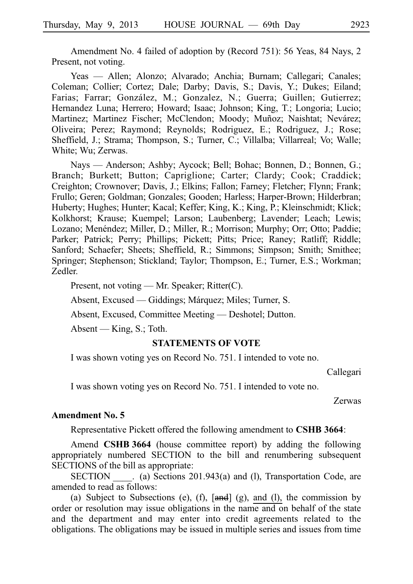Amendment No. 4 failed of adoption by (Record 751): 56 Yeas, 84 Nays, 2 Present, not voting.

Yeas — Allen; Alonzo; Alvarado; Anchia; Burnam; Callegari; Canales; Coleman; Collier; Cortez; Dale; Darby; Davis, S.; Davis, Y.; Dukes; Eiland; Farias; Farrar; González, M.; Gonzalez, N.; Guerra; Guillen; Gutierrez; Hernandez Luna; Herrero; Howard; Isaac; Johnson; King, T.; Longoria; Lucio; Martinez; Martinez Fischer; McClendon; Moody; Muñoz; Naishtat; Nevárez; Oliveira; Perez; Raymond; Reynolds; Rodriguez, E.; Rodriguez, J.; Rose; Sheffield, J.; Strama; Thompson, S.; Turner, C.; Villalba; Villarreal; Vo; Walle; White; Wu; Zerwas.

Nays — Anderson; Ashby; Aycock; Bell; Bohac; Bonnen, D.; Bonnen, G.; Branch; Burkett; Button; Capriglione; Carter; Clardy; Cook; Craddick; Creighton; Crownover; Davis, J.; Elkins; Fallon; Farney; Fletcher; Flynn; Frank; Frullo; Geren; Goldman; Gonzales; Gooden; Harless; Harper-Brown; Hilderbran; Huberty; Hughes; Hunter; Kacal; Keffer; King, K.; King, P.; Kleinschmidt; Klick; Kolkhorst; Krause; Kuempel; Larson; Laubenberg; Lavender; Leach; Lewis; Lozano; Menéndez; Miller, D.; Miller, R.; Morrison; Murphy; Orr; Otto; Paddie; Parker; Patrick; Perry; Phillips; Pickett; Pitts; Price; Raney; Ratliff; Riddle; Sanford; Schaefer; Sheets; Sheffield, R.; Simmons; Simpson; Smith; Smithee; Springer; Stephenson; Stickland; Taylor; Thompson, E.; Turner, E.S.; Workman; Zedler.

Present, not voting — Mr. Speaker; Ritter(C).

Absent, Excused — Giddings; Márquez; Miles; Turner, S.

Absent, Excused, Committee Meeting — Deshotel; Dutton.

Absent — King, S.; Toth.

#### **STATEMENTS OF VOTE**

I was shown voting yes on Record No. 751. I intended to vote no.

Callegari

I was shown voting yes on Record No. 751. I intended to vote no.

Zerwas

#### **Amendment No. 5**

Representative Pickett offered the following amendment to **CSHB 3664**:

Amend **CSHB 3664** (house committee report) by adding the following appropriately numbered SECTION to the bill and renumbering subsequent SECTIONS of the bill as appropriate:

SECTION (a) Sections 201.943(a) and (l), Transportation Code, are amended to read as follows:

(a) Subject to Subsections (e), (f),  $[and]$  (g), and (l), the commission by order or resolution may issue obligations in the name and on behalf of the state and the department and may enter into credit agreements related to the obligations. The obligations may be issued in multiple series and issues from time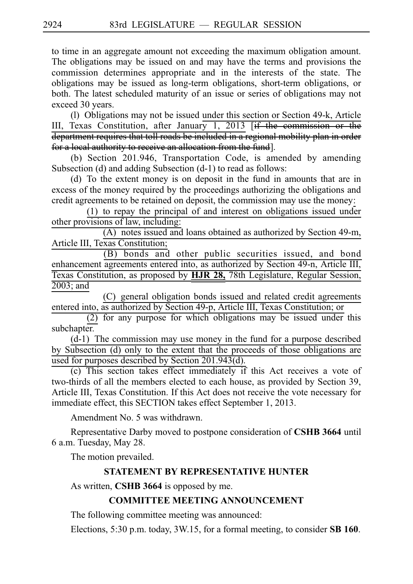to time in an aggregate amount not exceeding the maximum obligation amount. The obligations may be issued on and may have the terms and provisions the commission determines appropriate and in the interests of the state. The obligations may be issued as long-term obligations, short-term obligations, or both. The latest scheduled maturity of an issue or series of obligations may not exceed 30 years.

(l) Obligations may not be issued under this section or Section 49-k, Article III, Texas Constitution, after January 1, 2013 [if the commission or the department requires that toll roads be included in a regional mobility plan in order for a local authority to receive an allocation from the fund].

(b) Section 201.946, Transportation Code, is amended by amending Subsection (d) and adding Subsection (d-1) to read as follows:

(d) To the extent money is on deposit in the fund in amounts that are in excess of the money required by the proceedings authorizing the obligations and credit agreements to be retained on deposit, the commission may use the money:

 $(1)$  to repay the principal of and interest on obligations issued under other provisions of law, including:

 $(A)$  notes issued and loans obtained as authorized by Section 49-m, Article III, Texas Constitution;

(B) bonds and other public securities issued, and bond enhancement agreements entered into, as authorized by Section 49-n, Article III, Texas Constitution, as proposed by **HJR 28,** 78th Legislature, Regular Session, 2003; and

(C) general obligation bonds issued and related credit agreements entered into, as authorized by Section 49-p, Article III, Texas Constitution; or

 $(2)$  for any purpose for which obligations may be issued under this subchapter.

 $(d-1)$  The commission may use money in the fund for a purpose described by Subsection (d) only to the extent that the proceeds of those obligations are used for purposes described by Section 201.943(d).

 $(c)$  This section takes effect immediately if this Act receives a vote of two-thirds of all the members elected to each house, as provided by Section 39, Article III, Texas Constitution. If this Act does not receive the vote necessary for immediate effect, this SECTION takes effect September 1, 2013.

Amendment No. 5 was withdrawn.

Representative Darby moved to postpone consideration of **CSHB 3664** until 6 a.m. Tuesday, May 28.

The motion prevailed.

## **STATEMENT BY REPRESENTATIVE HUNTER**

As written, **CSHB** 3664 is opposed by me.

## **COMMITTEE MEETING ANNOUNCEMENT**

The following committee meeting was announced:

Elections, 5:30 p.m. today, 3W.15, for a formal meeting, to consider **SB 160**.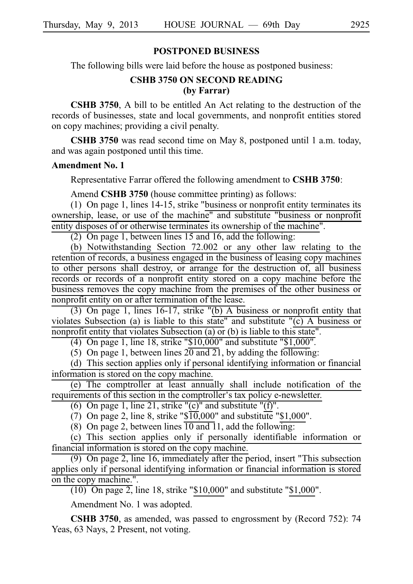#### **POSTPONED BUSINESS**

The following bills were laid before the house as postponed business:

### **CSHB 3750 ON SECOND READING (by Farrar)**

**CSHB 3750**, A bill to be entitled An Act relating to the destruction of the records of businesses, state and local governments, and nonprofit entities stored on copy machines; providing a civil penalty.

**CSHB 3750** was read second time on May 8, postponed until 1 a.m. today, and was again postponed until this time.

#### **Amendment No. 1**

Representative Farrar offered the following amendment to **CSHB 3750**:

Amend **CSHB 3750** (house committee printing) as follows:

(1) On page 1, lines  $14-15$ , strike "business or nonprofit entity terminates its ownership, lease, or use of the machine" and substitute "business or nonprofit entity disposes of or otherwise terminates its ownership of the machine".

(2) On page 1, between lines 15 and 16, add the following:

(b) Notwithstanding Section  $72.002$  or any other law relating to the retention of records, a business engaged in the business of leasing copy machines to other persons shall destroy, or arrange for the destruction of, all business records or records of a nonprofit entity stored on a copy machine before the business removes the copy machine from the premises of the other business or nonprofit entity on or after termination of the lease.

(3) On page 1, lines 16-17, strike "(b) A business or nonprofit entity that violates Subsection (a) is liable to this state" and substitute "(c) A business or nonprofit entity that violates Subsection (a) or (b) is liable to this state".

(4) On page 1, line 18, strike " $$10,000$ " and substitute " $$1,000$ ".

(5) On page 1, between lines  $20$  and 21, by adding the following:

(d) This section applies only if personal identifying information or financial information is stored on the copy machine.

(e) The comptroller at least annually shall include notification of the requirements of this section in the comptroller's tax policy e-newsletter.

(6) On page 1, line 21, strike " $(c)$ " and substitute " $(f)$ ".

(7) On page 2, line 8, strike " $\sqrt[5]{10}$ ,000" and substitute "\$1,000".

(8) On page 2, between lines  $\overline{10}$  and 11, add the following:

(c) This section applies only if personally identifiable information or financial information is stored on the copy machine.

(9) On page 2, line 16, immediately after the period, insert "This subsection" applies only if personal identifying information or financial information is stored on the copy machine.".

 $(10)$  On page 2, line 18, strike "\$10,000" and substitute "\$1,000".

Amendment No. 1 was adopted.

**CSHB 3750**, as amended, was passed to engrossment by (Record 752): 74 Yeas, 63 Nays, 2 Present, not voting.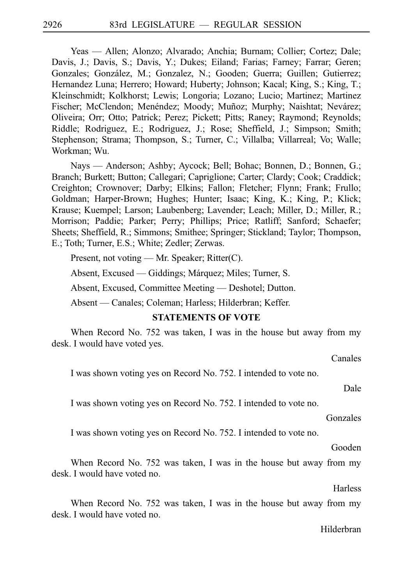Yeas — Allen; Alonzo; Alvarado; Anchia; Burnam; Collier; Cortez; Dale; Davis, J.; Davis, S.; Davis, Y.; Dukes; Eiland; Farias; Farney; Farrar; Geren; Gonzales; González, M.; Gonzalez, N.; Gooden; Guerra; Guillen; Gutierrez; Hernandez Luna; Herrero; Howard; Huberty; Johnson; Kacal; King, S.; King, T.; Kleinschmidt; Kolkhorst; Lewis; Longoria; Lozano; Lucio; Martinez; Martinez Fischer; McClendon; Menéndez; Moody; Muñoz; Murphy; Naishtat; Nevárez; Oliveira; Orr; Otto; Patrick; Perez; Pickett; Pitts; Raney; Raymond; Reynolds; Riddle; Rodriguez, E.; Rodriguez, J.; Rose; Sheffield, J.; Simpson; Smith; Stephenson; Strama; Thompson, S.; Turner, C.; Villalba; Villarreal; Vo; Walle; Workman; Wu.

Nays — Anderson; Ashby; Aycock; Bell; Bohac; Bonnen, D.; Bonnen, G.; Branch; Burkett; Button; Callegari; Capriglione; Carter; Clardy; Cook; Craddick; Creighton; Crownover; Darby; Elkins; Fallon; Fletcher; Flynn; Frank; Frullo; Goldman; Harper-Brown; Hughes; Hunter; Isaac; King, K.; King, P.; Klick; Krause; Kuempel; Larson; Laubenberg; Lavender; Leach; Miller, D.; Miller, R.; Morrison; Paddie; Parker; Perry; Phillips; Price; Ratliff; Sanford; Schaefer; Sheets; Sheffield, R.; Simmons; Smithee; Springer; Stickland; Taylor; Thompson, E.; Toth; Turner, E.S.; White; Zedler; Zerwas.

Present, not voting — Mr. Speaker; Ritter(C).

Absent, Excused — Giddings; Márquez; Miles; Turner, S.

Absent, Excused, Committee Meeting — Deshotel; Dutton.

Absent — Canales; Coleman; Harless; Hilderbran; Keffer.

#### **STATEMENTS OF VOTE**

When Record No. 752 was taken, I was in the house but away from my desk. I would have voted yes.

Canales

I was shown voting yes on Record No. 752. I intended to vote no.

Dale

I was shown voting yes on Record No. 752. I intended to vote no.

Gonzales

I was shown voting yes on Record No. 752. I intended to vote no.

Gooden

When Record No. 752 was taken, I was in the house but away from my desk. I would have voted no.

**Harless** 

When Record No. 752 was taken, I was in the house but away from my desk. I would have voted no.

#### Hilderbran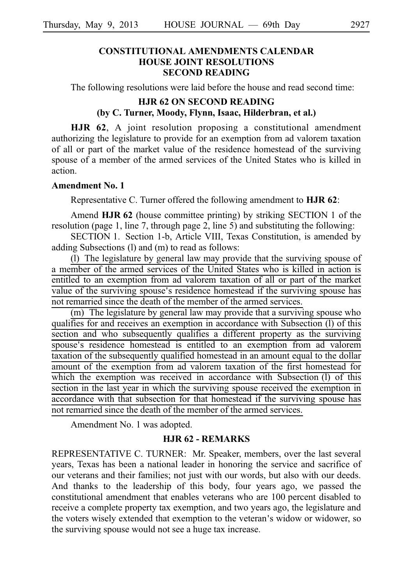### **CONSTITUTIONAL AMENDMENTS CALENDAR HOUSE JOINT RESOLUTIONS SECOND READING**

The following resolutions were laid before the house and read second time:

### **HJR 62 ON SECOND READING (by C. Turner, Moody, Flynn, Isaac, Hilderbran, et al.)**

**HJR 62**, A joint resolution proposing a constitutional amendment authorizing the legislature to provide for an exemption from ad valorem taxation of all or part of the market value of the residence homestead of the surviving spouse of a member of the armed services of the United States who is killed in action.

#### **Amendment No. 1**

Representative C. Turner offered the following amendment to **HJR 62**:

Amend **HJR 62** (house committee printing) by striking SECTION 1 of the resolution (page 1, line 7, through page 2, line 5) and substituting the following:

SECTION 1. Section 1-b, Article VIII, Texas Constitution, is amended by adding Subsections (l) and (m) to read as follows:

(I) The legislature by general law may provide that the surviving spouse of a member of the armed services of the United States who is killed in action is entitled to an exemption from ad valorem taxation of all or part of the market value of the surviving spouse's residence homestead if the surviving spouse has not remarried since the death of the member of the armed services.

 $(m)$  The legislature by general law may provide that a surviving spouse who qualifies for and receives an exemption in accordance with Subsection (l) of this section and who subsequently qualifies a different property as the surviving spouse's residence homestead is entitled to an exemption from ad valorem taxation of the subsequently qualified homestead in an amount equal to the dollar amount of the exemption from ad valorem taxation of the first homestead for which the exemption was received in accordance with Subsection  $(l)$  of this section in the last year in which the surviving spouse received the exemption in accordance with that subsection for that homestead if the surviving spouse has not remarried since the death of the member of the armed services.

Amendment No. 1 was adopted.

#### **HJR 62 - REMARKS**

REPRESENTATIVE C. TURNER: Mr. Speaker, members, over the last several years, Texas has been a national leader in honoring the service and sacrifice of our veterans and their families; not just with our words, but also with our deeds. And thanks to the leadership of this body, four years ago, we passed the constitutional amendment that enables veterans who are 100 percent disabled to receive a complete property tax exemption, and two years ago, the legislature and the voters wisely extended that exemption to the veteran's widow or widower, so the surviving spouse would not see a huge tax increase.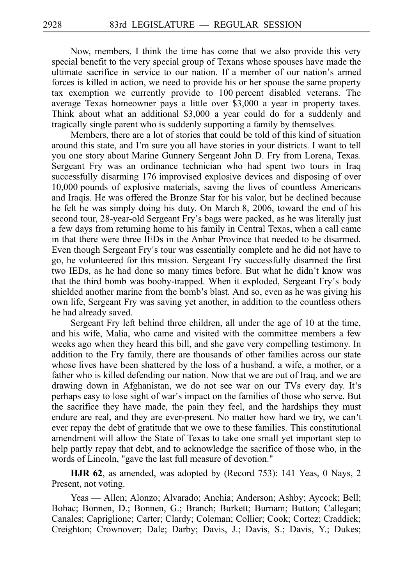Now, members, I think the time has come that we also provide this very special benefit to the very special group of Texans whose spouses have made the ultimate sacrifice in service to our nation. If a member of our nation's armed forces is killed in action, we need to provide his or her spouse the same property tax exemption we currently provide to 100 percent disabled veterans. The average Texas homeowner pays a little over \$3,000 a year in property taxes. Think about what an additional \$3,000 a year could do for a suddenly and tragically single parent who is suddenly supporting a family by themselves.

Members, there are a lot of stories that could be told of this kind of situation around this state, and I'm sure you all have stories in your districts. I want to tell you one story about Marine Gunnery Sergeant John D. Fry from Lorena, Texas. Sergeant Fry was an ordinance technician who had spent two tours in Iraq successfully disarming 176 improvised explosive devices and disposing of over 10,000 pounds of explosive materials, saving the lives of countless Americans and Iraqis. He was offered the Bronze Star for his valor, but he declined because he felt he was simply doing his duty. On March 8, 2006, toward the end of his second tour, 28-year-old Sergeant Fry s bags were packed, as he was literally just ' a few days from returning home to his family in Central Texas, when a call came in that there were three IEDs in the Anbar Province that needed to be disarmed. Even though Sergeant Fry's tour was essentially complete and he did not have to go, he volunteered for this mission. Sergeant Fry successfully disarmed the first two IEDs, as he had done so many times before. But what he didn't know was that the third bomb was booby-trapped. When it exploded, Sergeant Fry s body ' shielded another marine from the bomb's blast. And so, even as he was giving his own life, Sergeant Fry was saving yet another, in addition to the countless others he had already saved.

Sergeant Fry left behind three children, all under the age of 10 at the time, and his wife, Malia, who came and visited with the committee members a few weeks ago when they heard this bill, and she gave very compelling testimony. In addition to the Fry family, there are thousands of other families across our state whose lives have been shattered by the loss of a husband, a wife, a mother, or a father who is killed defending our nation. Now that we are out of Iraq, and we are drawing down in Afghanistan, we do not see war on our TVs every day. It's perhaps easy to lose sight of war's impact on the families of those who serve. But the sacrifice they have made, the pain they feel, and the hardships they must endure are real, and they are ever-present. No matter how hard we try, we can't ever repay the debt of gratitude that we owe to these families. This constitutional amendment will allow the State of Texas to take one small yet important step to help partly repay that debt, and to acknowledge the sacrifice of those who, in the words of Lincoln, "gave the last full measure of devotion."

**HJR 62**, as amended, was adopted by (Record 753): 141 Yeas, 0 Nays, 2 Present, not voting.

Yeas — Allen; Alonzo; Alvarado; Anchia; Anderson; Ashby; Aycock; Bell; Bohac; Bonnen, D.; Bonnen, G.; Branch; Burkett; Burnam; Button; Callegari; Canales; Capriglione; Carter; Clardy; Coleman; Collier; Cook; Cortez; Craddick; Creighton; Crownover; Dale; Darby; Davis, J.; Davis, S.; Davis, Y.; Dukes;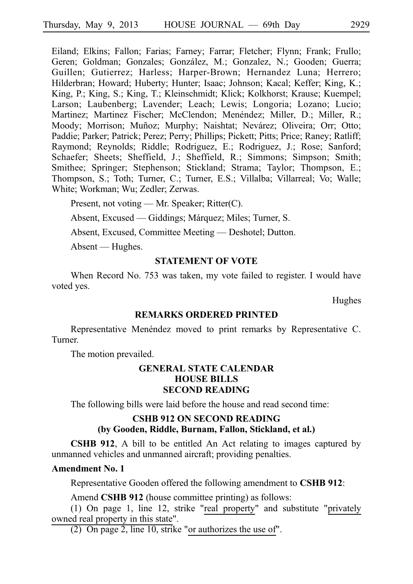Eiland; Elkins; Fallon; Farias; Farney; Farrar; Fletcher; Flynn; Frank; Frullo; Geren; Goldman; Gonzales; González, M.; Gonzalez, N.; Gooden; Guerra; Guillen; Gutierrez; Harless; Harper-Brown; Hernandez Luna; Herrero; Hilderbran; Howard; Huberty; Hunter; Isaac; Johnson; Kacal; Keffer; King, K.; King, P.; King, S.; King, T.; Kleinschmidt; Klick; Kolkhorst; Krause; Kuempel; Larson; Laubenberg; Lavender; Leach; Lewis; Longoria; Lozano; Lucio; Martinez; Martinez Fischer; McClendon; Menéndez; Miller, D.; Miller, R.; Moody; Morrison; Muñoz; Murphy; Naishtat; Nevárez; Oliveira; Orr; Otto; Paddie; Parker; Patrick; Perez; Perry; Phillips; Pickett; Pitts; Price; Raney; Ratliff; Raymond; Reynolds; Riddle; Rodriguez, E.; Rodriguez, J.; Rose; Sanford; Schaefer; Sheets; Sheffield, J.; Sheffield, R.; Simmons; Simpson; Smith; Smithee; Springer; Stephenson; Stickland; Strama; Taylor; Thompson, E.; Thompson, S.; Toth; Turner, C.; Turner, E.S.; Villalba; Villarreal; Vo; Walle; White; Workman; Wu; Zedler; Zerwas.

Present, not voting — Mr. Speaker; Ritter(C).

Absent, Excused — Giddings; Márquez; Miles; Turner, S.

Absent, Excused, Committee Meeting — Deshotel; Dutton.

Absent — Hughes.

#### **STATEMENT OF VOTE**

When Record No. 753 was taken, my vote failed to register. I would have voted yes.

Hughes

#### **REMARKS ORDERED PRINTED**

Representative Menéndez moved to print remarks by Representative C. Turner.

The motion prevailed.

### **GENERAL STATE CALENDAR HOUSE BILLS SECOND READING**

The following bills were laid before the house and read second time:

## **CSHB 912 ON SECOND READING (by Gooden, Riddle, Burnam, Fallon, Stickland, et al.)**

**CSHB 912**, A bill to be entitled An Act relating to images captured by unmanned vehicles and unmanned aircraft; providing penalties.

#### **Amendment No. 1**

Representative Gooden offered the following amendment to **CSHB 912**:

Amend **CSHB 912** (house committee printing) as follows:

(1) On page 1, line 12, strike "real property" and substitute "privately owned real property in this state".

(2) On page 2, line 10, strike "or authorizes the use of".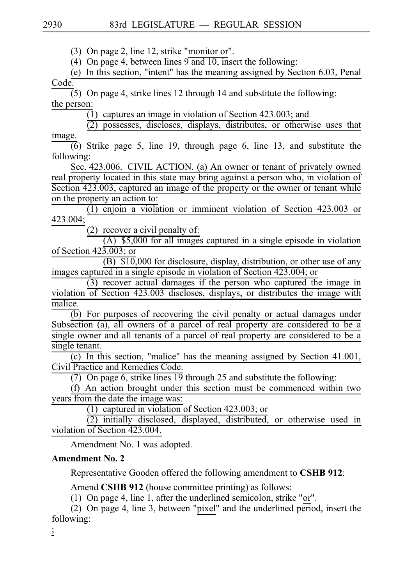$(3)$  On page 2, line 12, strike "monitor or".

(4) On page 4, between lines  $9$  and 10, insert the following:

(e) In this section, "intent" has the meaning assigned by Section  $6.03$ , Penal Code.

 $\overline{(5)}$  On page 4, strike lines 12 through 14 and substitute the following: the person:

 $(1)$  captures an image in violation of Section 423.003; and

 $(2)$  possesses, discloses, displays, distributes, or otherwise uses that image.

 $\overline{(6)}$  Strike page 5, line 19, through page 6, line 13, and substitute the following:

Sec. 423.006. CIVIL ACTION. (a) An owner or tenant of privately owned real property located in this state may bring against a person who, in violation of Section 423.003, captured an image of the property or the owner or tenant while on the property an action to:

 $(1)$  enjoin a violation or imminent violation of Section 423.003 or 423.004;

 $(2)$  recover a civil penalty of:

 $(A)$  \$5,000 for all images captured in a single episode in violation of Section 423.003; or

 $(B)$  \$10,000 for disclosure, display, distribution, or other use of any images captured in a single episode in violation of Section 423.004; or

 $(3)$  recover actual damages if the person who captured the image in violation of Section 423.003 discloses, displays, or distributes the image with malice.

 $\overline{(b)}$  For purposes of recovering the civil penalty or actual damages under Subsection (a), all owners of a parcel of real property are considered to be a single owner and all tenants of a parcel of real property are considered to be a single tenant.

(c) In this section, "malice" has the meaning assigned by Section  $41.001$ , Civil Practice and Remedies Code.

(7) On page 6, strike lines  $19$  through 25 and substitute the following:

(f) An action brought under this section must be commenced within two years from the date the image was:

(1) captured in violation of Section 423.003; or

 $(2)$  initially disclosed, displayed, distributed, or otherwise used in violation of Section 423.004.

Amendment No. 1 was adopted.

## **Amendment No. 2**

Representative Gooden offered the following amendment to **CSHB 912**:

Amend **CSHB 912** (house committee printing) as follows:

(1) On page 4, line 1, after the underlined semicolon, strike "or".

(2) On page 4, line 3, between "pixel" and the underlined period, insert the following:

;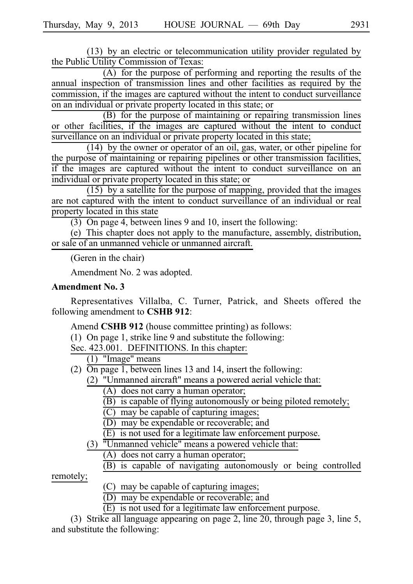$(13)$  by an electric or telecommunication utility provider regulated by the Public Utility Commission of Texas:

 $(A)$  for the purpose of performing and reporting the results of the annual inspection of transmission lines and other facilities as required by the commission, if the images are captured without the intent to conduct surveillance on an individual or private property located in this state; or

 $(B)$  for the purpose of maintaining or repairing transmission lines or other facilities, if the images are captured without the intent to conduct surveillance on an individual or private property located in this state;

 $(14)$  by the owner or operator of an oil, gas, water, or other pipeline for the purpose of maintaining or repairing pipelines or other transmission facilities, if the images are captured without the intent to conduct surveillance on an individual or private property located in this state; or

 $(15)$  by a satellite for the purpose of mapping, provided that the images are not captured with the intent to conduct surveillance of an individual or real property located in this state

 $(3)$  On page 4, between lines 9 and 10, insert the following:

(e) This chapter does not apply to the manufacture, assembly, distribution, or sale of an unmanned vehicle or unmanned aircraft.

(Geren in the chair)

Amendment No. 2 was adopted.

#### **Amendment No. 3**

Representatives Villalba, C. Turner, Patrick, and Sheets offered the following amendment to **CSHB 912**:

Amend CSHB 912 (house committee printing) as follows:

(1) On page 1, strike line 9 and substitute the following:

Sec. 423.001. DEFINITIONS. In this chapter:

 $(1)$  "Image" means

- (2)  $\overline{On}$  page 1, between lines 13 and 14, insert the following:
	- $(2)$  "Unmanned aircraft" means a powered aerial vehicle that:
		- $(A)$  does not carry a human operator;
		- $\overline{(B)}$  is capable of flying autonomously or being piloted remotely;
		- $(C)$  may be capable of capturing images;
		- (D) may be expendable or recoverable; and
		- $\overrightarrow{E}$  is not used for a legitimate law enforcement purpose.
	- $(3)$   $"Unmanuel vehicle" means a powered vehicle that:$ 
		- $(A)$  does not carry a human operator;
		- (B) is capable of navigating autonomously or being controlled

remotely;

- $(C)$  may be capable of capturing images;
- $(D)$  may be expendable or recoverable; and
- $(E)$  is not used for a legitimate law enforcement purpose.

(3) Strike all language appearing on page 2, line 20, through page 3, line 5, and substitute the following: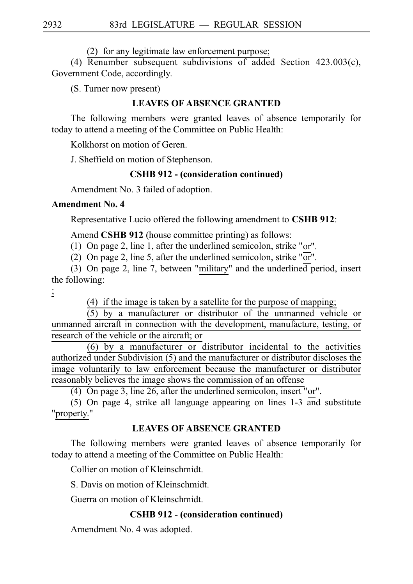$(2)$  for any legitimate law enforcement purpose;

(4) Renumber subsequent subdivisions of added Section 423.003(c), Government Code, accordingly.

(S. Turner now present)

## **LEAVES OF ABSENCE GRANTED**

The following members were granted leaves of absence temporarily for today to attend a meeting of the Committee on Public Health:

Kolkhorst on motion of Geren.

J. Sheffield on motion of Stephenson.

### **CSHB 912 - (consideration continued)**

Amendment No. 3 failed of adoption.

#### **Amendment No. 4**

Representative Lucio offered the following amendment to CSHB 912:

Amend **CSHB 912** (house committee printing) as follows:

(1) On page 2, line 1, after the underlined semicolon, strike "or".

(2) On page 2, line 5, after the underlined semicolon, strike "or".

(3) On page 2, line 7, between "military" and the underlined period, insert the following:

;

 $(4)$  if the image is taken by a satellite for the purpose of mapping;

 $(5)$  by a manufacturer or distributor of the unmanned vehicle or unmanned aircraft in connection with the development, manufacture, testing, or research of the vehicle or the aircraft; or

 $(6)$  by a manufacturer or distributor incidental to the activities authorized under Subdivision (5) and the manufacturer or distributor discloses the image voluntarily to law enforcement because the manufacturer or distributor reasonably believes the image shows the commission of an offense

(4) On page 3, line  $26$ , after the underlined semicolon, insert "or".

(5) On page 4, strike all language appearing on lines  $1-3$  and substitute "property."

## **LEAVES OF ABSENCE GRANTED**

The following members were granted leaves of absence temporarily for today to attend a meeting of the Committee on Public Health:

Collier on motion of Kleinschmidt.

S. Davis on motion of Kleinschmidt.

Guerra on motion of Kleinschmidt.

### **CSHB 912 - (consideration continued)**

Amendment No. 4 was adopted.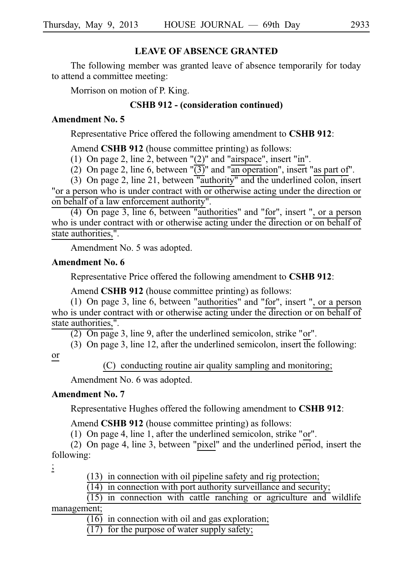### **LEAVE OF ABSENCE GRANTED**

The following member was granted leave of absence temporarily for today to attend a committee meeting:

Morrison on motion of P. King.

## **CSHB 912 - (consideration continued)**

### **Amendment No. 5**

Representative Price offered the following amendment to **CSHB 912**:

Amend **CSHB 912** (house committee printing) as follows:

(1) On page 2, line 2, between " $(2)$ " and "airspace", insert "in".

(2) On page 2, line 6, between " $\overline{(3)}$ " and "an operation", insert "as part of".

(3) On page 2, line 21, between "authority" and the underlined colon, insert "or a person who is under contract with or otherwise acting under the direction or on behalf of a law enforcement authority".

 $(4)$  On page 3, line 6, between "authorities" and "for", insert ", or a person who is under contract with or otherwise acting under the direction or on behalf of state authorities,".

Amendment No. 5 was adopted.

### **Amendment No. 6**

Representative Price offered the following amendment to **CSHB 912**:

Amend **CSHB 912** (house committee printing) as follows:

(1) On page 3, line 6, between "authorities" and "for", insert ", or a person who is under contract with or otherwise acting under the direction or on behalf of state authorities,".

 $(2)$  On page 3, line 9, after the underlined semicolon, strike "or".

(3) On page 3, line 12, after the underlined semicolon, insert the following:

#### or

(C) conducting routine air quality sampling and monitoring;

Amendment No. 6 was adopted.

### **Amendment No. 7**

Representative Hughes offered the following amendment to **CSHB 912**:

Amend **CSHB 912** (house committee printing) as follows:

(1) On page 4, line 1, after the underlined semicolon, strike "or".

(2) On page 4, line 3, between "pixel" and the underlined period, insert the following:

;

 $(13)$  in connection with oil pipeline safety and rig protection;

 $(14)$  in connection with port authority surveillance and security;

 $(15)$  in connection with cattle ranching or agriculture and wildlife management;

 $(16)$  in connection with oil and gas exploration;

 $(17)$  for the purpose of water supply safety;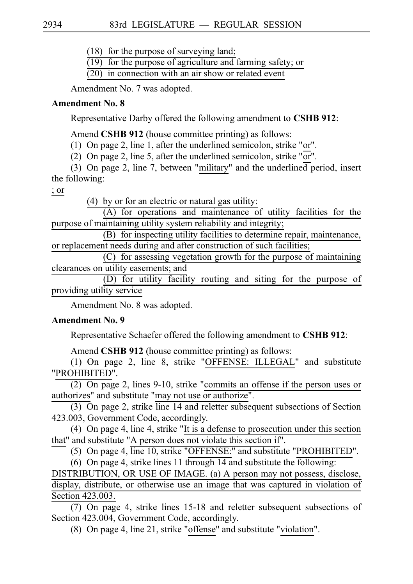$(18)$  for the purpose of surveying land;

 $(19)$  for the purpose of agriculture and farming safety; or

 $(20)$  in connection with an air show or related event

Amendment No. 7 was adopted.

## **Amendment No. 8**

Representative Darby offered the following amendment to **CSHB 912**:

Amend **CSHB 912** (house committee printing) as follows:

(1) On page 2, line 1, after the underlined semicolon, strike "or".

(2) On page 2, line 5, after the underlined semicolon, strike "or".

(3) On page 2, line 7, between "military" and the underlined period, insert the following:

; or

 $(4)$  by or for an electric or natural gas utility:

 $(A)$  for operations and maintenance of utility facilities for the purpose of maintaining utility system reliability and integrity;

(B) for inspecting utility facilities to determine repair, maintenance, or replacement needs during and after construction of such facilities;

(C) for assessing vegetation growth for the purpose of maintaining clearances on utility easements; and

 $(D)$  for utility facility routing and siting for the purpose of providing utility service

Amendment No. 8 was adopted.

# **Amendment No. 9**

Representative Schaefer offered the following amendment to **CSHB 912**:

Amend **CSHB 912** (house committee printing) as follows:

(1) On page 2, line 8, strike "OFFENSE: ILLEGAL" and substitute "PROHIBITED".

 $(2)$  On page 2, lines 9-10, strike "commits an offense if the person uses or authorizes" and substitute "may not use or authorize".

 $\overline{(3)}$  On page 2, strike line 14 and reletter subsequent subsections of Section 423.003, Government Code, accordingly.

(4) On page 4, line 4, strike "It is a defense to prosecution under this section that" and substitute "A person does not violate this section if".

(5) On page 4, line 10, strike "OFFENSE:" and substitute "PROHIBITED".

(6) On page 4, strike lines 11 through  $14$  and substitute the following: DISTRIBUTION, OR USE OF IMAGE. (a) A person may not possess, disclose, display, distribute, or otherwise use an image that was captured in violation of Section 423.003.

(7) On page 4, strike lines  $15-18$  and reletter subsequent subsections of Section 423.004, Government Code, accordingly.

(8) On page 4, line 21, strike "offense" and substitute "violation".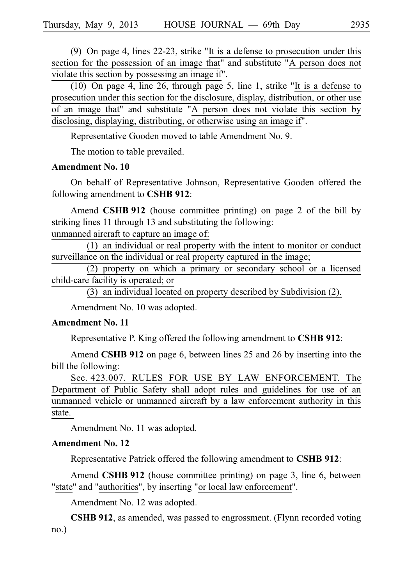(9) On page 4, lines  $22-23$ , strike "It is a defense to prosecution under this section for the possession of an image that" and substitute "A person does not violate this section by possessing an image if".

(10) On page 4, line 26, through page 5, line 1, strike "It is a defense to prosecution under this section for the disclosure, display, distribution, or other use of an image that" and substitute "A person does not violate this section by disclosing, displaying, distributing, or otherwise using an image if".

Representative Gooden moved to table Amendment No. 9.

The motion to table prevailed.

#### **Amendment No. 10**

On behalf of Representative Johnson, Representative Gooden offered the following amendment to **CSHB 912**:

Amend **CSHB 912** (house committee printing) on page 2 of the bill by striking lines 11 through 13 and substituting the following:

unmanned aircraft to capture an image of:

 $(1)$  an individual or real property with the intent to monitor or conduct surveillance on the individual or real property captured in the image;

 $(2)$  property on which a primary or secondary school or a licensed child-care facility is operated; or

 $(3)$  an individual located on property described by Subdivision (2).

Amendment No. 10 was adopted.

#### **Amendment No. 11**

Representative P. King offered the following amendment to **CSHB 912**:

Amend **CSHB 912** on page 6, between lines 25 and 26 by inserting into the bill the following:

Sec. 423.007. RULES FOR USE BY LAW ENFORCEMENT. The Department of Public Safety shall adopt rules and guidelines for use of an unmanned vehicle or unmanned aircraft by a law enforcement authority in this state.

Amendment No. 11 was adopted.

#### **Amendment No. 12**

Representative Patrick offered the following amendment to **CSHB 912**:

Amend **CSHB 912** (house committee printing) on page 3, line 6, between "state" and "authorities", by inserting "or local law enforcement".

Amendment No. 12 was adopted.

**CSHB 912**, as amended, was passed to engrossment. (Flynn recorded voting no.)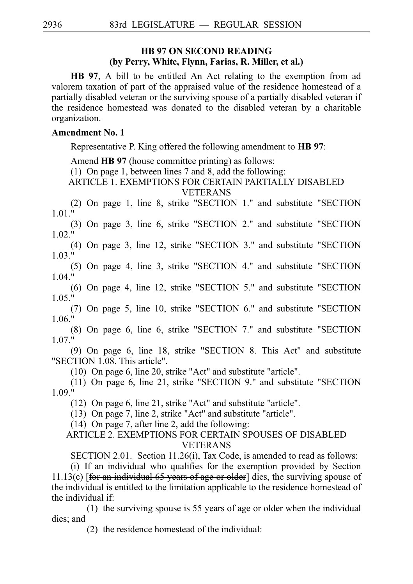### **HB 97 ON SECOND READING (by Perry, White, Flynn, Farias, R. Miller, et al.)**

**HB 97**, A bill to be entitled An Act relating to the exemption from ad valorem taxation of part of the appraised value of the residence homestead of a partially disabled veteran or the surviving spouse of a partially disabled veteran if the residence homestead was donated to the disabled veteran by a charitable organization.

### **Amendment No. 1**

Representative P. King offered the following amendment to **HB 97**:

Amend **HB 97** (house committee printing) as follows:

(1) On page 1, between lines 7 and 8, add the following:

ARTICLE 1. EXEMPTIONS FOR CERTAIN PARTIALLY DISABLED VETERANS

(2) On page 1, line 8, strike "SECTION 1." and substitute "SECTION 1.01."

(3) On page 3, line 6, strike "SECTION 2." and substitute "SECTION  $1.02 \text{ }^{\circ}$ 

(4) On page 3, line 12, strike "SECTION 3." and substitute "SECTION 1.03."

(5) On page 4, line 3, strike "SECTION 4." and substitute "SECTION 1.04."

(6) On page 4, line 12, strike "SECTION  $5$ ." and substitute "SECTION 1.05."

(7) On page 5, line 10, strike "SECTION 6." and substitute "SECTION 1.06."

(8) On page 6, line 6, strike "SECTION 7." and substitute "SECTION 1.07."

(9) On page 6, line 18, strike "SECTION 8. This Act" and substitute "SECTION 1.08. This article".

 $(10)$  On page 6, line 20, strike "Act" and substitute "article".

 $(11)$  On page 6, line 21, strike "SECTION 9." and substitute "SECTION 1.09."

 $(12)$  On page 6, line 21, strike "Act" and substitute "article".

 $(13)$  On page 7, line 2, strike "Act" and substitute "article".

 $(14)$  On page 7, after line 2, add the following:

### ARTICLE 2. EXEMPTIONS FOR CERTAIN SPOUSES OF DISABLED VETERANS

SECTION 2.01. Section 11.26(i), Tax Code, is amended to read as follows:

(i) If an individual who qualifies for the exemption provided by Section 11.13(c) [for an individual 65 years of age or older] dies, the surviving spouse of the individual is entitled to the limitation applicable to the residence homestead of the individual if:

(1) the surviving spouse is 55 years of age or older when the individual dies; and

 $(2)$  the residence homestead of the individual: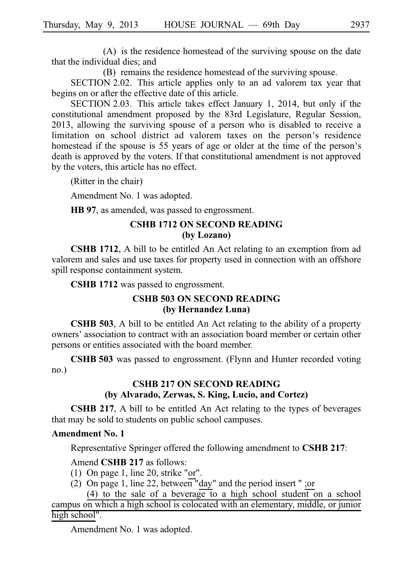$(A)$  is the residence homestead of the surviving spouse on the date that the individual dies; and

(B) remains the residence homestead of the surviving spouse.

SECTION 2.02. This article applies only to an ad valorem tax year that begins on or after the effective date of this article.

SECTION 2.03. This article takes effect January 1, 2014, but only if the constitutional amendment proposed by the 83rd Legislature, Regular Session, 2013, allowing the surviving spouse of a person who is disabled to receive a limitation on school district ad valorem taxes on the person's residence homestead if the spouse is 55 years of age or older at the time of the person's death is approved by the voters. If that constitutional amendment is not approved by the voters, this article has no effect.

(Ritter in the chair)

Amendment No. 1 was adopted.

**HB 97**, as amended, was passed to engrossment.

#### **CSHB 1712 ON SECOND READING (by Lozano)**

**CSHB 1712**, A bill to be entitled An Act relating to an exemption from ad valorem and sales and use taxes for property used in connection with an offshore spill response containment system.

**CSHB** 1712 was passed to engrossment.

## **CSHB 503 ON SECOND READING (by Hernandez Luna)**

**CSHB 503**, A bill to be entitled An Act relating to the ability of a property owners' association to contract with an association board member or certain other persons or entities associated with the board member.

**CSHB 503** was passed to engrossment. (Flynn and Hunter recorded voting no.)

## **CSHB 217 ON SECOND READING (by Alvarado, Zerwas, S. King, Lucio, and Cortez)**

**CSHB 217**, A bill to be entitled An Act relating to the types of beverages that may be sold to students on public school campuses.

#### **Amendment No. 1**

Representative Springer offered the following amendment to **CSHB 217**:

#### Amend **CSHB** 217 as follows:

- (1) On page 1, line 20, strike "or".
- (2) On page 1, line 22, between "day" and the period insert " ;or

(4) to the sale of a beverage to a high school student on a school campus on which a high school is colocated with an elementary, middle, or junior high school".

Amendment No. 1 was adopted.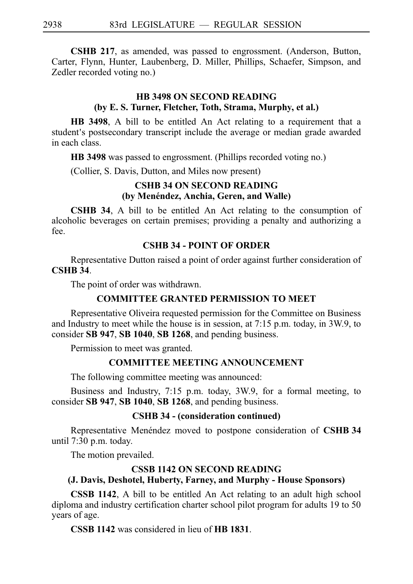**CSHB 217**, as amended, was passed to engrossment. (Anderson, Button, Carter, Flynn, Hunter, Laubenberg, D. Miller, Phillips, Schaefer, Simpson, and Zedler recorded voting no.)

## **HB 3498 ON SECOND READING (by E. S. Turner, Fletcher, Toth, Strama, Murphy, et al.)**

**HB 3498**, A bill to be entitled An Act relating to a requirement that a student's postsecondary transcript include the average or median grade awarded in each class.

**HB** 3498 was passed to engrossment. (Phillips recorded voting no.)

(Collier, S. Davis, Dutton, and Miles now present)

#### **CSHB 34 ON SECOND READING** (by Menéndez, Anchia, Geren, and Walle)

**CSHB 34**, A bill to be entitled An Act relating to the consumption of alcoholic beverages on certain premises; providing a penalty and authorizing a fee.

### **CSHB 34 - POINT OF ORDER**

Representative Dutton raised a point of order against further consideration of **CSHB 34**.

The point of order was withdrawn.

#### **COMMITTEE GRANTED PERMISSION TO MEET**

Representative Oliveira requested permission for the Committee on Business and Industry to meet while the house is in session, at  $7:15$  p.m. today, in 3W.9, to consider **SBi947**, **SBi1040**, **SBi1268**, and pending business.

Permission to meet was granted.

#### **COMMITTEE MEETING ANNOUNCEMENT**

The following committee meeting was announced:

Business and Industry, 7:15 p.m. today, 3W.9, for a formal meeting, to consider SB 947, SB 1040, SB 1268, and pending business.

#### **CSHB 34 - (consideration continued)**

Representative Menéndez moved to postpone consideration of CSHB 34 until  $7:30$  p.m. today.

The motion prevailed.

#### **CSSB 1142 ON SECOND READING**

#### **(J. Davis, Deshotel, Huberty, Farney, and Murphy - House Sponsors)**

**CSSB 1142**, A bill to be entitled An Act relating to an adult high school diploma and industry certification charter school pilot program for adults 19 to 50 years of age.

**CSSB 1142** was considered in lieu of **HB 1831**.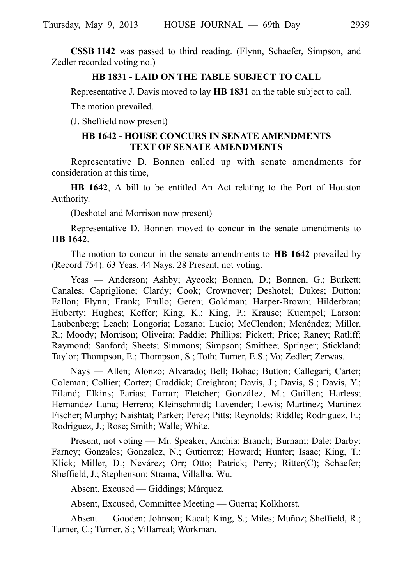**CSSBi1142** was passed to third reading. (Flynn, Schaefer, Simpson, and Zedler recorded voting no.)

## **HB 1831 - LAID ON THE TABLE SUBJECT TO CALL**

Representative J. Davis moved to lay **HBi1831** on the table subject to call.

The motion prevailed.

(J. Sheffield now present)

## **HB 1642 - HOUSE CONCURS IN SENATE AMENDMENTS TEXT OF SENATE AMENDMENTS**

Representative D. Bonnen called up with senate amendments for consideration at this time,

**HB 1642**, A bill to be entitled An Act relating to the Port of Houston Authority.

(Deshotel and Morrison now present)

Representative D. Bonnen moved to concur in the senate amendments to **HBi1642**.

The motion to concur in the senate amendments to **HB 1642** prevailed by (Record 754): 63 Yeas, 44 Nays, 28 Present, not voting.

Yeas — Anderson; Ashby; Aycock; Bonnen, D.; Bonnen, G.; Burkett; Canales; Capriglione; Clardy; Cook; Crownover; Deshotel; Dukes; Dutton; Fallon; Flynn; Frank; Frullo; Geren; Goldman; Harper-Brown; Hilderbran; Huberty; Hughes; Keffer; King, K.; King, P.; Krause; Kuempel; Larson; Laubenberg; Leach; Longoria; Lozano; Lucio; McClendon; Menéndez; Miller, R.; Moody; Morrison; Oliveira; Paddie; Phillips; Pickett; Price; Raney; Ratliff; Raymond; Sanford; Sheets; Simmons; Simpson; Smithee; Springer; Stickland; Taylor; Thompson, E.; Thompson, S.; Toth; Turner, E.S.; Vo; Zedler; Zerwas.

Nays — Allen; Alonzo; Alvarado; Bell; Bohac; Button; Callegari; Carter; Coleman; Collier; Cortez; Craddick; Creighton; Davis, J.; Davis, S.; Davis, Y.; Eiland; Elkins; Farias; Farrar; Fletcher; González, M.; Guillen; Harless; Hernandez Luna; Herrero; Kleinschmidt; Lavender; Lewis; Martinez; Martinez Fischer; Murphy; Naishtat; Parker; Perez; Pitts; Reynolds; Riddle; Rodriguez, E.; Rodriguez, J.; Rose; Smith; Walle; White.

Present, not voting — Mr. Speaker; Anchia; Branch; Burnam; Dale; Darby; Farney; Gonzales; Gonzalez, N.; Gutierrez; Howard; Hunter; Isaac; King, T.; Klick; Miller, D.; Nevárez; Orr; Otto; Patrick; Perry; Ritter(C); Schaefer; Sheffield, J.; Stephenson; Strama; Villalba; Wu.

Absent, Excused — Giddings; Márquez.

Absent, Excused, Committee Meeting — Guerra; Kolkhorst.

Absent — Gooden; Johnson; Kacal; King, S.; Miles; Muñoz; Sheffield, R.; Turner, C.; Turner, S.; Villarreal; Workman.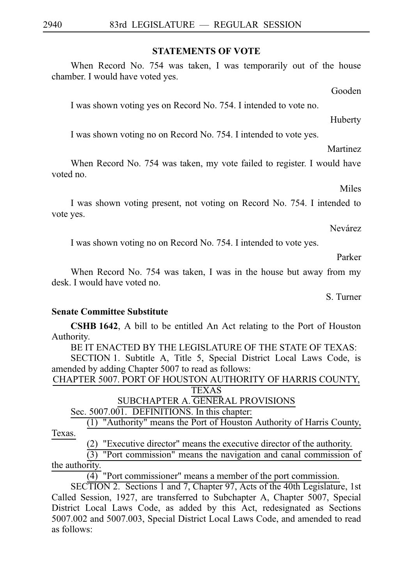#### **STATEMENTS OF VOTE**

When Record No. 754 was taken, I was temporarily out of the house chamber. I would have voted yes.

Gooden

I was shown voting yes on Record No. 754. I intended to vote no.

Huberty

I was shown voting no on Record No. 754. I intended to vote yes.

Martinez

When Record No. 754 was taken, my vote failed to register. I would have voted no.

Miles

I was shown voting present, not voting on Record No. 754. I intended to vote yes.

Nevárez

I was shown voting no on Record No. 754. I intended to vote yes.

Parker

When Record No. 754 was taken, I was in the house but away from my desk. I would have voted no.

S. Turner

#### **Senate Committee Substitute**

**CSHB 1642**, A bill to be entitled An Act relating to the Port of Houston Authority.

BE IT ENACTED BY THE LEGISLATURE OF THE STATE OF TEXAS:

SECTION 1. Subtitle A, Title 5, Special District Local Laws Code, is amended by adding Chapter 5007 to read as follows:

| CHAPTER 5007. PORT OF HOUSTON AUTHORITY OF HARRIS COUNTY. |
|-----------------------------------------------------------|
| TEXAS                                                     |
| ________ ._ _ _ _ _ _ _ _ _ _                             |

SUBCHAPTER A. GENERAL PROVISIONS

Sec. 5007.001. DEFINITIONS. In this chapter:

(1) "Authority" means the Port of Houston Authority of Harris County, Texas.

(2) "Executive director" means the executive director of the authority.

 $(3)$  "Port commission" means the navigation and canal commission of the authority.

 $\overline{(4)}$  "Port commissioner" means a member of the port commission.

SECTION 2. Sections 1 and 7, Chapter 97, Acts of the 40th Legislature, 1st Called Session, 1927, are transferred to Subchapter A, Chapter 5007, Special District Local Laws Code, as added by this Act, redesignated as Sections 5007.002 and 5007.003, Special District Local Laws Code, and amended to read as follows: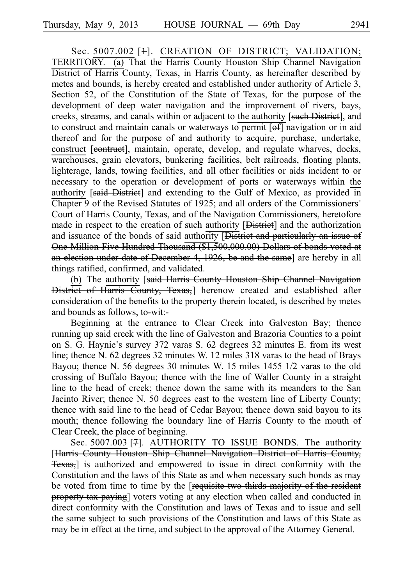Sec. 5007.002 [+]. CREATION OF DISTRICT; VALIDATION; TERRITORY. (a) That the Harris County Houston Ship Channel Navigation District of Harris County, Texas, in Harris County, as hereinafter described by metes and bounds, is hereby created and established under authority of Article 3, Section 52, of the Constitution of the State of Texas, for the purpose of the development of deep water navigation and the improvement of rivers, bays, creeks, streams, and canals within or adjacent to the authority [such District], and to construct and maintain canals or waterways to permit  $\overline{[off]}$  navigation or in aid thereof and for the purpose of and authority to acquire, purchase, undertake, construct [eontruet], maintain, operate, develop, and regulate wharves, docks, warehouses, grain elevators, bunkering facilities, belt railroads, floating plants, lighterage, lands, towing facilities, and all other facilities or aids incident to or necessary to the operation or development of ports or waterways within the authority [said District] and extending to the Gulf of Mexico, as provided in Chapter 9 of the Revised Statutes of 1925; and all orders of the Commissioners ' Court of Harris County, Texas, and of the Navigation Commissioners, heretofore made in respect to the creation of such authority [District] and the authorization and issuance of the bonds of said authority **[District and particularly an issue of** One Million Five Hundred Thousand (\$1,500,000.00) Dollars of bonds voted at an election under date of December 4, 1926, be and the same] are hereby in all things ratified, confirmed, and validated.

(b) The authority [said Harris County Houston Ship Channel Navigation District of Harris County, Texas, herenow created and established after consideration of the benefits to the property therein located, is described by metes and bounds as follows, to-wit:-

Beginning at the entrance to Clear Creek into Galveston Bay; thence running up said creek with the line of Galveston and Brazoria Counties to a point on S. G. Haynie's survey 372 varas S. 62 degrees 32 minutes E. from its west line; thence N. 62 degrees 32 minutes W. 12 miles 318 varas to the head of Brays Bayou; thence N. 56 degrees 30 minutes W. 15 miles 1455 1/2 varas to the old crossing of Buffalo Bayou; thence with the line of Waller County in a straight line to the head of creek; thence down the same with its meanders to the San Jacinto River; thence N. 50 degrees east to the western line of Liberty County; thence with said line to the head of Cedar Bayou; thence down said bayou to its mouth; thence following the boundary line of Harris County to the mouth of Clear Creek, the place of beginning.

Sec. 5007.003<sup>[7]</sup>. AUTHORITY TO ISSUE BONDS. The authority [Harris County Houston Ship Channel Navigation District of Harris County, Texas,] is authorized and empowered to issue in direct conformity with the Constitution and the laws of this State as and when necessary such bonds as may be voted from time to time by the [requisite two-thirds majority of the resident property tax paying] voters voting at any election when called and conducted in direct conformity with the Constitution and laws of Texas and to issue and sell the same subject to such provisions of the Constitution and laws of this State as may be in effect at the time, and subject to the approval of the Attorney General.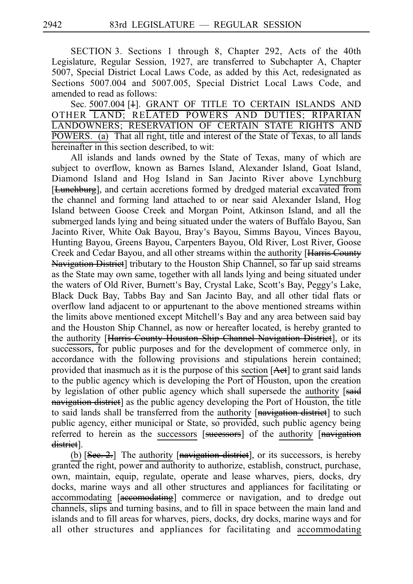SECTION 3. Sections 1 through 8, Chapter 292, Acts of the 40th Legislature, Regular Session, 1927, are transferred to Subchapter A, Chapter 5007, Special District Local Laws Code, as added by this Act, redesignated as Sections 5007.004 and 5007.005, Special District Local Laws Code, and amended to read as follows:

Sec. 5007.004 [4]. GRANT OF TITLE TO CERTAIN ISLANDS AND OTHER LAND; RELATED POWERS AND DUTIES; RIPARIAN LANDOWNERS; RESERVATION OF CERTAIN STATE RIGHTS AND POWERS. (a) That all right, title and interest of the State of Texas, to all lands hereinafter in this section described, to wit:

All islands and lands owned by the State of Texas, many of which are subject to overflow, known as Barnes Island, Alexander Island, Goat Island, Diamond Island and Hog Island in San Jacinto River above Lynchburg [Lunchburg], and certain accretions formed by dredged material excavated from the channel and forming land attached to or near said Alexander Island, Hog Island between Goose Creek and Morgan Point, Atkinson Island, and all the submerged lands lying and being situated under the waters of Buffalo Bayou, San Jacinto River, White Oak Bayou, Bray's Bayou, Simms Bayou, Vinces Bayou, Hunting Bayou, Greens Bayou, Carpenters Bayou, Old River, Lost River, Goose Creek and Cedar Bayou, and all other streams within the authority [Harris County Navigation District] tributary to the Houston Ship Channel, so far up said streams as the State may own same, together with all lands lying and being situated under the waters of Old River, Burnett's Bay, Crystal Lake, Scott's Bay, Peggy's Lake, Black Duck Bay, Tabbs Bay and San Jacinto Bay, and all other tidal flats or overflow land adjacent to or appurtenant to the above mentioned streams within the limits above mentioned except Mitchell's Bay and any area between said bay and the Houston Ship Channel, as now or hereafter located, is hereby granted to the authority [Harris County Houston Ship Channel Navigation District], or its successors, for public purposes and for the development of commerce only, in accordance with the following provisions and stipulations herein contained; provided that inasmuch as it is the purpose of this section  $[Aet]$  to grant said lands to the public agency which is developing the Port of Houston, upon the creation by legislation of other public agency which shall supersede the authority [said navigation district] as the public agency developing the Port of Houston, the title to said lands shall be transferred from the authority [navigation district] to such public agency, either municipal or State, so provided, such public agency being referred to herein as the successors [sucessors] of the authority [navigation district].

(b)  $[See. 2.]$  The authority  $[చa1]$  navigation district], or its successors, is hereby granted the right, power and authority to authorize, establish, construct, purchase, own, maintain, equip, regulate, operate and lease wharves, piers, docks, dry docks, marine ways and all other structures and appliances for facilitating or accommodating [accomodating] commerce or navigation, and to dredge out channels, slips and turning basins, and to fill in space between the main land and islands and to fill areas for wharves, piers, docks, dry docks, marine ways and for all other structures and appliances for facilitating and accommodating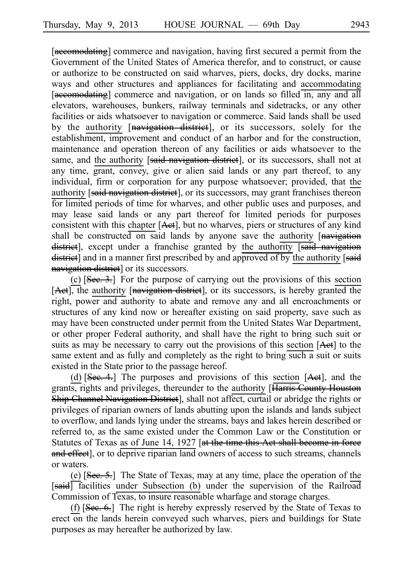[accomodating] commerce and navigation, having first secured a permit from the Government of the United States of America therefor, and to construct, or cause or authorize to be constructed on said wharves, piers, docks, dry docks, marine ways and other structures and appliances for facilitating and accommodating [accomodating] commerce and navigation, or on lands so filled in, any and all elevators, warehouses, bunkers, railway terminals and sidetracks, or any other facilities or aids whatsoever to navigation or commerce. Said lands shall be used by the authority [navigation district], or its successors, solely for the establishment, improvement and conduct of an harbor and for the construction, maintenance and operation thereon of any facilities or aids whatsoever to the same, and the authority [said navigation district], or its successors, shall not at any time, grant, convey, give or alien said lands or any part thereof, to any individual, firm or corporation for any purpose whatsoever; provided, that the authority [said navigation district], or its successors, may grant franchises thereon for limited periods of time for wharves, and other public uses and purposes, and may lease said lands or any part thereof for limited periods for purposes consistent with this chapter [Act], but no wharves, piers or structures of any kind shall be constructed on said lands by anyone save the authority [navigation] district], except under a franchise granted by the authority *said* navigation district] and in a manner first prescribed by and approved of by the authority [said] navigation district] or its successors.

(c)  $[See.3.]$  For the purpose of carrying out the provisions of this section [Aet], the authority [navigation district], or its successors, is hereby granted the right, power and authority to abate and remove any and all encroachments or structures of any kind now or hereafter existing on said property, save such as may have been constructed under permit from the United States War Department, or other proper Federal authority, and shall have the right to bring such suit or suits as may be necessary to carry out the provisions of this section [Aet] to the same extent and as fully and completely as the right to bring such a suit or suits existed in the State prior to the passage hereof.

(d)  $[See.4.]$  The purposes and provisions of this section  $[Aet]$ , and the grants, rights and privileges, thereunder to the authority **Harris County Houston** Ship Channel Navigation District], shall not affect, curtail or abridge the rights or privileges of riparian owners of lands abutting upon the islands and lands subject to overflow, and lands lying under the streams, bays and lakes herein described or referred to, as the same existed under the Common Law or the Constitution or Statutes of Texas as of June 14, 1927 [at the time this Act shall become in force and effect, or to deprive riparian land owners of access to such streams, channels or waters.

(e)  $[See, 5.]$  The State of Texas, may at any time, place the operation of the [said] facilities under Subsection (b) under the supervision of the Railroad Commission of Texas, to insure reasonable wharfage and storage charges.

(f)  $[See.6.]$  The right is hereby expressly reserved by the State of Texas to erect on the lands herein conveyed such wharves, piers and buildings for State purposes as may hereafter be authorized by law.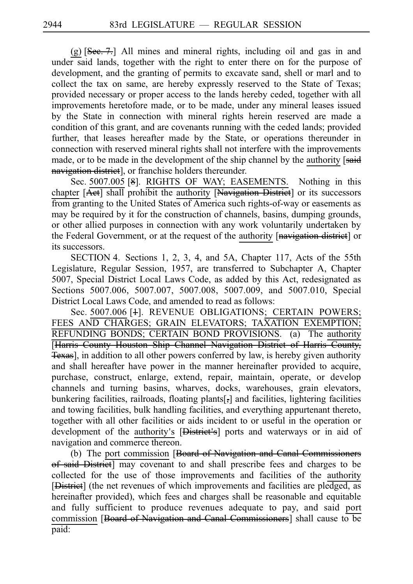$(g)$  [See. 7.] All mines and mineral rights, including oil and gas in and under said lands, together with the right to enter there on for the purpose of development, and the granting of permits to excavate sand, shell or marl and to collect the tax on same, are hereby expressly reserved to the State of Texas; provided necessary or proper access to the lands hereby ceded, together with all improvements heretofore made, or to be made, under any mineral leases issued by the State in connection with mineral rights herein reserved are made a condition of this grant, and are covenants running with the ceded lands; provided further, that leases hereafter made by the State, or operations thereunder in connection with reserved mineral rights shall not interfere with the improvements made, or to be made in the development of the ship channel by the authority [said navigation district], or franchise holders thereunder.

Sec. 5007.005 [8]. RIGHTS OF WAY; EASEMENTS. Nothing in this chapter [Act] shall prohibit the authority [Navigation District] or its successors from granting to the United States of America such rights-of-way or easements as may be required by it for the construction of channels, basins, dumping grounds, or other allied purposes in connection with any work voluntarily undertaken by the Federal Government, or at the request of the authority [navigation district] or its successors.

SECTION 4. Sections 1, 2, 3, 4, and 5A, Chapter 117, Acts of the 55th Legislature, Regular Session, 1957, are transferred to Subchapter A, Chapter 5007, Special District Local Laws Code, as added by this Act, redesignated as Sections 5007.006, 5007.007, 5007.008, 5007.009, and 5007.010, Special District Local Laws Code, and amended to read as follows:

Sec. 5007.006 [4]. REVENUE OBLIGATIONS; CERTAIN POWERS; FEES AND CHARGES; GRAIN ELEVATORS; TAXATION EXEMPTION; REFUNDING BONDS; CERTAIN BOND PROVISIONS. (a) The authority [Harris County Houston Ship Channel Navigation District of Harris County, Texas], in addition to all other powers conferred by law, is hereby given authority and shall hereafter have power in the manner hereinafter provided to acquire, purchase, construct, enlarge, extend, repair, maintain, operate, or develop channels and turning basins, wharves, docks, warehouses, grain elevators, bunkering facilities, railroads, floating plants[,] and facilities, lightering facilities and towing facilities, bulk handling facilities, and everything appurtenant thereto, together with all other facilities or aids incident to or useful in the operation or development of the authority's [District's] ports and waterways or in aid of navigation and commerce thereon.

(b) The port commission [Board of Navigation and Canal Commissioners of said District] may covenant to and shall prescribe fees and charges to be collected for the use of those improvements and facilities of the authority [District] (the net revenues of which improvements and facilities are pledged, as hereinafter provided), which fees and charges shall be reasonable and equitable and fully sufficient to produce revenues adequate to pay, and said port commission [Board of Navigation and Canal Commissioners] shall cause to be paid: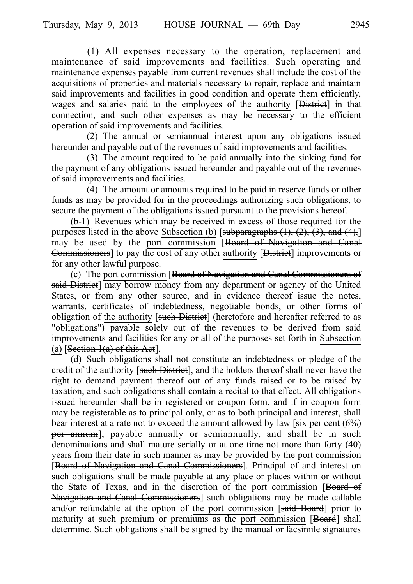$(1)$  All expenses necessary to the operation, replacement and maintenance of said improvements and facilities. Such operating and maintenance expenses payable from current revenues shall include the cost of the acquisitions of properties and materials necessary to repair, replace and maintain said improvements and facilities in good condition and operate them efficiently, wages and salaries paid to the employees of the authority **[District**] in that connection, and such other expenses as may be necessary to the efficient operation of said improvements and facilities.

(2) The annual or semiannual interest upon any obligations issued hereunder and payable out of the revenues of said improvements and facilities.

(3) The amount required to be paid annually into the sinking fund for the payment of any obligations issued hereunder and payable out of the revenues of said improvements and facilities.

 $(4)$  The amount or amounts required to be paid in reserve funds or other funds as may be provided for in the proceedings authorizing such obligations, to secure the payment of the obligations issued pursuant to the provisions hereof.

 $(b-1)$  Revenues which may be received in excess of those required for the purposes listed in the above Subsection (b) [subparagraphs  $(1)$ ,  $(2)$ ,  $(3)$ , and  $(4)$ ,] may be used by the port commission [Board of Navigation and Canal Commissioners] to pay the cost of any other authority [District] improvements or for any other lawful purpose.

(c) The port commission [Board of Navigation and Canal Commissioners of **said District**) may borrow money from any department or agency of the United States, or from any other source, and in evidence thereof issue the notes, warrants, certificates of indebtedness, negotiable bonds, or other forms of obligation of the authority [such District] (heretofore and hereafter referred to as "obligations") payable solely out of the revenues to be derived from said improvements and facilities for any or all of the purposes set forth in Subsection (a)  $[Section 1(a)$  of this Act].

(d) Such obligations shall not constitute an indebtedness or pledge of the credit of the authority [such District], and the holders thereof shall never have the right to demand payment thereof out of any funds raised or to be raised by taxation, and such obligations shall contain a recital to that effect. All obligations issued hereunder shall be in registered or coupon form, and if in coupon form may be registerable as to principal only, or as to both principal and interest, shall bear interest at a rate not to exceed the amount allowed by law  $\sqrt{\frac{1}{1 + \frac{1}{1}} \cdot \frac{1}{1}}$ per annum], payable annually or semiannually, and shall be in such denominations and shall mature serially or at one time not more than forty (40) years from their date in such manner as may be provided by the port commission [Board of Navigation and Canal Commissioners]. Principal of and interest on such obligations shall be made payable at any place or places within or without the State of Texas, and in the discretion of the port commission [Board of Navigation and Canal Commissioners] such obligations may be made callable and/or refundable at the option of the port commission [said Board] prior to maturity at such premium or premiums as the port commission [Board] shall determine. Such obligations shall be signed by the manual or facsimile signatures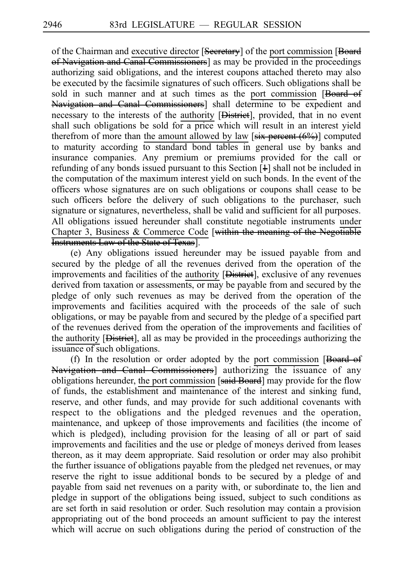of the Chairman and executive director [Secretary] of the port commission [Board] of Navigation and Canal Commissioners] as may be provided in the proceedings authorizing said obligations, and the interest coupons attached thereto may also be executed by the facsimile signatures of such officers. Such obligations shall be sold in such manner and at such times as the port commission [Board of Navigation and Canal Commissioners] shall determine to be expedient and necessary to the interests of the authority [District], provided, that in no event shall such obligations be sold for a price which will result in an interest vield therefrom of more than the amount allowed by law  $[s\ddot{i}x \text{ percent } (6\%)]$  computed to maturity according to standard bond tables in general use by banks and insurance companies. Any premium or premiums provided for the call or refunding of any bonds issued pursuant to this Section  $[4]$  shall not be included in the computation of the maximum interest yield on such bonds. In the event of the officers whose signatures are on such obligations or coupons shall cease to be such officers before the delivery of such obligations to the purchaser, such signature or signatures, nevertheless, shall be valid and sufficient for all purposes. All obligations issued hereunder shall constitute negotiable instruments under Chapter 3, Business  $&$  Commerce Code [within the meaning of the Negotiable] Instruments Law of the State of Texas].

(e) Any obligations issued hereunder may be issued payable from and secured by the pledge of all the revenues derived from the operation of the improvements and facilities of the authority [District], exclusive of any revenues derived from taxation or assessments, or may be payable from and secured by the pledge of only such revenues as may be derived from the operation of the improvements and facilities acquired with the proceeds of the sale of such obligations, or may be payable from and secured by the pledge of a specified part of the revenues derived from the operation of the improvements and facilities of the authority [District], all as may be provided in the proceedings authorizing the issuance of such obligations.

(f) In the resolution or order adopted by the port commission  $[Beard-ef]$ Navigation and Canal Commissioners] authorizing the issuance of any obligations hereunder, the port commission [said Board] may provide for the flow of funds, the establishment and maintenance of the interest and sinking fund, reserve, and other funds, and may provide for such additional covenants with respect to the obligations and the pledged revenues and the operation, maintenance, and upkeep of those improvements and facilities (the income of which is pledged), including provision for the leasing of all or part of said improvements and facilities and the use or pledge of moneys derived from leases thereon, as it may deem appropriate. Said resolution or order may also prohibit the further issuance of obligations payable from the pledged net revenues, or may reserve the right to issue additional bonds to be secured by a pledge of and payable from said net revenues on a parity with, or subordinate to, the lien and pledge in support of the obligations being issued, subject to such conditions as are set forth in said resolution or order. Such resolution may contain a provision appropriating out of the bond proceeds an amount sufficient to pay the interest which will accrue on such obligations during the period of construction of the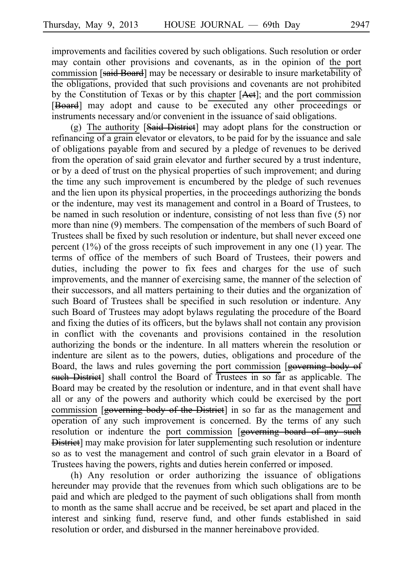improvements and facilities covered by such obligations. Such resolution or order may contain other provisions and covenants, as in the opinion of the port commission [said Board] may be necessary or desirable to insure marketability of the obligations, provided that such provisions and covenants are not prohibited by the Constitution of Texas or by this chapter  $[Aet]$ ; and the port commission [Board] may adopt and cause to be executed any other proceedings or instruments necessary and/or convenient in the issuance of said obligations.

(g) The authority  $[**Said-Distrie**]$  may adopt plans for the construction or refinancing of a grain elevator or elevators, to be paid for by the issuance and sale of obligations payable from and secured by a pledge of revenues to be derived from the operation of said grain elevator and further secured by a trust indenture, or by a deed of trust on the physical properties of such improvement; and during the time any such improvement is encumbered by the pledge of such revenues and the lien upon its physical properties, in the proceedings authorizing the bonds or the indenture, may vest its management and control in a Board of Trustees, to be named in such resolution or indenture, consisting of not less than five (5) nor more than nine (9) members. The compensation of the members of such Board of Trustees shall be fixed by such resolution or indenture, but shall never exceed one percent (1%) of the gross receipts of such improvement in any one (1) year. The terms of office of the members of such Board of Trustees, their powers and duties, including the power to fix fees and charges for the use of such improvements, and the manner of exercising same, the manner of the selection of their successors, and all matters pertaining to their duties and the organization of such Board of Trustees shall be specified in such resolution or indenture. Any such Board of Trustees may adopt bylaws regulating the procedure of the Board and fixing the duties of its officers, but the bylaws shall not contain any provision in conflict with the covenants and provisions contained in the resolution authorizing the bonds or the indenture. In all matters wherein the resolution or indenture are silent as to the powers, duties, obligations and procedure of the Board, the laws and rules governing the port commission [governing body of such District] shall control the Board of Trustees in so far as applicable. The Board may be created by the resolution or indenture, and in that event shall have all or any of the powers and authority which could be exercised by the port commission [governing body of the District] in so far as the management and operation of any such improvement is concerned. By the terms of any such resolution or indenture the port commission [governing board of any such District] may make provision for later supplementing such resolution or indenture so as to vest the management and control of such grain elevator in a Board of Trustees having the powers, rights and duties herein conferred or imposed.

(h) Any resolution or order authorizing the issuance of obligations hereunder may provide that the revenues from which such obligations are to be paid and which are pledged to the payment of such obligations shall from month to month as the same shall accrue and be received, be set apart and placed in the interest and sinking fund, reserve fund, and other funds established in said resolution or order, and disbursed in the manner hereinabove provided.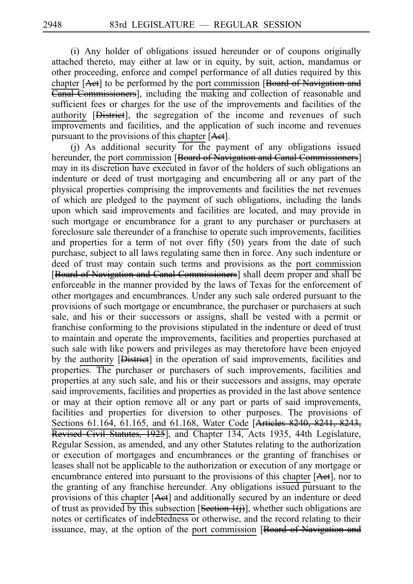(i) Any holder of obligations issued hereunder or of coupons originally attached thereto, may either at law or in equity, by suit, action, mandamus or other proceeding, enforce and compel performance of all duties required by this chapter [Aet] to be performed by the port commission [Board of Navigation and Canal Commissioners], including the making and collection of reasonable and sufficient fees or charges for the use of the improvements and facilities of the authority [District], the segregation of the income and revenues of such improvements and facilities, and the application of such income and revenues pursuant to the provisions of this chapter [Aet].

(i) As additional security for the payment of any obligations issued hereunder, the port commission [Board of Navigation and Canal Commissioners] may in its discretion have executed in favor of the holders of such obligations an indenture or deed of trust mortgaging and encumbering all or any part of the physical properties comprising the improvements and facilities the net revenues of which are pledged to the payment of such obligations, including the lands upon which said improvements and facilities are located, and may provide in such mortgage or encumbrance for a grant to any purchaser or purchasers at foreclosure sale thereunder of a franchise to operate such improvements, facilities and properties for a term of not over fifty (50) years from the date of such purchase, subject to all laws regulating same then in force. Any such indenture or deed of trust may contain such terms and provisions as the port commission [Board of Navigation and Canal Commissioners] shall deem proper and shall be enforceable in the manner provided by the laws of Texas for the enforcement of other mortgages and encumbrances. Under any such sale ordered pursuant to the provisions of such mortgage or encumbrance, the purchaser or purchasers at such sale, and his or their successors or assigns, shall be vested with a permit or franchise conforming to the provisions stipulated in the indenture or deed of trust to maintain and operate the improvements, facilities and properties purchased at such sale with like powers and privileges as may theretofore have been enjoyed by the authority **[District]** in the operation of said improvements, facilities and properties. The purchaser or purchasers of such improvements, facilities and properties at any such sale, and his or their successors and assigns, may operate said improvements, facilities and properties as provided in the last above sentence or may at their option remove all or any part or parts of said improvements, facilities and properties for diversion to other purposes. The provisions of Sections 61.164, 61.165, and 61.168, Water Code [Articles 8240, 8241, 8243, Revised Civil Statutes, 1925], and Chapter 134, Acts 1935, 44th Legislature, Regular Session, as amended, and any other Statutes relating to the authorization or execution of mortgages and encumbrances or the granting of franchises or leases shall not be applicable to the authorization or execution of any mortgage or encumbrance entered into pursuant to the provisions of this chapter  $[**Act**],$  nor to the granting of any franchise hereunder. Any obligations issued pursuant to the provisions of this chapter [Aet] and additionally secured by an indenture or deed of trust as provided by this subsection [Section 1(j)], whether such obligations are notes or certificates of indebtedness or otherwise, and the record relating to their issuance, may, at the option of the port commission [Board of Navigation and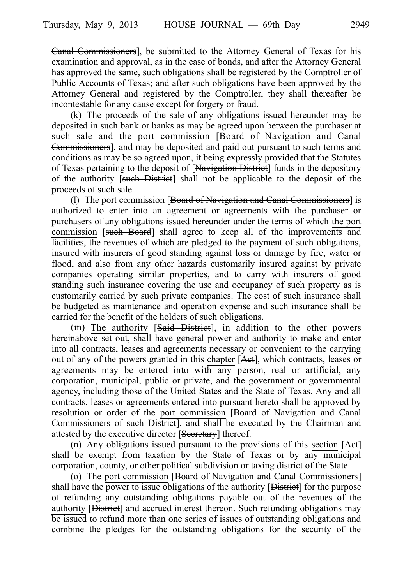Canal Commissioners], be submitted to the Attorney General of Texas for his examination and approval, as in the case of bonds, and after the Attorney General has approved the same, such obligations shall be registered by the Comptroller of Public Accounts of Texas; and after such obligations have been approved by the Attorney General and registered by the Comptroller, they shall thereafter be incontestable for any cause except for forgery or fraud.

 $(k)$  The proceeds of the sale of any obligations issued hereunder may be deposited in such bank or banks as may be agreed upon between the purchaser at such sale and the port commission [Board of Navigation and Canal Commissioners], and may be deposited and paid out pursuant to such terms and conditions as may be so agreed upon, it being expressly provided that the Statutes of Texas pertaining to the deposit of [Navigation District] funds in the depository of the authority [such District] shall not be applicable to the deposit of the proceeds of such sale.

(l) The port commission [Board of Navigation and Canal Commissioners] is authorized to enter into an agreement or agreements with the purchaser or purchasers of any obligations issued hereunder under the terms of which the port commission [such Board] shall agree to keep all of the improvements and facilities, the revenues of which are pledged to the payment of such obligations, insured with insurers of good standing against loss or damage by fire, water or flood, and also from any other hazards customarily insured against by private companies operating similar properties, and to carry with insurers of good standing such insurance covering the use and occupancy of such property as is customarily carried by such private companies. The cost of such insurance shall be budgeted as maintenance and operation expense and such insurance shall be carried for the benefit of the holders of such obligations.

(m) The authority  $[**Said-Distrieet**],$  in addition to the other powers hereinabove set out, shall have general power and authority to make and enter into all contracts, leases and agreements necessary or convenient to the carrying out of any of the powers granted in this chapter  $[Aet]$ , which contracts, leases or agreements may be entered into with any person, real or artificial, any corporation, municipal, public or private, and the government or governmental agency, including those of the United States and the State of Texas. Any and all contracts, leases or agreements entered into pursuant hereto shall be approved by resolution or order of the port commission [Board of Navigation and Canal Commissioners of such District], and shall be executed by the Chairman and attested by the executive director [Secretary] thereof.

(n) Any obligations issued pursuant to the provisions of this section  $[Aet]$ shall be exempt from taxation by the State of Texas or by any municipal corporation, county, or other political subdivision or taxing district of the State.

(o) The port commission [Board of Navigation and Canal Commissioners] shall have the power to issue obligations of the authority [District] for the purpose of refunding any outstanding obligations payable out of the revenues of the authority [**District**] and accrued interest thereon. Such refunding obligations may be issued to refund more than one series of issues of outstanding obligations and combine the pledges for the outstanding obligations for the security of the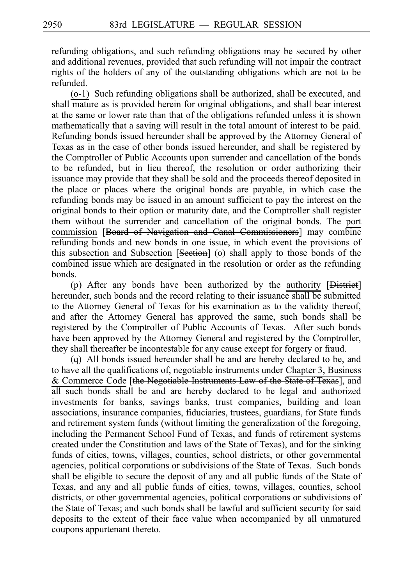refunding obligations, and such refunding obligations may be secured by other and additional revenues, provided that such refunding will not impair the contract rights of the holders of any of the outstanding obligations which are not to be refunded.

 $(0-1)$  Such refunding obligations shall be authorized, shall be executed, and shall mature as is provided herein for original obligations, and shall bear interest at the same or lower rate than that of the obligations refunded unless it is shown mathematically that a saving will result in the total amount of interest to be paid. Refunding bonds issued hereunder shall be approved by the Attorney General of Texas as in the case of other bonds issued hereunder, and shall be registered by the Comptroller of Public Accounts upon surrender and cancellation of the bonds to be refunded, but in lieu thereof, the resolution or order authorizing their issuance may provide that they shall be sold and the proceeds thereof deposited in the place or places where the original bonds are payable, in which case the refunding bonds may be issued in an amount sufficient to pay the interest on the original bonds to their option or maturity date, and the Comptroller shall register them without the surrender and cancellation of the original bonds. The port commission [Board of Navigation and Canal Commissioners] may combine refunding bonds and new bonds in one issue, in which event the provisions of this subsection and Subsection [Section] (o) shall apply to those bonds of the combined issue which are designated in the resolution or order as the refunding bonds.

(p) After any bonds have been authorized by the authority  $[D<sub>istriet</sub>]$ hereunder, such bonds and the record relating to their issuance shall be submitted to the Attorney General of Texas for his examination as to the validity thereof, and after the Attorney General has approved the same, such bonds shall be registered by the Comptroller of Public Accounts of Texas. After such bonds have been approved by the Attorney General and registered by the Comptroller, they shall thereafter be incontestable for any cause except for forgery or fraud.

(q) All bonds issued hereunder shall be and are hereby declared to be, and to have all the qualifications of, negotiable instruments under Chapter 3, Business & Commerce Code [the Negotiable Instruments Law of the State of Texas], and all such bonds shall be and are hereby declared to be legal and authorized investments for banks, savings banks, trust companies, building and loan associations, insurance companies, fiduciaries, trustees, guardians, for State funds and retirement system funds (without limiting the generalization of the foregoing, including the Permanent School Fund of Texas, and funds of retirement systems created under the Constitution and laws of the State of Texas), and for the sinking funds of cities, towns, villages, counties, school districts, or other governmental agencies, political corporations or subdivisions of the State of Texas. Such bonds shall be eligible to secure the deposit of any and all public funds of the State of Texas, and any and all public funds of cities, towns, villages, counties, school districts, or other governmental agencies, political corporations or subdivisions of the State of Texas; and such bonds shall be lawful and sufficient security for said deposits to the extent of their face value when accompanied by all unmatured coupons appurtenant thereto.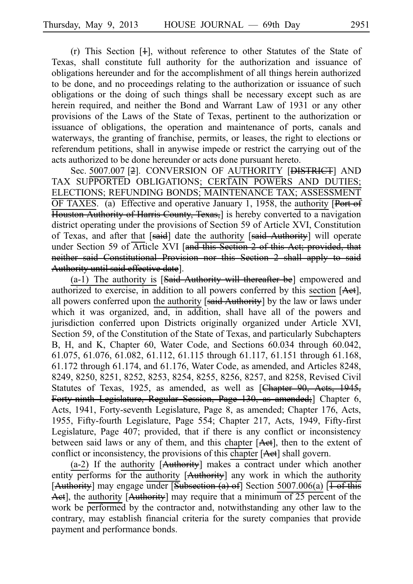(r) This Section  $[4]$ , without reference to other Statutes of the State of Texas, shall constitute full authority for the authorization and issuance of obligations hereunder and for the accomplishment of all things herein authorized to be done, and no proceedings relating to the authorization or issuance of such obligations or the doing of such things shall be necessary except such as are herein required, and neither the Bond and Warrant Law of 1931 or any other provisions of the Laws of the State of Texas, pertinent to the authorization or issuance of obligations, the operation and maintenance of ports, canals and waterways, the granting of franchise, permits, or leases, the right to elections or referendum petitions, shall in anywise impede or restrict the carrying out of the acts authorized to be done hereunder or acts done pursuant hereto.

Sec. 5007.007 [<del>2</del>]. CONVERSION OF AUTHORITY [<del>DISTRICT</del>] AND TAX SUPPORTED OBLIGATIONS; CERTAIN POWERS AND DUTIES; ELECTIONS; REFUNDING BONDS; MAINTENANCE TAX; ASSESSMENT OF TAXES. (a) Effective and operative January 1, 1958, the authority  $\overline{P_{\text{out}}}$ Houston Authority of Harris County, Texas,] is hereby converted to a navigation district operating under the provisions of Section 59 of Article XVI, Constitution of Texas, and after that [said] date the authority [said Authority] will operate under Section 59 of Article XVI [and this Section 2 of this Act; provided, that neither said Constitutional Provision nor this Section 2 shall apply to said Authority until said effective date].

 $(a-1)$  The authority is [Said Authority will thereafter be] empowered and authorized to exercise, in addition to all powers conferred by this section [Aet], all powers conferred upon the authority  $[said$  Authority] by the law or laws under which it was organized, and, in addition, shall have all of the powers and jurisdiction conferred upon Districts originally organized under Article XVI, Section 59, of the Constitution of the State of Texas, and particularly Subchapters B, H, and K, Chapter 60, Water Code, and Sections 60.034 through 60.042, 61.075, 61.076, 61.082, 61.112, 61.115 through 61.117, 61.151 through 61.168, 61.172 through 61.174, and 61.176, Water Code, as amended, and Articles 8248, 8249, 8250, 8251, 8252, 8253, 8254, 8255, 8256, 8257, and 8258, Revised Civil Statutes of Texas, 1925, as amended, as well as [Chapter 90, Aets, 1945, Forty-ninth Legislature, Regular Session, Page 130, as amended;] Chapter 6, Acts, 1941, Forty-seventh Legislature, Page 8, as amended; Chapter 176, Acts, 1955, Fifty-fourth Legislature, Page 554; Chapter 217, Acts, 1949, Fifty-first Legislature, Page 407; provided, that if there is any conflict or inconsistency between said laws or any of them, and this chapter [Aet], then to the extent of conflict or inconsistency, the provisions of this chapter [Aet] shall govern.

(a-2) If the authority  $[$ Authority] makes a contract under which another entity performs for the authority [Authority] any work in which the authority [Authority] may engage under [Subsection (a) of] Section 5007.006(a)  $\overline{1 \cdot \text{of this}}$ Act], the authority [Authority] may require that a minimum of 25 percent of the work be performed by the contractor and, notwithstanding any other law to the contrary, may establish financial criteria for the surety companies that provide payment and performance bonds.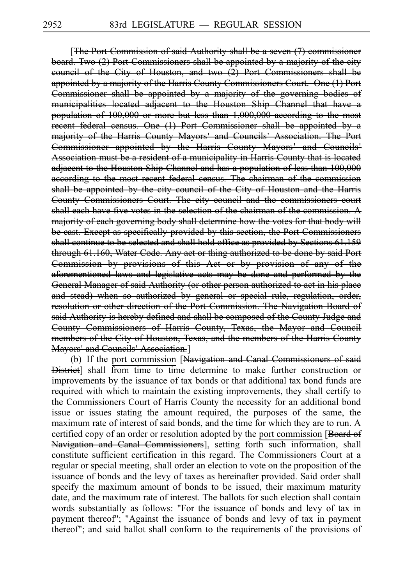[The Port Commission of said Authority shall be a seven (7) commissioner board. Two (2) Port Commissioners shall be appointed by a majority of the city council of the City of Houston, and two (2) Port Commissioners shall be appointed by a majority of the Harris County Commissioners Court. One (1) Port Commissioner shall be appointed by a majority of the governing bodies of municipalities located adjacent to the Houston Ship Channel that have a population of 100,000 or more but less than 1,000,000 according to the most recent federal census. One (1) Port Commissioner shall be appointed by a majority of the Harris County Mayors' and Councils' Association. The Port Commissioner appointed by the Harris County Mayors' and Councils' Association must be a resident of a municipality in Harris County that is located adjacent to the Houston Ship Channel and has a population of less than 100,000 according to the most recent federal census. The chairman of the commission shall be appointed by the city council of the City of Houston and the Harris County Commissioners Court. The city council and the commissioners court shall each have five votes in the selection of the chairman of the commission. A majority of each governing body shall determine how the votes for that body will be cast. Except as specifically provided by this section, the Port Commissioners shall continue to be selected and shall hold office as provided by Sections 61.159 through 61.160, Water Code. Any act or thing authorized to be done by said Port Commission by provisions of this Act or by provision of any of the aforementioned laws and legislative acts may be done and performed by the General Manager of said Authority (or other person authorized to act in his place and stead) when so authorized by general or special rule, regulation, order, resolution or other direction of the Port Commission. The Navigation Board of said Authority is hereby defined and shall be composed of the County Judge and County Commissioners of Harris County, Texas, the Mayor and Council members of the City of Houston, Texas, and the members of the Harris County Mayors' and Councils' Association.]

(b) If the port commission [Navigation and Canal Commissioners of said **District** shall from time to time determine to make further construction or improvements by the issuance of tax bonds or that additional tax bond funds are required with which to maintain the existing improvements, they shall certify to the Commissioners Court of Harris County the necessity for an additional bond issue or issues stating the amount required, the purposes of the same, the maximum rate of interest of said bonds, and the time for which they are to run. A certified copy of an order or resolution adopted by the port commission [Board of Navigation and Canal Commissioners], setting forth such information, shall constitute sufficient certification in this regard. The Commissioners Court at a regular or special meeting, shall order an election to vote on the proposition of the issuance of bonds and the levy of taxes as hereinafter provided. Said order shall specify the maximum amount of bonds to be issued, their maximum maturity date, and the maximum rate of interest. The ballots for such election shall contain words substantially as follows: "For the issuance of bonds and levy of tax in payment thereof"; "Against the issuance of bonds and levy of tax in payment thereof"; and said ballot shall conform to the requirements of the provisions of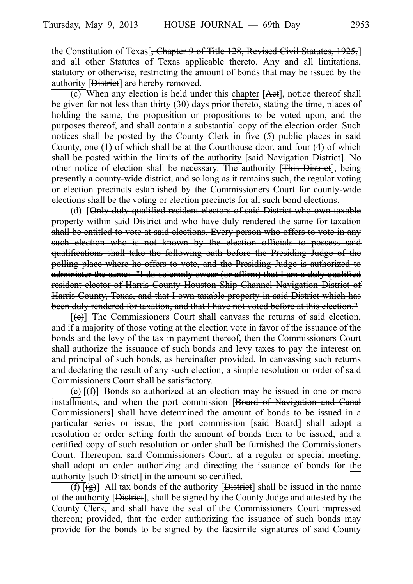the Constitution of Texas<sup>[</sup>, Chapter 9 of Title 128, Revised Civil Statutes, 1925,<sup>[1]</sup> and all other Statutes of Texas applicable thereto. Any and all limitations, statutory or otherwise, restricting the amount of bonds that may be issued by the authority [District] are hereby removed.

 $\overline{(c)}$  When any election is held under this chapter [Aet], notice thereof shall be given for not less than thirty (30) days prior thereto, stating the time, places of holding the same, the proposition or propositions to be voted upon, and the purposes thereof, and shall contain a substantial copy of the election order. Such notices shall be posted by the County Clerk in five (5) public places in said County, one (1) of which shall be at the Courthouse door, and four (4) of which shall be posted within the limits of the authority [said Navigation District]. No other notice of election shall be necessary. The authority [This District], being presently a county-wide district, and so long as it remains such, the regular voting or election precincts established by the Commissioners Court for county-wide elections shall be the voting or election precincts for all such bond elections.

(d) [Only duly qualified resident electors of said District who own taxable property within said District and who have duly rendered the same for taxation shall be entitled to vote at said elections. Every person who offers to vote in any such election who is not known by the election officials to possess said qualifications shall take the following oath before the Presiding Judge of the polling place where he offers to vote, and the Presiding Judge is authorized to administer the same: "I do solemnly swear (or affirm) that I am a duly qualified resident elector of Harris County Houston Ship Channel Navigation District of Harris County, Texas, and that I own taxable property in said District which has been duly rendered for taxation, and that I have not voted before at this election."

 $[\Theta]$  The Commissioners Court shall canvass the returns of said election, and if a majority of those voting at the election vote in favor of the issuance of the bonds and the levy of the tax in payment thereof, then the Commissioners Court shall authorize the issuance of such bonds and levy taxes to pay the interest on and principal of such bonds, as hereinafter provided. In canvassing such returns and declaring the result of any such election, a simple resolution or order of said Commissioners Court shall be satisfactory.

(e)  $[\frac{f}{f}$ ] Bonds so authorized at an election may be issued in one or more installments, and when the port commission [Board of Navigation and Canal Commissioners] shall have determined the amount of bonds to be issued in a particular series or issue, the port commission [said Board] shall adopt a resolution or order setting forth the amount of bonds then to be issued, and a certified copy of such resolution or order shall be furnished the Commissioners Court. Thereupon, said Commissioners Court, at a regular or special meeting, shall adopt an order authorizing and directing the issuance of bonds for the authority [such District] in the amount so certified.

 $\overline{(f)[(g)]}$  All tax bonds of the authority [District] shall be issued in the name of the authority [District], shall be signed by the County Judge and attested by the County Clerk, and shall have the seal of the Commissioners Court impressed thereon; provided, that the order authorizing the issuance of such bonds may provide for the bonds to be signed by the facsimile signatures of said County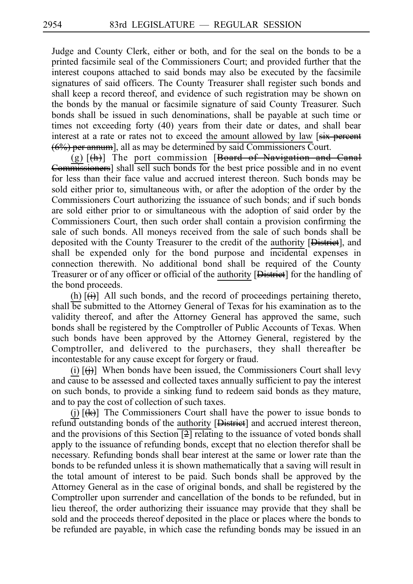Judge and County Clerk, either or both, and for the seal on the bonds to be a printed facsimile seal of the Commissioners Court; and provided further that the interest coupons attached to said bonds may also be executed by the facsimile signatures of said officers. The County Treasurer shall register such bonds and shall keep a record thereof, and evidence of such registration may be shown on the bonds by the manual or facsimile signature of said County Treasurer. Such bonds shall be issued in such denominations, shall be payable at such time or times not exceeding forty (40) years from their date or dates, and shall bear interest at a rate or rates not to exceed the amount allowed by law [six percent (6%) per annum], all as may be determined by said Commissioners Court.

(g)  $[\frac{h}{h}]$  The port commission [Board of Navigation and Canal Commissioners] shall sell such bonds for the best price possible and in no event for less than their face value and accrued interest thereon. Such bonds may be sold either prior to, simultaneous with, or after the adoption of the order by the Commissioners Court authorizing the issuance of such bonds; and if such bonds are sold either prior to or simultaneous with the adoption of said order by the Commissioners Court, then such order shall contain a provision confirming the sale of such bonds. All moneys received from the sale of such bonds shall be deposited with the County Treasurer to the credit of the authority [District], and shall be expended only for the bond purpose and incidental expenses in connection therewith. No additional bond shall be required of the County Treasurer or of any officer or official of the authority [District] for the handling of the bond proceeds.

(h)  $[\overrightarrow{(i)}]$  All such bonds, and the record of proceedings pertaining thereto, shall be submitted to the Attorney General of Texas for his examination as to the validity thereof, and after the Attorney General has approved the same, such bonds shall be registered by the Comptroller of Public Accounts of Texas. When such bonds have been approved by the Attorney General, registered by the Comptroller, and delivered to the purchasers, they shall thereafter be incontestable for any cause except for forgery or fraud.

(i)  $[\hat{H}]$  When bonds have been issued, the Commissioners Court shall levy and cause to be assessed and collected taxes annually sufficient to pay the interest on such bonds, to provide a sinking fund to redeem said bonds as they mature, and to pay the cost of collection of such taxes.

(i)  $[\frac{1}{k}]$  The Commissioners Court shall have the power to issue bonds to refund outstanding bonds of the authority [District] and accrued interest thereon, and the provisions of this Section  $\boxed{2}$  relating to the issuance of voted bonds shall apply to the issuance of refunding bonds, except that no election therefor shall be necessary. Refunding bonds shall bear interest at the same or lower rate than the bonds to be refunded unless it is shown mathematically that a saving will result in the total amount of interest to be paid. Such bonds shall be approved by the Attorney General as in the case of original bonds, and shall be registered by the Comptroller upon surrender and cancellation of the bonds to be refunded, but in lieu thereof, the order authorizing their issuance may provide that they shall be sold and the proceeds thereof deposited in the place or places where the bonds to be refunded are payable, in which case the refunding bonds may be issued in an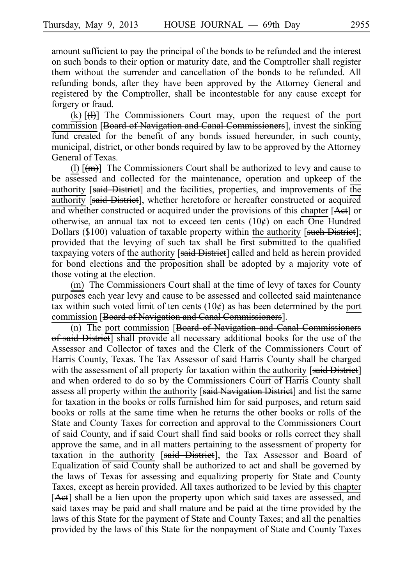amount sufficient to pay the principal of the bonds to be refunded and the interest on such bonds to their option or maturity date, and the Comptroller shall register them without the surrender and cancellation of the bonds to be refunded. All refunding bonds, after they have been approved by the Attorney General and registered by the Comptroller, shall be incontestable for any cause except for forgery or fraud.

(k)  $[\frac{1}{1}]$  The Commissioners Court may, upon the request of the port commission [Board of Navigation and Canal Commissioners], invest the sinking fund created for the benefit of any bonds issued hereunder, in such county, municipal, district, or other bonds required by law to be approved by the Attorney General of Texas.

(l)  $[\text{m}]$  The Commissioners Court shall be authorized to levy and cause to be assessed and collected for the maintenance, operation and upkeep of the authority  $[s<sub>aid</sub> Distriet]$  and the facilities, properties, and improvements of the authority [said District], whether heretofore or hereafter constructed or acquired and whether constructed or acquired under the provisions of this chapter  $[Aet]$  or otherwise, an annual tax not to exceed ten cents  $(10¢)$  on each One Hundred Dollars (\$100) valuation of taxable property within the authority [such District]; provided that the levying of such tax shall be first submitted to the qualified taxpaying voters of the authority [said District] called and held as herein provided for bond elections and the proposition shall be adopted by a majority vote of those voting at the election.

(m) The Commissioners Court shall at the time of levy of taxes for County purposes each year levy and cause to be assessed and collected said maintenance tax within such voted limit of ten cents  $(10¢)$  as has been determined by the port commission [Board of Navigation and Canal Commissioners].

 $\overline{(n)}$  The port commission [Board of Navigation and Canal Commissioners] of said District] shall provide all necessary additional books for the use of the Assessor and Collector of taxes and the Clerk of the Commissioners Court of Harris County, Texas. The Tax Assessor of said Harris County shall be charged with the assessment of all property for taxation within the authority [said District] and when ordered to do so by the Commissioners Court of Harris County shall assess all property within the authority [said Navigation District] and list the same for taxation in the books or rolls furnished him for said purposes, and return said books or rolls at the same time when he returns the other books or rolls of the State and County Taxes for correction and approval to the Commissioners Court of said County, and if said Court shall find said books or rolls correct they shall approve the same, and in all matters pertaining to the assessment of property for taxation in the authority [said District], the Tax Assessor and Board of Equalization of said County shall be authorized to act and shall be governed by the laws of Texas for assessing and equalizing property for State and County Taxes, except as herein provided. All taxes authorized to be levied by this chapter [Aet] shall be a lien upon the property upon which said taxes are assessed, and said taxes may be paid and shall mature and be paid at the time provided by the laws of this State for the payment of State and County Taxes; and all the penalties provided by the laws of this State for the nonpayment of State and County Taxes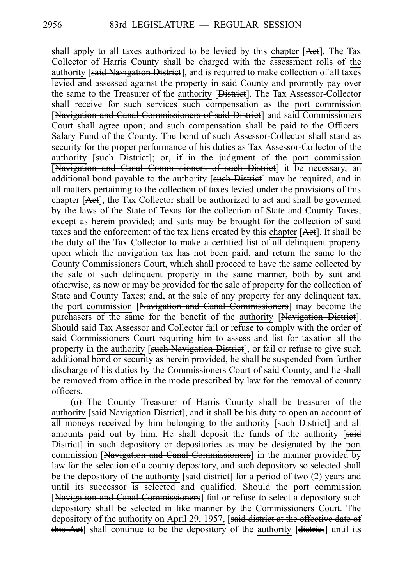shall apply to all taxes authorized to be levied by this chapter  $[**Act**]<sub>l</sub>$ . The Tax Collector of Harris County shall be charged with the assessment rolls of the authority [said Navigation District], and is required to make collection of all taxes levied and assessed against the property in said County and promptly pay over the same to the Treasurer of the authority [District]. The Tax Assessor-Collector shall receive for such services such compensation as the port commission [Navigation and Canal Commissioners of said District] and said Commissioners Court shall agree upon; and such compensation shall be paid to the Officers ' Salary Fund of the County. The bond of such Assessor-Collector shall stand as security for the proper performance of his duties as Tax Assessor-Collector of the authority [such District]; or, if in the judgment of the port commission [Navigation and Canal Commissioners of such District] it be necessary, an additional bond payable to the authority [such District] may be required, and in all matters pertaining to the collection of taxes levied under the provisions of this chapter [Act], the Tax Collector shall be authorized to act and shall be governed by the laws of the State of Texas for the collection of State and County Taxes, except as herein provided; and suits may be brought for the collection of said taxes and the enforcement of the tax liens created by this chapter [Aet]. It shall be the duty of the Tax Collector to make a certified list of all delinquent property upon which the navigation tax has not been paid, and return the same to the County Commissioners Court, which shall proceed to have the same collected by the sale of such delinquent property in the same manner, both by suit and otherwise, as now or may be provided for the sale of property for the collection of State and County Taxes; and, at the sale of any property for any delinquent tax, the port commission [Navigation and Canal Commissioners] may become the purchasers of the same for the benefit of the authority [Navigation District]. Should said Tax Assessor and Collector fail or refuse to comply with the order of said Commissioners Court requiring him to assess and list for taxation all the property in the authority [such Navigation District], or fail or refuse to give such additional bond or security as herein provided, he shall be suspended from further discharge of his duties by the Commissioners Court of said County, and he shall be removed from office in the mode prescribed by law for the removal of county officers.

(o) The County Treasurer of Harris County shall be treasurer of the authority [said Navigation District], and it shall be his duty to open an account of all moneys received by him belonging to the authority [such District] and all amounts paid out by him. He shall deposit the funds of the authority [said District] in such depository or depositories as may be designated by the port commission [Navigation and Canal Commissioners] in the manner provided by law for the selection of a county depository, and such depository so selected shall be the depository of the authority [said district] for a period of two (2) years and until its successor is selected and qualified. Should the port commission [Navigation and Canal Commissioners] fail or refuse to select a depository such depository shall be selected in like manner by the Commissioners Court. The depository of the authority on April 29, 1957, [said district at the effective date of this Act] shall continue to be the depository of the authority [district] until its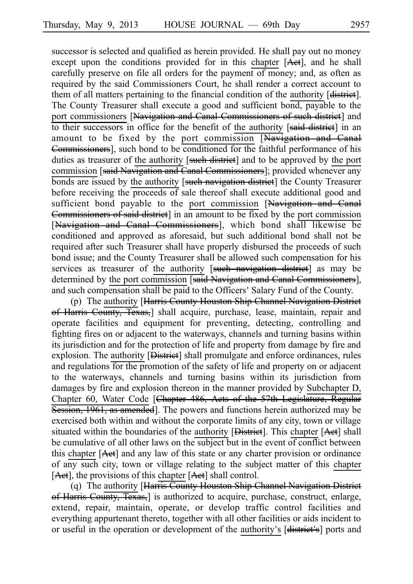successor is selected and qualified as herein provided. He shall pay out no money except upon the conditions provided for in this chapter [Aet], and he shall carefully preserve on file all orders for the payment of money; and, as often as required by the said Commissioners Court, he shall render a correct account to them of all matters pertaining to the financial condition of the authority [district]. The County Treasurer shall execute a good and sufficient bond, payable to the port commissioners [Navigation and Canal Commissioners of such district] and to their successors in office for the benefit of the authority [said district] in an amount to be fixed by the port commission [Navigation and Canal Commissioners], such bond to be conditioned for the faithful performance of his duties as treasurer of the authority [such district] and to be approved by the port commission [said Navigation and Canal Commissioners]; provided whenever any bonds are issued by the authority [such navigation district] the County Treasurer before receiving the proceeds of sale thereof shall execute additional good and sufficient bond payable to the port commission [Navigation and Canal Commissioners of said district] in an amount to be fixed by the port commission [Navigation and Canal Commissioners], which bond shall likewise be conditioned and approved as aforesaid, but such additional bond shall not be required after such Treasurer shall have properly disbursed the proceeds of such bond issue; and the County Treasurer shall be allowed such compensation for his services as treasurer of the authority [such navigation district] as may be determined by the port commission [said Navigation and Canal Commissioners], and such compensation shall be paid to the Officers 'Salary Fund of the County.

(p) The authority [Harris County Houston Ship Channel Navigation District of Harris County, Texas, shall acquire, purchase, lease, maintain, repair and operate facilities and equipment for preventing, detecting, controlling and fighting fires on or adjacent to the waterways, channels and turning basins within its jurisdiction and for the protection of life and property from damage by fire and explosion. The authority [District] shall promulgate and enforce ordinances, rules and regulations for the promotion of the safety of life and property on or adjacent to the waterways, channels and turning basins within its jurisdiction from damages by fire and explosion thereon in the manner provided by Subchapter D, Chapter 60, Water Code [Chapter 486, Acts of the 57th Legislature, Regular Session, 1961, as amended]. The powers and functions herein authorized may be exercised both within and without the corporate limits of any city, town or village situated within the boundaries of the authority [District]. This chapter [Act] shall be cumulative of all other laws on the subject but in the event of conflict between this chapter [Act] and any law of this state or any charter provision or ordinance of any such city, town or village relating to the subject matter of this chapter [Act], the provisions of this chapter [Act] shall control.

(q) The authority [Harris County Houston Ship Channel Navigation District of Harris County, Texas, is authorized to acquire, purchase, construct, enlarge, extend, repair, maintain, operate, or develop traffic control facilities and everything appurtenant thereto, together with all other facilities or aids incident to or useful in the operation or development of the authority's [district's] ports and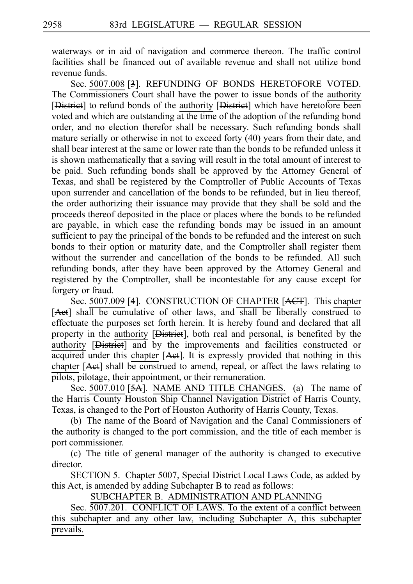waterways or in aid of navigation and commerce thereon. The traffic control facilities shall be financed out of available revenue and shall not utilize bond revenue funds.

Sec. 5007.008 [3]. REFUNDING OF BONDS HERETOFORE VOTED. The Commissioners Court shall have the power to issue bonds of the authority [District] to refund bonds of the authority [District] which have heretofore been voted and which are outstanding at the time of the adoption of the refunding bond order, and no election therefor shall be necessary. Such refunding bonds shall mature serially or otherwise in not to exceed forty (40) years from their date, and shall bear interest at the same or lower rate than the bonds to be refunded unless it is shown mathematically that a saving will result in the total amount of interest to be paid. Such refunding bonds shall be approved by the Attorney General of Texas, and shall be registered by the Comptroller of Public Accounts of Texas upon surrender and cancellation of the bonds to be refunded, but in lieu thereof, the order authorizing their issuance may provide that they shall be sold and the proceeds thereof deposited in the place or places where the bonds to be refunded are payable, in which case the refunding bonds may be issued in an amount sufficient to pay the principal of the bonds to be refunded and the interest on such bonds to their option or maturity date, and the Comptroller shall register them without the surrender and cancellation of the bonds to be refunded. All such refunding bonds, after they have been approved by the Attorney General and registered by the Comptroller, shall be incontestable for any cause except for forgery or fraud.

Sec. 5007.009 [4]. CONSTRUCTION OF CHAPTER [ACT]. This chapter [Aet] shall be cumulative of other laws, and shall be liberally construed to effectuate the purposes set forth herein. It is hereby found and declared that all property in the authority [District], both real and personal, is benefited by the authority [District] and by the improvements and facilities constructed or acquired under this chapter [Aet]. It is expressly provided that nothing in this chapter [Act] shall be construed to amend, repeal, or affect the laws relating to pilots, pilotage, their appointment, or their remuneration.

Sec. 5007.010 [5A]. NAME AND TITLE CHANGES. (a) The name of the Harris County Houston Ship Channel Navigation District of Harris County, Texas, is changed to the Port of Houston Authority of Harris County, Texas.

(b) The name of the Board of Navigation and the Canal Commissioners of the authority is changed to the port commission, and the title of each member is port commissioner.

(c) The title of general manager of the authority is changed to executive director.

SECTION 5. Chapter 5007, Special District Local Laws Code, as added by this Act, is amended by adding Subchapter B to read as follows:

SUBCHAPTER B. ADMINISTRATION AND PLANNING

Sec.  $\overline{5007.201}$ . CONFLICT OF LAWS. To the extent of a conflict between this subchapter and any other law, including Subchapter A, this subchapter prevails.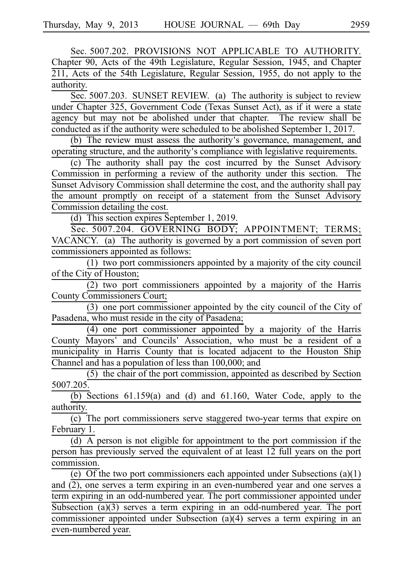Sec. 5007.202. PROVISIONS NOT APPLICABLE TO AUTHORITY. Chapter 90, Acts of the 49th Legislature, Regular Session, 1945, and Chapter 211, Acts of the 54th Legislature, Regular Session, 1955, do not apply to the authority.

Sec. 5007.203. SUNSET REVIEW. (a) The authority is subject to review under Chapter 325, Government Code (Texas Sunset Act), as if it were a state agency but may not be abolished under that chapter. The review shall be conducted as if the authority were scheduled to be abolished September 1, 2017.

(b) The review must assess the authority's governance, management, and operating structure, and the authority's compliance with legislative requirements.

(c) The authority shall pay the cost incurred by the Sunset Advisory Commission in performing a review of the authority under this section. The Sunset Advisory Commission shall determine the cost, and the authority shall pay the amount promptly on receipt of a statement from the Sunset Advisory Commission detailing the cost.

(d) This section expires September 1, 2019.

Sec. 5007.204. GOVERNING BODY; APPOINTMENT; TERMS; VACANCY. (a) The authority is governed by a port commission of seven port commissioners appointed as follows:

 $(1)$  two port commissioners appointed by a majority of the city council of the City of Houston;

 $(2)$  two port commissioners appointed by a majority of the Harris County Commissioners Court;

 $(3)$  one port commissioner appointed by the city council of the City of Pasadena, who must reside in the city of Pasadena;

 $(4)$  one port commissioner appointed by a majority of the Harris County Mayors' and Councils' Association, who must be a resident of a municipality in Harris County that is located adjacent to the Houston Ship Channel and has a population of less than 100,000; and

 $(5)$  the chair of the port commission, appointed as described by Section 5007.205.

(b) Sections  $61.159(a)$  and  $(d)$  and  $61.160$ , Water Code, apply to the authority.

(c) The port commissioners serve staggered two-year terms that expire on February 1.

(d) A person is not eligible for appointment to the port commission if the person has previously served the equivalent of at least 12 full years on the port commission.

(e) Of the two port commissioners each appointed under Subsections (a)(1) and (2), one serves a term expiring in an even-numbered year and one serves a term expiring in an odd-numbered year. The port commissioner appointed under Subsection (a)(3) serves a term expiring in an odd-numbered year. The port commissioner appointed under Subsection (a)(4) serves a term expiring in an even-numbered year.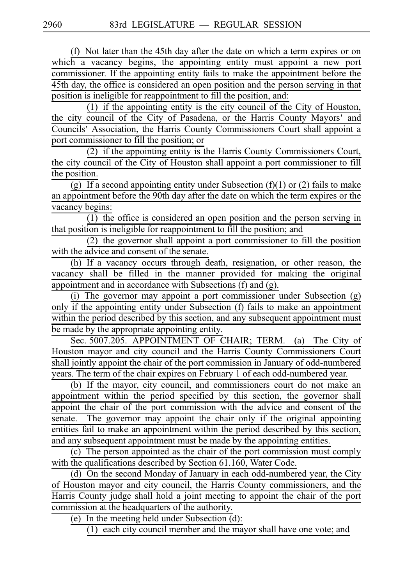(f) Not later than the 45th day after the date on which a term expires or on which a vacancy begins, the appointing entity must appoint a new port commissioner. If the appointing entity fails to make the appointment before the 45th day, the office is considered an open position and the person serving in that position is ineligible for reappointment to fill the position, and:

(1) if the appointing entity is the city council of the City of Houston, the city council of the City of Pasadena, or the Harris County Mayors' and Councils' Association, the Harris County Commissioners Court shall appoint a port commissioner to fill the position; or

 $(2)$  if the appointing entity is the Harris County Commissioners Court, the city council of the City of Houston shall appoint a port commissioner to fill the position.

 $\overline{(g)}$  If a second appointing entity under Subsection (f)(1) or (2) fails to make an appointment before the 90th day after the date on which the term expires or the vacancy begins:

 $(1)$  the office is considered an open position and the person serving in that position is ineligible for reappointment to fill the position; and

 $(2)$  the governor shall appoint a port commissioner to fill the position with the advice and consent of the senate.

(h) If a vacancy occurs through death, resignation, or other reason, the vacancy shall be filled in the manner provided for making the original appointment and in accordance with Subsections (f) and (g).

(i) The governor may appoint a port commissioner under Subsection  $(g)$ only if the appointing entity under Subsection (f) fails to make an appointment within the period described by this section, and any subsequent appointment must be made by the appropriate appointing entity.

Sec. 5007.205. APPOINTMENT OF CHAIR; TERM. (a) The City of Houston mayor and city council and the Harris County Commissioners Court shall jointly appoint the chair of the port commission in January of odd-numbered years. The term of the chair expires on February 1 of each odd-numbered year.

(b) If the mayor, city council, and commissioners court do not make an appointment within the period specified by this section, the governor shall appoint the chair of the port commission with the advice and consent of the senate. The governor may appoint the chair only if the original appointing entities fail to make an appointment within the period described by this section, and any subsequent appointment must be made by the appointing entities.

(c) The person appointed as the chair of the port commission must comply with the qualifications described by Section 61.160, Water Code.

(d) On the second Monday of January in each odd-numbered year, the City of Houston mayor and city council, the Harris County commissioners, and the Harris County judge shall hold a joint meeting to appoint the chair of the port commission at the headquarters of the authority.

(e) In the meeting held under Subsection  $(d)$ :

 $(1)$  each city council member and the mayor shall have one vote; and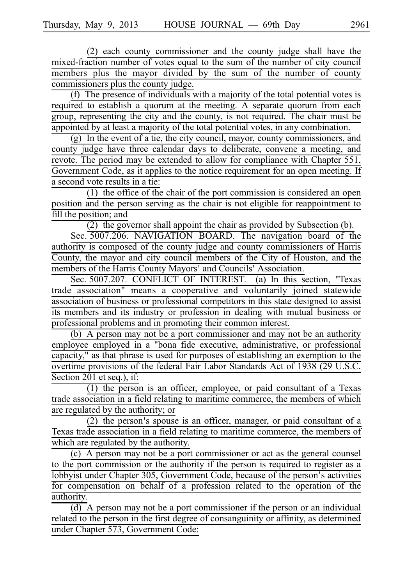$(2)$  each county commissioner and the county judge shall have the mixed-fraction number of votes equal to the sum of the number of city council members plus the mayor divided by the sum of the number of county commissioners plus the county judge.

(f) The presence of individuals with a majority of the total potential votes is required to establish a quorum at the meeting. A separate quorum from each group, representing the city and the county, is not required. The chair must be appointed by at least a majority of the total potential votes, in any combination.

 $(g)$  In the event of a tie, the city council, mayor, county commissioners, and county judge have three calendar days to deliberate, convene a meeting, and revote. The period may be extended to allow for compliance with Chapter 551, Government Code, as it applies to the notice requirement for an open meeting. If a second vote results in a tie:

 $(1)$  the office of the chair of the port commission is considered an open position and the person serving as the chair is not eligible for reappointment to fill the position; and

 $(2)$  the governor shall appoint the chair as provided by Subsection (b).

Sec. 5007.206. NAVIGATION BOARD. The navigation board of the authority is composed of the county judge and county commissioners of Harris County, the mayor and city council members of the City of Houston, and the members of the Harris County Mayors' and Councils' Association.

Sec. 5007.207. CONFLICT OF INTEREST. (a) In this section, "Texas trade association" means a cooperative and voluntarily joined statewide association of business or professional competitors in this state designed to assist its members and its industry or profession in dealing with mutual business or professional problems and in promoting their common interest.

(b) A person may not be a port commissioner and may not be an authority employee employed in a "bona fide executive, administrative, or professional capacity," as that phrase is used for purposes of establishing an exemption to the overtime provisions of the federal Fair Labor Standards Act of 1938 (29 U.S.C. Section 201 et seq.), if:

 $(1)$  the person is an officer, employee, or paid consultant of a Texas trade association in a field relating to maritime commerce, the members of which are regulated by the authority; or

 $(2)$  the person's spouse is an officer, manager, or paid consultant of a Texas trade association in a field relating to maritime commerce, the members of which are regulated by the authority.

(c) A person may not be a port commissioner or act as the general counsel to the port commission or the authority if the person is required to register as a lobbyist under Chapter 305, Government Code, because of the person's activities for compensation on behalf of a profession related to the operation of the authority.

(d) A person may not be a port commissioner if the person or an individual related to the person in the first degree of consanguinity or affinity, as determined under Chapter 573, Government Code: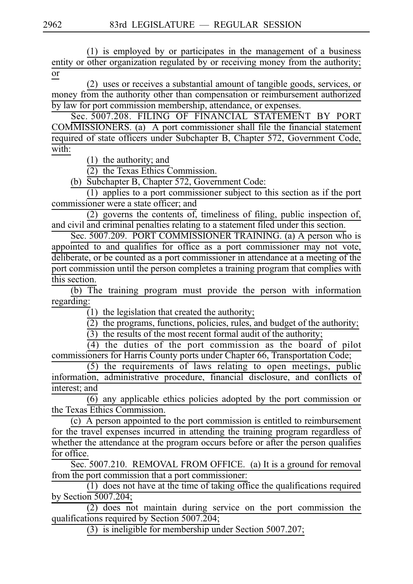$(1)$  is employed by or participates in the management of a business entity or other organization regulated by or receiving money from the authority; or

(2) uses or receives a substantial amount of tangible goods, services, or money from the authority other than compensation or reimbursement authorized by law for port commission membership, attendance, or expenses.

Sec. 5007.208. FILING OF FINANCIAL STATEMENT BY PORT COMMISSIONERS. (a) A port commissioner shall file the financial statement required of state officers under Subchapter B, Chapter 572, Government Code, with:

 $(1)$  the authority; and

 $\overline{(2)}$  the Texas Ethics Commission.

(b) Subchapter B, Chapter 572, Government Code:

 $(1)$  applies to a port commissioner subject to this section as if the port commissioner were a state officer; and

 $(2)$  governs the contents of, timeliness of filing, public inspection of, and civil and criminal penalties relating to a statement filed under this section.

Sec. 5007.209. PORT COMMISSIONER TRAINING. (a) A person who is appointed to and qualifies for office as a port commissioner may not vote, deliberate, or be counted as a port commissioner in attendance at a meeting of the port commission until the person completes a training program that complies with this section.

(b) The training program must provide the person with information regarding:

 $(1)$  the legislation that created the authority;

 $\overline{2}$ ) the programs, functions, policies, rules, and budget of the authority;

 $\overline{(3)}$  the results of the most recent formal audit of the authority;

 $\overline{(4)}$  the duties of the port commission as the board of pilot commissioners for Harris County ports under Chapter 66, Transportation Code;

 $(5)$  the requirements of laws relating to open meetings, public information, administrative procedure, financial disclosure, and conflicts of interest; and

 $\overline{(6)}$  any applicable ethics policies adopted by the port commission or the Texas Ethics Commission.

(c) A person appointed to the port commission is entitled to reimbursement for the travel expenses incurred in attending the training program regardless of whether the attendance at the program occurs before or after the person qualifies for office.

Sec. 5007.210. REMOVAL FROM OFFICE. (a) It is a ground for removal from the port commission that a port commissioner:

 $\overline{1}$  does not have at the time of taking office the qualifications required by Section 5007.204;

 $(2)$  does not maintain during service on the port commission the qualifications required by Section 5007.204;

(3) is ineligible for membership under Section 5007.207;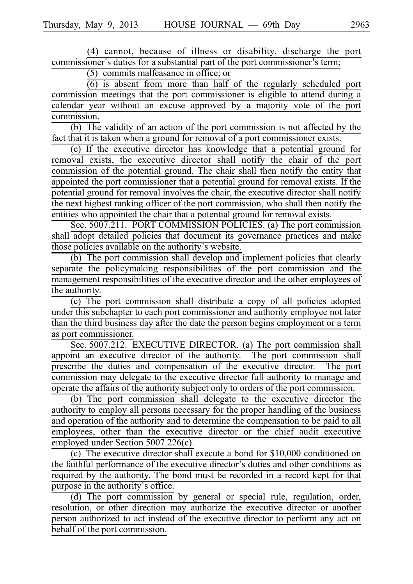(4) cannot, because of illness or disability, discharge the port commissioner's duties for a substantial part of the port commissioner's term;

 $(5)$  commits malfeasance in office; or

 $\frac{6}{6}$  is absent from more than half of the regularly scheduled port commission meetings that the port commissioner is eligible to attend during a calendar year without an excuse approved by a majority vote of the port commission.

 $(b)$  The validity of an action of the port commission is not affected by the fact that it is taken when a ground for removal of a port commissioner exists.

(c) If the executive director has knowledge that a potential ground for removal exists, the executive director shall notify the chair of the port commission of the potential ground. The chair shall then notify the entity that appointed the port commissioner that a potential ground for removal exists. If the potential ground for removal involves the chair, the executive director shall notify the next highest ranking officer of the port commission, who shall then notify the entities who appointed the chair that a potential ground for removal exists.

Sec. 5007.211. PORT COMMISSION POLICIES. (a) The port commission shall adopt detailed policies that document its governance practices and make those policies available on the authority's website.

 $\overline{I}$  (b) The port commission shall develop and implement policies that clearly separate the policymaking responsibilities of the port commission and the management responsibilities of the executive director and the other employees of the authority.

 $(c)$  The port commission shall distribute a copy of all policies adopted under this subchapter to each port commissioner and authority employee not later than the third business day after the date the person begins employment or a term as port commissioner.

Sec. 5007.212. EXECUTIVE DIRECTOR. (a) The port commission shall appoint an executive director of the authority. The port commission shall prescribe the duties and compensation of the executive director. The port commission may delegate to the executive director full authority to manage and operate the affairs of the authority subject only to orders of the port commission.

 $(b)$  The port commission shall delegate to the executive director the authority to employ all persons necessary for the proper handling of the business and operation of the authority and to determine the compensation to be paid to all employees, other than the executive director or the chief audit executive employed under Section 5007.226(c).

 $\overrightarrow{c}$ ) The executive director shall execute a bond for \$10,000 conditioned on the faithful performance of the executive director's duties and other conditions as required by the authority. The bond must be recorded in a record kept for that purpose in the authority's office.

(d) The port commission by general or special rule, regulation, order, resolution, or other direction may authorize the executive director or another person authorized to act instead of the executive director to perform any act on behalf of the port commission.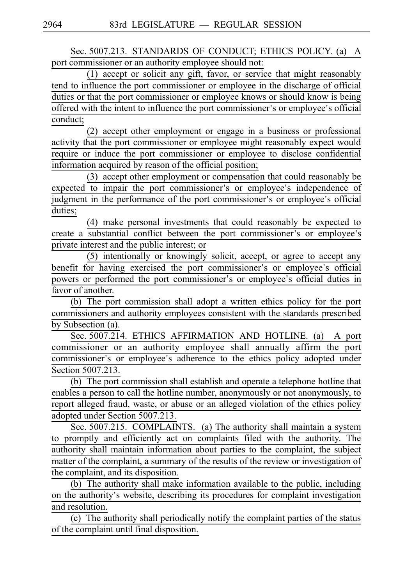Sec. 5007.213. STANDARDS OF CONDUCT; ETHICS POLICY. (a) A port commissioner or an authority employee should not:

 $(1)$  accept or solicit any gift, favor, or service that might reasonably tend to influence the port commissioner or employee in the discharge of official duties or that the port commissioner or employee knows or should know is being offered with the intent to influence the port commissioner's or employee's official conduct;

(2) accept other employment or engage in a business or professional activity that the port commissioner or employee might reasonably expect would require or induce the port commissioner or employee to disclose confidential information acquired by reason of the official position;

 $(3)$  accept other employment or compensation that could reasonably be expected to impair the port commissioner's or employee's independence of judgment in the performance of the port commissioner's or employee's official duties;

(4) make personal investments that could reasonably be expected to create a substantial conflict between the port commissioner's or employee's private interest and the public interest; or

(5) intentionally or knowingly solicit, accept, or agree to accept any benefit for having exercised the port commissioner's or employee's official powers or performed the port commissioner's or employee's official duties in favor of another.

(b) The port commission shall adopt a written ethics policy for the port commissioners and authority employees consistent with the standards prescribed by Subsection (a).

Sec. 5007.214. ETHICS AFFIRMATION AND HOTLINE. (a) A port commissioner or an authority employee shall annually affirm the port commissioner's or employee's adherence to the ethics policy adopted under Section 5007.213.

(b) The port commission shall establish and operate a telephone hotline that enables a person to call the hotline number, anonymously or not anonymously, to report alleged fraud, waste, or abuse or an alleged violation of the ethics policy adopted under Section 5007.213.

Sec. 5007.215. COMPLAINTS. (a) The authority shall maintain a system to promptly and efficiently act on complaints filed with the authority. The authority shall maintain information about parties to the complaint, the subject matter of the complaint, a summary of the results of the review or investigation of the complaint, and its disposition.

 $(b)$  The authority shall make information available to the public, including on the authority's website, describing its procedures for complaint investigation and resolution.

(c) The authority shall periodically notify the complaint parties of the status of the complaint until final disposition.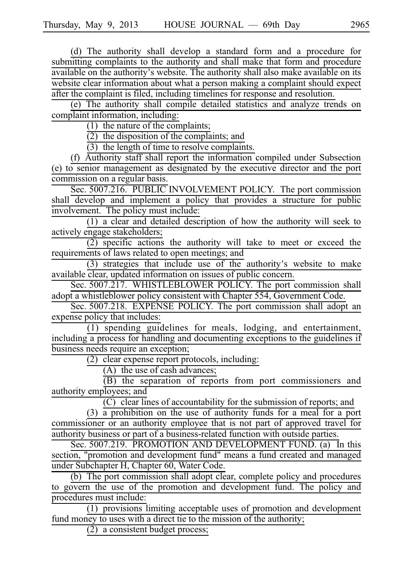(d) The authority shall develop a standard form and a procedure for submitting complaints to the authority and shall make that form and procedure available on the authority's website. The authority shall also make available on its website clear information about what a person making a complaint should expect after the complaint is filed, including timelines for response and resolution.

(e) The authority shall compile detailed statistics and analyze trends on complaint information, including:

(1) the nature of the complaints;

 $(2)$  the disposition of the complaints; and

 $(3)$  the length of time to resolve complaints.

 $(f)$  Authority staff shall report the information compiled under Subsection (e) to senior management as designated by the executive director and the port commission on a regular basis.

Sec. 5007.216. PUBLIC INVOLVEMENT POLICY. The port commission shall develop and implement a policy that provides a structure for public involvement. The policy must include:

 $(1)$  a clear and detailed description of how the authority will seek to actively engage stakeholders;

 $(2)$  specific actions the authority will take to meet or exceed the requirements of laws related to open meetings; and

 $(3)$  strategies that include use of the authority's website to make available clear, updated information on issues of public concern.

Sec. 5007.217. WHISTLEBLOWER POLICY. The port commission shall adopt a whistleblower policy consistent with Chapter 554, Government Code.

Sec. 5007.218. EXPENSE POLICY. The port commission shall adopt an expense policy that includes:

 $(1)$  spending guidelines for meals, lodging, and entertainment, including a process for handling and documenting exceptions to the guidelines if business needs require an exception;

 $(2)$  clear expense report protocols, including:

 $(A)$  the use of cash advances;

 $\overline{(B)}$  the separation of reports from port commissioners and authority employees; and

 $(C)$  clear lines of accountability for the submission of reports; and

(3)  $\frac{1}{a}$  prohibition on the use of authority funds for a meal for a port commissioner or an authority employee that is not part of approved travel for authority business or part of a business-related function with outside parties.

Sec. 5007.219. PROMOTION AND DEVELOPMENT FUND. (a) In this section, "promotion and development fund" means a fund created and managed under Subchapter H, Chapter 60, Water Code.

(b) The port commission shall adopt clear, complete policy and procedures to govern the use of the promotion and development fund. The policy and procedures must include:

 $(1)$  provisions limiting acceptable uses of promotion and development fund money to uses with a direct tie to the mission of the authority;

 $(2)$  a consistent budget process;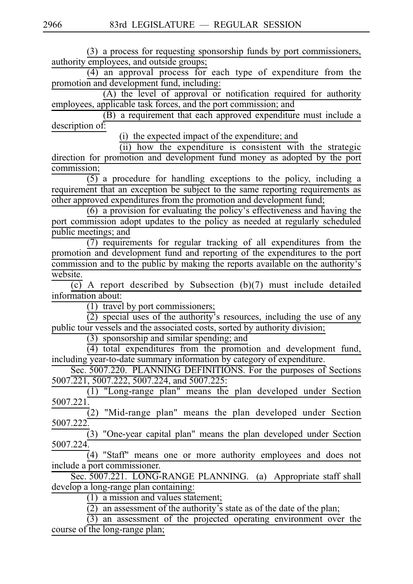(3) a process for requesting sponsorship funds by port commissioners, authority employees, and outside groups;  $(4)$  an approval process for each type of expenditure from the promotion and development fund, including:  $(A)$  the level of approval or notification required for authority employees, applicable task forces, and the port commission; and  $\overrightarrow{B}$  a requirement that each approved expenditure must include a description of: (i) the expected impact of the expenditure; and  $(iii)$  how the expenditure is consistent with the strategic direction for promotion and development fund money as adopted by the port commission;  $(5)$  a procedure for handling exceptions to the policy, including a requirement that an exception be subject to the same reporting requirements as other approved expenditures from the promotion and development fund;  $(6)$  a provision for evaluating the policy's effectiveness and having the port commission adopt updates to the policy as needed at regularly scheduled public meetings; and  $(7)$  requirements for regular tracking of all expenditures from the promotion and development fund and reporting of the expenditures to the port commission and to the public by making the reports available on the authority's website.  $\overline{(c)}$  A report described by Subsection (b)(7) must include detailed information about:  $(1)$  travel by port commissioners;  $\overline{(2)}$  special uses of the authority's resources, including the use of any public tour vessels and the associated costs, sorted by authority division; (3) sponsorship and similar spending; and  $(4)$  total expenditures from the promotion and development fund, including year-to-date summary information by category of expenditure. Sec. 5007.220. PLANNING DEFINITIONS. For the purposes of Sections 5007.221, 5007.222, 5007.224, and 5007.225: (1) "Long-range plan" means the plan developed under Section 5007.221.  $\overline{2}$ ) "Mid-range plan" means the plan developed under Section 5007.222.  $(3)$  "One-year capital plan" means the plan developed under Section 5007.224.  $(4)$  "Staff" means one or more authority employees and does not include a port commissioner. Sec. 5007.221. LONG-RANGE PLANNING. (a) Appropriate staff shall develop a long-range plan containing:  $(1)$  a mission and values statement;  $\frac{1}{2}$  an assessment of the authority's state as of the date of the plan;  $\overrightarrow{(3)}$  an assessment of the projected operating environment over the

course of the long-range plan;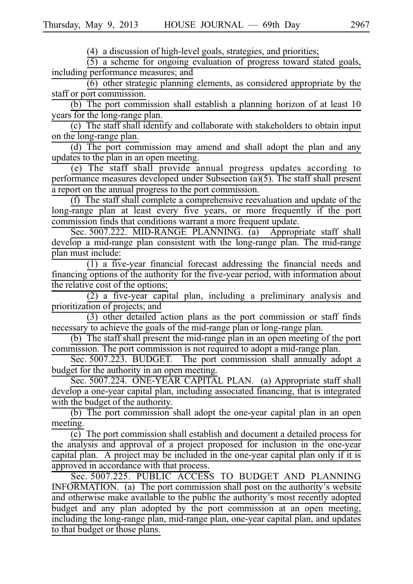(4) a discussion of high-level goals, strategies, and priorities;

 $(5)$  a scheme for ongoing evaluation of progress toward stated goals, including performance measures; and

 $(6)$  other strategic planning elements, as considered appropriate by the staff or port commission.

(b) The port commission shall establish a planning horizon of at least  $10$ years for the long-range plan.

(c) The staff shall identify and collaborate with stakeholders to obtain input on the long-range plan.

(d) The port commission may amend and shall adopt the plan and any updates to the plan in an open meeting.

 $(e)$  The staff shall provide annual progress updates according to performance measures developed under Subsection (a)(5). The staff shall present a report on the annual progress to the port commission.

(f) The staff shall complete a comprehensive reevaluation and update of the long-range plan at least every five years, or more frequently if the port commission finds that conditions warrant a more frequent update.

Sec. 5007.222. MID-RANGE PLANNING. (a) Appropriate staff shall develop a mid-range plan consistent with the long-range plan. The mid-range plan must include:

 $(1)$  a five-year financial forecast addressing the financial needs and financing options of the authority for the five-year period, with information about the relative cost of the options;

 $(2)$  a five-year capital plan, including a preliminary analysis and prioritization of projects; and

 $(3)$  other detailed action plans as the port commission or staff finds necessary to achieve the goals of the mid-range plan or long-range plan.

(b) The staff shall present the mid-range plan in an open meeting of the port commission. The port commission is not required to adopt a mid-range plan.

Sec. 5007.223. BUDGET. The port commission shall annually adopt a budget for the authority in an open meeting.

Sec. 5007.224. ONE-YEAR CAPITAL PLAN. (a) Appropriate staff shall develop a one-year capital plan, including associated financing, that is integrated with the budget of the authority.

(b) The port commission shall adopt the one-year capital plan in an open meeting.

 $\overline{(c)}$  The port commission shall establish and document a detailed process for the analysis and approval of a project proposed for inclusion in the one-year capital plan. A project may be included in the one-year capital plan only if it is approved in accordance with that process.

Sec. 5007.225. PUBLIC ACCESS TO BUDGET AND PLANNING INFORMATION. (a) The port commission shall post on the authority's website and otherwise make available to the public the authority's most recently adopted budget and any plan adopted by the port commission at an open meeting, including the long-range plan, mid-range plan, one-year capital plan, and updates to that budget or those plans.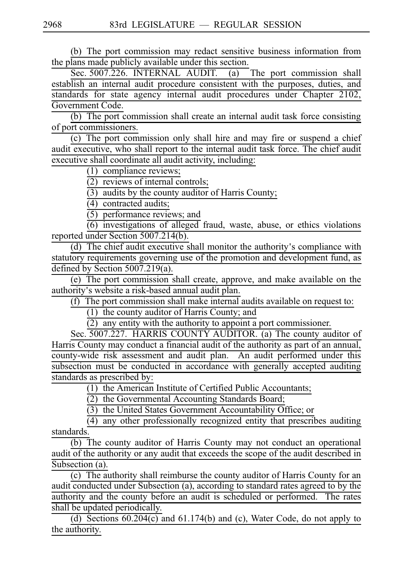(b) The port commission may redact sensitive business information from the plans made publicly available under this section.

Sec. 5007.226. INTERNAL AUDIT. (a) The port commission shall establish an internal audit procedure consistent with the purposes, duties, and standards for state agency internal audit procedures under Chapter 2102, Government Code.

 $(b)$  The port commission shall create an internal audit task force consisting of port commissioners.

 $(c)$  The port commission only shall hire and may fire or suspend a chief audit executive, who shall report to the internal audit task force. The chief audit executive shall coordinate all audit activity, including:

 $(1)$  compliance reviews;

 $(2)$  reviews of internal controls;

 $(3)$  audits by the county auditor of Harris County;

 $\overline{(4)}$  contracted audits;

 $(5)$  performance reviews; and

 $(6)$  investigations of alleged fraud, waste, abuse, or ethics violations reported under Section 5007.214(b).

(d) The chief audit executive shall monitor the authority's compliance with statutory requirements governing use of the promotion and development fund, as defined by Section 5007.219(a).

(e) The port commission shall create, approve, and make available on the authority's website a risk-based annual audit plan.

 $(f)$  The port commission shall make internal audits available on request to:

 $(1)$  the county auditor of Harris County; and

(2) any entity with the authority to appoint a port commissioner.

Sec. 5007.227. HARRIS COUNTY AUDITOR. (a) The county auditor of Harris County may conduct a financial audit of the authority as part of an annual, county-wide risk assessment and audit plan. An audit performed under this subsection must be conducted in accordance with generally accepted auditing standards as prescribed by:

 $(1)$  the American Institute of Certified Public Accountants;

 $(2)$  the Governmental Accounting Standards Board;

 $(3)$  the United States Government Accountability Office; or

 $(4)$  any other professionally recognized entity that prescribes auditing standards.

 $(b)$  The county auditor of Harris County may not conduct an operational audit of the authority or any audit that exceeds the scope of the audit described in Subsection (a).

 $(c)$  The authority shall reimburse the county auditor of Harris County for an audit conducted under Subsection (a), according to standard rates agreed to by the authority and the county before an audit is scheduled or performed. The rates shall be updated periodically.

(d) Sections  $60.204(c)$  and  $61.174(b)$  and (c), Water Code, do not apply to the authority.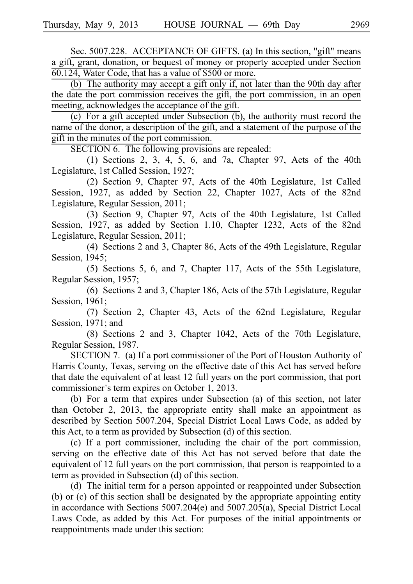Sec. 5007.228. ACCEPTANCE OF GIFTS. (a) In this section, "gift" means a gift, grant, donation, or bequest of money or property accepted under Section 60.124, Water Code, that has a value of \$500 or more.

(b) The authority may accept a gift only if, not later than the 90th day after the date the port commission receives the gift, the port commission, in an open meeting, acknowledges the acceptance of the gift.

(c) For a gift accepted under Subsection  $(b)$ , the authority must record the name of the donor, a description of the gift, and a statement of the purpose of the gift in the minutes of the port commission.

SECTION 6. The following provisions are repealed:

 $(1)$  Sections 2, 3, 4, 5, 6, and 7a, Chapter 97, Acts of the 40th Legislature, 1st Called Session, 1927;

(2) Section 9, Chapter 97, Acts of the 40th Legislature, 1st Called Session, 1927, as added by Section 22, Chapter 1027, Acts of the 82nd Legislature, Regular Session, 2011;

(3) Section 9, Chapter 97, Acts of the 40th Legislature, 1st Called Session, 1927, as added by Section 1.10, Chapter 1232, Acts of the 82nd Legislature, Regular Session, 2011;

(4) Sections 2 and 3, Chapter 86, Acts of the 49th Legislature, Regular Session, 1945;

 $(5)$  Sections 5, 6, and 7, Chapter 117, Acts of the 55th Legislature, Regular Session, 1957;

(6) Sections 2 and 3, Chapter 186, Acts of the 57th Legislature, Regular Session, 1961;

(7) Section 2, Chapter 43, Acts of the 62nd Legislature, Regular Session, 1971; and

 $(8)$  Sections 2 and 3, Chapter 1042, Acts of the 70th Legislature, Regular Session, 1987.

SECTION 7. (a) If a port commissioner of the Port of Houston Authority of Harris County, Texas, serving on the effective date of this Act has served before that date the equivalent of at least 12 full years on the port commission, that port commissioner's term expires on October 1, 2013.

(b) For a term that expires under Subsection (a) of this section, not later than October 2, 2013, the appropriate entity shall make an appointment as described by Section 5007.204, Special District Local Laws Code, as added by this Act, to a term as provided by Subsection (d) of this section.

(c) If a port commissioner, including the chair of the port commission, serving on the effective date of this Act has not served before that date the equivalent of 12 full years on the port commission, that person is reappointed to a term as provided in Subsection (d) of this section.

(d) The initial term for a person appointed or reappointed under Subsection (b) or (c) of this section shall be designated by the appropriate appointing entity in accordance with Sections 5007.204(e) and 5007.205(a), Special District Local Laws Code, as added by this Act. For purposes of the initial appointments or reappointments made under this section: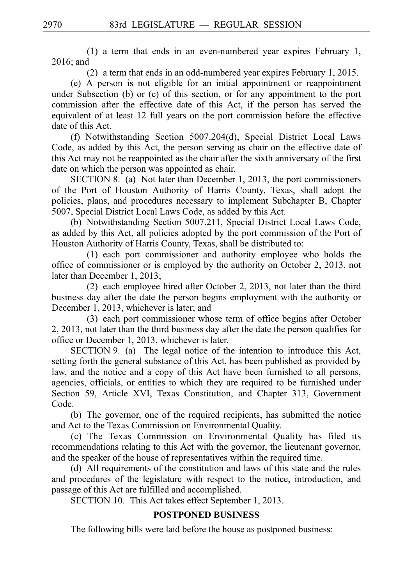(1) a term that ends in an even-numbered year expires February 1, 2016; and

(2) a term that ends in an odd-numbered year expires February 1, 2015.

(e) A person is not eligible for an initial appointment or reappointment under Subsection (b) or (c) of this section, or for any appointment to the port commission after the effective date of this Act, if the person has served the equivalent of at least 12 full years on the port commission before the effective date of this Act.

(f) Notwithstanding Section 5007.204(d), Special District Local Laws Code, as added by this Act, the person serving as chair on the effective date of this Act may not be reappointed as the chair after the sixth anniversary of the first date on which the person was appointed as chair.

SECTION 8. (a) Not later than December 1, 2013, the port commissioners of the Port of Houston Authority of Harris County, Texas, shall adopt the policies, plans, and procedures necessary to implement Subchapter B, Chapter 5007, Special District Local Laws Code, as added by this Act.

(b) Notwithstanding Section 5007.211, Special District Local Laws Code, as added by this Act, all policies adopted by the port commission of the Port of Houston Authority of Harris County, Texas, shall be distributed to:

 $(1)$  each port commissioner and authority employee who holds the office of commissioner or is employed by the authority on October 2, 2013, not later than December 1, 2013;

 $(2)$  each employee hired after October 2, 2013, not later than the third business day after the date the person begins employment with the authority or December 1, 2013, whichever is later; and

(3) each port commissioner whose term of office begins after October 2, 2013, not later than the third business day after the date the person qualifies for office or December 1, 2013, whichever is later.

 $SECTION 9. (a)$  The legal notice of the intention to introduce this Act, setting forth the general substance of this Act, has been published as provided by law, and the notice and a copy of this Act have been furnished to all persons, agencies, officials, or entities to which they are required to be furnished under Section 59, Article XVI, Texas Constitution, and Chapter 313, Government Code.

(b) The governor, one of the required recipients, has submitted the notice and Act to the Texas Commission on Environmental Quality.

(c) The Texas Commission on Environmental Quality has filed its recommendations relating to this Act with the governor, the lieutenant governor, and the speaker of the house of representatives within the required time.

(d) All requirements of the constitution and laws of this state and the rules and procedures of the legislature with respect to the notice, introduction, and passage of this Act are fulfilled and accomplished.

SECTION 10. This Act takes effect September 1, 2013.

### **POSTPONED BUSINESS**

The following bills were laid before the house as postponed business: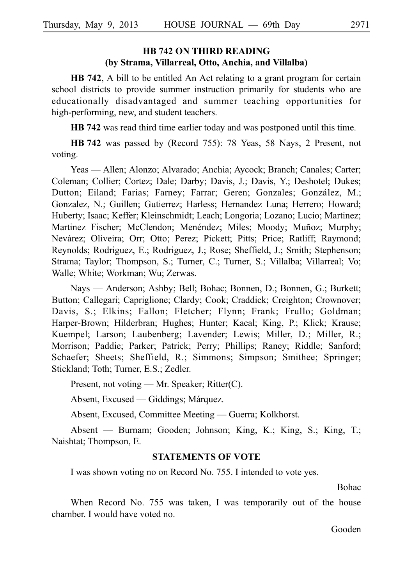# **HB 742 ON THIRD READING (by Strama, Villarreal, Otto, Anchia, and Villalba)**

**HB 742**, A bill to be entitled An Act relating to a grant program for certain school districts to provide summer instruction primarily for students who are educationally disadvantaged and summer teaching opportunities for high-performing, new, and student teachers.

**HB 742** was read third time earlier today and was postponed until this time.

**HB** 742 was passed by (Record 755): 78 Yeas, 58 Nays, 2 Present, not voting.

Yeas — Allen; Alonzo; Alvarado; Anchia; Aycock; Branch; Canales; Carter; Coleman; Collier; Cortez; Dale; Darby; Davis, J.; Davis, Y.; Deshotel; Dukes; Dutton; Eiland; Farias; Farney; Farrar; Geren; Gonzales; González, M.; Gonzalez, N.; Guillen; Gutierrez; Harless; Hernandez Luna; Herrero; Howard; Huberty; Isaac; Keffer; Kleinschmidt; Leach; Longoria; Lozano; Lucio; Martinez; Martinez Fischer; McClendon; Menéndez; Miles; Moody; Muñoz; Murphy; Nevárez; Oliveira; Orr; Otto; Perez; Pickett; Pitts; Price; Ratliff; Raymond; Reynolds; Rodriguez, E.; Rodriguez, J.; Rose; Sheffield, J.; Smith; Stephenson; Strama; Taylor; Thompson, S.; Turner, C.; Turner, S.; Villalba; Villarreal; Vo; Walle; White; Workman; Wu; Zerwas.

Nays — Anderson; Ashby; Bell; Bohac; Bonnen, D.; Bonnen, G.; Burkett; Button; Callegari; Capriglione; Clardy; Cook; Craddick; Creighton; Crownover; Davis, S.; Elkins; Fallon; Fletcher; Flynn; Frank; Frullo; Goldman; Harper-Brown; Hilderbran; Hughes; Hunter; Kacal; King, P.; Klick; Krause; Kuempel; Larson; Laubenberg; Lavender; Lewis; Miller, D.; Miller, R.; Morrison; Paddie; Parker; Patrick; Perry; Phillips; Raney; Riddle; Sanford; Schaefer; Sheets; Sheffield, R.; Simmons; Simpson; Smithee; Springer; Stickland; Toth; Turner, E.S.; Zedler.

Present, not voting — Mr. Speaker; Ritter(C).

Absent, Excused — Giddings; Márquez.

Absent, Excused, Committee Meeting — Guerra; Kolkhorst.

Absent — Burnam; Gooden; Johnson; King, K.; King, S.; King, T.; Naishtat; Thompson, E.

#### **STATEMENTS OF VOTE**

I was shown voting no on Record No. 755. I intended to vote yes.

Bohac

When Record No. 755 was taken, I was temporarily out of the house chamber. I would have voted no.

Gooden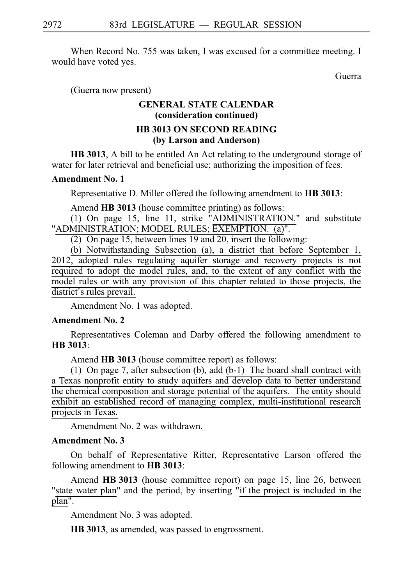When Record No. 755 was taken, I was excused for a committee meeting. I would have voted yes.

Guerra

(Guerra now present)

# **GENERAL STATE CALENDAR (consideration continued) HB 3013 ON SECOND READING (by Larson and Anderson)**

**HB 3013**, A bill to be entitled An Act relating to the underground storage of water for later retrieval and beneficial use; authorizing the imposition of fees.

#### **Amendment No. 1**

Representative D. Miller offered the following amendment to **HB 3013**:

Amend **HB 3013** (house committee printing) as follows:

(1) On page 15, line 11, strike "ADMINISTRATION." and substitute "ADMINISTRATION; MODEL RULES; EXEMPTION. (a)".

(2) On page 15, between lines 19 and 20, insert the following:

(b) Notwithstanding Subsection (a), a district that before September 1, 2012, adopted rules regulating aquifer storage and recovery projects is not required to adopt the model rules, and, to the extent of any conflict with the model rules or with any provision of this chapter related to those projects, the district's rules prevail.

Amendment No. 1 was adopted.

#### **Amendment No. 2**

Representatives Coleman and Darby offered the following amendment to **HBi3013**:

Amend **HB 3013** (house committee report) as follows:

(1) On page 7, after subsection (b), add  $(b-1)$  The board shall contract with a Texas nonprofit entity to study aquifers and develop data to better understand the chemical composition and storage potential of the aquifers. The entity should exhibit an established record of managing complex, multi-institutional research projects in Texas.

Amendment No. 2 was withdrawn.

#### **Amendment No. 3**

On behalf of Representative Ritter, Representative Larson offered the following amendment to **HB** 3013:

Amend **HB 3013** (house committee report) on page 15, line 26, between "state water plan" and the period, by inserting "if the project is included in the plan".

Amendment No. 3 was adopted.

**HB 3013**, as amended, was passed to engrossment.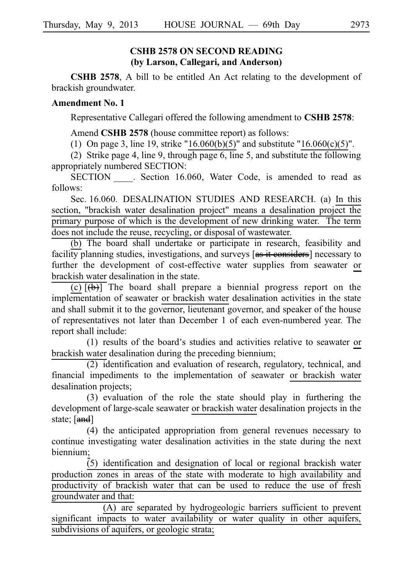### **CSHB 2578 ON SECOND READING (by Larson, Callegari, and Anderson)**

**CSHB 2578**, A bill to be entitled An Act relating to the development of brackish groundwater.

### **Amendment No. 1**

Representative Callegari offered the following amendment to **CSHB 2578**:

Amend **CSHB 2578** (house committee report) as follows:

(1) On page 3, line 19, strike "16.060(b)(5)" and substitute "16.060(c)(5)".

(2) Strike page 4, line 9, through page 6, line 5, and substitute the following appropriately numbered SECTION:

SECTION Section 16.060, Water Code, is amended to read as follows:

Sec. 16.060. DESALINATION STUDIES AND RESEARCH. (a) In this section, "brackish water desalination project" means a desalination project the primary purpose of which is the development of new drinking water. The term does not include the reuse, recycling, or disposal of wastewater.

(b) The board shall undertake or participate in research, feasibility and facility planning studies, investigations, and surveys [as it considers] necessary to further the development of cost-effective water supplies from seawater or brackish water desalination in the state.

 $\overline{(c)}$   $\overline{(\theta)}$  The board shall prepare a biennial progress report on the implementation of seawater or brackish water desalination activities in the state and shall submit it to the governor, lieutenant governor, and speaker of the house of representatives not later than December 1 of each even-numbered year. The report shall include:

 $(1)$  results of the board's studies and activities relative to seawater or brackish water desalination during the preceding biennium;

 $\overline{(2)}$  identification and evaluation of research, regulatory, technical, and financial impediments to the implementation of seawater or brackish water desalination projects;

 $(3)$  evaluation of the role the state should play in furthering the development of large-scale seawater or brackish water desalination projects in the state; [and]

(4) the anticipated appropriation from general revenues necessary to continue investigating water desalination activities in the state during the next biennium;

(5) identification and designation of local or regional brackish water production zones in areas of the state with moderate to high availability and productivity of brackish water that can be used to reduce the use of fresh groundwater and that:

 $(A)$  are separated by hydrogeologic barriers sufficient to prevent significant impacts to water availability or water quality in other aquifers, subdivisions of aquifers, or geologic strata;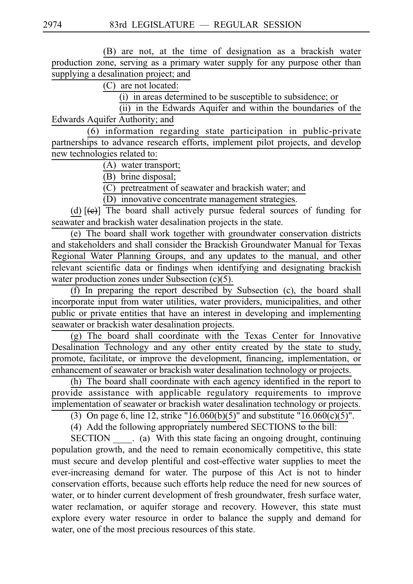(B) are not, at the time of designation as a brackish water production zone, serving as a primary water supply for any purpose other than supplying a desalination project; and

 $(C)$  are not located:

 $(i)$  in areas determined to be susceptible to subsidence; or

 $(iii)$  in the Edwards Aquifer and within the boundaries of the Edwards Aquifer Authority; and

 $(6)$  information regarding state participation in public-private partnerships to advance research efforts, implement pilot projects, and develop new technologies related to:

(A) water transport;

(B) brine disposal;

 $\overline{(\text{C})}$  pretreatment of seawater and brackish water; and

(D) innovative concentrate management strategies.

(d)  $[\Theta]$  The board shall actively pursue federal sources of funding for seawater and brackish water desalination projects in the state.

(e) The board shall work together with groundwater conservation districts and stakeholders and shall consider the Brackish Groundwater Manual for Texas Regional Water Planning Groups, and any updates to the manual, and other relevant scientific data or findings when identifying and designating brackish water production zones under Subsection (c)(5).

(f) In preparing the report described by Subsection (c), the board shall incorporate input from water utilities, water providers, municipalities, and other public or private entities that have an interest in developing and implementing seawater or brackish water desalination projects.

 $(g)$  The board shall coordinate with the Texas Center for Innovative Desalination Technology and any other entity created by the state to study, promote, facilitate, or improve the development, financing, implementation, or enhancement of seawater or brackish water desalination technology or projects.

(h) The board shall coordinate with each agency identified in the report to provide assistance with applicable regulatory requirements to improve implementation of seawater or brackish water desalination technology or projects.

(3) On page 6, line 12, strike "16.060(b)(5)" and substitute "16.060(c)(5)".

(4) Add the following appropriately numbered SECTIONS to the bill:

SECTION \_\_\_\_. (a) With this state facing an ongoing drought, continuing population growth, and the need to remain economically competitive, this state must secure and develop plentiful and cost-effective water supplies to meet the ever-increasing demand for water. The purpose of this Act is not to hinder conservation efforts, because such efforts help reduce the need for new sources of water, or to hinder current development of fresh groundwater, fresh surface water, water reclamation, or aquifer storage and recovery. However, this state must explore every water resource in order to balance the supply and demand for water, one of the most precious resources of this state.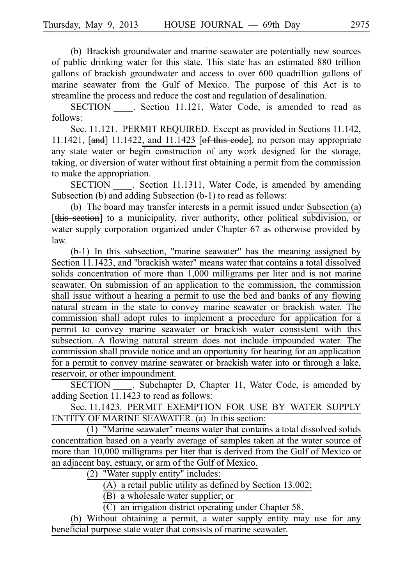(b) Brackish groundwater and marine seawater are potentially new sources of public drinking water for this state. This state has an estimated 880 trillion gallons of brackish groundwater and access to over 600 quadrillion gallons of marine seawater from the Gulf of Mexico. The purpose of this Act is to streamline the process and reduce the cost and regulation of desalination.

SECTION . Section 11.121, Water Code, is amended to read as follows:

Sec. 11.121. PERMIT REQUIRED. Except as provided in Sections 11.142, 11.1421, [and] 11.1422, and 11.1423 [of this code], no person may appropriate any state water or begin construction of any work designed for the storage, taking, or diversion of water without first obtaining a permit from the commission to make the appropriation.

SECTION Section 11.1311, Water Code, is amended by amending Subsection (b) and adding Subsection (b-1) to read as follows:

(b) The board may transfer interests in a permit issued under Subsection  $(a)$ [this section] to a municipality, river authority, other political subdivision, or water supply corporation organized under Chapter 67 as otherwise provided by law.

 $(b-1)$  In this subsection, "marine seawater" has the meaning assigned by Section 11.1423, and "brackish water" means water that contains a total dissolved solids concentration of more than 1,000 milligrams per liter and is not marine seawater. On submission of an application to the commission, the commission shall issue without a hearing a permit to use the bed and banks of any flowing natural stream in the state to convey marine seawater or brackish water. The commission shall adopt rules to implement a procedure for application for a permit to convey marine seawater or brackish water consistent with this subsection. A flowing natural stream does not include impounded water. The commission shall provide notice and an opportunity for hearing for an application for a permit to convey marine seawater or brackish water into or through a lake, reservoir, or other impoundment.

SECTION Subchapter D, Chapter 11, Water Code, is amended by adding Section 11.1423 to read as follows:

Sec. 11.1423. PERMIT EXEMPTION FOR USE BY WATER SUPPLY ENTITY OF MARINE SEAWATER. (a) In this section:

 $(1)$  "Marine seawater" means water that contains a total dissolved solids concentration based on a yearly average of samples taken at the water source of more than 10,000 milligrams per liter that is derived from the Gulf of Mexico or an adjacent bay, estuary, or arm of the Gulf of Mexico.

 $(2)$  "Water supply entity" includes:

(A) a retail public utility as defined by Section 13.002;

 $(B)$  a wholesale water supplier; or

 $(C)$  an irrigation district operating under Chapter 58.

(b) Without obtaining a permit, a water supply entity may use for any beneficial purpose state water that consists of marine seawater.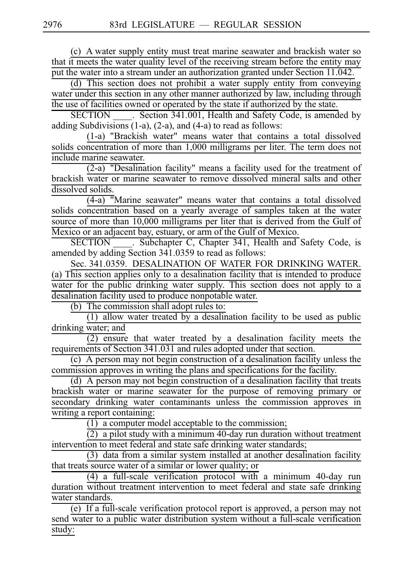(c) A water supply entity must treat marine seawater and brackish water so that it meets the water quality level of the receiving stream before the entity may put the water into a stream under an authorization granted under Section 11.042.

(d) This section does not prohibit a water supply entity from conveying water under this section in any other manner authorized by law, including through the use of facilities owned or operated by the state if authorized by the state.

SECTION Section 341.001, Health and Safety Code, is amended by adding Subdivisions (1-a), (2-a), and (4-a) to read as follows:

(1-a) "Brackish water" means water that contains a total dissolved solids concentration of more than 1,000 milligrams per liter. The term does not include marine seawater.

 $(2-a)$  "Desalination facility" means a facility used for the treatment of brackish water or marine seawater to remove dissolved mineral salts and other dissolved solids.

 $(4-a)$  "Marine seawater" means water that contains a total dissolved solids concentration based on a yearly average of samples taken at the water source of more than 10,000 milligrams per liter that is derived from the Gulf of Mexico or an adjacent bay, estuary, or arm of the Gulf of Mexico.

SECTION . Subchapter C, Chapter 341, Health and Safety Code, is amended by adding Section 341.0359 to read as follows:

Sec. 341.0359. DESALINATION OF WATER FOR DRINKING WATER. (a) This section applies only to a desalination facility that is intended to produce water for the public drinking water supply. This section does not apply to a desalination facility used to produce nonpotable water.

 $(b)$  The commission shall adopt rules to:

 $(1)$  allow water treated by a desalination facility to be used as public drinking water; and

 $(2)$  ensure that water treated by a desalination facility meets the requirements of Section 341.031 and rules adopted under that section.

 $(c)$  A person may not begin construction of a desalination facility unless the commission approves in writing the plans and specifications for the facility.

 $(d)$  A person may not begin construction of a desalination facility that treats brackish water or marine seawater for the purpose of removing primary or secondary drinking water contaminants unless the commission approves in writing a report containing:

 $(1)$  a computer model acceptable to the commission;

 $(2)$  a pilot study with a minimum 40-day run duration without treatment intervention to meet federal and state safe drinking water standards;

 $(3)$  data from a similar system installed at another desalination facility that treats source water of a similar or lower quality; or

 $(4)$  a full-scale verification protocol with a minimum 40-day run duration without treatment intervention to meet federal and state safe drinking water standards.

 $(e)$  If a full-scale verification protocol report is approved, a person may not send water to a public water distribution system without a full-scale verification study: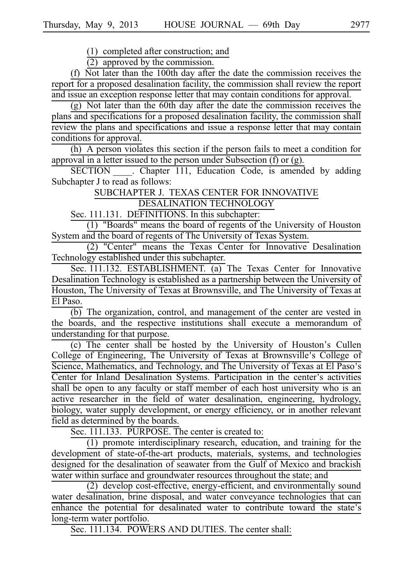$(1)$  completed after construction; and

 $(2)$  approved by the commission.

(f) Not later than the 100th day after the date the commission receives the report for a proposed desalination facility, the commission shall review the report and issue an exception response letter that may contain conditions for approval.

(g) Not later than the 60th day after the date the commission receives the plans and specifications for a proposed desalination facility, the commission shall review the plans and specifications and issue a response letter that may contain conditions for approval.

 $(h)$  A person violates this section if the person fails to meet a condition for approval in a letter issued to the person under Subsection  $(f)$  or  $(g)$ .

SECTION Chapter 111, Education Code, is amended by adding Subchapter J to read as follows:

SUBCHAPTER J. TEXAS CENTER FOR INNOVATIVE

DESALINATION TECHNOLOGY

Sec. 111.131. DEFINITIONS. In this subchapter:

(1) "Boards" means the board of regents of the University of Houston System and the board of regents of The University of Texas System.

(2) "Center" means the Texas Center for Innovative Desalination Technology established under this subchapter.

Sec. 111.132. ESTABLISHMENT. (a) The Texas Center for Innovative Desalination Technology is established as a partnership between the University of Houston, The University of Texas at Brownsville, and The University of Texas at El Paso.

(b) The organization, control, and management of the center are vested in the boards, and the respective institutions shall execute a memorandum of understanding for that purpose.

(c) The center shall be hosted by the University of Houston's Cullen College of Engineering, The University of Texas at Brownsville's College of Science, Mathematics, and Technology, and The University of Texas at El Paso's Center for Inland Desalination Systems. Participation in the center's activities shall be open to any faculty or staff member of each host university who is an active researcher in the field of water desalination, engineering, hydrology, biology, water supply development, or energy efficiency, or in another relevant field as determined by the boards.

Sec. 111.133. PURPOSE. The center is created to:

 $(1)$  promote interdisciplinary research, education, and training for the development of state-of-the-art products, materials, systems, and technologies designed for the desalination of seawater from the Gulf of Mexico and brackish water within surface and groundwater resources throughout the state; and

(2) develop cost-effective, energy-efficient, and environmentally sound water desalination, brine disposal, and water conveyance technologies that can enhance the potential for desalinated water to contribute toward the state's long-term water portfolio.

Sec. 111.134. POWERS AND DUTIES. The center shall: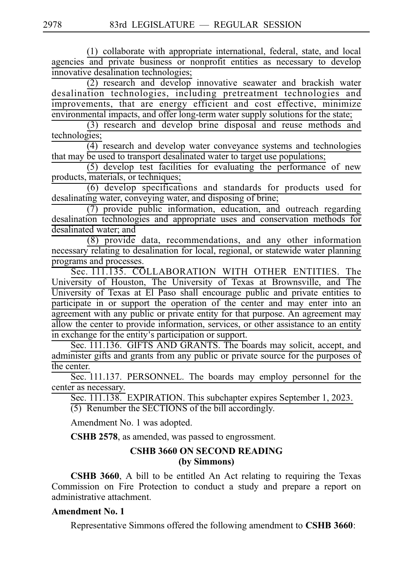(1) collaborate with appropriate international, federal, state, and local agencies and private business or nonprofit entities as necessary to develop innovative desalination technologies;

 $(2)$  research and develop innovative seawater and brackish water desalination technologies, including pretreatment technologies and improvements, that are energy efficient and cost effective, minimize environmental impacts, and offer long-term water supply solutions for the state;

 $(3)$  research and develop brine disposal and reuse methods and technologies;

 $\overline{(4)}$  research and develop water conveyance systems and technologies that may be used to transport desalinated water to target use populations;

 $(5)$  develop test facilities for evaluating the performance of new products, materials, or techniques;

 $\overline{(6)}$  develop specifications and standards for products used for desalinating water, conveying water, and disposing of brine;

 $(7)$  provide public information, education, and outreach regarding desalination technologies and appropriate uses and conservation methods for desalinated water; and

 $(8)$  provide data, recommendations, and any other information necessary relating to desalination for local, regional, or statewide water planning programs and processes.

Sec. 111.135. COLLABORATION WITH OTHER ENTITIES. The University of Houston, The University of Texas at Brownsville, and The University of Texas at El Paso shall encourage public and private entities to participate in or support the operation of the center and may enter into an agreement with any public or private entity for that purpose. An agreement may allow the center to provide information, services, or other assistance to an entity in exchange for the entity's participation or support.

Sec. 111.136. GIFTS AND GRANTS. The boards may solicit, accept, and administer gifts and grants from any public or private source for the purposes of the center.

Sec. 111.137. PERSONNEL. The boards may employ personnel for the center as necessary.

Sec. 111.138. EXPIRATION. This subchapter expires September 1, 2023.  $(5)$  Renumber the SECTIONS of the bill accordingly.

Amendment No. 1 was adopted.

**CSHB 2578**, as amended, was passed to engrossment.

### **CSHB 3660 ON SECOND READING (by Simmons)**

**CSHB 3660**, A bill to be entitled An Act relating to requiring the Texas Commission on Fire Protection to conduct a study and prepare a report on administrative attachment.

### **Amendment No. 1**

Representative Simmons offered the following amendment to **CSHB 3660**: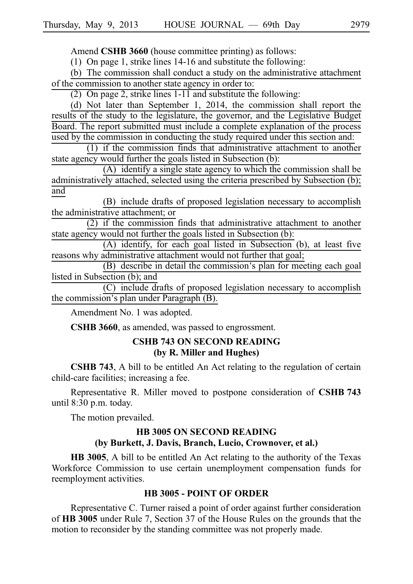Amend **CSHB 3660** (house committee printing) as follows:

(1) On page 1, strike lines  $14-16$  and substitute the following:

 $(b)$  The commission shall conduct a study on the administrative attachment of the commission to another state agency in order to:

(2) On page 2, strike lines  $1-11$  and substitute the following:

(d) Not later than September 1, 2014, the commission shall report the results of the study to the legislature, the governor, and the Legislative Budget Board. The report submitted must include a complete explanation of the process used by the commission in conducting the study required under this section and:

 $(1)$  if the commission finds that administrative attachment to another state agency would further the goals listed in Subsection (b):

 $(A)$  identify a single state agency to which the commission shall be administratively attached, selected using the criteria prescribed by Subsection (b); and

(B) include drafts of proposed legislation necessary to accomplish the administrative attachment; or

 $(2)$  if the commission finds that administrative attachment to another state agency would not further the goals listed in Subsection (b):

(A) identify, for each goal listed in Subsection (b), at least five reasons why administrative attachment would not further that goal;

(B) describe in detail the commission's plan for meeting each goal listed in Subsection (b); and

 $(C)$  include drafts of proposed legislation necessary to accomplish the commission's plan under Paragraph  $(B)$ .

Amendment No. 1 was adopted.

**CSHB 3660**, as amended, was passed to engrossment.

### **CSHB 743 ON SECOND READING (by R. Miller and Hughes)**

**CSHB 743**, A bill to be entitled An Act relating to the regulation of certain child-care facilities; increasing a fee.

Representative R. Miller moved to postpone consideration of **CSHB** 743 until  $8:30$  p.m. today.

The motion prevailed.

### **HB 3005 ON SECOND READING (by Burkett, J. Davis, Branch, Lucio, Crownover, et al.)**

**HB 3005**, A bill to be entitled An Act relating to the authority of the Texas Workforce Commission to use certain unemployment compensation funds for reemployment activities.

#### **HB 3005 - POINT OF ORDER**

Representative C. Turner raised a point of order against further consideration of **HB 3005** under Rule 7, Section 37 of the House Rules on the grounds that the motion to reconsider by the standing committee was not properly made.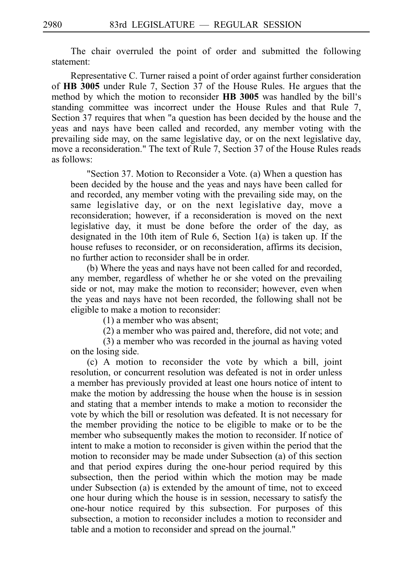The chair overruled the point of order and submitted the following statement:

Representative C. Turner raised a point of order against further consideration of **HB 3005** under Rule 7, Section 37 of the House Rules. He argues that the method by which the motion to reconsider HB 3005 was handled by the bill's standing committee was incorrect under the House Rules and that Rule 7, Section 37 requires that when "a question has been decided by the house and the yeas and nays have been called and recorded, any member voting with the prevailing side may, on the same legislative day, or on the next legislative day, move a reconsideration." The text of Rule 7, Section 37 of the House Rules reads as follows:

"Section 37. Motion to Reconsider a Vote. (a) When a question has been decided by the house and the yeas and nays have been called for and recorded, any member voting with the prevailing side may, on the same legislative day, or on the next legislative day, move a reconsideration; however, if a reconsideration is moved on the next legislative day, it must be done before the order of the day, as designated in the 10th item of Rule 6, Section 1(a) is taken up. If the house refuses to reconsider, or on reconsideration, affirms its decision, no further action to reconsider shall be in order.

(b) Where the yeas and nays have not been called for and recorded, any member, regardless of whether he or she voted on the prevailing side or not, may make the motion to reconsider; however, even when the yeas and nays have not been recorded, the following shall not be eligible to make a motion to reconsider:

(1) a member who was absent;

(2) a member who was paired and, therefore, did not vote; and

(3) a member who was recorded in the journal as having voted on the losing side.

(c) A motion to reconsider the vote by which a bill, joint resolution, or concurrent resolution was defeated is not in order unless a member has previously provided at least one hours notice of intent to make the motion by addressing the house when the house is in session and stating that a member intends to make a motion to reconsider the vote by which the bill or resolution was defeated. It is not necessary for the member providing the notice to be eligible to make or to be the member who subsequently makes the motion to reconsider. If notice of intent to make a motion to reconsider is given within the period that the motion to reconsider may be made under Subsection (a) of this section and that period expires during the one-hour period required by this subsection, then the period within which the motion may be made under Subsection (a) is extended by the amount of time, not to exceed one hour during which the house is in session, necessary to satisfy the one-hour notice required by this subsection. For purposes of this subsection, a motion to reconsider includes a motion to reconsider and table and a motion to reconsider and spread on the journal."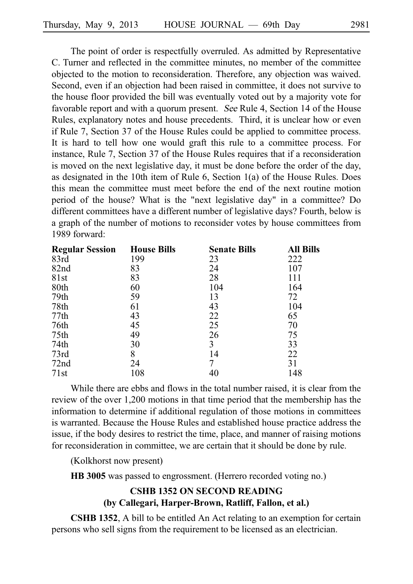The point of order is respectfully overruled. As admitted by Representative C. Turner and reflected in the committee minutes, no member of the committee objected to the motion to reconsideration. Therefore, any objection was waived. Second, even if an objection had been raised in committee, it does not survive to the house floor provided the bill was eventually voted out by a majority vote for favorable report and with a quorum present. See Rule 4, Section 14 of the House Rules, explanatory notes and house precedents. Third, it is unclear how or even if Rule 7, Section 37 of the House Rules could be applied to committee process. It is hard to tell how one would graft this rule to a committee process. For instance, Rule 7, Section 37 of the House Rules requires that if a reconsideration is moved on the next legislative day, it must be done before the order of the day, as designated in the 10th item of Rule 6, Section 1(a) of the House Rules. Does this mean the committee must meet before the end of the next routine motion period of the house? What is the "next legislative day" in a committee? Do different committees have a different number of legislative days? Fourth, below is a graph of the number of motions to reconsider votes by house committees from 1989 forward:

| <b>Regular Session</b> | <b>House Bills</b> | <b>Senate Bills</b> | All Bills |
|------------------------|--------------------|---------------------|-----------|
| 83rd                   | 199                | 23                  | 222       |
| 82nd                   | 83                 | 24                  | 107       |
| 81st                   | 83                 | 28                  | 111       |
| 80th                   | 60                 | 104                 | 164       |
| 79th                   | 59                 | 13                  | 72        |
| 78th                   | 61                 | 43                  | 104       |
| 77th                   | 43                 | 22                  | 65        |
| 76th                   | 45                 | 25                  | 70        |
| 75th                   | 49                 | 26                  | 75        |
| 74th                   | 30                 | 3                   | 33        |
| 73rd                   | 8                  | 14                  | 22        |
| 72 <sub>nd</sub>       | 24                 |                     | 31        |
| 71st                   | 108                | 40                  | 148       |

While there are ebbs and flows in the total number raised, it is clear from the review of the over 1,200 motions in that time period that the membership has the information to determine if additional regulation of those motions in committees is warranted. Because the House Rules and established house practice address the issue, if the body desires to restrict the time, place, and manner of raising motions for reconsideration in committee, we are certain that it should be done by rule.

(Kolkhorst now present)

**HB 3005** was passed to engrossment. (Herrero recorded voting no.)

# **CSHB 1352 ON SECOND READING (by Callegari, Harper-Brown, Ratliff, Fallon, et al.)**

**CSHB 1352**, A bill to be entitled An Act relating to an exemption for certain persons who sell signs from the requirement to be licensed as an electrician.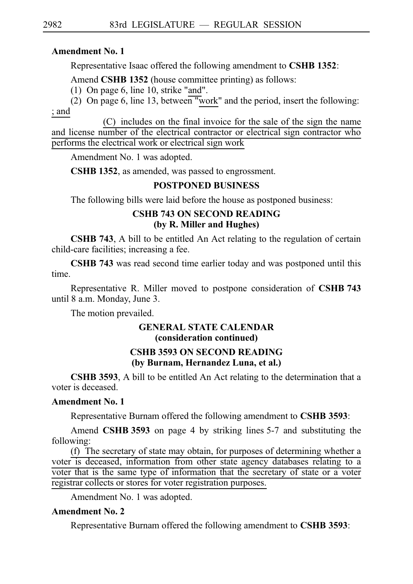### **Amendment No. 1**

Representative Isaac offered the following amendment to **CSHBi1352**:

Amend **CSHB 1352** (house committee printing) as follows:

(1) On page 6, line 10, strike "and".

(2) On page 6, line 13, between "work" and the period, insert the following: ; and

 $(C)$  includes on the final invoice for the sale of the sign the name and license number of the electrical contractor or electrical sign contractor who performs the electrical work or electrical sign work

Amendment No. 1 was adopted.

**CSHB 1352**, as amended, was passed to engrossment.

### **POSTPONED BUSINESS**

The following bills were laid before the house as postponed business:

## **CSHB 743 ON SECOND READING (by R. Miller and Hughes)**

**CSHB 743**, A bill to be entitled An Act relating to the regulation of certain child-care facilities; increasing a fee.

**CSHB 743** was read second time earlier today and was postponed until this time.

Representative R. Miller moved to postpone consideration of **CSHB** 743 until 8 a.m. Monday, June 3.

The motion prevailed.

# **GENERAL STATE CALENDAR (consideration continued)**

# **CSHB 3593 ON SECOND READING (by Burnam, Hernandez Luna, et al.)**

**CSHB 3593**, A bill to be entitled An Act relating to the determination that a voter is deceased.

# **Amendment No. 1**

Representative Burnam offered the following amendment to **CSHB 3593**:

Amend **CSHB** 3593 on page 4 by striking lines 5-7 and substituting the following:

(f) The secretary of state may obtain, for purposes of determining whether a voter is deceased, information from other state agency databases relating to a voter that is the same type of information that the secretary of state or a voter registrar collects or stores for voter registration purposes.

Amendment No. 1 was adopted.

# **Amendment No. 2**

Representative Burnam offered the following amendment to **CSHB 3593**: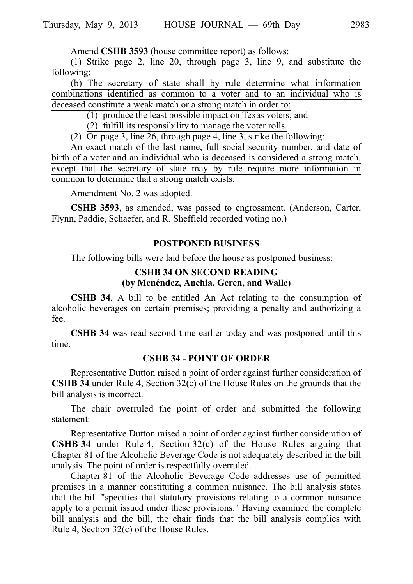Amend **CSHB 3593** (house committee report) as follows:

(1) Strike page 2, line 20, through page 3, line 9, and substitute the following:

(b) The secretary of state shall by rule determine what information combinations identified as common to a voter and to an individual who is deceased constitute a weak match or a strong match in order to:

 $(1)$  produce the least possible impact on Texas voters; and

 $(2)$  fulfill its responsibility to manage the voter rolls.

(2)  $\overline{On}$  page 3, line 26, through page 4, line 3, strike the following:

An exact match of the last name, full social security number, and date of birth of a voter and an individual who is deceased is considered a strong match, except that the secretary of state may by rule require more information in common to determine that a strong match exists.

Amendment No. 2 was adopted.

**CSHB 3593**, as amended, was passed to engrossment. (Anderson, Carter, Flynn, Paddie, Schaefer, and R. Sheffield recorded voting no.)

#### **POSTPONED BUSINESS**

The following bills were laid before the house as postponed business:

### **CSHB 34 ON SECOND READING (by Mene´ndez, Anchia, Geren, and Walle)**

**CSHB 34**, A bill to be entitled An Act relating to the consumption of alcoholic beverages on certain premises; providing a penalty and authorizing a fee.

**CSHB 34** was read second time earlier today and was postponed until this time.

#### **CSHB 34 - POINT OF ORDER**

Representative Dutton raised a point of order against further consideration of **CSHB 34** under Rule 4, Section 32(c) of the House Rules on the grounds that the bill analysis is incorrect.

The chair overruled the point of order and submitted the following statement:

Representative Dutton raised a point of order against further consideration of **CSHB 34** under Rule 4, Section  $32(c)$  of the House Rules arguing that Chapter 81 of the Alcoholic Beverage Code is not adequately described in the bill analysis. The point of order is respectfully overruled.

Chapter 81 of the Alcoholic Beverage Code addresses use of permitted premises in a manner constituting a common nuisance. The bill analysis states that the bill "specifies that statutory provisions relating to a common nuisance apply to a permit issued under these provisions." Having examined the complete bill analysis and the bill, the chair finds that the bill analysis complies with Rule 4, Section  $32(c)$  of the House Rules.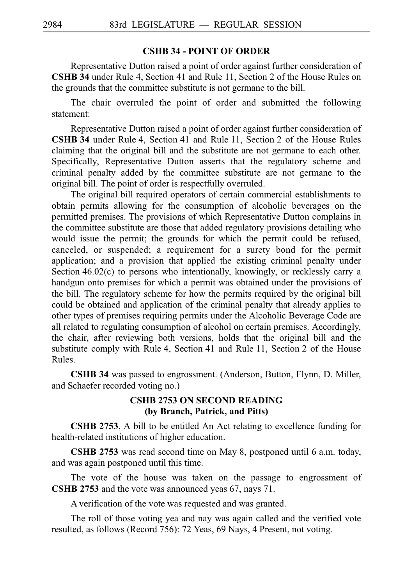#### **CSHB 34 - POINT OF ORDER**

Representative Dutton raised a point of order against further consideration of **CSHB 34** under Rule 4, Section 41 and Rule 11, Section 2 of the House Rules on the grounds that the committee substitute is not germane to the bill.

The chair overruled the point of order and submitted the following statement:

Representative Dutton raised a point of order against further consideration of **CSHB 34** under Rule 4, Section 41 and Rule 11, Section 2 of the House Rules claiming that the original bill and the substitute are not germane to each other. Specifically, Representative Dutton asserts that the regulatory scheme and criminal penalty added by the committee substitute are not germane to the original bill. The point of order is respectfully overruled.

The original bill required operators of certain commercial establishments to obtain permits allowing for the consumption of alcoholic beverages on the permitted premises. The provisions of which Representative Dutton complains in the committee substitute are those that added regulatory provisions detailing who would issue the permit; the grounds for which the permit could be refused, canceled, or suspended; a requirement for a surety bond for the permit application; and a provision that applied the existing criminal penalty under Section  $46.02(c)$  to persons who intentionally, knowingly, or recklessly carry a handgun onto premises for which a permit was obtained under the provisions of the bill. The regulatory scheme for how the permits required by the original bill could be obtained and application of the criminal penalty that already applies to other types of premises requiring permits under the Alcoholic Beverage Code are all related to regulating consumption of alcohol on certain premises. Accordingly, the chair, after reviewing both versions, holds that the original bill and the substitute comply with Rule 4, Section 41 and Rule 11, Section 2 of the House Rules.

**CSHB 34** was passed to engrossment. (Anderson, Button, Flynn, D. Miller, and Schaefer recorded voting no.)

### **CSHB 2753 ON SECOND READING (by Branch, Patrick, and Pitts)**

**CSHB 2753**, A bill to be entitled An Act relating to excellence funding for health-related institutions of higher education.

**CSHB 2753** was read second time on May 8, postponed until 6 a.m. today, and was again postponed until this time.

The vote of the house was taken on the passage to engrossment of **CSHB 2753** and the vote was announced yeas 67, nays 71.

A verification of the vote was requested and was granted.

The roll of those voting yea and nay was again called and the verified vote resulted, as follows (Record 756): 72 Yeas, 69 Nays, 4 Present, not voting.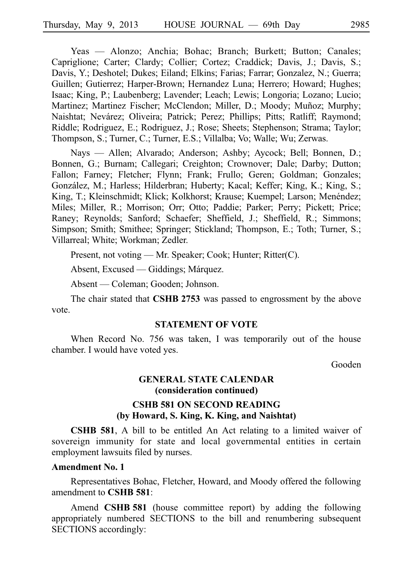Yeas — Alonzo; Anchia; Bohac; Branch; Burkett; Button; Canales; Capriglione; Carter; Clardy; Collier; Cortez; Craddick; Davis, J.; Davis, S.; Davis, Y.; Deshotel; Dukes; Eiland; Elkins; Farias; Farrar; Gonzalez, N.; Guerra; Guillen; Gutierrez; Harper-Brown; Hernandez Luna; Herrero; Howard; Hughes; Isaac; King, P.; Laubenberg; Lavender; Leach; Lewis; Longoria; Lozano; Lucio; Martinez; Martinez Fischer; McClendon; Miller, D.; Moody; Muñoz; Murphy; Naishtat; Nevárez; Oliveira; Patrick; Perez; Phillips; Pitts; Ratliff; Raymond; Riddle; Rodriguez, E.; Rodriguez, J.; Rose; Sheets; Stephenson; Strama; Taylor; Thompson, S.; Turner, C.; Turner, E.S.; Villalba; Vo; Walle; Wu; Zerwas.

Nays — Allen; Alvarado; Anderson; Ashby; Aycock; Bell; Bonnen, D.; Bonnen, G.; Burnam; Callegari; Creighton; Crownover; Dale; Darby; Dutton; Fallon; Farney; Fletcher; Flynn; Frank; Frullo; Geren; Goldman; Gonzales; González, M.; Harless; Hilderbran; Huberty; Kacal; Keffer; King, K.; King, S.; King, T.; Kleinschmidt; Klick; Kolkhorst; Krause; Kuempel; Larson; Menéndez; Miles; Miller, R.; Morrison; Orr; Otto; Paddie; Parker; Perry; Pickett; Price; Raney; Reynolds; Sanford; Schaefer; Sheffield, J.; Sheffield, R.; Simmons; Simpson; Smith; Smithee; Springer; Stickland; Thompson, E.; Toth; Turner, S.; Villarreal; White; Workman; Zedler.

Present, not voting — Mr. Speaker; Cook; Hunter; Ritter(C).

Absent, Excused — Giddings; Márquez.

Absent — Coleman; Gooden; Johnson.

The chair stated that **CSHB 2753** was passed to engrossment by the above vote.

#### **STATEMENT OF VOTE**

When Record No. 756 was taken, I was temporarily out of the house chamber. I would have voted yes.

Gooden

# **GENERAL STATE CALENDAR (consideration continued)**

### **CSHB 581 ON SECOND READING (by Howard, S. King, K. King, and Naishtat)**

**CSHB 581**, A bill to be entitled An Act relating to a limited waiver of sovereign immunity for state and local governmental entities in certain employment lawsuits filed by nurses.

#### **Amendment No. 1**

Representatives Bohac, Fletcher, Howard, and Moody offered the following amendment to **CSHB** 581:

Amend **CSHB 581** (house committee report) by adding the following appropriately numbered SECTIONS to the bill and renumbering subsequent SECTIONS accordingly: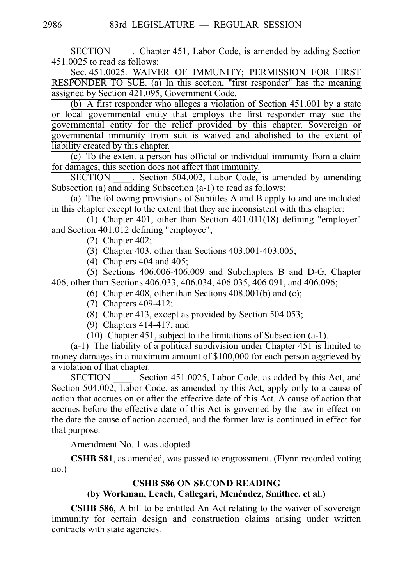SECTION Chapter 451, Labor Code, is amended by adding Section 451.0025 to read as follows:

Sec. 451.0025. WAIVER OF IMMUNITY; PERMISSION FOR FIRST RESPONDER TO SUE. (a) In this section, "first responder" has the meaning assigned by Section 421.095, Government Code.

(b) A first responder who alleges a violation of Section  $451.001$  by a state or local governmental entity that employs the first responder may sue the governmental entity for the relief provided by this chapter. Sovereign or governmental immunity from suit is waived and abolished to the extent of liability created by this chapter.

 $\overrightarrow{c}$ ) To the extent a person has official or individual immunity from a claim for damages, this section does not affect that immunity.

SECTION Section 504.002, Labor Code, is amended by amending Subsection (a) and adding Subsection (a-1) to read as follows:

(a) The following provisions of Subtitles A and B apply to and are included in this chapter except to the extent that they are inconsistent with this chapter:

 $(1)$  Chapter 401, other than Section 401.011(18) defining "employer" and Section 401.012 defining "employee";

(2) Chapter  $402$ ;

(3) Chapter 403, other than Sections  $403.001-403.005$ ;

 $(4)$  Chapters 404 and 405;

 $(5)$  Sections 406.006-406.009 and Subchapters B and D-G, Chapter 406, other than Sections 406.033, 406.034, 406.035, 406.091, and 406.096;

- (6) Chapter 408, other than Sections  $408.001(b)$  and (c);
- $(7)$  Chapters 409-412;
- $(8)$  Chapter 413, except as provided by Section 504.053;
- $(9)$  Chapters 414-417; and

(10) Chapter 451, subject to the limitations of Subsection (a-1).

 $(a-1)$  The liability of a political subdivision under Chapter 451 is limited to money damages in a maximum amount of \$100,000 for each person aggrieved by a violation of that chapter.

SECTION \_\_\_\_. Section 451.0025, Labor Code, as added by this Act, and Section 504.002, Labor Code, as amended by this Act, apply only to a cause of action that accrues on or after the effective date of this Act. A cause of action that accrues before the effective date of this Act is governed by the law in effect on the date the cause of action accrued, and the former law is continued in effect for that purpose.

Amendment No. 1 was adopted.

**CSHB 581**, as amended, was passed to engrossment. (Flynn recorded voting no.)

#### **CSHB 586 ON SECOND READING**

#### (by Workman, Leach, Callegari, Menéndez, Smithee, et al.)

**CSHB 586**, A bill to be entitled An Act relating to the waiver of sovereign immunity for certain design and construction claims arising under written contracts with state agencies.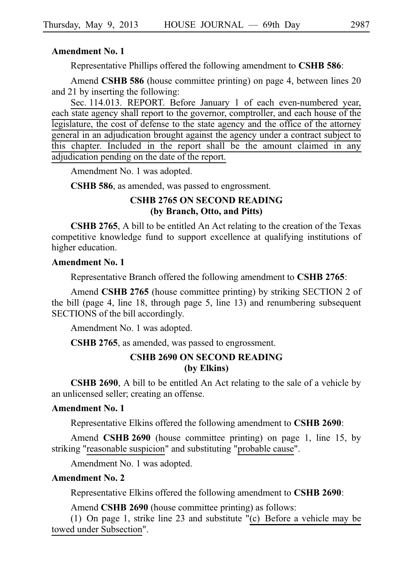#### **Amendment No. 1**

Representative Phillips offered the following amendment to **CSHB 586**:

Amend **CSHB 586** (house committee printing) on page 4, between lines 20 and 21 by inserting the following:

Sec. 114.013. REPORT. Before January 1 of each even-numbered year, each state agency shall report to the governor, comptroller, and each house of the legislature, the cost of defense to the state agency and the office of the attorney general in an adjudication brought against the agency under a contract subject to this chapter. Included in the report shall be the amount claimed in any adjudication pending on the date of the report.

Amendment No. 1 was adopted.

**CSHB 586**, as amended, was passed to engrossment.

# **CSHB 2765 ON SECOND READING (by Branch, Otto, and Pitts)**

**CSHB 2765**, A bill to be entitled An Act relating to the creation of the Texas competitive knowledge fund to support excellence at qualifying institutions of higher education.

#### **Amendment No. 1**

Representative Branch offered the following amendment to **CSHB 2765**:

Amend **CSHB 2765** (house committee printing) by striking SECTION 2 of the bill (page 4, line 18, through page 5, line 13) and renumbering subsequent SECTIONS of the bill accordingly.

Amendment No. 1 was adopted.

**CSHB 2765**, as amended, was passed to engrossment.

### **CSHB 2690 ON SECOND READING (by Elkins)**

**CSHB 2690**, A bill to be entitled An Act relating to the sale of a vehicle by an unlicensed seller; creating an offense.

#### **Amendment No. 1**

Representative Elkins offered the following amendment to **CSHB 2690**:

Amend **CSHB 2690** (house committee printing) on page 1, line 15, by striking "reasonable suspicion" and substituting "probable cause".

Amendment No. 1 was adopted.

#### **Amendment No. 2**

Representative Elkins offered the following amendment to **CSHB 2690**:

Amend **CSHB 2690** (house committee printing) as follows:

(1) On page 1, strike line 23 and substitute " $(c)$  Before a vehicle may be towed under Subsection".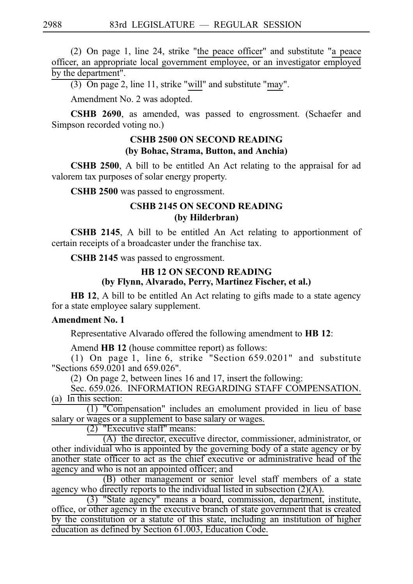(2) On page 1, line 24, strike "the peace officer" and substitute "a peace officer, an appropriate local government employee, or an investigator employed by the department".

 $(3)$  On page 2, line 11, strike "will" and substitute "may".

Amendment No. 2 was adopted.

**CSHB 2690**, as amended, was passed to engrossment. (Schaefer and Simpson recorded voting no.)

# **CSHB 2500 ON SECOND READING (by Bohac, Strama, Button, and Anchia)**

**CSHB 2500**, A bill to be entitled An Act relating to the appraisal for ad valorem tax purposes of solar energy property.

**CSHB 2500** was passed to engrossment.

### **CSHB 2145 ON SECOND READING (by Hilderbran)**

**CSHB 2145**, A bill to be entitled An Act relating to apportionment of certain receipts of a broadcaster under the franchise tax.

**CSHB 2145** was passed to engrossment.

# **HB 12 ON SECOND READING (by Flynn, Alvarado, Perry, Martinez Fischer, et al.)**

**HB 12**, A bill to be entitled An Act relating to gifts made to a state agency for a state employee salary supplement.

### **Amendment No. 1**

Representative Alvarado offered the following amendment to **HB 12**:

Amend **HB 12** (house committee report) as follows:

(1) On page 1, line 6, strike "Section  $659.0201$ " and substitute "Sections 659.0201 and 659.026".

(2) On page 2, between lines  $16$  and  $17$ , insert the following:

Sec. 659.026. INFORMATION REGARDING STAFF COMPENSATION. (a) In this section:

 $(1)$  "Compensation" includes an emolument provided in lieu of base salary or wages or a supplement to base salary or wages.

 $(2)$  "Executive staff" means:

(A) the director, executive director, commissioner, administrator, or other individual who is appointed by the governing body of a state agency or by another state officer to act as the chief executive or administrative head of the agency and who is not an appointed officer; and

(B) other management or senior level staff members of a state agency who directly reports to the individual listed in subsection  $(2)(A)$ .

 $(3)$  "State agency" means a board, commission, department, institute, office, or other agency in the executive branch of state government that is created by the constitution or a statute of this state, including an institution of higher education as defined by Section 61.003, Education Code.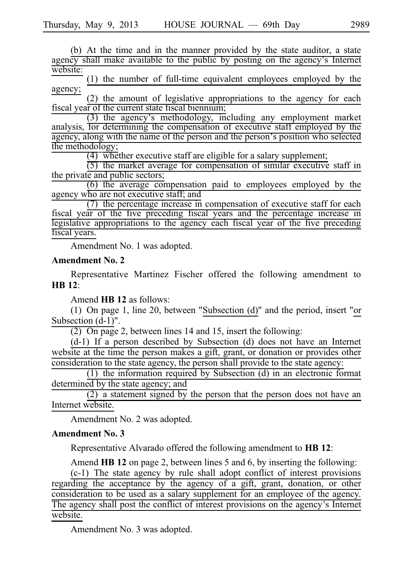(b) At the time and in the manner provided by the state auditor, a state agency shall make available to the public by posting on the agency's Internet website:

 $(1)$  the number of full-time equivalent employees employed by the agency;

 $(2)$  the amount of legislative appropriations to the agency for each fiscal year of the current state fiscal biennium;

 $(3)$  the agency's methodology, including any employment market analysis, for determining the compensation of executive staff employed by the agency, along with the name of the person and the person's position who selected the methodology;

 $\overline{(4)}$  whether executive staff are eligible for a salary supplement;

 $(5)$  the market average for compensation of similar executive staff in the private and public sectors;

 $(6)$  the average compensation paid to employees employed by the agency who are not executive staff; and

 $(7)$  the percentage increase in compensation of executive staff for each fiscal year of the five preceding fiscal years and the percentage increase in legislative appropriations to the agency each fiscal year of the five preceding fiscal years.

Amendment No. 1 was adopted.

#### **Amendment No. 2**

Representative Martinez Fischer offered the following amendment to **HBi12**:

Amend **HBi12** as follows:

(1) On page 1, line 20, between "Subsection (d)" and the period, insert "or Subsection (d-1)".

 $(2)$  On page 2, between lines 14 and 15, insert the following:

 $(d-1)$  If a person described by Subsection (d) does not have an Internet website at the time the person makes a gift, grant, or donation or provides other consideration to the state agency, the person shall provide to the state agency:

 $(1)$  the information required by Subsection  $(d)$  in an electronic format determined by the state agency; and

(2) a statement signed by the person that the person does not have an Internet website.

Amendment No. 2 was adopted.

#### **Amendment No. 3**

Representative Alvarado offered the following amendment to **HB 12**:

Amend **HB 12** on page 2, between lines 5 and 6, by inserting the following:  $(c-1)$  The state agency by rule shall adopt conflict of interest provisions

regarding the acceptance by the agency of a gift, grant, donation, or other consideration to be used as a salary supplement for an employee of the agency. The agency shall post the conflict of interest provisions on the agency's Internet website.

Amendment No. 3 was adopted.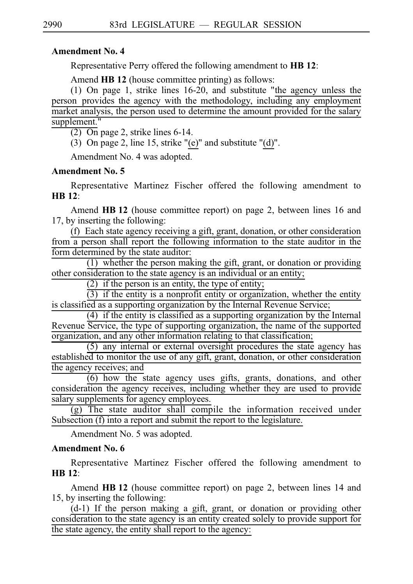## **Amendment No. 4**

Representative Perry offered the following amendment to **HBi12**:

Amend **HB 12** (house committee printing) as follows:

(1) On page 1, strike lines  $16-20$ , and substitute "the agency unless the person provides the agency with the methodology, including any employment market analysis, the person used to determine the amount provided for the salary supplement."

 $(2)$  On page 2, strike lines 6-14.

(3) On page 2, line 15, strike "(e)" and substitute "(d)".

Amendment No. 4 was adopted.

# **Amendment No. 5**

Representative Martinez Fischer offered the following amendment to **HB** 12:

Amend **HBi12** (house committee report) on page 2, between lines 16 and 17, by inserting the following:

 $(f)$  Each state agency receiving a gift, grant, donation, or other consideration from a person shall report the following information to the state auditor in the form determined by the state auditor:

 $(1)$  whether the person making the gift, grant, or donation or providing other consideration to the state agency is an individual or an entity;

 $(2)$  if the person is an entity, the type of entity;

 $(3)$  if the entity is a nonprofit entity or organization, whether the entity is classified as a supporting organization by the Internal Revenue Service;

 $(4)$  if the entity is classified as a supporting organization by the Internal Revenue Service, the type of supporting organization, the name of the supported organization, and any other information relating to that classification;

 $(5)$  any internal or external oversight procedures the state agency has established to monitor the use of any gift, grant, donation, or other consideration the agency receives; and

 $\frac{1}{6}$  how the state agency uses gifts, grants, donations, and other consideration the agency receives, including whether they are used to provide salary supplements for agency employees.

 $\frac{1}{2}$  (g) The state auditor shall compile the information received under Subsection (f) into a report and submit the report to the legislature.

Amendment No. 5 was adopted.

# **Amendment No. 6**

Representative Martinez Fischer offered the following amendment to **HBi12**:

Amend **HB 12** (house committee report) on page 2, between lines 14 and 15, by inserting the following:

 $(d-1)$  If the person making a gift, grant, or donation or providing other consideration to the state agency is an entity created solely to provide support for the state agency, the entity shall report to the agency: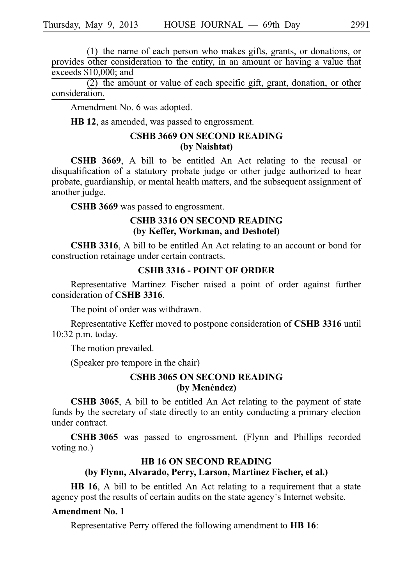$(1)$  the name of each person who makes gifts, grants, or donations, or provides other consideration to the entity, in an amount or having a value that exceeds \$10,000; and

 $(2)$  the amount or value of each specific gift, grant, donation, or other consideration.

Amendment No. 6 was adopted.

**HB 12**, as amended, was passed to engrossment.

# **CSHB 3669 ON SECOND READING (by Naishtat)**

**CSHB 3669**, A bill to be entitled An Act relating to the recusal or disqualification of a statutory probate judge or other judge authorized to hear probate, guardianship, or mental health matters, and the subsequent assignment of another judge.

CSHB 3669 was passed to engrossment.

### **CSHB 3316 ON SECOND READING (by Keffer, Workman, and Deshotel)**

**CSHB 3316**, A bill to be entitled An Act relating to an account or bond for construction retainage under certain contracts.

# **CSHB 3316 - POINT OF ORDER**

Representative Martinez Fischer raised a point of order against further consideration of **CSHB** 3316.

The point of order was withdrawn.

Representative Keffer moved to postpone consideration of **CSHB 3316** until 10:32 p.m. today.

The motion prevailed.

(Speaker pro tempore in the chair)

### **CSHB 3065 ON SECOND READING (by Menéndez)**

**CSHB 3065**, A bill to be entitled An Act relating to the payment of state funds by the secretary of state directly to an entity conducting a primary election under contract.

**CSHB 3065** was passed to engrossment. (Flynn and Phillips recorded voting no.)

# **HB 16 ON SECOND READING (by Flynn, Alvarado, Perry, Larson, Martinez Fischer, et al.)**

**HB 16**, A bill to be entitled An Act relating to a requirement that a state agency post the results of certain audits on the state agency's Internet website.

### **Amendment No. 1**

Representative Perry offered the following amendment to **HB 16**: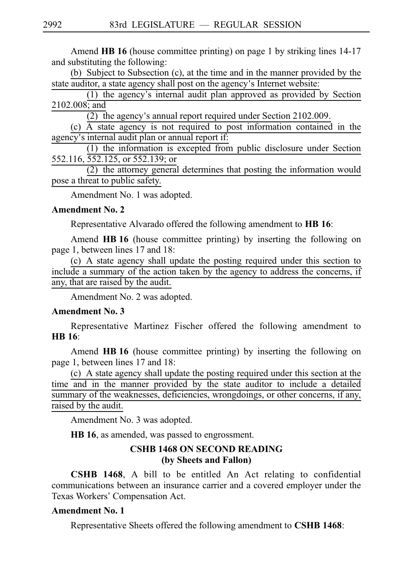Amend **HB 16** (house committee printing) on page 1 by striking lines 14-17 and substituting the following:

(b) Subject to Subsection (c), at the time and in the manner provided by the state auditor, a state agency shall post on the agency's Internet website:

 $(1)$  the agency's internal audit plan approved as provided by Section 2102.008; and

 $(2)$  the agency's annual report required under Section 2102.009.

 $(c)$   $\overline{A}$  state agency is not required to post information contained in the agency's internal audit plan or annual report if:

 $(1)$  the information is excepted from public disclosure under Section 552.116, 552.125, or 552.139; or

 $(2)$  the attorney general determines that posting the information would pose a threat to public safety.

Amendment No. 1 was adopted.

### **Amendment No. 2**

Representative Alvarado offered the following amendment to **HB 16**:

Amend **HB 16** (house committee printing) by inserting the following on page 1, between lines 17 and 18:

(c) A state agency shall update the posting required under this section to include a summary of the action taken by the agency to address the concerns, if any, that are raised by the audit.

Amendment No. 2 was adopted.

### **Amendment No. 3**

Representative Martinez Fischer offered the following amendment to **HB** 16:

Amend HB 16 (house committee printing) by inserting the following on page 1, between lines 17 and 18:

(c) A state agency shall update the posting required under this section at the time and in the manner provided by the state auditor to include a detailed summary of the weaknesses, deficiencies, wrongdoings, or other concerns, if any, raised by the audit.

Amendment No. 3 was adopted.

**HB 16**, as amended, was passed to engrossment.

### **CSHB 1468 ON SECOND READING (by Sheets and Fallon)**

**CSHB 1468**, A bill to be entitled An Act relating to confidential communications between an insurance carrier and a covered employer under the Texas Workers' Compensation Act.

### **Amendment No. 1**

Representative Sheets offered the following amendment to **CSHB 1468**: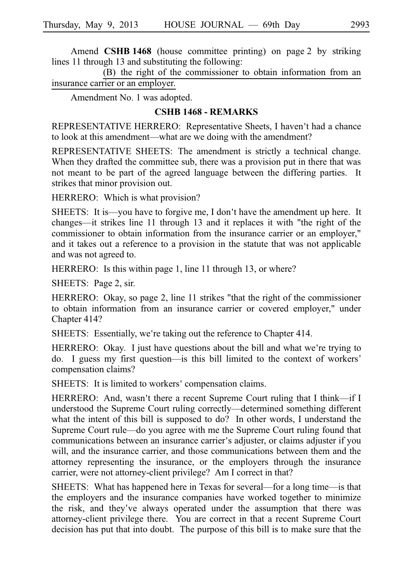Amend **CSHB 1468** (house committee printing) on page 2 by striking lines 11 through 13 and substituting the following:

(B) the right of the commissioner to obtain information from an insurance carrier or an employer.

Amendment No. 1 was adopted.

### **CSHB 1468 - REMARKS**

REPRESENTATIVE HERRERO: Representative Sheets, I haven't had a chance to look at this amendment––what are we doing with the amendment?

REPRESENTATIVE SHEETS: The amendment is strictly a technical change. When they drafted the committee sub, there was a provision put in there that was not meant to be part of the agreed language between the differing parties. It strikes that minor provision out.

HERRERO: Which is what provision?

SHEETS: It is—you have to forgive me, I don't have the amendment up here. It changes––it strikes line 11 through 13 and it replaces it with "the right of the commissioner to obtain information from the insurance carrier or an employer," and it takes out a reference to a provision in the statute that was not applicable and was not agreed to.

HERRERO: Is this within page 1, line 11 through 13, or where?

SHEETS: Page 2, sir.

HERRERO: Okay, so page 2, line 11 strikes "that the right of the commissioner to obtain information from an insurance carrier or covered employer," under Chapter 414?

SHEETS: Essentially, we're taking out the reference to Chapter 414.

HERRERO: Okay. I just have questions about the bill and what we're trying to do. I guess my first question––is this bill limited to the context of workers ' compensation claims?

SHEETS: It is limited to workers' compensation claims.

HERRERO: And, wasn't there a recent Supreme Court ruling that I think—if I understood the Supreme Court ruling correctly––determined something different what the intent of this bill is supposed to do? In other words, I understand the Supreme Court rule––do you agree with me the Supreme Court ruling found that communications between an insurance carrier's adjuster, or claims adjuster if you will, and the insurance carrier, and those communications between them and the attorney representing the insurance, or the employers through the insurance carrier, were not attorney-client privilege? Am I correct in that?

SHEETS: What has happened here in Texas for several—for a long time—is that the employers and the insurance companies have worked together to minimize the risk, and they've always operated under the assumption that there was attorney-client privilege there. You are correct in that a recent Supreme Court decision has put that into doubt. The purpose of this bill is to make sure that the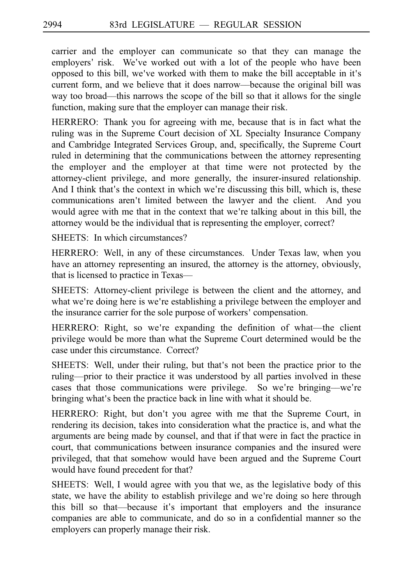carrier and the employer can communicate so that they can manage the employers' risk. We've worked out with a lot of the people who have been opposed to this bill, we ve worked with them to make the bill acceptable in it ' s' current form, and we believe that it does narrow––because the original bill was way too broad––this narrows the scope of the bill so that it allows for the single function, making sure that the employer can manage their risk.

HERRERO: Thank you for agreeing with me, because that is in fact what the ruling was in the Supreme Court decision of XL Specialty Insurance Company and Cambridge Integrated Services Group, and, specifically, the Supreme Court ruled in determining that the communications between the attorney representing the employer and the employer at that time were not protected by the attorney-client privilege, and more generally, the insurer-insured relationship. And I think that's the context in which we're discussing this bill, which is, these communications aren't limited between the lawyer and the client. And you would agree with me that in the context that we're talking about in this bill, the attorney would be the individual that is representing the employer, correct?

SHEETS: In which circumstances?

HERRERO: Well, in any of these circumstances. Under Texas law, when you have an attorney representing an insured, the attorney is the attorney, obviously, that is licensed to practice in Texas––

SHEETS: Attorney-client privilege is between the client and the attorney, and what we're doing here is we're establishing a privilege between the employer and the insurance carrier for the sole purpose of workers 'compensation.

HERRERO: Right, so we're expanding the definition of what—the client privilege would be more than what the Supreme Court determined would be the case under this circumstance. Correct?

SHEETS: Well, under their ruling, but that's not been the practice prior to the ruling––prior to their practice it was understood by all parties involved in these cases that those communications were privilege. So we're bringing—we're bringing what's been the practice back in line with what it should be.

HERRERO: Right, but don't you agree with me that the Supreme Court, in rendering its decision, takes into consideration what the practice is, and what the arguments are being made by counsel, and that if that were in fact the practice in court, that communications between insurance companies and the insured were privileged, that that somehow would have been argued and the Supreme Court would have found precedent for that?

SHEETS: Well, I would agree with you that we, as the legislative body of this state, we have the ability to establish privilege and we're doing so here through this bill so that—because it's important that employers and the insurance companies are able to communicate, and do so in a confidential manner so the employers can properly manage their risk.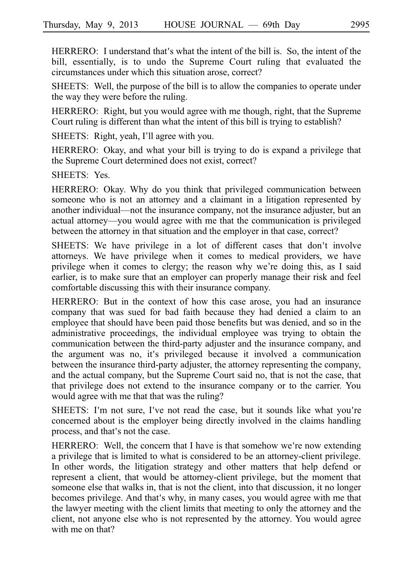HERRERO: I understand that's what the intent of the bill is. So, the intent of the bill, essentially, is to undo the Supreme Court ruling that evaluated the circumstances under which this situation arose, correct?

SHEETS: Well, the purpose of the bill is to allow the companies to operate under the way they were before the ruling.

HERRERO: Right, but you would agree with me though, right, that the Supreme Court ruling is different than what the intent of this bill is trying to establish?

SHEETS: Right, yeah, I'll agree with you.

HERRERO: Okay, and what your bill is trying to do is expand a privilege that the Supreme Court determined does not exist, correct?

SHEETS: Yes.

HERRERO: Okay. Why do you think that privileged communication between someone who is not an attorney and a claimant in a litigation represented by another individual—not the insurance company, not the insurance adjuster, but an actual attorney—you would agree with me that the communication is privileged between the attorney in that situation and the employer in that case, correct?

SHEETS: We have privilege in a lot of different cases that don't involve attorneys. We have privilege when it comes to medical providers, we have privilege when it comes to clergy; the reason why we're doing this, as I said earlier, is to make sure that an employer can properly manage their risk and feel comfortable discussing this with their insurance company.

HERRERO: But in the context of how this case arose, you had an insurance company that was sued for bad faith because they had denied a claim to an employee that should have been paid those benefits but was denied, and so in the administrative proceedings, the individual employee was trying to obtain the communication between the third-party adjuster and the insurance company, and the argument was no, it's privileged because it involved a communication between the insurance third-party adjuster, the attorney representing the company, and the actual company, but the Supreme Court said no, that is not the case, that that privilege does not extend to the insurance company or to the carrier. You would agree with me that that was the ruling?

SHEETS: I'm not sure, I've not read the case, but it sounds like what you're concerned about is the employer being directly involved in the claims handling process, and that's not the case.

HERRERO: Well, the concern that I have is that somehow we're now extending a privilege that is limited to what is considered to be an attorney-client privilege. In other words, the litigation strategy and other matters that help defend or represent a client, that would be attorney-client privilege, but the moment that someone else that walks in, that is not the client, into that discussion, it no longer becomes privilege. And that's why, in many cases, you would agree with me that the lawyer meeting with the client limits that meeting to only the attorney and the client, not anyone else who is not represented by the attorney. You would agree with me on that?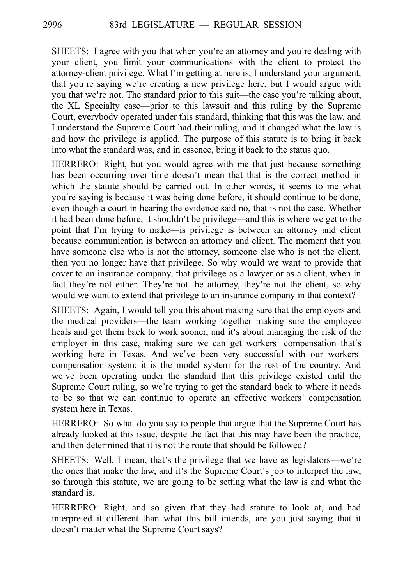SHEETS: I agree with you that when you're an attorney and you're dealing with your client, you limit your communications with the client to protect the attorney-client privilege. What I'm getting at here is, I understand your argument, that you're saying we're creating a new privilege here, but I would argue with you that we're not. The standard prior to this suit—the case you're talking about, the XL Specialty case—prior to this lawsuit and this ruling by the Supreme Court, everybody operated under this standard, thinking that this was the law, and I understand the Supreme Court had their ruling, and it changed what the law is and how the privilege is applied. The purpose of this statute is to bring it back into what the standard was, and in essence, bring it back to the status quo.

HERRERO: Right, but you would agree with me that just because something has been occurring over time doesn't mean that that is the correct method in which the statute should be carried out. In other words, it seems to me what you're saying is because it was being done before, it should continue to be done, even though a court in hearing the evidence said no, that is not the case. Whether it had been done before, it shouldn't be privilege—and this is where we get to the point that I'm trying to make—is privilege is between an attorney and client because communication is between an attorney and client. The moment that you have someone else who is not the attorney, someone else who is not the client, then you no longer have that privilege. So why would we want to provide that cover to an insurance company, that privilege as a lawyer or as a client, when in fact they're not either. They're not the attorney, they're not the client, so why would we want to extend that privilege to an insurance company in that context?

SHEETS: Again, I would tell you this about making sure that the employers and the medical providers—the team working together making sure the employee heals and get them back to work sooner, and it's about managing the risk of the employer in this case, making sure we can get workers' compensation that's working here in Texas. And we've been very successful with our workers' compensation system; it is the model system for the rest of the country. And we've been operating under the standard that this privilege existed until the Supreme Court ruling, so we're trying to get the standard back to where it needs to be so that we can continue to operate an effective workers' compensation system here in Texas.

HERRERO: So what do you say to people that argue that the Supreme Court has already looked at this issue, despite the fact that this may have been the practice, and then determined that it is not the route that should be followed?

SHEETS: Well, I mean, that's the privilege that we have as legislators—we're the ones that make the law, and it's the Supreme Court's job to interpret the law, so through this statute, we are going to be setting what the law is and what the standard is.

HERRERO: Right, and so given that they had statute to look at, and had interpreted it different than what this bill intends, are you just saying that it doesn't matter what the Supreme Court says?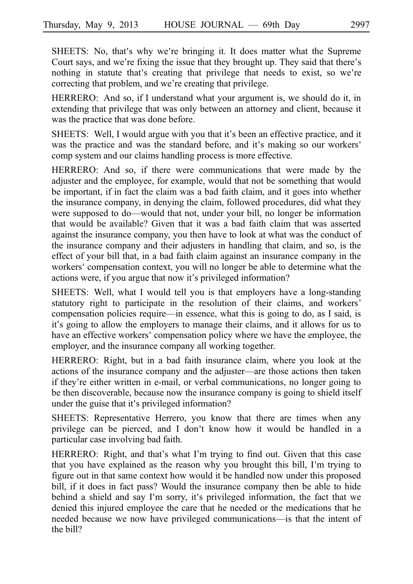SHEETS: No, that's why we're bringing it. It does matter what the Supreme Court says, and we're fixing the issue that they brought up. They said that there's nothing in statute that's creating that privilege that needs to exist, so we're correcting that problem, and we're creating that privilege.

HERRERO: And so, if I understand what your argument is, we should do it, in extending that privilege that was only between an attorney and client, because it was the practice that was done before.

SHEETS: Well, I would argue with you that it's been an effective practice, and it was the practice and was the standard before, and it's making so our workers' comp system and our claims handling process is more effective.

HERRERO: And so, if there were communications that were made by the adjuster and the employee, for example, would that not be something that would be important, if in fact the claim was a bad faith claim, and it goes into whether the insurance company, in denying the claim, followed procedures, did what they were supposed to do—would that not, under your bill, no longer be information that would be available? Given that it was a bad faith claim that was asserted against the insurance company, you then have to look at what was the conduct of the insurance company and their adjusters in handling that claim, and so, is the effect of your bill that, in a bad faith claim against an insurance company in the workers' compensation context, you will no longer be able to determine what the actions were, if you argue that now it's privileged information?

SHEETS: Well, what I would tell you is that employers have a long-standing statutory right to participate in the resolution of their claims, and workers ' compensation policies require—in essence, what this is going to do, as I said, is it's going to allow the employers to manage their claims, and it allows for us to have an effective workers' compensation policy where we have the employee, the employer, and the insurance company all working together.

HERRERO: Right, but in a bad faith insurance claim, where you look at the actions of the insurance company and the adjuster—are those actions then taken if they re either written in e-mail, or verbal communications, no longer going to ' be then discoverable, because now the insurance company is going to shield itself under the guise that it's privileged information?

SHEETS: Representative Herrero, you know that there are times when any privilege can be pierced, and I don't know how it would be handled in a particular case involving bad faith.

HERRERO: Right, and that's what I'm trying to find out. Given that this case that you have explained as the reason why you brought this bill, I'm trying to figure out in that same context how would it be handled now under this proposed bill, if it does in fact pass? Would the insurance company then be able to hide behind a shield and say I'm sorry, it's privileged information, the fact that we denied this injured employee the care that he needed or the medications that he needed because we now have privileged communications—is that the intent of the bill?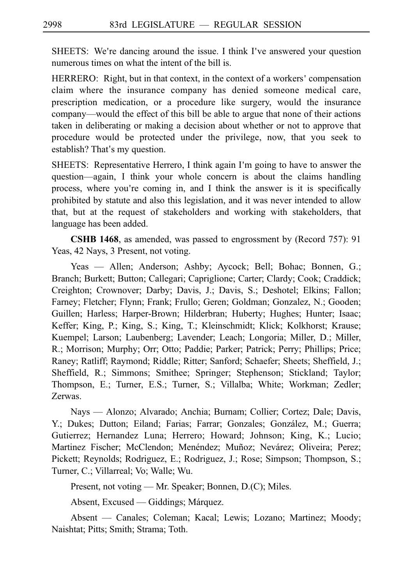SHEETS: We're dancing around the issue. I think I've answered your question numerous times on what the intent of the bill is.

HERRERO: Right, but in that context, in the context of a workers' compensation claim where the insurance company has denied someone medical care, prescription medication, or a procedure like surgery, would the insurance company––would the effect of this bill be able to argue that none of their actions taken in deliberating or making a decision about whether or not to approve that procedure would be protected under the privilege, now, that you seek to establish? That's my question.

SHEETS: Representative Herrero, I think again I'm going to have to answer the question—again, I think your whole concern is about the claims handling process, where you're coming in, and I think the answer is it is specifically prohibited by statute and also this legislation, and it was never intended to allow that, but at the request of stakeholders and working with stakeholders, that language has been added.

**CSHB 1468**, as amended, was passed to engrossment by (Record 757): 91 Yeas, 42 Nays, 3 Present, not voting.

Yeas — Allen; Anderson; Ashby; Aycock; Bell; Bohac; Bonnen, G.; Branch; Burkett; Button; Callegari; Capriglione; Carter; Clardy; Cook; Craddick; Creighton; Crownover; Darby; Davis, J.; Davis, S.; Deshotel; Elkins; Fallon; Farney; Fletcher; Flynn; Frank; Frullo; Geren; Goldman; Gonzalez, N.; Gooden; Guillen; Harless; Harper-Brown; Hilderbran; Huberty; Hughes; Hunter; Isaac; Keffer; King, P.; King, S.; King, T.; Kleinschmidt; Klick; Kolkhorst; Krause; Kuempel; Larson; Laubenberg; Lavender; Leach; Longoria; Miller, D.; Miller, R.; Morrison; Murphy; Orr; Otto; Paddie; Parker; Patrick; Perry; Phillips; Price; Raney; Ratliff; Raymond; Riddle; Ritter; Sanford; Schaefer; Sheets; Sheffield, J.; Sheffield, R.; Simmons; Smithee; Springer; Stephenson; Stickland; Taylor; Thompson, E.; Turner, E.S.; Turner, S.; Villalba; White; Workman; Zedler; Zerwas.

Nays — Alonzo; Alvarado; Anchia; Burnam; Collier; Cortez; Dale; Davis, Y.; Dukes; Dutton; Eiland; Farias; Farrar; Gonzales; González, M.; Guerra; Gutierrez; Hernandez Luna; Herrero; Howard; Johnson; King, K.; Lucio; Martinez Fischer; McClendon; Menéndez; Muñoz; Nevárez; Oliveira; Perez; Pickett; Reynolds; Rodriguez, E.; Rodriguez, J.; Rose; Simpson; Thompson, S.; Turner, C.; Villarreal; Vo; Walle; Wu.

Present, not voting — Mr. Speaker; Bonnen, D.(C); Miles.

Absent, Excused — Giddings; Márquez.

Absent — Canales; Coleman; Kacal; Lewis; Lozano; Martinez; Moody; Naishtat; Pitts; Smith; Strama; Toth.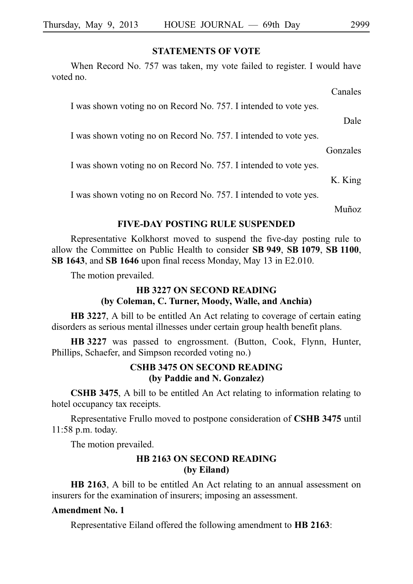### **STATEMENTS OF VOTE**

When Record No. 757 was taken, my vote failed to register. I would have voted no.

Canales

I was shown voting no on Record No. 757. I intended to vote yes.

Dale

I was shown voting no on Record No. 757. I intended to vote yes.

Gonzales

I was shown voting no on Record No. 757. I intended to vote yes.

K. King

I was shown voting no on Record No. 757. I intended to vote yes.

Muñoz

### **FIVE-DAY POSTING RULE SUSPENDED**

Representative Kolkhorst moved to suspend the five-day posting rule to allow the Committee on Public Health to consider SB 949, SB 1079, SB 1100, **SB 1643**, and **SB 1646** upon final recess Monday, May 13 in E2.010.

The motion prevailed.

# **HB 3227 ON SECOND READING (by Coleman, C. Turner, Moody, Walle, and Anchia)**

**HB 3227**, A bill to be entitled An Act relating to coverage of certain eating disorders as serious mental illnesses under certain group health benefit plans.

**HB** 3227 was passed to engrossment. (Button, Cook, Flynn, Hunter, Phillips, Schaefer, and Simpson recorded voting no.)

# **CSHB 3475 ON SECOND READING (by Paddie and N. Gonzalez)**

**CSHB 3475**, A bill to be entitled An Act relating to information relating to hotel occupancy tax receipts.

Representative Frullo moved to postpone consideration of **CSHB 3475** until 11:58 p.m. today.

The motion prevailed.

# **HB 2163 ON SECOND READING (by Eiland)**

**HB 2163**, A bill to be entitled An Act relating to an annual assessment on insurers for the examination of insurers; imposing an assessment.

### **Amendment No. 1**

Representative Eiland offered the following amendment to **HB 2163**: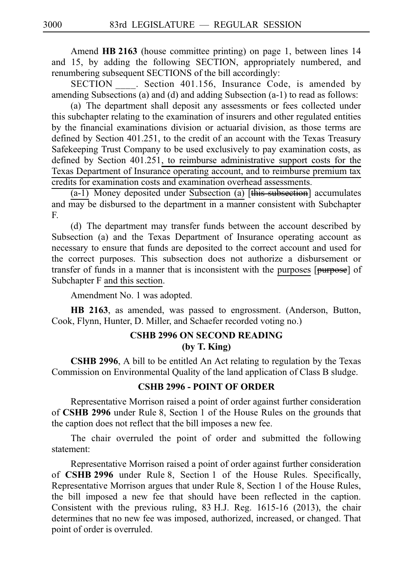Amend **HB 2163** (house committee printing) on page 1, between lines 14 and 15, by adding the following SECTION, appropriately numbered, and renumbering subsequent SECTIONS of the bill accordingly:

SECTION Section 401.156, Insurance Code, is amended by amending Subsections (a) and (d) and adding Subsection (a-1) to read as follows:

(a) The department shall deposit any assessments or fees collected under this subchapter relating to the examination of insurers and other regulated entities by the financial examinations division or actuarial division, as those terms are defined by Section 401.251, to the credit of an account with the Texas Treasury Safekeeping Trust Company to be used exclusively to pay examination costs, as defined by Section 401.251, to reimburse administrative support costs for the Texas Department of Insurance operating account, and to reimburse premium tax credits for examination costs and examination overhead assessments.

 $(a-1)$  Money deposited under Subsection (a) [this subsection] accumulates and may be disbursed to the department in a manner consistent with Subchapter F.

(d) The department may transfer funds between the account described by Subsection (a) and the Texas Department of Insurance operating account as necessary to ensure that funds are deposited to the correct account and used for the correct purposes. This subsection does not authorize a disbursement or transfer of funds in a manner that is inconsistent with the purposes [purpose] of Subchapter F and this section.

Amendment No. 1 was adopted.

**HB 2163**, as amended, was passed to engrossment. (Anderson, Button, Cook, Flynn, Hunter, D. Miller, and Schaefer recorded voting no.)

# **CSHB 2996 ON SECOND READING (by T. King)**

**CSHB 2996**, A bill to be entitled An Act relating to regulation by the Texas Commission on Environmental Quality of the land application of Class B sludge.

### **CSHB 2996 - POINT OF ORDER**

Representative Morrison raised a point of order against further consideration of **CSHB 2996** under Rule 8, Section 1 of the House Rules on the grounds that the caption does not reflect that the bill imposes a new fee.

The chair overruled the point of order and submitted the following statement:

Representative Morrison raised a point of order against further consideration of **CSHB 2996** under Rule 8, Section 1 of the House Rules. Specifically, Representative Morrison argues that under Rule 8, Section 1 of the House Rules, the bill imposed a new fee that should have been reflected in the caption. Consistent with the previous ruling,  $83$  H.J. Reg. 1615-16 (2013), the chair determines that no new fee was imposed, authorized, increased, or changed. That point of order is overruled.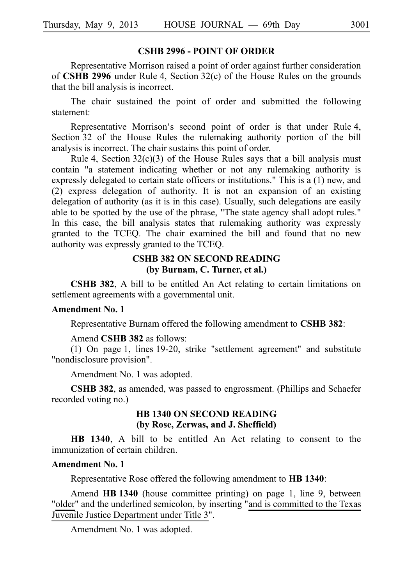### **CSHB 2996 - POINT OF ORDER**

Representative Morrison raised a point of order against further consideration of **CSHB 2996** under Rule 4, Section 32(c) of the House Rules on the grounds that the bill analysis is incorrect.

The chair sustained the point of order and submitted the following statement:

Representative Morrison's second point of order is that under Rule 4, Section 32 of the House Rules the rulemaking authority portion of the bill analysis is incorrect. The chair sustains this point of order.

Rule 4, Section  $32(c)(3)$  of the House Rules says that a bill analysis must contain "a statement indicating whether or not any rulemaking authority is expressly delegated to certain state officers or institutions." This is a (1) new, and (2) express delegation of authority. It is not an expansion of an existing delegation of authority (as it is in this case). Usually, such delegations are easily able to be spotted by the use of the phrase, "The state agency shall adopt rules." In this case, the bill analysis states that rulemaking authority was expressly granted to the TCEQ. The chair examined the bill and found that no new authority was expressly granted to the TCEQ.

# **CSHB 382 ON SECOND READING (by Burnam, C. Turner, et al.)**

**CSHB 382**, A bill to be entitled An Act relating to certain limitations on settlement agreements with a governmental unit.

#### **Amendment No. 1**

Representative Burnam offered the following amendment to **CSHB 382**:

Amend **CSHB** 382 as follows:

(1) On page 1, lines  $19-20$ , strike "settlement agreement" and substitute "nondisclosure provision".

Amendment No. 1 was adopted.

**CSHB 382**, as amended, was passed to engrossment. (Phillips and Schaefer recorded voting no.)

### **HB 1340 ON SECOND READING (by Rose, Zerwas, and J. Sheffield)**

**HB 1340**, A bill to be entitled An Act relating to consent to the immunization of certain children.

### **Amendment No. 1**

Representative Rose offered the following amendment to **HBi1340**:

Amend HB 1340 (house committee printing) on page 1, line 9, between "older" and the underlined semicolon, by inserting "and is committed to the Texas Juvenile Justice Department under Title 3".

Amendment No. 1 was adopted.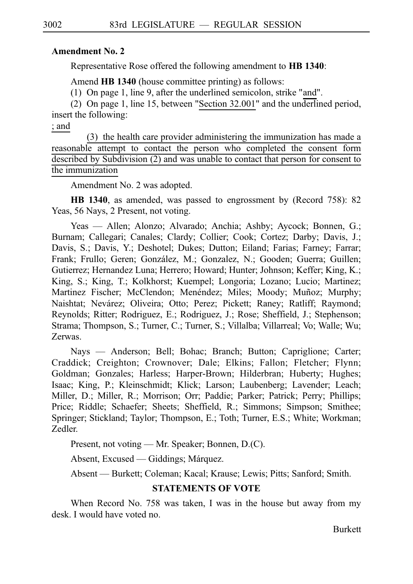### **Amendment No. 2**

Representative Rose offered the following amendment to **HBi1340**:

Amend **HB 1340** (house committee printing) as follows:

(1) On page 1, line 9, after the underlined semicolon, strike "and".

(2) On page 1, line 15, between "Section  $32.001$ " and the underlined period, insert the following:

; and

(3) the health care provider administering the immunization has made a reasonable attempt to contact the person who completed the consent form described by Subdivision (2) and was unable to contact that person for consent to the immunization

Amendment No. 2 was adopted.

**HB 1340**, as amended, was passed to engrossment by (Record 758): 82 Yeas, 56 Nays, 2 Present, not voting.

Yeas — Allen; Alonzo; Alvarado; Anchia; Ashby; Aycock; Bonnen, G.; Burnam; Callegari; Canales; Clardy; Collier; Cook; Cortez; Darby; Davis, J.; Davis, S.; Davis, Y.; Deshotel; Dukes; Dutton; Eiland; Farias; Farney; Farrar; Frank; Frullo; Geren; González, M.; Gonzalez, N.; Gooden; Guerra; Guillen; Gutierrez; Hernandez Luna; Herrero; Howard; Hunter; Johnson; Keffer; King, K.; King, S.; King, T.; Kolkhorst; Kuempel; Longoria; Lozano; Lucio; Martinez; Martinez Fischer; McClendon; Menéndez; Miles; Moody; Muñoz; Murphy; Naishtat; Nevárez; Oliveira; Otto; Perez; Pickett; Raney; Ratliff; Raymond; Reynolds; Ritter; Rodriguez, E.; Rodriguez, J.; Rose; Sheffield, J.; Stephenson; Strama; Thompson, S.; Turner, C.; Turner, S.; Villalba; Villarreal; Vo; Walle; Wu; Zerwas.

Nays — Anderson; Bell; Bohac; Branch; Button; Capriglione; Carter; Craddick; Creighton; Crownover; Dale; Elkins; Fallon; Fletcher; Flynn; Goldman; Gonzales; Harless; Harper-Brown; Hilderbran; Huberty; Hughes; Isaac; King, P.; Kleinschmidt; Klick; Larson; Laubenberg; Lavender; Leach; Miller, D.; Miller, R.; Morrison; Orr; Paddie; Parker; Patrick; Perry; Phillips; Price; Riddle; Schaefer; Sheets; Sheffield, R.; Simmons; Simpson; Smithee; Springer; Stickland; Taylor; Thompson, E.; Toth; Turner, E.S.; White; Workman; Zedler.

Present, not voting — Mr. Speaker; Bonnen, D.(C).

Absent, Excused — Giddings; Márquez.

Absent — Burkett; Coleman; Kacal; Krause; Lewis; Pitts; Sanford; Smith.

# **STATEMENTS OF VOTE**

When Record No. 758 was taken, I was in the house but away from my desk. I would have voted no.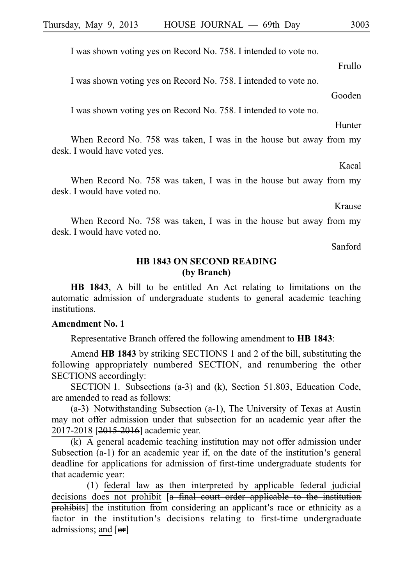I was shown voting yes on Record No. 758. I intended to vote no.

I was shown voting yes on Record No. 758. I intended to vote no.

I was shown voting yes on Record No. 758. I intended to vote no.

When Record No. 758 was taken, I was in the house but away from my desk. I would have voted yes.

When Record No. 758 was taken, I was in the house but away from my desk. I would have voted no.

When Record No. 758 was taken, I was in the house but away from my desk. I would have voted no.

Sanford

# **HB 1843 ON SECOND READING (by Branch)**

**HB 1843**, A bill to be entitled An Act relating to limitations on the automatic admission of undergraduate students to general academic teaching institutions.

#### **Amendment No. 1**

Representative Branch offered the following amendment to **HB 1843**:

Amend **HB 1843** by striking SECTIONS 1 and 2 of the bill, substituting the following appropriately numbered SECTION, and renumbering the other SECTIONS accordingly:

SECTION 1. Subsections (a-3) and (k), Section 51.803, Education Code, are amended to read as follows:

 $(a-3)$  Notwithstanding Subsection  $(a-1)$ , The University of Texas at Austin may not offer admission under that subsection for an academic year after the 2017-2018 [2015-2016] academic year.

 $\overline{(k)}$  A general academic teaching institution may not offer admission under Subsection  $(a-1)$  for an academic year if, on the date of the institution's general deadline for applications for admission of first-time undergraduate students for that academic year:

(1) federal law as then interpreted by applicable federal judicial decisions does not prohibit [a final court order applicable to the institution prohibits] the institution from considering an applicant's race or ethnicity as a factor in the institution's decisions relating to first-time undergraduate admissions; and [or]

### Frullo

Gooden

Hunter

Krause

Kacal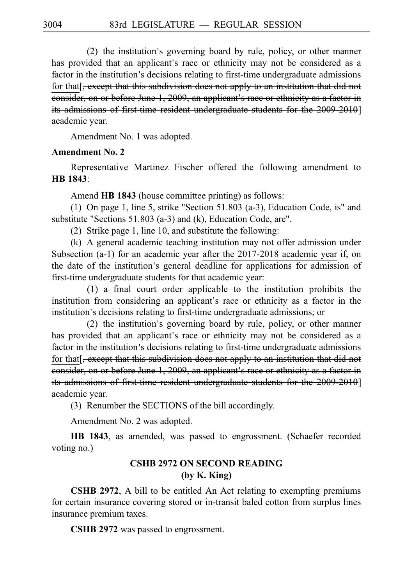$(2)$  the institution's governing board by rule, policy, or other manner has provided that an applicant's race or ethnicity may not be considered as a factor in the institution's decisions relating to first-time undergraduate admissions for that  $\frac{1}{2}$ , except that this subdivision does not apply to an institution that did not eonsider, on or before June 1, 2009, an applicant's race or ethnicity as a factor in its admissions of first time resident undergraduate students for the 2009-2010] academic year.

Amendment No. 1 was adopted.

### **Amendment No. 2**

Representative Martinez Fischer offered the following amendment to **HBi1843**:

Amend **HB 1843** (house committee printing) as follows:

(1) On page 1, line 5, strike "Section 51.803 (a-3), Education Code, is" and substitute "Sections 51.803 (a-3) and (k), Education Code, are".

(2) Strike page 1, line 10, and substitute the following:

 $(k)$  A general academic teaching institution may not offer admission under Subsection (a-1) for an academic year after the 2017-2018 academic year if, on the date of the institution's general deadline for applications for admission of first-time undergraduate students for that academic year:

 $(1)$  a final court order applicable to the institution prohibits the institution from considering an applicant's race or ethnicity as a factor in the institution's decisions relating to first-time undergraduate admissions; or

 $(2)$  the institution's governing board by rule, policy, or other manner has provided that an applicant's race or ethnicity may not be considered as a factor in the institution's decisions relating to first-time undergraduate admissions for that[<del>, except that this subdivision does not apply to an institution that did not</del> eonsider, on or before June 1, 2009, an applicant's race or ethnicity as a factor in its admissions of first-time resident undergraduate students for the 2009-2010] academic year.

(3) Renumber the SECTIONS of the bill accordingly.

Amendment No. 2 was adopted.

**HB 1843**, as amended, was passed to engrossment. (Schaefer recorded voting no.)

# **CSHB 2972 ON SECOND READING (by K. King)**

**CSHB 2972**, A bill to be entitled An Act relating to exempting premiums for certain insurance covering stored or in-transit baled cotton from surplus lines insurance premium taxes.

**CSHB 2972** was passed to engrossment.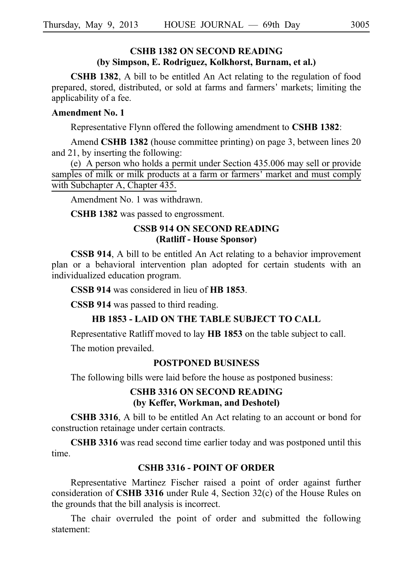# **CSHB 1382 ON SECOND READING (by Simpson, E. Rodriguez, Kolkhorst, Burnam, et al.)**

**CSHB 1382**, A bill to be entitled An Act relating to the regulation of food prepared, stored, distributed, or sold at farms and farmers 'markets; limiting the applicability of a fee.

### **Amendment No. 1**

Representative Flynn offered the following amendment to **CSHB 1382**:

Amend **CSHB 1382** (house committee printing) on page 3, between lines 20 and 21, by inserting the following:

(e) A person who holds a permit under Section  $435.006$  may sell or provide samples of milk or milk products at a farm or farmers' market and must comply with Subchapter A, Chapter 435.

Amendment No. 1 was withdrawn.

**CSHB 1382** was passed to engrossment.

# **CSSB 914 ON SECOND READING (Ratliff - House Sponsor)**

**CSSB 914**, A bill to be entitled An Act relating to a behavior improvement plan or a behavioral intervention plan adopted for certain students with an individualized education program.

### **CSSB 914** was considered in lieu of **HB 1853**.

**CSSB 914** was passed to third reading.

### **HB 1853 - LAID ON THE TABLE SUBJECT TO CALL**

Representative Ratliff moved to lay **HBi1853** on the table subject to call.

The motion prevailed.

### **POSTPONED BUSINESS**

The following bills were laid before the house as postponed business:

# **CSHB 3316 ON SECOND READING (by Keffer, Workman, and Deshotel)**

**CSHB 3316**, A bill to be entitled An Act relating to an account or bond for construction retainage under certain contracts.

**CSHB 3316** was read second time earlier today and was postponed until this time.

### **CSHB 3316 - POINT OF ORDER**

Representative Martinez Fischer raised a point of order against further consideration of **CSHB 3316** under Rule 4, Section 32(c) of the House Rules on the grounds that the bill analysis is incorrect.

The chair overruled the point of order and submitted the following statement: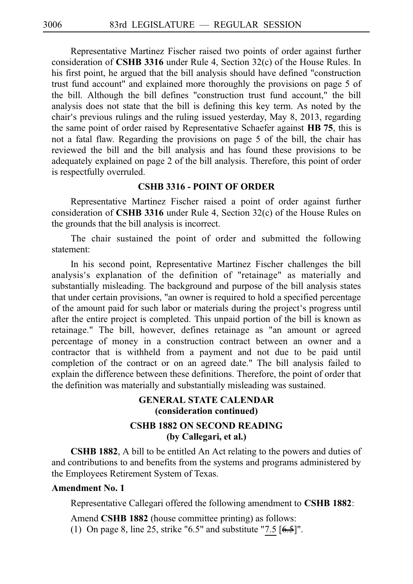Representative Martinez Fischer raised two points of order against further consideration of **CSHB 3316** under Rule 4, Section 32(c) of the House Rules. In his first point, he argued that the bill analysis should have defined "construction trust fund account" and explained more thoroughly the provisions on page 5 of the bill. Although the bill defines "construction trust fund account," the bill analysis does not state that the bill is defining this key term. As noted by the chair's previous rulings and the ruling issued yesterday, May 8, 2013, regarding the same point of order raised by Representative Schaefer against **HB 75**, this is not a fatal flaw. Regarding the provisions on page 5 of the bill, the chair has reviewed the bill and the bill analysis and has found these provisions to be adequately explained on page 2 of the bill analysis. Therefore, this point of order is respectfully overruled.

### **CSHB 3316 - POINT OF ORDER**

Representative Martinez Fischer raised a point of order against further consideration of **CSHB 3316** under Rule 4, Section 32(c) of the House Rules on the grounds that the bill analysis is incorrect.

The chair sustained the point of order and submitted the following statement:

In his second point, Representative Martinez Fischer challenges the bill analysis ' s explanation of the definition of "retainage" as materially and substantially misleading. The background and purpose of the bill analysis states that under certain provisions, "an owner is required to hold a specified percentage of the amount paid for such labor or materials during the project's progress until after the entire project is completed. This unpaid portion of the bill is known as retainage." The bill, however, defines retainage as "an amount or agreed percentage of money in a construction contract between an owner and a contractor that is withheld from a payment and not due to be paid until completion of the contract or on an agreed date." The bill analysis failed to explain the difference between these definitions. Therefore, the point of order that the definition was materially and substantially misleading was sustained.

# **GENERAL STATE CALENDAR (consideration continued)**

# **CSHB 1882 ON SECOND READING (by Callegari, et al.)**

**CSHB 1882**, A bill to be entitled An Act relating to the powers and duties of and contributions to and benefits from the systems and programs administered by the Employees Retirement System of Texas.

# **Amendment No. 1**

Representative Callegari offered the following amendment to **CSHB 1882**:

Amend **CSHB 1882** (house committee printing) as follows: (1) On page 8, line 25, strike "6.5" and substitute "7.5  $[6.5]$ ".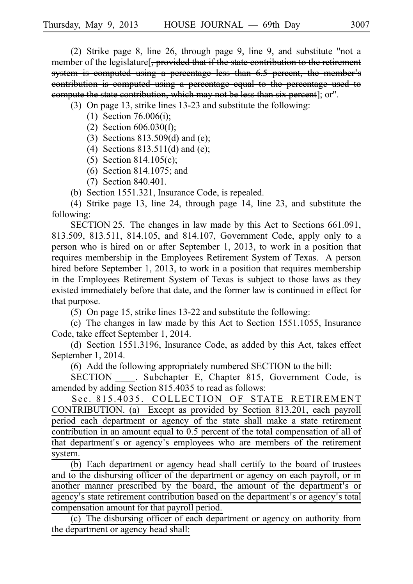(2) Strike page 8, line 26, through page 9, line 9, and substitute "not a member of the legislature<sup>[</sup>, provided that if the state contribution to the retirement system is computed using a percentage less than 6.5 percent, the member's contribution is computed using a percentage equal to the percentage used to compute the state contribution, which may not be less than six percent]; or".

(3) On page 13, strike lines  $13-23$  and substitute the following:

- (1) Section 76.006(i);
	- (2) Section  $606.030(f)$ ;
	- (3) Sections  $813.509(d)$  and (e);
	- (4) Sections  $813.511(d)$  and (e);
	- (5) Section 814.105(c);
	- (6) Section 814.1075; and
	- (7) Section 840.401.
- (b) Section  $1551.321$ , Insurance Code, is repealed.

(4) Strike page 13, line 24, through page 14, line 23, and substitute the following:

SECTION 25. The changes in law made by this Act to Sections  $661.091$ , 813.509, 813.511, 814.105, and 814.107, Government Code, apply only to a person who is hired on or after September 1, 2013, to work in a position that requires membership in the Employees Retirement System of Texas. A person hired before September 1, 2013, to work in a position that requires membership in the Employees Retirement System of Texas is subject to those laws as they existed immediately before that date, and the former law is continued in effect for that purpose.

(5) On page 15, strike lines 13-22 and substitute the following:

(c) The changes in law made by this Act to Section  $1551.1055$ , Insurance Code, take effect September 1, 2014.

(d) Section 1551.3196, Insurance Code, as added by this Act, takes effect September 1, 2014.

(6) Add the following appropriately numbered SECTION to the bill:

SECTION . Subchapter E, Chapter 815, Government Code, is amended by adding Section 815.4035 to read as follows:

Sec. 815.4035. COLLECTION OF STATE RETIREMENT CONTRIBUTION. (a) Except as provided by Section 813.201, each payroll period each department or agency of the state shall make a state retirement contribution in an amount equal to 0.5 percent of the total compensation of all of that department's or agency's employees who are members of the retirement system.

 $\overline{(b)}$  Each department or agency head shall certify to the board of trustees and to the disbursing officer of the department or agency on each payroll, or in another manner prescribed by the board, the amount of the department's or agency's state retirement contribution based on the department's or agency's total compensation amount for that payroll period.

(c) The disbursing officer of each department or agency on authority from the department or agency head shall: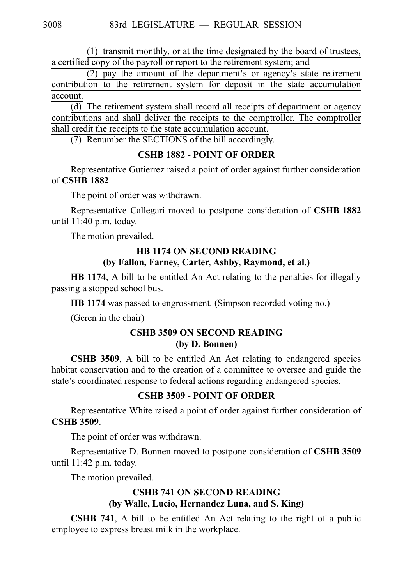$(1)$  transmit monthly, or at the time designated by the board of trustees, a certified copy of the payroll or report to the retirement system; and

 $(2)$  pay the amount of the department's or agency's state retirement contribution to the retirement system for deposit in the state accumulation account.

 $\overline{(d)}$  The retirement system shall record all receipts of department or agency contributions and shall deliver the receipts to the comptroller. The comptroller shall credit the receipts to the state accumulation account.

(7) Renumber the SECTIONS of the bill accordingly.

# **CSHB 1882 - POINT OF ORDER**

Representative Gutierrez raised a point of order against further consideration of **CSHB 1882**.

The point of order was withdrawn.

Representative Callegari moved to postpone consideration of **CSHBi1882** until  $11:40$  p.m. today.

The motion prevailed.

# **HB 1174 ON SECOND READING (by Fallon, Farney, Carter, Ashby, Raymond, et al.)**

**HB 1174**, A bill to be entitled An Act relating to the penalties for illegally passing a stopped school bus.

**HB** 1174 was passed to engrossment. (Simpson recorded voting no.)

(Geren in the chair)

# **CSHB 3509 ON SECOND READING (by D. Bonnen)**

**CSHB 3509**, A bill to be entitled An Act relating to endangered species habitat conservation and to the creation of a committee to oversee and guide the state's coordinated response to federal actions regarding endangered species.

# **CSHB 3509 - POINT OF ORDER**

Representative White raised a point of order against further consideration of **CSHB 3509**.

The point of order was withdrawn.

Representative D. Bonnen moved to postpone consideration of **CSHB 3509** until  $11:42$  p.m. today.

The motion prevailed.

# **CSHB 741 ON SECOND READING (by Walle, Lucio, Hernandez Luna, and S. King)**

**CSHB 741**, A bill to be entitled An Act relating to the right of a public employee to express breast milk in the workplace.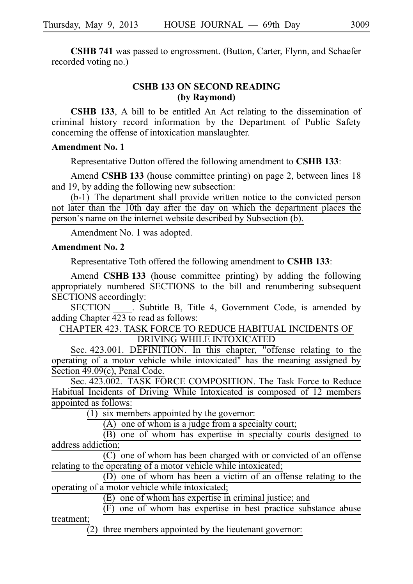**CSHB 741** was passed to engrossment. (Button, Carter, Flynn, and Schaefer recorded voting no.)

# **CSHB 133 ON SECOND READING (by Raymond)**

**CSHB 133**, A bill to be entitled An Act relating to the dissemination of criminal history record information by the Department of Public Safety concerning the offense of intoxication manslaughter.

### **Amendment No. 1**

Representative Dutton offered the following amendment to **CSHBi133**:

Amend **CSHB 133** (house committee printing) on page 2, between lines 18 and 19, by adding the following new subsection:

 $(b-1)$  The department shall provide written notice to the convicted person not later than the 10th day after the day on which the department places the person's name on the internet website described by Subsection (b).

Amendment No. 1 was adopted.

#### **Amendment No. 2**

Representative Toth offered the following amendment to **CSHB 133**:

Amend **CSHB 133** (house committee printing) by adding the following appropriately numbered SECTIONS to the bill and renumbering subsequent SECTIONS accordingly:

SECTION . Subtitle B, Title 4, Government Code, is amended by adding Chapter 423 to read as follows:

CHAPTER 423. TASK FORCE TO REDUCE HABITUAL INCIDENTS OF DRIVING WHILE INTOXICATED

Sec. 423.001. DEFINITION. In this chapter, "offense relating to the operating of a motor vehicle while intoxicated" has the meaning assigned by Section 49.09(c), Penal Code.

Sec. 423.002. TASK FORCE COMPOSITION. The Task Force to Reduce Habitual Incidents of Driving While Intoxicated is composed of 12 members appointed as follows:

 $(1)$  six members appointed by the governor:

 $(A)$  one of whom is a judge from a specialty court;

(B) one of whom has expertise in specialty courts designed to address addiction;

 $\overline{(C)}$  one of whom has been charged with or convicted of an offense relating to the operating of a motor vehicle while intoxicated;

 $(D)$  one of whom has been a victim of an offense relating to the operating of a motor vehicle while intoxicated;

 $(E)$  one of whom has expertise in criminal justice; and

 $(F)$  one of whom has expertise in best practice substance abuse treatment;

 $\overline{2}$ ) three members appointed by the lieutenant governor: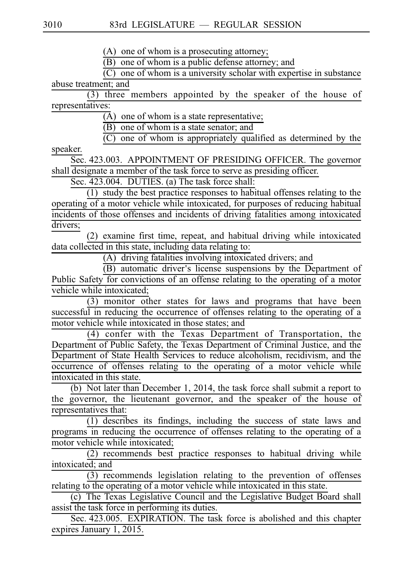(A) one of whom is a prosecuting attorney;

 $(B)$  one of whom is a public defense attorney; and

 $\overline{C}$  one of whom is a university scholar with expertise in substance abuse treatment; and

 $(3)$  three members appointed by the speaker of the house of representatives:

 $\overline{A}$ ) one of whom is a state representative;

 $(B)$  one of whom is a state senator; and

 $(C)$  one of whom is appropriately qualified as determined by the

speaker.

Sec. 423.003. APPOINTMENT OF PRESIDING OFFICER. The governor shall designate a member of the task force to serve as presiding officer.

Sec. 423.004. DUTIES. (a) The task force shall:

 $(1)$  study the best practice responses to habitual offenses relating to the operating of a motor vehicle while intoxicated, for purposes of reducing habitual incidents of those offenses and incidents of driving fatalities among intoxicated drivers;

 $(2)$  examine first time, repeat, and habitual driving while intoxicated data collected in this state, including data relating to:

 $(A)$  driving fatalities involving intoxicated drivers; and

 $\overline{(\text{B})}$  automatic driver's license suspensions by the Department of Public Safety for convictions of an offense relating to the operating of a motor vehicle while intoxicated;

 $(3)$  monitor other states for laws and programs that have been successful in reducing the occurrence of offenses relating to the operating of a motor vehicle while intoxicated in those states; and

(4) confer with the Texas Department of Transportation, the Department of Public Safety, the Texas Department of Criminal Justice, and the Department of State Health Services to reduce alcoholism, recidivism, and the occurrence of offenses relating to the operating of a motor vehicle while intoxicated in this state.

(b) Not later than December 1, 2014, the task force shall submit a report to the governor, the lieutenant governor, and the speaker of the house of representatives that:

 $(1)$  describes its findings, including the success of state laws and programs in reducing the occurrence of offenses relating to the operating of a motor vehicle while intoxicated;

 $(2)$  recommends best practice responses to habitual driving while intoxicated; and

 $(3)$  recommends legislation relating to the prevention of offenses relating to the operating of a motor vehicle while intoxicated in this state.

(c) The Texas Legislative Council and the Legislative Budget Board shall assist the task force in performing its duties.

Sec. 423.005. EXPIRATION. The task force is abolished and this chapter expires January 1, 2015.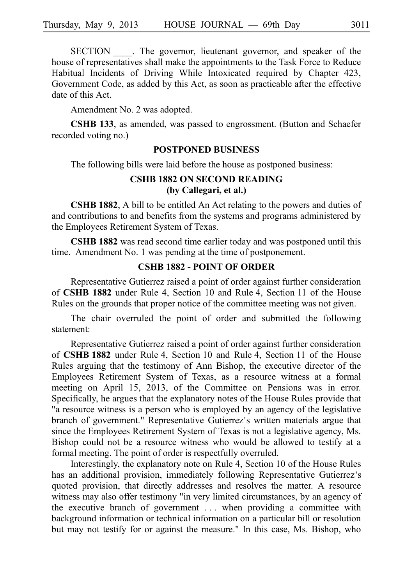SECTION . The governor, lieutenant governor, and speaker of the house of representatives shall make the appointments to the Task Force to Reduce Habitual Incidents of Driving While Intoxicated required by Chapter 423, Government Code, as added by this Act, as soon as practicable after the effective date of this Act.

Amendment No. 2 was adopted.

**CSHB 133**, as amended, was passed to engrossment. (Button and Schaefer recorded voting no.)

#### **POSTPONED BUSINESS**

The following bills were laid before the house as postponed business:

# **CSHB 1882 ON SECOND READING (by Callegari, et al.)**

**CSHB 1882**, A bill to be entitled An Act relating to the powers and duties of and contributions to and benefits from the systems and programs administered by the Employees Retirement System of Texas.

**CSHB 1882** was read second time earlier today and was postponed until this time. Amendment No. 1 was pending at the time of postponement.

### **CSHB 1882 - POINT OF ORDER**

Representative Gutierrez raised a point of order against further consideration of **CSHB 1882** under Rule 4, Section 10 and Rule 4, Section 11 of the House Rules on the grounds that proper notice of the committee meeting was not given.

The chair overruled the point of order and submitted the following statement:

Representative Gutierrez raised a point of order against further consideration of **CSHB 1882** under Rule 4, Section 10 and Rule 4, Section 11 of the House Rules arguing that the testimony of Ann Bishop, the executive director of the Employees Retirement System of Texas, as a resource witness at a formal meeting on April 15, 2013, of the Committee on Pensions was in error. Specifically, he argues that the explanatory notes of the House Rules provide that "a resource witness is a person who is employed by an agency of the legislative branch of government." Representative Gutierrez's written materials argue that since the Employees Retirement System of Texas is not a legislative agency, Ms. Bishop could not be a resource witness who would be allowed to testify at a formal meeting. The point of order is respectfully overruled.

Interestingly, the explanatory note on Rule 4, Section 10 of the House Rules has an additional provision, immediately following Representative Gutierrez's quoted provision, that directly addresses and resolves the matter. A resource witness may also offer testimony "in very limited circumstances, by an agency of the executive branch of government  $\ldots$  when providing a committee with background information or technical information on a particular bill or resolution but may not testify for or against the measure." In this case, Ms. Bishop, who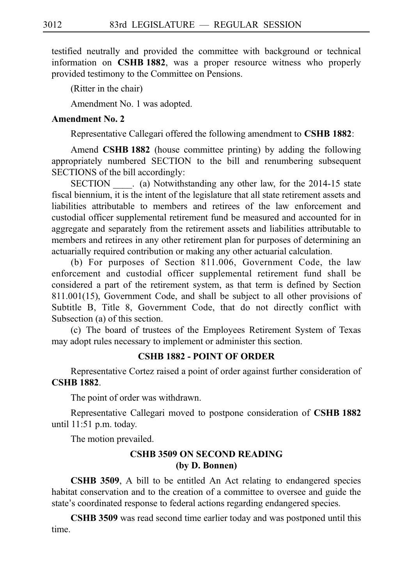testified neutrally and provided the committee with background or technical information on **CSHB 1882**, was a proper resource witness who properly provided testimony to the Committee on Pensions.

(Ritter in the chair)

Amendment No. 1 was adopted.

### **Amendment No. 2**

Representative Callegari offered the following amendment to **CSHB 1882**:

Amend **CSHB 1882** (house committee printing) by adding the following appropriately numbered SECTION to the bill and renumbering subsequent SECTIONS of the bill accordingly:

SECTION (a) Notwithstanding any other law, for the 2014-15 state fiscal biennium, it is the intent of the legislature that all state retirement assets and liabilities attributable to members and retirees of the law enforcement and custodial officer supplemental retirement fund be measured and accounted for in aggregate and separately from the retirement assets and liabilities attributable to members and retirees in any other retirement plan for purposes of determining an actuarially required contribution or making any other actuarial calculation.

(b) For purposes of Section 811.006, Government Code, the law enforcement and custodial officer supplemental retirement fund shall be considered a part of the retirement system, as that term is defined by Section 811.001(15), Government Code, and shall be subject to all other provisions of Subtitle B, Title 8, Government Code, that do not directly conflict with Subsection (a) of this section.

(c) The board of trustees of the Employees Retirement System of Texas may adopt rules necessary to implement or administer this section.

### **CSHB 1882 - POINT OF ORDER**

Representative Cortez raised a point of order against further consideration of **CSHB 1882**.

The point of order was withdrawn.

Representative Callegari moved to postpone consideration of **CSHBi1882** until 11:51 p.m. today.

The motion prevailed.

# **CSHB 3509 ON SECOND READING (by D. Bonnen)**

**CSHB 3509**, A bill to be entitled An Act relating to endangered species habitat conservation and to the creation of a committee to oversee and guide the state's coordinated response to federal actions regarding endangered species.

**CSHB 3509** was read second time earlier today and was postponed until this time.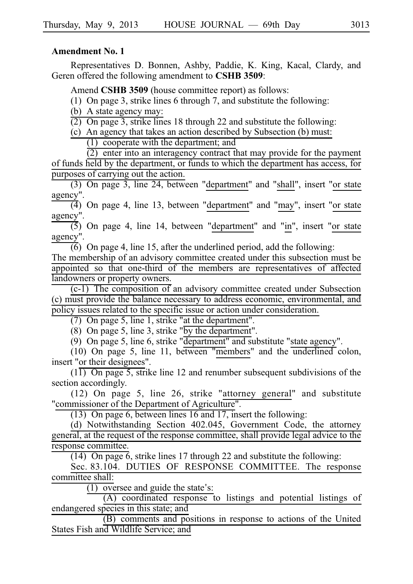### **Amendment No. 1**

Representatives D. Bonnen, Ashby, Paddie, K. King, Kacal, Clardy, and Geren offered the following amendment to **CSHB 3509**:

Amend **CSHB 3509** (house committee report) as follows:

(1) On page 3, strike lines 6 through 7, and substitute the following:

(b) A state agency may:

 $\overline{(2)}$  On page 3, strike lines 18 through 22 and substitute the following:

(c) An agency that takes an action described by Subsection (b) must:  $(1)$  cooperate with the department; and

 $\overline{(2)}$  enter into an interagency contract that may provide for the payment of funds held by the department, or funds to which the department has access, for purposes of carrying out the action.

(3) On page 3, line 24, between "department" and "shall", insert "or state agency".

 $\overline{(4)}$  On page 4, line 13, between "department" and "may", insert "or state agency".

 $(5)$  On page 4, line 14, between "department" and "in", insert "or state agency".

 $\overline{(6)}$  On page 4, line 15, after the underlined period, add the following:

The membership of an advisory committee created under this subsection must be appointed so that one-third of the members are representatives of affected landowners or property owners.

 $(c-1)$  The composition of an advisory committee created under Subsection (c) must provide the balance necessary to address economic, environmental, and policy issues related to the specific issue or action under consideration.

 $(7)$  On page 5, line 1, strike "at the department".

(8) On page 5, line 3, strike " $\overline{by}$  the department".

 $(9)$  On page 5, line 6, strike "department" and substitute "state agency".

 $(10)$  On page 5, line 11, between "members" and the underlined colon, insert "or their designees".

 $(11)$  On page 5, strike line 12 and renumber subsequent subdivisions of the section accordingly.

 $(12)$  On page 5, line 26, strike "attorney general" and substitute "commissioner of the Department of Agriculture".

(13) On page 6, between lines 16 and 17, insert the following:

(d) Notwithstanding Section 402.045, Government Code, the attorney general, at the request of the response committee, shall provide legal advice to the response committee.

(14) On page  $6$ , strike lines 17 through 22 and substitute the following:

Sec. 83.104. DUTIES OF RESPONSE COMMITTEE. The response committee shall:

 $(1)$  oversee and guide the state's:

 $(A)$  coordinated response to listings and potential listings of endangered species in this state; and

 $(B)$  comments and positions in response to actions of the United States Fish and Wildlife Service; and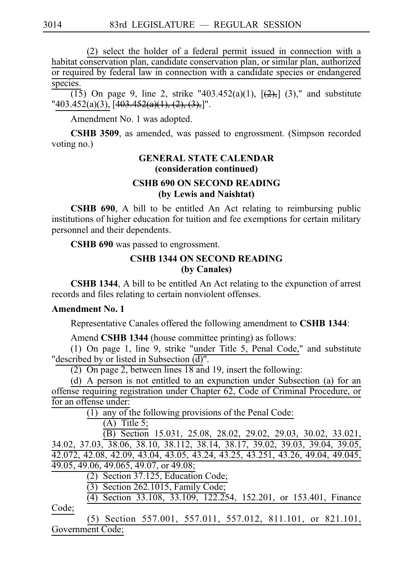$(2)$  select the holder of a federal permit issued in connection with a habitat conservation plan, candidate conservation plan, or similar plan, authorized or required by federal law in connection with a candidate species or endangered species.

(15) On page 9, line 2, strike "403.452(a)(1),  $[(-2),]$  (3)," and substitute "403.452(a)(3),  $[403.452(a)(1), (2), (3),]$ ".

Amendment No. 1 was adopted.

**CSHB 3509**, as amended, was passed to engrossment. (Simpson recorded voting no.)

# **GENERAL STATE CALENDAR (consideration continued)**

### **CSHB 690 ON SECOND READING (by Lewis and Naishtat)**

**CSHB 690**, A bill to be entitled An Act relating to reimbursing public institutions of higher education for tuition and fee exemptions for certain military personnel and their dependents.

CSHB 690 was passed to engrossment.

# **CSHB 1344 ON SECOND READING (by Canales)**

**CSHB 1344**, A bill to be entitled An Act relating to the expunction of arrest records and files relating to certain nonviolent offenses.

### **Amendment No. 1**

Representative Canales offered the following amendment to **CSHB 1344**:

Amend **CSHB 1344** (house committee printing) as follows:

(1) On page 1, line 9, strike "under Title 5, Penal Code," and substitute "described by or listed in Subsection  $\overline{d}$ ".

(2) On page 2, between lines  $18$  and 19, insert the following:

(d) A person is not entitled to an expunction under Subsection (a) for an offense requiring registration under Chapter 62, Code of Criminal Procedure, or for an offense under:

 $(1)$  any of the following provisions of the Penal Code:

 $(A)$  Title 5;

(B) Section 15.031, 25.08, 28.02, 29.02, 29.03, 30.02, 33.021, 34.02, 37.03, 38.06, 38.10, 38.112, 38.14, 38.17, 39.02, 39.03, 39.04, 39.05, 42.072, 42.08, 42.09, 43.04, 43.05, 43.24, 43.25, 43.251, 43.26, 49.04, 49.045, 49.05, 49.06, 49.065, 49.07, or 49.08;

 $(2)$  Section 37.125, Education Code;

 $(3)$  Section 262.1015, Family Code;

(4) Section 33.108, 33.109, 122.254, 152.201, or 153.401, Finance Code;

(5) Section 557.001, 557.011, 557.012, 811.101, or 821.101, Government Code;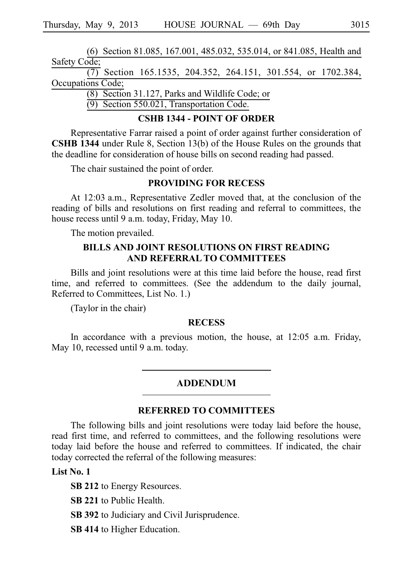(6) Section 81.085, 167.001, 485.032, 535.014, or 841.085, Health and Safety Code;  $\overline{(7)}$  Section 165.1535, 204.352, 264.151, 301.554, or 1702.384, Occupations Code;

 $(8)$  Section 31.127, Parks and Wildlife Code; or

 $(9)$  Section 550.021, Transportation Code.

### **CSHB 1344 - POINT OF ORDER**

Representative Farrar raised a point of order against further consideration of **CSHB 1344** under Rule 8, Section 13(b) of the House Rules on the grounds that the deadline for consideration of house bills on second reading had passed.

The chair sustained the point of order.

## **PROVIDING FOR RECESS**

At 12:03 a.m., Representative Zedler moved that, at the conclusion of the reading of bills and resolutions on first reading and referral to committees, the house recess until 9 a.m. today, Friday, May 10.

The motion prevailed.

## **BILLS AND JOINT RESOLUTIONS ON FIRST READING AND REFERRAL TO COMMITTEES**

Bills and joint resolutions were at this time laid before the house, read first time, and referred to committees. (See the addendum to the daily journal, Referred to Committees, List No. 1.)

(Taylor in the chair)

### **RECESS**

In accordance with a previous motion, the house, at 12:05 a.m. Friday, May 10, recessed until 9 a.m. today.

### ADDENDUM

#### **REFERRED TO COMMITTEES**

The following bills and joint resolutions were today laid before the house, read first time, and referred to committees, and the following resolutions were today laid before the house and referred to committees. If indicated, the chair today corrected the referral of the following measures:

## **List No. 1**

**SB 212** to Energy Resources.

**SB 221** to Public Health.

**SB 392** to Judiciary and Civil Jurisprudence.

**SB 414** to Higher Education.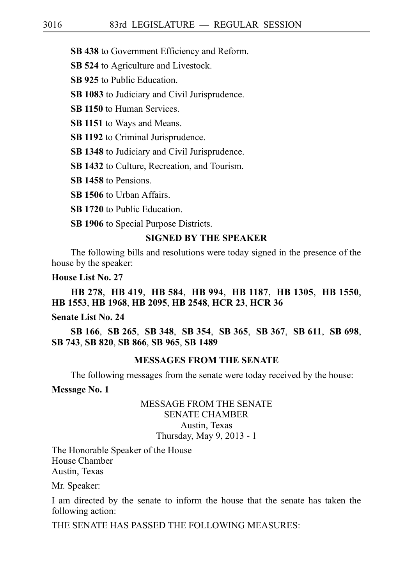**SB 438** to Government Efficiency and Reform.

**SB 524** to Agriculture and Livestock.

**SB 925** to Public Education.

**SB 1083** to Judiciary and Civil Jurisprudence.

**SB 1150** to Human Services.

**SB 1151** to Ways and Means.

**SB 1192** to Criminal Jurisprudence.

**SB 1348** to Judiciary and Civil Jurisprudence.

**SB 1432** to Culture, Recreation, and Tourism.

**SB 1458** to Pensions.

**SB 1506** to Urban Affairs.

**SB 1720** to Public Education.

**SB 1906** to Special Purpose Districts.

### **SIGNED BY THE SPEAKER**

The following bills and resolutions were today signed in the presence of the house by the speaker:

**House List No. 27**

**HB**i**278**, **HB**i**419**, **HB**i**584**, **HB**i**994**, **HB**i**1187**, **HB**i**1305**, **HB**i**1550**, **HB**i**1553**, **HB**i**1968**, **HB**i**2095**, **HB**i**2548**, **HCR**i**23**, **HCR**i**36**

# **Senate List No. 24**

**SB**i**166**, **SB**i**265**, **SB**i**348**, **SB**i**354**, **SB**i**365**, **SB**i**367**, **SB**i**611**, **SB**i**698**, **SB**i**743**, **SB**i**820**, **SB**i**866**, **SB**i**965**, **SB**i**1489**

### **MESSAGES FROM THE SENATE**

The following messages from the senate were today received by the house:

**Message No. 1**

### MESSAGE FROM THE SENATE SENATE CHAMBER Austin, Texas Thursday, May 9, 2013 - 1

The Honorable Speaker of the House House Chamber Austin, Texas

Mr. Speaker:

I am directed by the senate to inform the house that the senate has taken the following action:

THE SENATE HAS PASSED THE FOLLOWING MEASURES: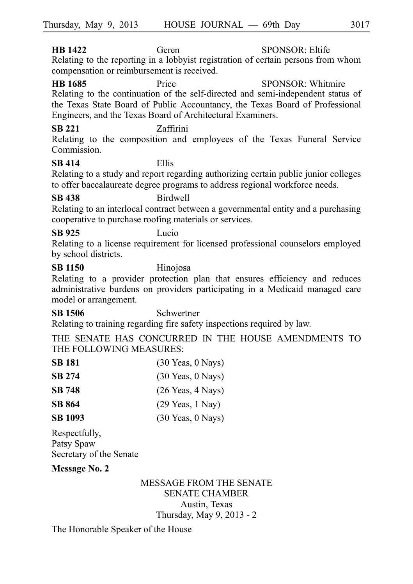**HB 1422** Geren SPONSOR: Eltife Relating to the reporting in a lobbyist registration of certain persons from whom compensation or reimbursement is received.

**HB 1685** Price SPONSOR: Whitmire Relating to the continuation of the self-directed and semi-independent status of the Texas State Board of Public Accountancy, the Texas Board of Professional Engineers, and the Texas Board of Architectural Examiners.

# **SB 221** Zaffirini

Relating to the composition and employees of the Texas Funeral Service Commission.

# **SB 414** Ellis

Relating to a study and report regarding authorizing certain public junior colleges to offer baccalaureate degree programs to address regional workforce needs.

# **SB 438** Birdwell

Relating to an interlocal contract between a governmental entity and a purchasing cooperative to purchase roofing materials or services.

# **SB 925** Lucio

Relating to a license requirement for licensed professional counselors employed by school districts.

### **SB 1150** Hinojosa

Relating to a provider protection plan that ensures efficiency and reduces administrative burdens on providers participating in a Medicaid managed care model or arrangement.

# **SB 1506** Schwertner

Relating to training regarding fire safety inspections required by law.

THE SENATE HAS CONCURRED IN THE HOUSE AMENDMENTS TO THE FOLLOWING MEASURES:

| <b>SB 181</b>  | $(30 \text{ Years}, 0 \text{ Nays})$ |
|----------------|--------------------------------------|
| <b>SB 274</b>  | $(30 \text{ Years}, 0 \text{ Nays})$ |
| <b>SB 748</b>  | $(26$ Yeas, $4$ Nays)                |
| <b>SB 864</b>  | $(29$ Yeas, 1 Nay)                   |
| <b>SB 1093</b> | $(30 \text{ Years}, 0 \text{ Nays})$ |
|                |                                      |

Respectfully, Patsy Spaw Secretary of the Senate

# **Message No. 2**

# MESSAGE FROM THE SENATE SENATE CHAMBER Austin, Texas Thursday, May 9, 2013 - 2

The Honorable Speaker of the House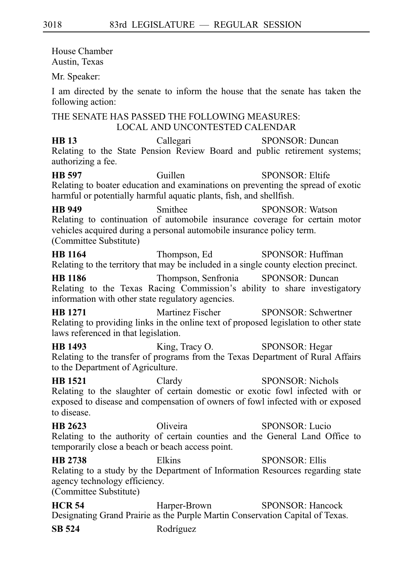House Chamber Austin, Texas Mr. Speaker: I am directed by the senate to inform the house that the senate has taken the following action: THE SENATE HAS PASSED THE FOLLOWING MEASURES: LOCAL AND UNCONTESTED CALENDAR **HB 13** Callegari SPONSOR: Duncan Relating to the State Pension Review Board and public retirement systems; authorizing a fee. **HB 597** Guillen SPONSOR: Eltife Relating to boater education and examinations on preventing the spread of exotic harmful or potentially harmful aquatic plants, fish, and shellfish. **HB 949** Smithee SPONSOR: Watson Relating to continuation of automobile insurance coverage for certain motor vehicles acquired during a personal automobile insurance policy term. (Committee Substitute) **HB 1164** Thompson, Ed SPONSOR: Huffman Relating to the territory that may be included in a single county election precinct. **HB 1186** Thompson, Senfronia SPONSOR: Duncan Relating to the Texas Racing Commission's ability to share investigatory information with other state regulatory agencies. **HB 1271** Martinez Fischer SPONSOR: Schwertner Relating to providing links in the online text of proposed legislation to other state laws referenced in that legislation. **HB 1493** King, Tracy O. SPONSOR: Hegar Relating to the transfer of programs from the Texas Department of Rural Affairs to the Department of Agriculture. **HB 1521** Clardy SPONSOR: Nichols Relating to the slaughter of certain domestic or exotic fowl infected with or exposed to disease and compensation of owners of fowl infected with or exposed to disease. **HB 2623** Oliveira SPONSOR: Lucio Relating to the authority of certain counties and the General Land Office to temporarily close a beach or beach access point. **HB 2738** Elkins SPONSOR: Ellis Relating to a study by the Department of Information Resources regarding state agency technology efficiency. (Committee Substitute) **HCR 54** Harper-Brown SPONSOR: Hancock Designating Grand Prairie as the Purple Martin Conservation Capital of Texas.

**SB 524** Rodríguez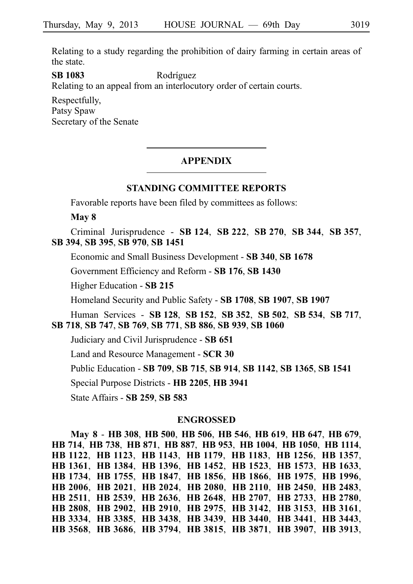Relating to a study regarding the prohibition of dairy farming in certain areas of the state.

**SB 1083** Rodríguez

Relating to an appeal from an interlocutory order of certain courts.

Respectfully, Patsy Spaw Secretary of the Senate

### **APPENDIX**

### **STANDING COMMITTEE REPORTS**

Favorable reports have been filed by committees as follows:

**May 8**

Criminal Jurisprudence - **SB**i**124**, **SB**i**222**, **SB**i**270**, **SB**i**344**, **SB**i**357**, **SB**i**394**, **SB**i**395**, **SB**i**970**, **SB**i**1451**

Economic and Small Business Development - **SB**i**340**, **SB**i**1678**

Government Efficiency and Reform - **SB**i**176**, **SB**i**1430**

Higher Education - **SB**i**215**

Homeland Security and Public Safety - **SB**i**1708**, **SB**i**1907**, **SB**i**1907**

Human Services - **SB**i**128**, **SB**i**152**, **SB**i**352**, **SB**i**502**, **SB**i**534**, **SB**i**717**, **SB**i**718**, **SB**i**747**, **SB**i**769**, **SB**i**771**, **SB**i**886**, **SB**i**939**, **SB**i**1060**

Judiciary and Civil Jurisprudence - **SB**i**651**

Land and Resource Management - **SCR**i**30**

Public Education - **SB**i**709**, **SB**i**715**, **SB**i**914**, **SB**i**1142**, **SB**i**1365**, **SB**i**1541**

Special Purpose Districts - **HB**i**2205**, **HB**i**3941**

State Affairs - **SB**i**259**, **SB**i**583**

#### **ENGROSSED**

**May 8** - **HB**i**308**, **HB**i**500**, **HB**i**506**, **HB**i**546**, **HB**i**619**, **HB**i**647**, **HB**i**679**, **HB**i**714**, **HB**i**738**, **HB**i**871**, **HB**i**887**, **HB**i**953**, **HB**i**1004**, **HB**i**1050**, **HB**i**1114**, **HB**i**1122**, **HB**i**1123**, **HB**i**1143**, **HB**i**1179**, **HB**i**1183**, **HB**i**1256**, **HB**i**1357**, **HB**i**1361**, **HB**i**1384**, **HB**i**1396**, **HB**i**1452**, **HB**i**1523**, **HB**i**1573**, **HB**i**1633**, **HB**i**1734**, **HB**i**1755**, **HB**i**1847**, **HB**i**1856**, **HB**i**1866**, **HB**i**1975**, **HB**i**1996**, **HB**i**2006**, **HB**i**2021**, **HB**i**2024**, **HB**i**2080**, **HB**i**2110**, **HB**i**2450**, **HB**i**2483**, **HB**i**2511**, **HB**i**2539**, **HB**i**2636**, **HB**i**2648**, **HB**i**2707**, **HB**i**2733**, **HB**i**2780**, **HB**i**2808**, **HB**i**2902**, **HB**i**2910**, **HB**i**2975**, **HB**i**3142**, **HB**i**3153**, **HB**i**3161**, **HB**i**3334**, **HB**i**3385**, **HB**i**3438**, **HB**i**3439**, **HB**i**3440**, **HB**i**3441**, **HB**i**3443**, **HB**i**3568**, **HB**i**3686**, **HB**i**3794**, **HB**i**3815**, **HB**i**3871**, **HB**i**3907**, **HB**i**3913**,